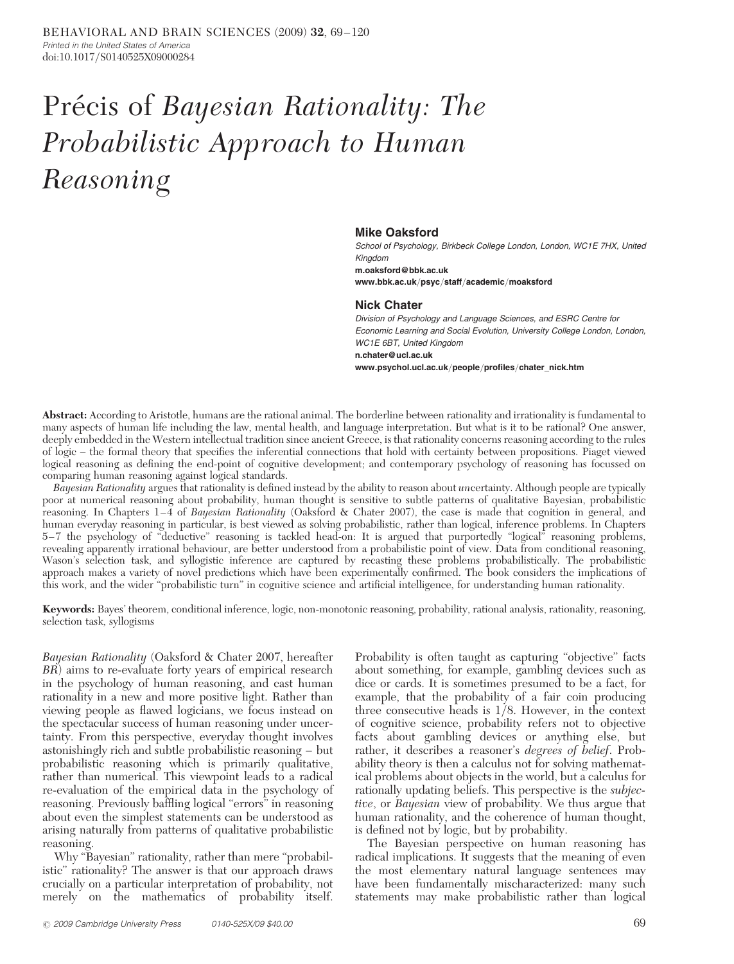# Précis of Bayesian Rationality: The Probabilistic Approach to Human Reasoning

### Mike Oaksford

School of Psychology, Birkbeck College London, London, WC1E 7HX, United Kingdom m.oaksford@bbk.ac.uk www.bbk.ac.uk/psyc/staff/academic/moaksford

#### Nick Chater

Division of Psychology and Language Sciences, and ESRC Centre for Economic Learning and Social Evolution, University College London, London, WC1E 6BT, United Kingdom n.chater@ucl.ac.uk www.psychol.ucl.ac.uk/people/profiles/chater\_nick.htm

Abstract: According to Aristotle, humans are the rational animal. The borderline between rationality and irrationality is fundamental to many aspects of human life including the law, mental health, and language interpretation. But what is it to be rational? One answer, deeply embedded in the Western intellectual tradition since ancient Greece, is that rationality concerns reasoning according to the rules of logic – the formal theory that specifies the inferential connections that hold with certainty between propositions. Piaget viewed logical reasoning as defining the end-point of cognitive development; and contemporary psychology of reasoning has focussed on comparing human reasoning against logical standards.

Bayesian Rationality argues that rationality is defined instead by the ability to reason about uncertainty. Although people are typically poor at numerical reasoning about probability, human thought is sensitive to subtle patterns of qualitative Bayesian, probabilistic reasoning. In Chapters 1-4 of Bayesian Rationality (Oaksford & Chater 2007), the case is made that cognition in general, and human everyday reasoning in particular, is best viewed as solving probabilistic, rather than logical, inference problems. In Chapters 5 – 7 the psychology of "deductive" reasoning is tackled head-on: It is argued that purportedly "logical" reasoning problems, revealing apparently irrational behaviour, are better understood from a probabilistic point of view. Data from conditional reasoning, Wason's selection task, and syllogistic inference are captured by recasting these problems probabilistically. The probabilistic approach makes a variety of novel predictions which have been experimentally confirmed. The book considers the implications of this work, and the wider "probabilistic turn" in cognitive science and artificial intelligence, for understanding human rationality.

Keywords: Bayes' theorem, conditional inference, logic, non-monotonic reasoning, probability, rational analysis, rationality, reasoning, selection task, syllogisms

Bayesian Rationality (Oaksford & Chater 2007, hereafter BR) aims to re-evaluate forty years of empirical research in the psychology of human reasoning, and cast human rationality in a new and more positive light. Rather than viewing people as flawed logicians, we focus instead on the spectacular success of human reasoning under uncertainty. From this perspective, everyday thought involves astonishingly rich and subtle probabilistic reasoning – but probabilistic reasoning which is primarily qualitative, rather than numerical. This viewpoint leads to a radical re-evaluation of the empirical data in the psychology of reasoning. Previously baffling logical "errors" in reasoning about even the simplest statements can be understood as arising naturally from patterns of qualitative probabilistic reasoning.

Why "Bayesian" rationality, rather than mere "probabilistic" rationality? The answer is that our approach draws crucially on a particular interpretation of probability, not merely on the mathematics of probability itself. Probability is often taught as capturing "objective" facts about something, for example, gambling devices such as dice or cards. It is sometimes presumed to be a fact, for example, that the probability of a fair coin producing three consecutive heads is 1/8. However, in the context of cognitive science, probability refers not to objective facts about gambling devices or anything else, but rather, it describes a reasoner's degrees of belief. Probability theory is then a calculus not for solving mathematical problems about objects in the world, but a calculus for rationally updating beliefs. This perspective is the subjective, or Bayesian view of probability. We thus argue that human rationality, and the coherence of human thought, is defined not by logic, but by probability.

The Bayesian perspective on human reasoning has radical implications. It suggests that the meaning of even the most elementary natural language sentences may have been fundamentally mischaracterized: many such statements may make probabilistic rather than logical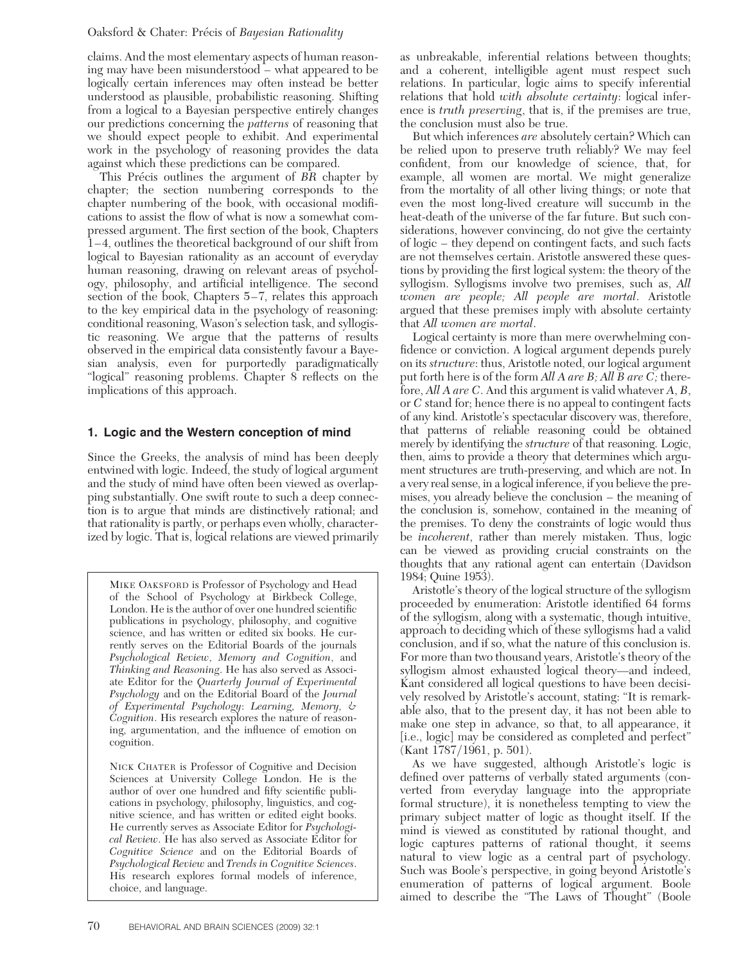## Oaksford & Chater: Précis of Bayesian Rationality

claims. And the most elementary aspects of human reasoning may have been misunderstood – what appeared to be logically certain inferences may often instead be better understood as plausible, probabilistic reasoning. Shifting from a logical to a Bayesian perspective entirely changes our predictions concerning the patterns of reasoning that we should expect people to exhibit. And experimental work in the psychology of reasoning provides the data against which these predictions can be compared.

This Précis outlines the argument of BR chapter by chapter; the section numbering corresponds to the chapter numbering of the book, with occasional modifications to assist the flow of what is now a somewhat compressed argument. The first section of the book, Chapters 1 –4, outlines the theoretical background of our shift from logical to Bayesian rationality as an account of everyday human reasoning, drawing on relevant areas of psychology, philosophy, and artificial intelligence. The second section of the book, Chapters 5–7, relates this approach to the key empirical data in the psychology of reasoning: conditional reasoning, Wason's selection task, and syllogistic reasoning. We argue that the patterns of results observed in the empirical data consistently favour a Bayesian analysis, even for purportedly paradigmatically "logical" reasoning problems. Chapter 8 reflects on the implications of this approach.

## 1. Logic and the Western conception of mind

Since the Greeks, the analysis of mind has been deeply entwined with logic. Indeed, the study of logical argument and the study of mind have often been viewed as overlapping substantially. One swift route to such a deep connection is to argue that minds are distinctively rational; and that rationality is partly, or perhaps even wholly, characterized by logic. That is, logical relations are viewed primarily

MIKE OAKSFORD is Professor of Psychology and Head of the School of Psychology at Birkbeck College, London. He is the author of over one hundred scientific publications in psychology, philosophy, and cognitive science, and has written or edited six books. He currently serves on the Editorial Boards of the journals Psychological Review, Memory and Cognition, and Thinking and Reasoning. He has also served as Associate Editor for the Quarterly Journal of Experimental Psychology and on the Editorial Board of the Journal of Experimental Psychology: Learning, Memory, & Cognition. His research explores the nature of reasoning, argumentation, and the influence of emotion on cognition.

NICK CHATER is Professor of Cognitive and Decision Sciences at University College London. He is the author of over one hundred and fifty scientific publications in psychology, philosophy, linguistics, and cognitive science, and has written or edited eight books. He currently serves as Associate Editor for Psychological Review. He has also served as Associate Editor for Cognitive Science and on the Editorial Boards of Psychological Review and Trends in Cognitive Sciences. His research explores formal models of inference, choice, and language.

as unbreakable, inferential relations between thoughts; and a coherent, intelligible agent must respect such relations. In particular, logic aims to specify inferential relations that hold *with absolute certainty*: logical inference is truth preserving, that is, if the premises are true, the conclusion must also be true.

But which inferences are absolutely certain? Which can be relied upon to preserve truth reliably? We may feel confident, from our knowledge of science, that, for example, all women are mortal. We might generalize from the mortality of all other living things; or note that even the most long-lived creature will succumb in the heat-death of the universe of the far future. But such considerations, however convincing, do not give the certainty of logic – they depend on contingent facts, and such facts are not themselves certain. Aristotle answered these questions by providing the first logical system: the theory of the syllogism. Syllogisms involve two premises, such as, All women are people; All people are mortal. Aristotle argued that these premises imply with absolute certainty that All women are mortal.

Logical certainty is more than mere overwhelming confidence or conviction. A logical argument depends purely on its structure: thus, Aristotle noted, our logical argument put forth here is of the form  $All A$  are  $B$ ; All  $\overline{B}$  are  $\overline{C}$ ; therefore,  $All A$  are C. And this argument is valid whatever  $A, B$ , or C stand for; hence there is no appeal to contingent facts of any kind. Aristotle's spectacular discovery was, therefore, that patterns of reliable reasoning could be obtained merely by identifying the *structure* of that reasoning. Logic, then, aims to provide a theory that determines which argument structures are truth-preserving, and which are not. In a very real sense, in a logical inference, if you believe the premises, you already believe the conclusion – the meaning of the conclusion is, somehow, contained in the meaning of the premises. To deny the constraints of logic would thus be *incoherent*, rather than merely mistaken. Thus, logic can be viewed as providing crucial constraints on the thoughts that any rational agent can entertain (Davidson 1984; Quine 1953).

Aristotle's theory of the logical structure of the syllogism proceeded by enumeration: Aristotle identified 64 forms of the syllogism, along with a systematic, though intuitive, approach to deciding which of these syllogisms had a valid conclusion, and if so, what the nature of this conclusion is. For more than two thousand years, Aristotle's theory of the syllogism almost exhausted logical theory—and indeed, Kant considered all logical questions to have been decisively resolved by Aristotle's account, stating: "It is remarkable also, that to the present day, it has not been able to make one step in advance, so that, to all appearance, it [i.e., logic] may be considered as completed and perfect" (Kant 1787/1961, p. 501).

As we have suggested, although Aristotle's logic is defined over patterns of verbally stated arguments (converted from everyday language into the appropriate formal structure), it is nonetheless tempting to view the primary subject matter of logic as thought itself. If the mind is viewed as constituted by rational thought, and logic captures patterns of rational thought, it seems natural to view logic as a central part of psychology. Such was Boole's perspective, in going beyond Aristotle's enumeration of patterns of logical argument. Boole aimed to describe the "The Laws of Thought" (Boole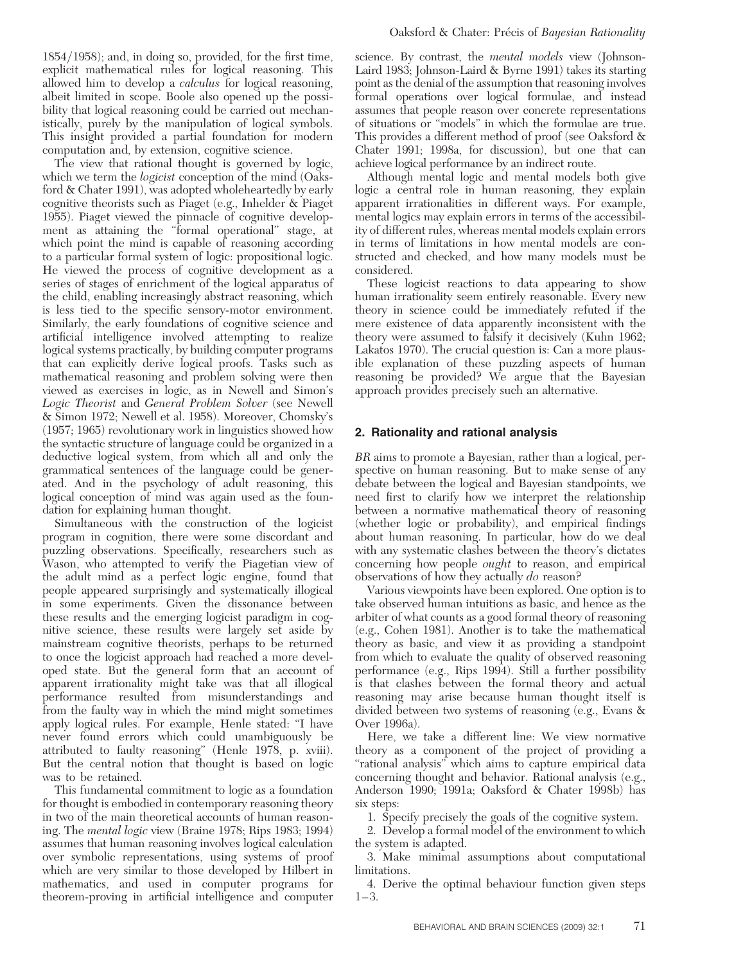1854/1958); and, in doing so, provided, for the first time, explicit mathematical rules for logical reasoning. This allowed him to develop a calculus for logical reasoning, albeit limited in scope. Boole also opened up the possibility that logical reasoning could be carried out mechanistically, purely by the manipulation of logical symbols. This insight provided a partial foundation for modern computation and, by extension, cognitive science.

The view that rational thought is governed by logic, which we term the *logicist* conception of the mind (Oaksford & Chater 1991), was adopted wholeheartedly by early cognitive theorists such as Piaget (e.g., Inhelder & Piaget 1955). Piaget viewed the pinnacle of cognitive development as attaining the "formal operational" stage, at which point the mind is capable of reasoning according to a particular formal system of logic: propositional logic. He viewed the process of cognitive development as a series of stages of enrichment of the logical apparatus of the child, enabling increasingly abstract reasoning, which is less tied to the specific sensory-motor environment. Similarly, the early foundations of cognitive science and artificial intelligence involved attempting to realize logical systems practically, by building computer programs that can explicitly derive logical proofs. Tasks such as mathematical reasoning and problem solving were then viewed as exercises in logic, as in Newell and Simon's Logic Theorist and General Problem Solver (see Newell & Simon 1972; Newell et al. 1958). Moreover, Chomsky's (1957; 1965) revolutionary work in linguistics showed how the syntactic structure of language could be organized in a deductive logical system, from which all and only the grammatical sentences of the language could be generated. And in the psychology of adult reasoning, this logical conception of mind was again used as the foundation for explaining human thought.

Simultaneous with the construction of the logicist program in cognition, there were some discordant and puzzling observations. Specifically, researchers such as Wason, who attempted to verify the Piagetian view of the adult mind as a perfect logic engine, found that people appeared surprisingly and systematically illogical in some experiments. Given the dissonance between these results and the emerging logicist paradigm in cognitive science, these results were largely set aside by mainstream cognitive theorists, perhaps to be returned to once the logicist approach had reached a more developed state. But the general form that an account of apparent irrationality might take was that all illogical performance resulted from misunderstandings and from the faulty way in which the mind might sometimes apply logical rules. For example, Henle stated: "I have never found errors which could unambiguously be attributed to faulty reasoning" (Henle 1978, p. xviii). But the central notion that thought is based on logic was to be retained.

This fundamental commitment to logic as a foundation for thought is embodied in contemporary reasoning theory in two of the main theoretical accounts of human reasoning. The mental logic view (Braine 1978; Rips 1983; 1994) assumes that human reasoning involves logical calculation over symbolic representations, using systems of proof which are very similar to those developed by Hilbert in mathematics, and used in computer programs for theorem-proving in artificial intelligence and computer

science. By contrast, the mental models view (Johnson-Laird 1983; Johnson-Laird & Byrne 1991) takes its starting point as the denial of the assumption that reasoning involves formal operations over logical formulae, and instead assumes that people reason over concrete representations of situations or "models" in which the formulae are true. This provides a different method of proof (see Oaksford & Chater 1991; 1998a, for discussion), but one that can achieve logical performance by an indirect route.

Although mental logic and mental models both give logic a central role in human reasoning, they explain apparent irrationalities in different ways. For example, mental logics may explain errors in terms of the accessibility of different rules, whereas mental models explain errors in terms of limitations in how mental models are constructed and checked, and how many models must be considered.

These logicist reactions to data appearing to show human irrationality seem entirely reasonable. Every new theory in science could be immediately refuted if the mere existence of data apparently inconsistent with the theory were assumed to falsify it decisively (Kuhn 1962; Lakatos 1970). The crucial question is: Can a more plausible explanation of these puzzling aspects of human reasoning be provided? We argue that the Bayesian approach provides precisely such an alternative.

## 2. Rationality and rational analysis

BR aims to promote a Bayesian, rather than a logical, perspective on human reasoning. But to make sense of any debate between the logical and Bayesian standpoints, we need first to clarify how we interpret the relationship between a normative mathematical theory of reasoning (whether logic or probability), and empirical findings about human reasoning. In particular, how do we deal with any systematic clashes between the theory's dictates concerning how people ought to reason, and empirical observations of how they actually do reason?

Various viewpoints have been explored. One option is to take observed human intuitions as basic, and hence as the arbiter of what counts as a good formal theory of reasoning (e.g., Cohen 1981). Another is to take the mathematical theory as basic, and view it as providing a standpoint from which to evaluate the quality of observed reasoning performance (e.g., Rips 1994). Still a further possibility is that clashes between the formal theory and actual reasoning may arise because human thought itself is divided between two systems of reasoning (e.g., Evans & Over 1996a).

Here, we take a different line: We view normative theory as a component of the project of providing a "rational analysis" which aims to capture empirical data concerning thought and behavior. Rational analysis (e.g., Anderson 1990; 1991a; Oaksford & Chater 1998b) has six steps:

1. Specify precisely the goals of the cognitive system.

2. Develop a formal model of the environment to which the system is adapted.

3. Make minimal assumptions about computational limitations.

4. Derive the optimal behaviour function given steps  $1 - 3$ .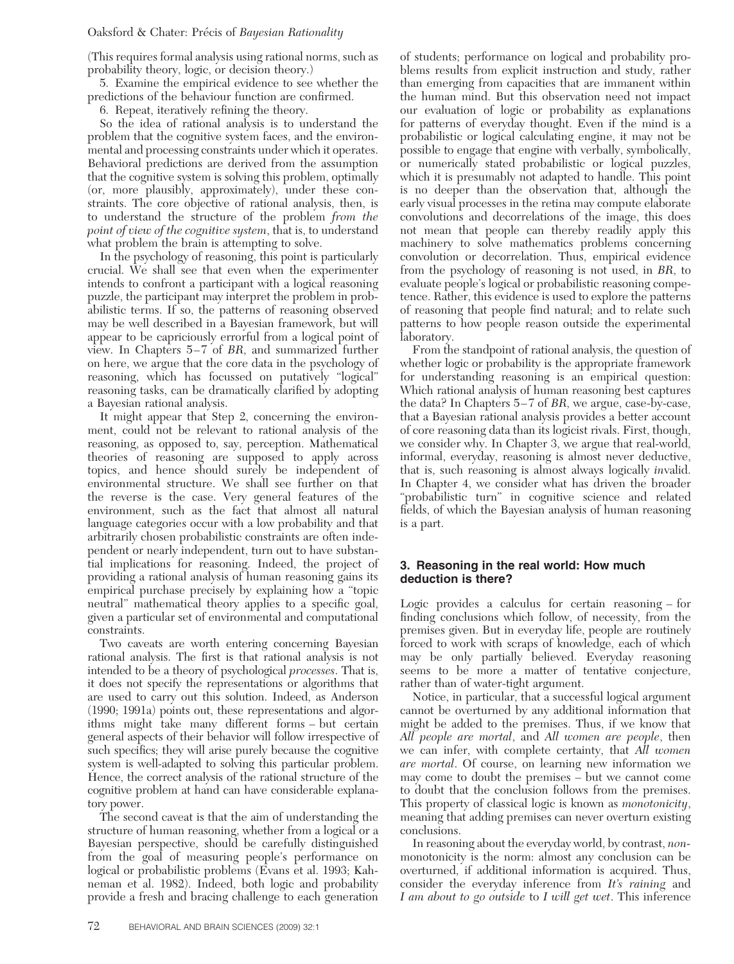## Oaksford & Chater: Précis of Bayesian Rationality

(This requires formal analysis using rational norms, such as probability theory, logic, or decision theory.)

5. Examine the empirical evidence to see whether the predictions of the behaviour function are confirmed.

6. Repeat, iteratively refining the theory.

So the idea of rational analysis is to understand the problem that the cognitive system faces, and the environmental and processing constraints under which it operates. Behavioral predictions are derived from the assumption that the cognitive system is solving this problem, optimally (or, more plausibly, approximately), under these constraints. The core objective of rational analysis, then, is to understand the structure of the problem from the point of view of the cognitive system, that is, to understand what problem the brain is attempting to solve.

In the psychology of reasoning, this point is particularly crucial. We shall see that even when the experimenter intends to confront a participant with a logical reasoning puzzle, the participant may interpret the problem in probabilistic terms. If so, the patterns of reasoning observed may be well described in a Bayesian framework, but will appear to be capriciously errorful from a logical point of view. In Chapters 5–7 of BR, and summarized further on here, we argue that the core data in the psychology of reasoning, which has focussed on putatively "logical" reasoning tasks, can be dramatically clarified by adopting a Bayesian rational analysis.

It might appear that Step 2, concerning the environment, could not be relevant to rational analysis of the reasoning, as opposed to, say, perception. Mathematical theories of reasoning are supposed to apply across topics, and hence should surely be independent of environmental structure. We shall see further on that the reverse is the case. Very general features of the environment, such as the fact that almost all natural language categories occur with a low probability and that arbitrarily chosen probabilistic constraints are often independent or nearly independent, turn out to have substantial implications for reasoning. Indeed, the project of providing a rational analysis of human reasoning gains its empirical purchase precisely by explaining how a "topic neutral" mathematical theory applies to a specific goal, given a particular set of environmental and computational constraints.

Two caveats are worth entering concerning Bayesian rational analysis. The first is that rational analysis is not intended to be a theory of psychological *processes*. That is, it does not specify the representations or algorithms that are used to carry out this solution. Indeed, as Anderson (1990; 1991a) points out, these representations and algorithms might take many different forms – but certain general aspects of their behavior will follow irrespective of such specifics; they will arise purely because the cognitive system is well-adapted to solving this particular problem. Hence, the correct analysis of the rational structure of the cognitive problem at hand can have considerable explanatory power.

The second caveat is that the aim of understanding the structure of human reasoning, whether from a logical or a Bayesian perspective, should be carefully distinguished from the goal of measuring people's performance on logical or probabilistic problems (Evans et al. 1993; Kahneman et al. 1982). Indeed, both logic and probability provide a fresh and bracing challenge to each generation

of students; performance on logical and probability problems results from explicit instruction and study, rather than emerging from capacities that are immanent within the human mind. But this observation need not impact our evaluation of logic or probability as explanations for patterns of everyday thought. Even if the mind is a probabilistic or logical calculating engine, it may not be possible to engage that engine with verbally, symbolically, or numerically stated probabilistic or logical puzzles, which it is presumably not adapted to handle. This point is no deeper than the observation that, although the early visual processes in the retina may compute elaborate convolutions and decorrelations of the image, this does not mean that people can thereby readily apply this machinery to solve mathematics problems concerning convolution or decorrelation. Thus, empirical evidence from the psychology of reasoning is not used, in BR, to evaluate people's logical or probabilistic reasoning competence. Rather, this evidence is used to explore the patterns of reasoning that people find natural; and to relate such patterns to how people reason outside the experimental laboratory.

From the standpoint of rational analysis, the question of whether logic or probability is the appropriate framework for understanding reasoning is an empirical question: Which rational analysis of human reasoning best captures the data? In Chapters  $5-7$  of BR, we argue, case-by-case, that a Bayesian rational analysis provides a better account of core reasoning data than its logicist rivals. First, though, we consider why. In Chapter 3, we argue that real-world, informal, everyday, reasoning is almost never deductive, that is, such reasoning is almost always logically invalid. In Chapter 4, we consider what has driven the broader "probabilistic turn" in cognitive science and related fields, of which the Bayesian analysis of human reasoning is a part.

## 3. Reasoning in the real world: How much deduction is there?

Logic provides a calculus for certain reasoning – for finding conclusions which follow, of necessity, from the premises given. But in everyday life, people are routinely forced to work with scraps of knowledge, each of which may be only partially believed. Everyday reasoning seems to be more a matter of tentative conjecture, rather than of water-tight argument.

Notice, in particular, that a successful logical argument cannot be overturned by any additional information that might be added to the premises. Thus, if we know that All people are mortal, and All women are people, then we can infer, with complete certainty, that All women are mortal. Of course, on learning new information we may come to doubt the premises – but we cannot come to doubt that the conclusion follows from the premises. This property of classical logic is known as monotonicity, meaning that adding premises can never overturn existing conclusions.

In reasoning about the everyday world, by contrast, nonmonotonicity is the norm: almost any conclusion can be overturned, if additional information is acquired. Thus, consider the everyday inference from  $It's$  raining and I am about to go outside to I will get wet. This inference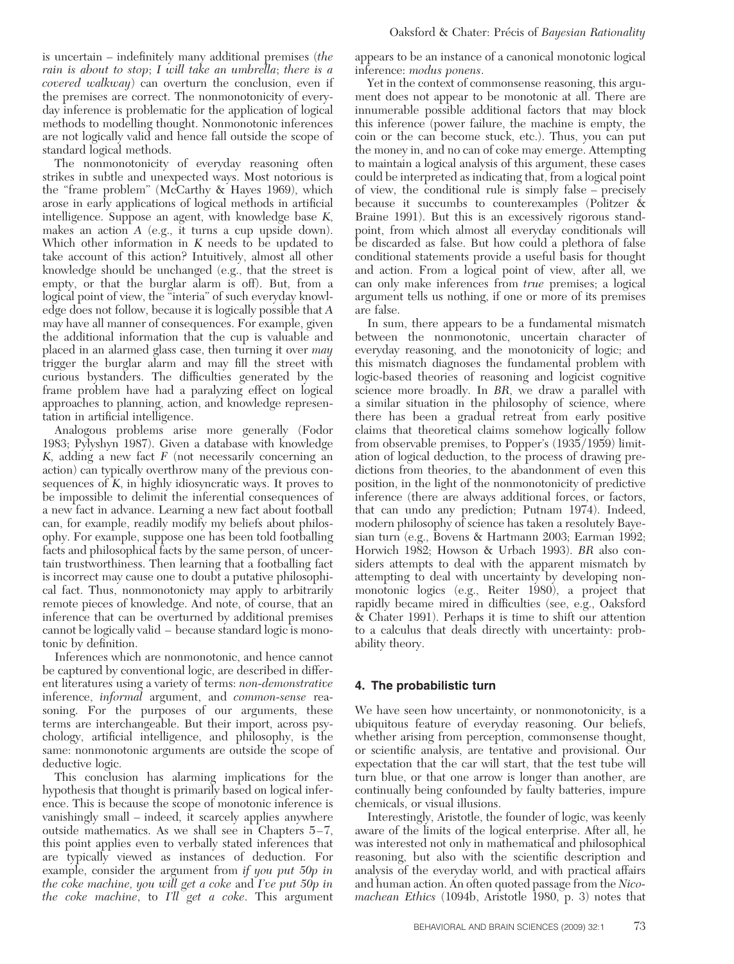is uncertain – indefinitely many additional premises (the rain is about to stop; I will take an umbrella; there is a covered walkway) can overturn the conclusion, even if the premises are correct. The nonmonotonicity of everyday inference is problematic for the application of logical methods to modelling thought. Nonmonotonic inferences are not logically valid and hence fall outside the scope of standard logical methods.

The nonmonotonicity of everyday reasoning often strikes in subtle and unexpected ways. Most notorious is the "frame problem" (McCarthy & Hayes 1969), which arose in early applications of logical methods in artificial intelligence. Suppose an agent, with knowledge base  $K$ , makes an action A (e.g., it turns a cup upside down). Which other information in K needs to be updated to take account of this action? Intuitively, almost all other knowledge should be unchanged (e.g., that the street is empty, or that the burglar alarm is off). But, from a logical point of view, the "interia" of such everyday knowledge does not follow, because it is logically possible that A may have all manner of consequences. For example, given the additional information that the cup is valuable and placed in an alarmed glass case, then turning it over may trigger the burglar alarm and may fill the street with curious bystanders. The difficulties generated by the frame problem have had a paralyzing effect on logical approaches to planning, action, and knowledge representation in artificial intelligence.

Analogous problems arise more generally (Fodor 1983; Pylyshyn 1987). Given a database with knowledge  $K$ , adding a new fact  $F$  (not necessarily concerning an action) can typically overthrow many of the previous consequences of  $\overline{K}$ , in highly idiosyncratic ways. It proves to be impossible to delimit the inferential consequences of a new fact in advance. Learning a new fact about football can, for example, readily modify my beliefs about philosophy. For example, suppose one has been told footballing facts and philosophical facts by the same person, of uncertain trustworthiness. Then learning that a footballing fact is incorrect may cause one to doubt a putative philosophical fact. Thus, nonmonotonicty may apply to arbitrarily remote pieces of knowledge. And note, of course, that an inference that can be overturned by additional premises cannot be logically valid – because standard logic is monotonic by definition.

Inferences which are nonmonotonic, and hence cannot be captured by conventional logic, are described in different literatures using a variety of terms: non-demonstrative inference, informal argument, and common-sense reasoning. For the purposes of our arguments, these terms are interchangeable. But their import, across psychology, artificial intelligence, and philosophy, is the same: nonmonotonic arguments are outside the scope of deductive logic.

This conclusion has alarming implications for the hypothesis that thought is primarily based on logical inference. This is because the scope of monotonic inference is vanishingly small – indeed, it scarcely applies anywhere outside mathematics. As we shall see in Chapters 5 –7, this point applies even to verbally stated inferences that are typically viewed as instances of deduction. For example, consider the argument from if you put 50p in the coke machine, you will get a coke and I've put 50p in the coke machine, to  $I\ddot{I}$  get a coke. This argument

appears to be an instance of a canonical monotonic logical inference: modus ponens.

Yet in the context of commonsense reasoning, this argument does not appear to be monotonic at all. There are innumerable possible additional factors that may block this inference (power failure, the machine is empty, the coin or the can become stuck, etc.). Thus, you can put the money in, and no can of coke may emerge. Attempting to maintain a logical analysis of this argument, these cases could be interpreted as indicating that, from a logical point of view, the conditional rule is simply false – precisely because it succumbs to counterexamples (Politzer & Braine 1991). But this is an excessively rigorous standpoint, from which almost all everyday conditionals will be discarded as false. But how could a plethora of false conditional statements provide a useful basis for thought and action. From a logical point of view, after all, we can only make inferences from true premises; a logical argument tells us nothing, if one or more of its premises are false.

In sum, there appears to be a fundamental mismatch between the nonmonotonic, uncertain character of everyday reasoning, and the monotonicity of logic; and this mismatch diagnoses the fundamental problem with logic-based theories of reasoning and logicist cognitive science more broadly. In BR, we draw a parallel with a similar situation in the philosophy of science, where there has been a gradual retreat from early positive claims that theoretical claims somehow logically follow from observable premises, to Popper's (1935/1959) limitation of logical deduction, to the process of drawing predictions from theories, to the abandonment of even this position, in the light of the nonmonotonicity of predictive inference (there are always additional forces, or factors, that can undo any prediction; Putnam 1974). Indeed, modern philosophy of science has taken a resolutely Bayesian turn (e.g., Bovens & Hartmann 2003; Earman 1992; Horwich 1982; Howson & Urbach 1993). BR also considers attempts to deal with the apparent mismatch by attempting to deal with uncertainty by developing nonmonotonic logics (e.g., Reiter 1980), a project that rapidly became mired in difficulties (see, e.g., Oaksford & Chater 1991). Perhaps it is time to shift our attention to a calculus that deals directly with uncertainty: probability theory.

## 4. The probabilistic turn

We have seen how uncertainty, or nonmonotonicity, is a ubiquitous feature of everyday reasoning. Our beliefs, whether arising from perception, commonsense thought, or scientific analysis, are tentative and provisional. Our expectation that the car will start, that the test tube will turn blue, or that one arrow is longer than another, are continually being confounded by faulty batteries, impure chemicals, or visual illusions.

Interestingly, Aristotle, the founder of logic, was keenly aware of the limits of the logical enterprise. After all, he was interested not only in mathematical and philosophical reasoning, but also with the scientific description and analysis of the everyday world, and with practical affairs and human action. An often quoted passage from the Nicomachean Ethics (1094b, Aristotle 1980, p. 3) notes that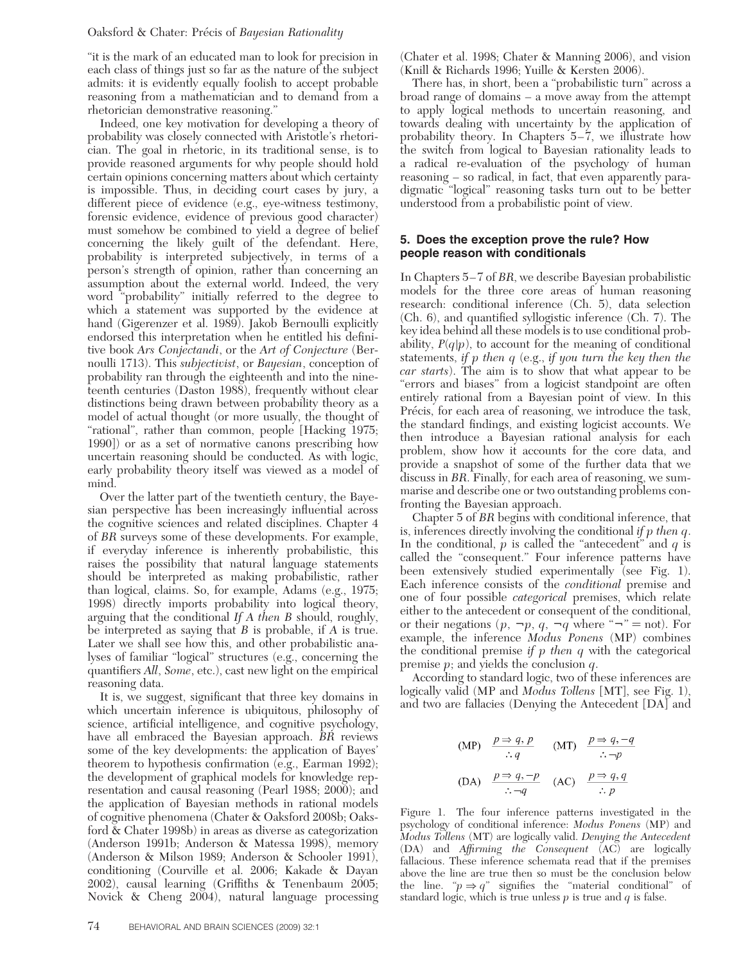## Oaksford & Chater: Précis of Bayesian Rationality

"it is the mark of an educated man to look for precision in each class of things just so far as the nature of the subject admits: it is evidently equally foolish to accept probable reasoning from a mathematician and to demand from a rhetorician demonstrative reasoning."

Indeed, one key motivation for developing a theory of probability was closely connected with Aristotle's rhetorician. The goal in rhetoric, in its traditional sense, is to provide reasoned arguments for why people should hold certain opinions concerning matters about which certainty is impossible. Thus, in deciding court cases by jury, a different piece of evidence (e.g., eye-witness testimony, forensic evidence, evidence of previous good character) must somehow be combined to yield a degree of belief concerning the likely guilt of the defendant. Here, probability is interpreted subjectively, in terms of a person's strength of opinion, rather than concerning an assumption about the external world. Indeed, the very word "probability" initially referred to the degree to which a statement was supported by the evidence at hand (Gigerenzer et al. 1989). Jakob Bernoulli explicitly endorsed this interpretation when he entitled his definitive book Ars Conjectandi, or the Art of Conjecture (Bernoulli 1713). This subjectivist, or Bayesian, conception of probability ran through the eighteenth and into the nineteenth centuries (Daston 1988), frequently without clear distinctions being drawn between probability theory as a model of actual thought (or more usually, the thought of "rational", rather than common, people [Hacking 1975; 1990]) or as a set of normative canons prescribing how uncertain reasoning should be conducted. As with logic, early probability theory itself was viewed as a model of mind.

Over the latter part of the twentieth century, the Bayesian perspective has been increasingly influential across the cognitive sciences and related disciplines. Chapter 4 of BR surveys some of these developments. For example, if everyday inference is inherently probabilistic, this raises the possibility that natural language statements should be interpreted as making probabilistic, rather than logical, claims. So, for example, Adams (e.g., 1975; 1998) directly imports probability into logical theory, arguing that the conditional If A then B should, roughly, be interpreted as saying that  $B$  is probable, if  $A$  is true. Later we shall see how this, and other probabilistic analyses of familiar "logical" structures (e.g., concerning the quantifiers All, Some, etc.), cast new light on the empirical reasoning data.

It is, we suggest, significant that three key domains in which uncertain inference is ubiquitous, philosophy of science, artificial intelligence, and cognitive psychology, have all embraced the Bayesian approach. BR reviews some of the key developments: the application of Bayes' theorem to hypothesis confirmation (e.g., Earman 1992); the development of graphical models for knowledge representation and causal reasoning (Pearl 1988; 2000); and the application of Bayesian methods in rational models of cognitive phenomena (Chater & Oaksford 2008b; Oaksford & Chater 1998b) in areas as diverse as categorization (Anderson 1991b; Anderson & Matessa 1998), memory (Anderson & Milson 1989; Anderson & Schooler 1991), conditioning (Courville et al. 2006; Kakade & Dayan 2002), causal learning (Griffiths & Tenenbaum 2005; Novick & Cheng 2004), natural language processing

(Chater et al. 1998; Chater & Manning 2006), and vision (Knill & Richards 1996; Yuille & Kersten 2006).

There has, in short, been a "probabilistic turn" across a broad range of domains – a move away from the attempt to apply logical methods to uncertain reasoning, and towards dealing with uncertainty by the application of probability theory. In Chapters 5– 7, we illustrate how the switch from logical to Bayesian rationality leads to a radical re-evaluation of the psychology of human reasoning – so radical, in fact, that even apparently paradigmatic "logical" reasoning tasks turn out to be better understood from a probabilistic point of view.

## 5. Does the exception prove the rule? How people reason with conditionals

In Chapters 5 –7 of BR, we describe Bayesian probabilistic models for the three core areas of human reasoning research: conditional inference (Ch. 5), data selection (Ch. 6), and quantified syllogistic inference (Ch. 7). The key idea behind all these models is to use conditional probability,  $P(q|p)$ , to account for the meaning of conditional statements, if  $p$  then  $q$  (e.g., if you turn the key then the car starts). The aim is to show that what appear to be "errors and biases" from a logicist standpoint are often entirely rational from a Bayesian point of view. In this Précis, for each area of reasoning, we introduce the task, the standard findings, and existing logicist accounts. We then introduce a Bayesian rational analysis for each problem, show how it accounts for the core data, and provide a snapshot of some of the further data that we discuss in BR. Finally, for each area of reasoning, we summarise and describe one or two outstanding problems confronting the Bayesian approach.

Chapter 5 of BR begins with conditional inference, that is, inferences directly involving the conditional if  $p$  then  $q$ . In the conditional,  $\dot{p}$  is called the "antecedent" and  $q$  is called the "consequent." Four inference patterns have been extensively studied experimentally (see Fig. 1). Each inference consists of the conditional premise and one of four possible categorical premises, which relate either to the antecedent or consequent of the conditional, or their negations  $(p, \neg p, q, \neg q$  where " $\neg$ " = not). For example, the inference Modus Ponens (MP) combines the conditional premise if p then q with the categorical premise  $p$ ; and yields the conclusion  $q$ .

According to standard logic, two of these inferences are logically valid (MP and Modus Tollens [MT], see Fig. 1), and two are fallacies (Denying the Antecedent [DA] and

$$
\begin{array}{lll}\n\text{(MP)} & \frac{p \Rightarrow q, p}{\therefore q} & \text{(MT)} & \frac{p \Rightarrow q, -q}{\therefore -p} \\
\text{(DA)} & \frac{p \Rightarrow q, -p}{\therefore -q} & \text{(AC)} & \frac{p \Rightarrow q, q}{\therefore p}\n\end{array}
$$

Figure 1. The four inference patterns investigated in the psychology of conditional inference: Modus Ponens (MP) and Modus Tollens (MT) are logically valid. Denying the Antecedent (DA) and Affirming the Consequent (AC) are logically fallacious. These inference schemata read that if the premises above the line are true then so must be the conclusion below the line. " $p \Rightarrow q$ " signifies the "material conditional" of standard logic, which is true unless p is true and q is false.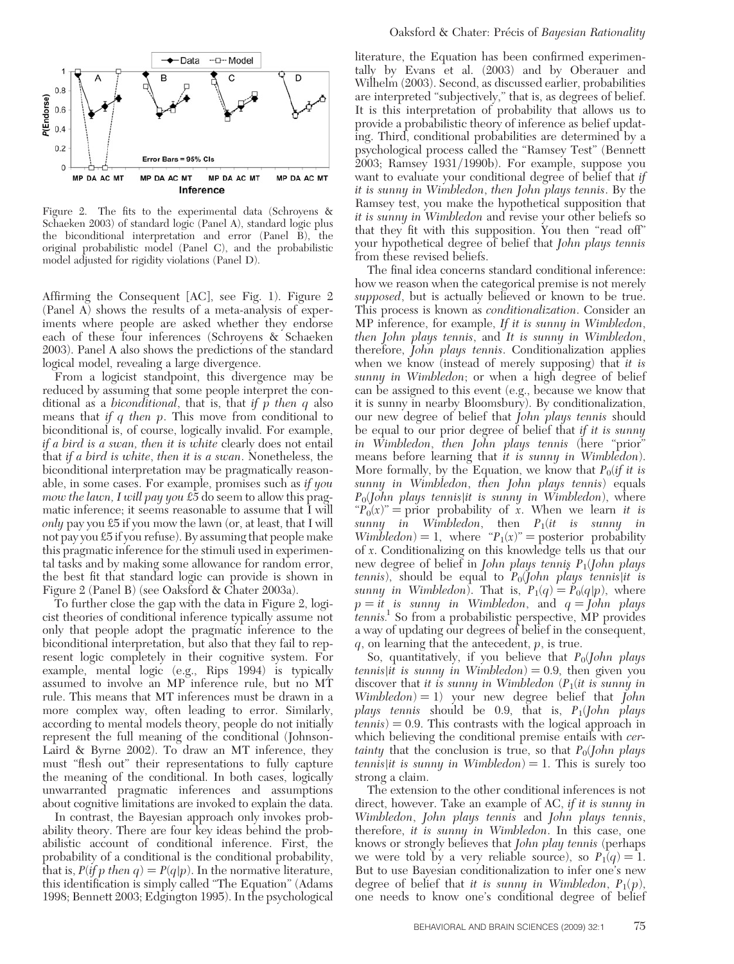

Figure 2. The fits to the experimental data (Schroyens & Schaeken 2003) of standard logic (Panel A), standard logic plus the biconditional interpretation and error (Panel B), the original probabilistic model (Panel C), and the probabilistic model adjusted for rigidity violations (Panel D).

Affirming the Consequent [AC], see Fig. 1). Figure 2 (Panel A) shows the results of a meta-analysis of experiments where people are asked whether they endorse each of these four inferences (Schroyens & Schaeken 2003). Panel A also shows the predictions of the standard logical model, revealing a large divergence.

From a logicist standpoint, this divergence may be reduced by assuming that some people interpret the conditional as a *biconditional*, that is, that if  $p$  then  $q$  also means that if q then  $p$ . This move from conditional to biconditional is, of course, logically invalid. For example, if a bird is a swan, then it is white clearly does not entail that if a bird is white, then it is a swan. Nonetheless, the biconditional interpretation may be pragmatically reasonable, in some cases. For example, promises such as if you mow the lawn, I will pay you £5 do seem to allow this pragmatic inference; it seems reasonable to assume that I will only pay you £5 if you mow the lawn (or, at least, that I will not pay you £5 if you refuse). By assuming that people make this pragmatic inference for the stimuli used in experimental tasks and by making some allowance for random error, the best fit that standard logic can provide is shown in Figure 2 (Panel B) (see Oaksford & Chater 2003a).

To further close the gap with the data in Figure 2, logicist theories of conditional inference typically assume not only that people adopt the pragmatic inference to the biconditional interpretation, but also that they fail to represent logic completely in their cognitive system. For example, mental logic (e.g., Rips 1994) is typically assumed to involve an MP inference rule, but no MT rule. This means that MT inferences must be drawn in a more complex way, often leading to error. Similarly, according to mental models theory, people do not initially represent the full meaning of the conditional (Johnson-Laird & Byrne 2002). To draw an MT inference, they must "flesh out" their representations to fully capture the meaning of the conditional. In both cases, logically unwarranted pragmatic inferences and assumptions about cognitive limitations are invoked to explain the data.

In contrast, the Bayesian approach only invokes probability theory. There are four key ideas behind the probabilistic account of conditional inference. First, the probability of a conditional is the conditional probability, that is,  $P(i f p \ then q) = P(q | p)$ . In the normative literature, this identification is simply called "The Equation" (Adams 1998; Bennett 2003; Edgington 1995). In the psychological literature, the Equation has been confirmed experimentally by Evans et al. (2003) and by Oberauer and Wilhelm (2003). Second, as discussed earlier, probabilities are interpreted "subjectively," that is, as degrees of belief. It is this interpretation of probability that allows us to provide a probabilistic theory of inference as belief updating. Third, conditional probabilities are determined by a psychological process called the "Ramsey Test" (Bennett 2003; Ramsey 1931/1990b). For example, suppose you want to evaluate your conditional degree of belief that if it is sunny in Wimbledon, then John plays tennis. By the Ramsey test, you make the hypothetical supposition that it is sunny in Wimbledon and revise your other beliefs so that they fit with this supposition. You then "read off" your hypothetical degree of belief that John plays tennis from these revised beliefs.

The final idea concerns standard conditional inference: how we reason when the categorical premise is not merely supposed, but is actually believed or known to be true. This process is known as conditionalization. Consider an MP inference, for example, If it is sunny in Wimbledon, then John plays tennis, and It is sunny in Wimbledon, therefore, John plays tennis. Conditionalization applies when we know (instead of merely supposing) that it is sunny in Wimbledon; or when a high degree of belief can be assigned to this event (e.g., because we know that it is sunny in nearby Bloomsbury). By conditionalization, our new degree of belief that John plays tennis should be equal to our prior degree of belief that if it is sunny in Wimbledon, then John plays tennis (here "prior" means before learning that *it is sunny in Wimbledon*). More formally, by the Equation, we know that  $P_0$ (if it is sunny in Wimbledon, then John plays tennis) equals  $P_0(John \text{ plays tennis} | it \text{ is sunny in Wimbledon})$ , where " $P_0(x)$ " = prior probability of x. When we learn it is sunny in Wimbledon, then  $P_1(it$  is sunny in  $Wimbledon = 1$ , where " $P_1(x)$ " = posterior probability of x. Conditionalizing on this knowledge tells us that our new degree of belief in John plays tenniş  $P_1(John$  plays tennis), should be equal to  $P_0(John \text{ plays tennis} | it \text{ is}$ sunny in Wimbledon). That is,  $P_1(q) = P_0(q|p)$ , where  $p = it$  is sunny in Wimbledon, and  $q =$  John plays tennis.<sup>1</sup> So from a probabilistic perspective, MP provides a way of updating our degrees of belief in the consequent,  $q$ , on learning that the antecedent,  $p$ , is true.

So, quantitatively, if you believe that  $P_0(John \; plays$ tennis it is sunny in Wimbledon)  $= 0.9$ , then given you discover that it is sunny in Wimbledon  $(P_1(it \text{ is sunny in}$  $Wimbledon = 1$ ) your new degree belief that *John* plays tennis should be 0.9, that is,  $P_1(John\_{plays}$  $tennis) = 0.9$ . This contrasts with the logical approach in which believing the conditional premise entails with *certainty* that the conclusion is true, so that  $P_0(John \text{ plays})$ tennis it is sunny in Wimbledon)  $= 1$ . This is surely too strong a claim.

The extension to the other conditional inferences is not direct, however. Take an example of AC, if it is sunny in Wimbledon, John plays tennis and John plays tennis, therefore, it is sunny in Wimbledon. In this case, one knows or strongly believes that John play tennis (perhaps we were told by a very reliable source), so  $P_1(q) = 1$ . But to use Bayesian conditionalization to infer one's new degree of belief that it is sunny in Wimbledon,  $P_1(p)$ , one needs to know one's conditional degree of belief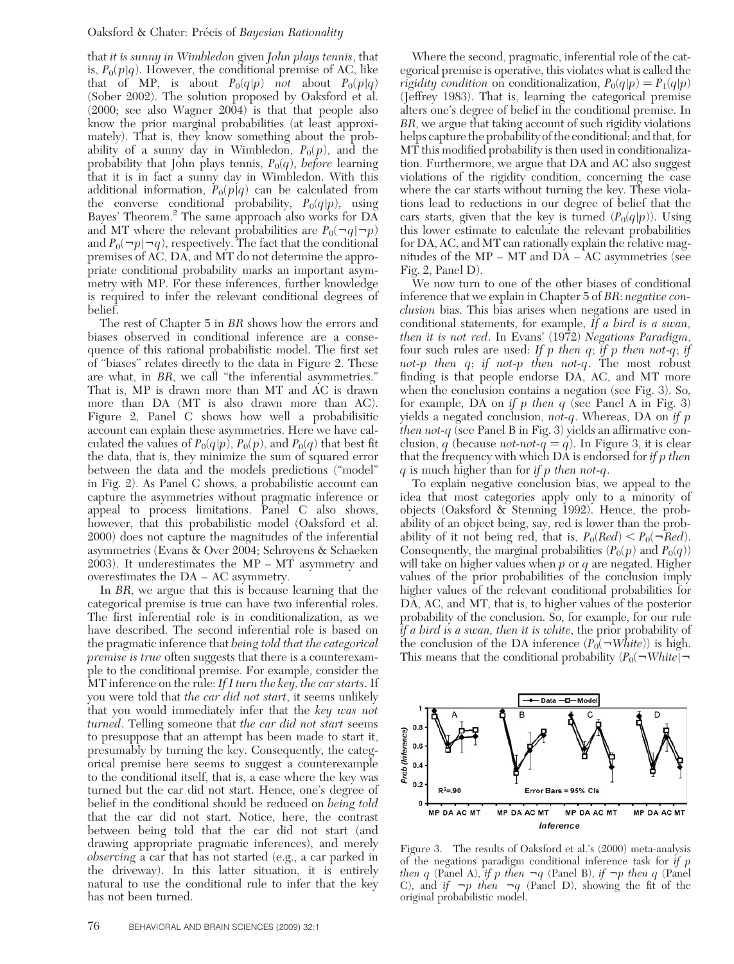that it is sunny in Wimbledon given John plays tennis, that is,  $P_0(p|q)$ . However, the conditional premise of AC, like that of MP, is about  $P_0(q|p)$  *not* about  $P_0(p|q)$ (Sober 2002). The solution proposed by Oaksford et al. (2000; see also Wagner 2004) is that that people also know the prior marginal probabilities (at least approximately). That is, they know something about the probability of a sunny day in Wimbledon,  $P_0(p)$ , and the probability that John plays tennis,  $P_0(q)$ , *before* learning that it is in fact a sunny day in Wimbledon. With this additional information,  $P_0(p|q)$  can be calculated from the converse conditional probability,  $P_0(q|p)$ , using Bayes' Theorem.<sup>2</sup> The same approach also works for DA and MT where the relevant probabilities are  $P_0(\neg q | \neg p)$ and  $P_0(\neg p | \neg q)$ , respectively. The fact that the conditional premises of AC, DA, and MT do not determine the appropriate conditional probability marks an important asymmetry with MP. For these inferences, further knowledge is required to infer the relevant conditional degrees of belief.

The rest of Chapter 5 in BR shows how the errors and biases observed in conditional inference are a consequence of this rational probabilistic model. The first set of "biases" relates directly to the data in Figure 2. These are what, in BR, we call "the inferential asymmetries." That is, MP is drawn more than MT and AC is drawn more than DA (MT is also drawn more than AC). Figure 2, Panel C shows how well a probabilisitic account can explain these asymmetries. Here we have calculated the values of  $P_0(q|p)$ ,  $P_0(p)$ , and  $P_0(q)$  that best fit the data, that is, they minimize the sum of squared error between the data and the models predictions ("model" in Fig. 2). As Panel C shows, a probabilistic account can capture the asymmetries without pragmatic inference or appeal to process limitations. Panel C also shows, however, that this probabilistic model (Oaksford et al. 2000) does not capture the magnitudes of the inferential asymmetries (Evans & Over 2004; Schroyens & Schaeken 2003). It underestimates the MP – MT asymmetry and overestimates the DA – AC asymmetry.

In BR, we argue that this is because learning that the categorical premise is true can have two inferential roles. The first inferential role is in conditionalization, as we have described. The second inferential role is based on the pragmatic inference that being told that the categorical premise is true often suggests that there is a counterexample to the conditional premise. For example, consider the MT inference on the rule: If I turn the key, the car starts. If you were told that the car did not start, it seems unlikely that you would immediately infer that the key was not turned. Telling someone that the car did not start seems to presuppose that an attempt has been made to start it, presumably by turning the key. Consequently, the categorical premise here seems to suggest a counterexample to the conditional itself, that is, a case where the key was turned but the car did not start. Hence, one's degree of belief in the conditional should be reduced on *being told* that the car did not start. Notice, here, the contrast between being told that the car did not start (and drawing appropriate pragmatic inferences), and merely observing a car that has not started (e.g., a car parked in the driveway). In this latter situation, it is entirely natural to use the conditional rule to infer that the key has not been turned.

Where the second, pragmatic, inferential role of the categorical premise is operative, this violates what is called the *rigidity condition* on conditionalization,  $P_0(q|p) = P_1(q|p)$ (Jeffrey 1983). That is, learning the categorical premise alters one's degree of belief in the conditional premise. In BR, we argue that taking account of such rigidity violations helps capture the probability of the conditional; and that, for MT this modified probability is then used in conditionalization. Furthermore, we argue that DA and AC also suggest violations of the rigidity condition, concerning the case where the car starts without turning the key. These violations lead to reductions in our degree of belief that the cars starts, given that the key is turned  $(P_0(q|p))$ . Using this lower estimate to calculate the relevant probabilities for DA, AC, and MT can rationally explain the relative magnitudes of the MP – MT and DA – AC asymmetries (see Fig. 2, Panel D).

We now turn to one of the other biases of conditional inference that we explain in Chapter 5 of BR: negative conclusion bias. This bias arises when negations are used in conditional statements, for example, If a bird is a swan, then it is not red. In Evans' (1972) Negations Paradigm, four such rules are used: If  $p$  then  $q$ ; if  $p$  then not- $q$ ; if not-p then q; if not-p then not-q. The most robust finding is that people endorse DA, AC, and MT more when the conclusion contains a negation (see Fig. 3). So, for example, DA on if p then  $q$  (see Panel A in Fig. 3) yields a negated conclusion, not-q. Whereas, DA on if  $p$ *then not-q* (see Panel B in Fig. 3) yields an affirmative conclusion, q (because *not-not-q* = q). In Figure 3, it is clear that the frequency with which DA is endorsed for if  $p$  then q is much higher than for if p then not-q.

To explain negative conclusion bias, we appeal to the idea that most categories apply only to a minority of objects (Oaksford & Stenning 1992). Hence, the probability of an object being, say, red is lower than the probability of it not being red, that is,  $P_0(Red) < P_0(\neg Red)$ . Consequently, the marginal probabilities  $(P_0(p)$  and  $P_0(q)$ ) will take on higher values when  $p$  or  $q$  are negated. Higher values of the prior probabilities of the conclusion imply higher values of the relevant conditional probabilities for DA, AC, and MT, that is, to higher values of the posterior probability of the conclusion. So, for example, for our rule if a bird is a swan, then it is white, the prior probability of the conclusion of the DA inference  $(P_0(\neg \textit{White}))$  is high. This means that the conditional probability  $(P_0(\neg White) \neg$ 



Figure 3. The results of Oaksford et al.'s (2000) meta-analysis of the negations paradigm conditional inference task for if  $p$ then q (Panel A), if p then  $\neg q$  (Panel B), if  $\neg p$  then q (Panel C), and if  $\neg p$  then  $\neg q$  (Panel D), showing the fit of the original probabilistic model.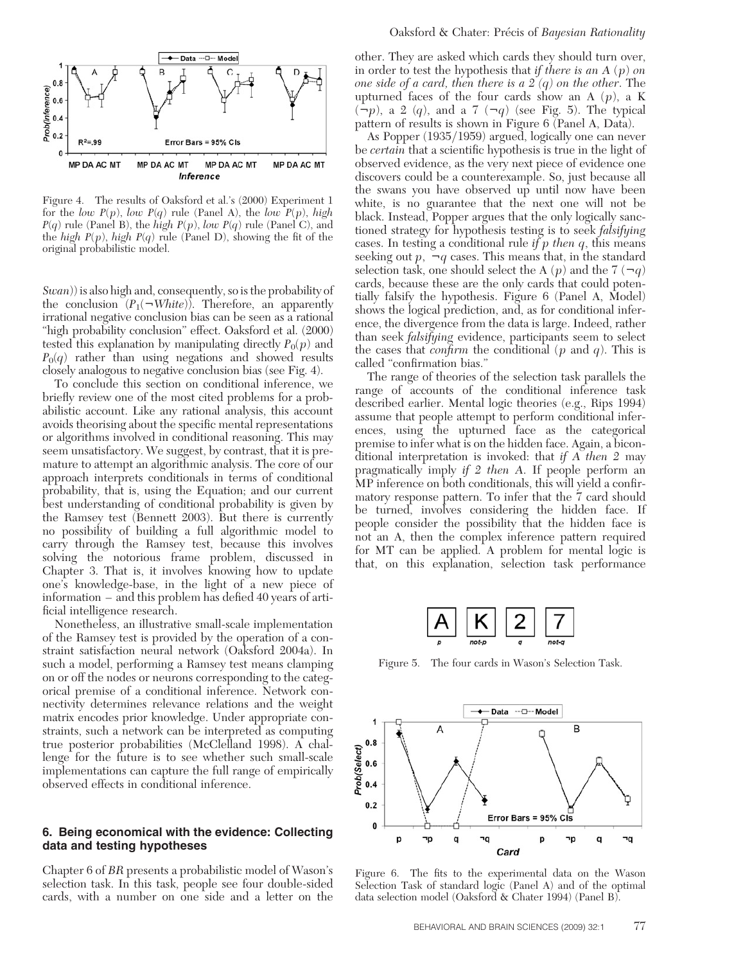

Figure 4. The results of Oaksford et al.'s (2000) Experiment 1 for the low  $P(p)$ , low  $P(q)$  rule (Panel A), the low  $P(p)$ , high  $P(q)$  rule (Panel B), the high  $P(p)$ , low  $P(q)$  rule (Panel C), and the high  $P(p)$ , high  $P(q)$  rule (Panel D), showing the fit of the original probabilistic model.

Swan)) is also high and, consequently, so is the probability of the conclusion  $(P_1(-White))$ . Therefore, an apparently irrational negative conclusion bias can be seen as a rational "high probability conclusion" effect. Oaksford et al. (2000) tested this explanation by manipulating directly  $P_0(p)$  and  $P_0(q)$  rather than using negations and showed results closely analogous to negative conclusion bias (see Fig. 4).

To conclude this section on conditional inference, we briefly review one of the most cited problems for a probabilistic account. Like any rational analysis, this account avoids theorising about the specific mental representations or algorithms involved in conditional reasoning. This may seem unsatisfactory. We suggest, by contrast, that it is premature to attempt an algorithmic analysis. The core of our approach interprets conditionals in terms of conditional probability, that is, using the Equation; and our current best understanding of conditional probability is given by the Ramsey test (Bennett 2003). But there is currently no possibility of building a full algorithmic model to carry through the Ramsey test, because this involves solving the notorious frame problem, discussed in Chapter 3. That is, it involves knowing how to update one's knowledge-base, in the light of a new piece of information – and this problem has defied 40 years of artificial intelligence research.

Nonetheless, an illustrative small-scale implementation of the Ramsey test is provided by the operation of a constraint satisfaction neural network (Oaksford 2004a). In such a model, performing a Ramsey test means clamping on or off the nodes or neurons corresponding to the categorical premise of a conditional inference. Network connectivity determines relevance relations and the weight matrix encodes prior knowledge. Under appropriate constraints, such a network can be interpreted as computing true posterior probabilities (McClelland 1998). A challenge for the future is to see whether such small-scale implementations can capture the full range of empirically observed effects in conditional inference.

#### 6. Being economical with the evidence: Collecting data and testing hypotheses

Chapter 6 of BR presents a probabilistic model of Wason's selection task. In this task, people see four double-sided cards, with a number on one side and a letter on the

other. They are asked which cards they should turn over, in order to test the hypothesis that if there is an  $A(p)$  on one side of a card, then there is a  $2(q)$  on the other. The upturned faces of the four cards show an A  $(p)$ , a K  $(\neg p)$ , a 2 (q), and a 7 ( $\neg q$ ) (see Fig. 5). The typical pattern of results is shown in Figure 6 (Panel A, Data).

As Popper (1935/1959) argued, logically one can never be certain that a scientific hypothesis is true in the light of observed evidence, as the very next piece of evidence one discovers could be a counterexample. So, just because all the swans you have observed up until now have been white, is no guarantee that the next one will not be black. Instead, Popper argues that the only logically sanctioned strategy for hypothesis testing is to seek falsifying cases. In testing a conditional rule if  $p$  then  $q$ , this means seeking out  $p, \, \neg q$  cases. This means that, in the standard selection task, one should select the A  $(p)$  and the 7  $(\neg q)$ cards, because these are the only cards that could potentially falsify the hypothesis. Figure 6 (Panel A, Model) shows the logical prediction, and, as for conditional inference, the divergence from the data is large. Indeed, rather than seek falsifying evidence, participants seem to select the cases that *confirm* the conditional  $(p \text{ and } q)$ . This is called "confirmation bias."

The range of theories of the selection task parallels the range of accounts of the conditional inference task described earlier. Mental logic theories (e.g., Rips 1994) assume that people attempt to perform conditional inferences, using the upturned face as the categorical premise to infer what is on the hidden face. Again, a biconditional interpretation is invoked: that if A then 2 may pragmatically imply if 2 then A. If people perform an MP inference on both conditionals, this will yield a confirmatory response pattern. To infer that the 7 card should be turned, involves considering the hidden face. If people consider the possibility that the hidden face is not an A, then the complex inference pattern required for MT can be applied. A problem for mental logic is that, on this explanation, selection task performance



Figure 5. The four cards in Wason's Selection Task.



Figure 6. The fits to the experimental data on the Wason Selection Task of standard logic (Panel A) and of the optimal data selection model (Oaksford & Chater 1994) (Panel B).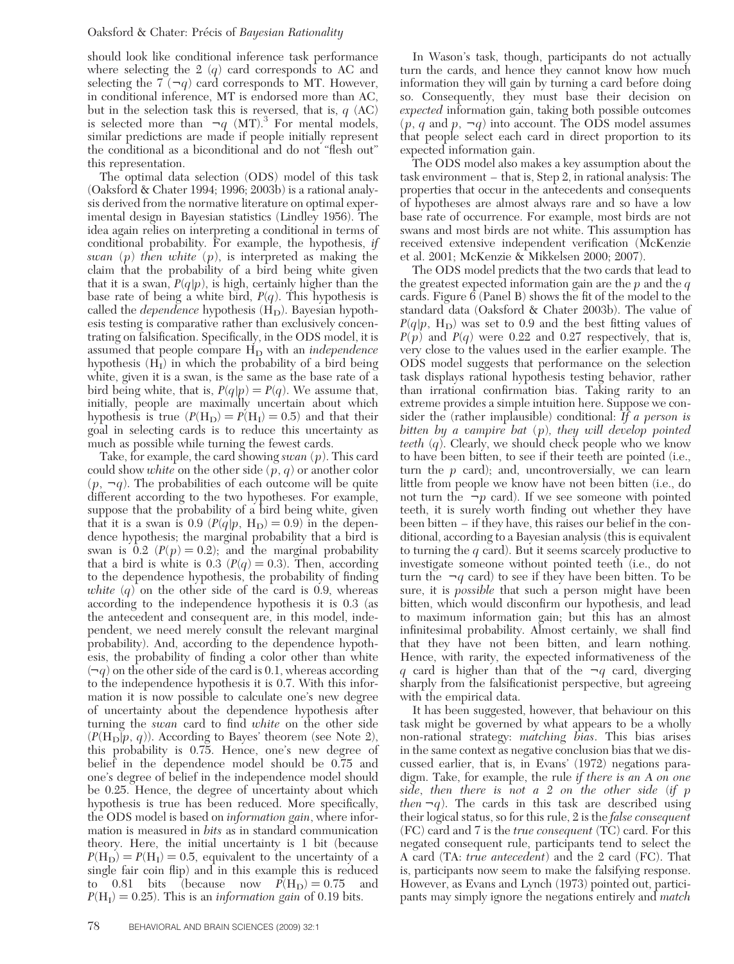should look like conditional inference task performance where selecting the 2  $(q)$  card corresponds to AC and selecting the 7 ( $\neg q$ ) card corresponds to MT. However, in conditional inference, MT is endorsed more than AC, but in the selection task this is reversed, that is,  $q$  (AC) is selected more than  $\neg q$  (MT).<sup>3</sup> For mental models, similar predictions are made if people initially represent the conditional as a biconditional and do not "flesh out" this representation.

The optimal data selection (ODS) model of this task (Oaksford & Chater 1994; 1996; 2003b) is a rational analysis derived from the normative literature on optimal experimental design in Bayesian statistics (Lindley 1956). The idea again relies on interpreting a conditional in terms of conditional probability. For example, the hypothesis, if swan  $(p)$  then white  $(p)$ , is interpreted as making the claim that the probability of a bird being white given that it is a swan,  $P(q|p)$ , is high, certainly higher than the base rate of being a white bird,  $P(q)$ . This hypothesis is called the *dependence* hypothesis  $(H<sub>D</sub>)$ . Bayesian hypothesis testing is comparative rather than exclusively concentrating on falsification. Specifically, in the ODS model, it is assumed that people compare  $H_D$  with an *independence* hypothesis  $(H_I)$  in which the probability of a bird being white, given it is a swan, is the same as the base rate of a bird being white, that is,  $P(q|p) = P(q)$ . We assume that, initially, people are maximally uncertain about which hypothesis is true  $(P(H_D) = P(H_I) = 0.5)$  and that their goal in selecting cards is to reduce this uncertainty as much as possible while turning the fewest cards.

Take, for example, the card showing swan  $(p)$ . This card could show white on the other side  $(p, q)$  or another color  $(p, \neg q)$ . The probabilities of each outcome will be quite different according to the two hypotheses. For example, suppose that the probability of a bird being white, given that it is a swan is 0.9 ( $P(q|p, H_D) = 0.9$ ) in the dependence hypothesis; the marginal probability that a bird is swan is  $\overline{0.2}$  ( $P(p) = 0.2$ ); and the marginal probability that a bird is white is 0.3 ( $P(q) = 0.3$ ). Then, according to the dependence hypothesis, the probability of finding white  $(q)$  on the other side of the card is 0.9, whereas according to the independence hypothesis it is 0.3 (as the antecedent and consequent are, in this model, independent, we need merely consult the relevant marginal probability). And, according to the dependence hypothesis, the probability of finding a color other than white  $(\neg q)$  on the other side of the card is 0.1, whereas according to the independence hypothesis it is 0.7. With this information it is now possible to calculate one's new degree of uncertainty about the dependence hypothesis after turning the swan card to find white on the other side  $(P(H_D|p, q))$ . According to Bayes' theorem (see Note 2), this probability is 0.75. Hence, one's new degree of belief in the dependence model should be 0.75 and one's degree of belief in the independence model should be 0.25. Hence, the degree of uncertainty about which hypothesis is true has been reduced. More specifically, the ODS model is based on *information gain*, where information is measured in *bits* as in standard communication theory. Here, the initial uncertainty is 1 bit (because  $P(H_D) = P(H_I) = 0.5$ , equivalent to the uncertainty of a single fair coin flip) and in this example this is reduced to 0.81 bits (because now  $\overline{P(H_D)} = 0.75$  and  $P(H<sub>I</sub>) = 0.25$ ). This is an *information gain* of 0.19 bits.

In Wason's task, though, participants do not actually turn the cards, and hence they cannot know how much information they will gain by turning a card before doing so. Consequently, they must base their decision on expected information gain, taking both possible outcomes  $(p, q \text{ and } p, \neg q)$  into account. The ODS model assumes that people select each card in direct proportion to its expected information gain.

The ODS model also makes a key assumption about the task environment – that is, Step 2, in rational analysis: The properties that occur in the antecedents and consequents of hypotheses are almost always rare and so have a low base rate of occurrence. For example, most birds are not swans and most birds are not white. This assumption has received extensive independent verification (McKenzie et al. 2001; McKenzie & Mikkelsen 2000; 2007).

The ODS model predicts that the two cards that lead to the greatest expected information gain are the  $p$  and the  $q$ cards. Figure 6 (Panel B) shows the fit of the model to the standard data (Oaksford & Chater 2003b). The value of  $P(q|p, H_D)$  was set to 0.9 and the best fitting values of  $P(p)$  and  $P(q)$  were 0.22 and 0.27 respectively, that is, very close to the values used in the earlier example. The ODS model suggests that performance on the selection task displays rational hypothesis testing behavior, rather than irrational confirmation bias. Taking rarity to an extreme provides a simple intuition here. Suppose we consider the (rather implausible) conditional: If a person is bitten by a vampire bat  $(p)$ , they will develop pointed teeth  $(q)$ . Clearly, we should check people who we know to have been bitten, to see if their teeth are pointed (i.e., turn the  $p$  card); and, uncontroversially, we can learn little from people we know have not been bitten (i.e., do not turn the  $\neg p$  card). If we see someone with pointed teeth, it is surely worth finding out whether they have been bitten – if they have, this raises our belief in the conditional, according to a Bayesian analysis (this is equivalent to turning the  $q$  card). But it seems scarcely productive to investigate someone without pointed teeth (i.e., do not turn the  $\neg q$  card) to see if they have been bitten. To be sure, it is *possible* that such a person might have been bitten, which would disconfirm our hypothesis, and lead to maximum information gain; but this has an almost infinitesimal probability. Almost certainly, we shall find that they have not been bitten, and learn nothing. Hence, with rarity, the expected informativeness of the q card is higher than that of the  $\neg q$  card, diverging sharply from the falsificationist perspective, but agreeing with the empirical data.

It has been suggested, however, that behaviour on this task might be governed by what appears to be a wholly non-rational strategy: *matching bias*. This bias arises in the same context as negative conclusion bias that we discussed earlier, that is, in Evans' (1972) negations paradigm. Take, for example, the rule if there is an A on one side, then there is not a 2 on the other side (if  $p$ then  $\neg q$ ). The cards in this task are described using their logical status, so for this rule, 2 is the false consequent (FC) card and 7 is the true consequent (TC) card. For this negated consequent rule, participants tend to select the A card (TA: true antecedent) and the 2 card (FC). That is, participants now seem to make the falsifying response. However, as Evans and Lynch (1973) pointed out, participants may simply ignore the negations entirely and match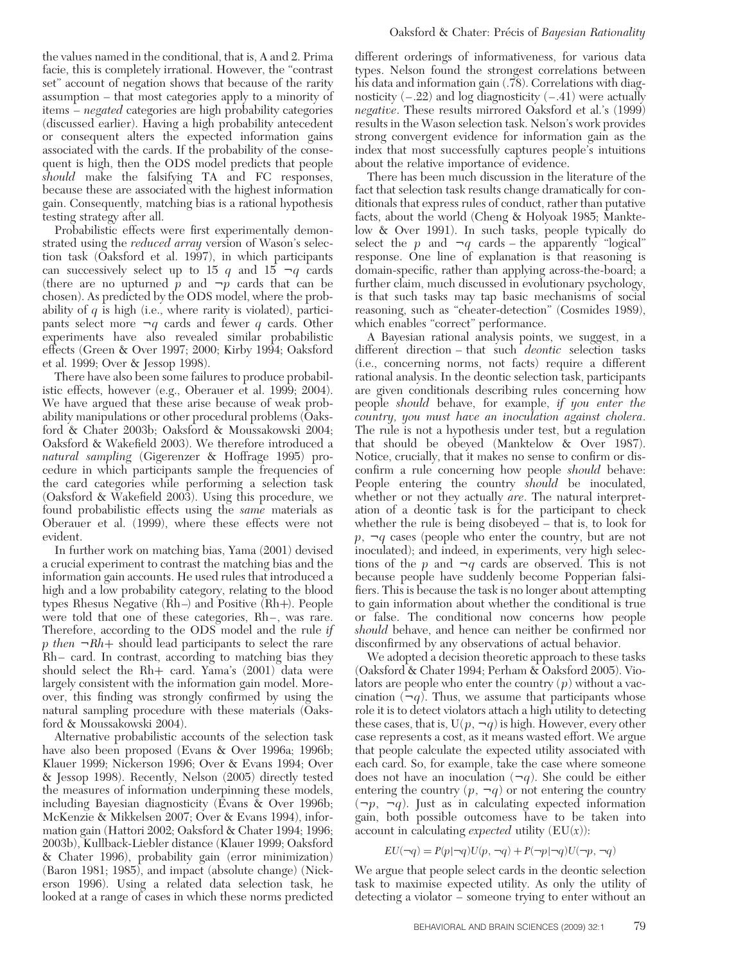the values named in the conditional, that is, A and 2. Prima facie, this is completely irrational. However, the "contrast set" account of negation shows that because of the rarity assumption – that most categories apply to a minority of items – negated categories are high probability categories (discussed earlier). Having a high probability antecedent or consequent alters the expected information gains associated with the cards. If the probability of the consequent is high, then the ODS model predicts that people should make the falsifying TA and FC responses, because these are associated with the highest information gain. Consequently, matching bias is a rational hypothesis testing strategy after all.

Probabilistic effects were first experimentally demonstrated using the reduced array version of Wason's selection task (Oaksford et al. 1997), in which participants can successively select up to 15 q and 15  $\neg q$  cards (there are no upturned  $\overline{p}$  and  $\neg p$  cards that can be chosen). As predicted by the ODS model, where the probability of  $q$  is high (i.e., where rarity is violated), participants select more  $\neg q$  cards and fewer q cards. Other experiments have also revealed similar probabilistic effects (Green & Over 1997; 2000; Kirby 1994; Oaksford et al. 1999; Over & Jessop 1998).

There have also been some failures to produce probabilistic effects, however (e.g., Oberauer et al. 1999; 2004). We have argued that these arise because of weak probability manipulations or other procedural problems (Oaksford & Chater 2003b; Oaksford & Moussakowski 2004; Oaksford & Wakefield 2003). We therefore introduced a natural sampling (Gigerenzer & Hoffrage 1995) procedure in which participants sample the frequencies of the card categories while performing a selection task (Oaksford & Wakefield 2003). Using this procedure, we found probabilistic effects using the same materials as Oberauer et al. (1999), where these effects were not evident.

In further work on matching bias, Yama (2001) devised a crucial experiment to contrast the matching bias and the information gain accounts. He used rules that introduced a high and a low probability category, relating to the blood types Rhesus Negative  $(Rh-)$  and Positive  $(Rh+)$ . People were told that one of these categories, Rh-, was rare. Therefore, according to the ODS model and the rule if p then  $\neg Rh$ + should lead participants to select the rare Rh – card. In contrast, according to matching bias they should select the Rh $+$  card. Yama's (2001) data were largely consistent with the information gain model. Moreover, this finding was strongly confirmed by using the natural sampling procedure with these materials (Oaksford & Moussakowski 2004).

Alternative probabilistic accounts of the selection task have also been proposed (Evans & Over 1996a; 1996b; Klauer 1999; Nickerson 1996; Over & Evans 1994; Over & Jessop 1998). Recently, Nelson (2005) directly tested the measures of information underpinning these models, including Bayesian diagnosticity (Evans & Over 1996b; McKenzie & Mikkelsen 2007; Over & Evans 1994), information gain (Hattori 2002; Oaksford & Chater 1994; 1996; 2003b), Kullback-Liebler distance (Klauer 1999; Oaksford & Chater 1996), probability gain (error minimization) (Baron 1981; 1985), and impact (absolute change) (Nickerson 1996). Using a related data selection task, he looked at a range of cases in which these norms predicted different orderings of informativeness, for various data types. Nelson found the strongest correlations between his data and information gain  $(.78)$ . Correlations with diagnosticity  $(-.22)$  and log diagnosticity  $(-.41)$  were actually negative. These results mirrored Oaksford et al.'s (1999) results in the Wason selection task. Nelson's work provides strong convergent evidence for information gain as the index that most successfully captures people's intuitions about the relative importance of evidence.

There has been much discussion in the literature of the fact that selection task results change dramatically for conditionals that express rules of conduct, rather than putative facts, about the world (Cheng & Holyoak 1985; Manktelow & Over 1991). In such tasks, people typically do select the  $p$  and  $\neg q$  cards – the apparently "logical" response. One line of explanation is that reasoning is domain-specific, rather than applying across-the-board; a further claim, much discussed in evolutionary psychology, is that such tasks may tap basic mechanisms of social reasoning, such as "cheater-detection" (Cosmides 1989), which enables "correct" performance.

A Bayesian rational analysis points, we suggest, in a different direction – that such deontic selection tasks (i.e., concerning norms, not facts) require a different rational analysis. In the deontic selection task, participants are given conditionals describing rules concerning how people should behave, for example, if you enter the country, you must have an inoculation against cholera. The rule is not a hypothesis under test, but a regulation that should be obeyed (Manktelow & Over 1987). Notice, crucially, that it makes no sense to confirm or disconfirm a rule concerning how people should behave: People entering the country should be inoculated, whether or not they actually *are*. The natural interpretation of a deontic task is for the participant to check whether the rule is being disobeyed – that is, to look for  $p, \neg q$  cases (people who enter the country, but are not inoculated); and indeed, in experiments, very high selections of the p and  $\neg q$  cards are observed. This is not because people have suddenly become Popperian falsifiers. This is because the task is no longer about attempting to gain information about whether the conditional is true or false. The conditional now concerns how people should behave, and hence can neither be confirmed nor disconfirmed by any observations of actual behavior.

We adopted a decision theoretic approach to these tasks (Oaksford & Chater 1994; Perham & Oaksford 2005). Violators are people who enter the country  $(p)$  without a vaccination  $(\neg q)$ . Thus, we assume that participants whose role it is to detect violators attach a high utility to detecting these cases, that is,  $U(p, \neg q)$  is high. However, every other case represents a cost, as it means wasted effort. We argue that people calculate the expected utility associated with each card. So, for example, take the case where someone does not have an inoculation  $(\neg q)$ . She could be either entering the country  $(p, \neg q)$  or not entering the country  $(\neg p, \neg q)$ . Just as in calculating expected information gain, both possible outcomess have to be taken into account in calculating *expected* utility  $(EU(x))$ :

$$
EU(\neg q) = P(p|\neg q)U(p, \neg q) + P(\neg p|\neg q)U(\neg p, \neg q)
$$

We argue that people select cards in the deontic selection task to maximise expected utility. As only the utility of detecting a violator – someone trying to enter without an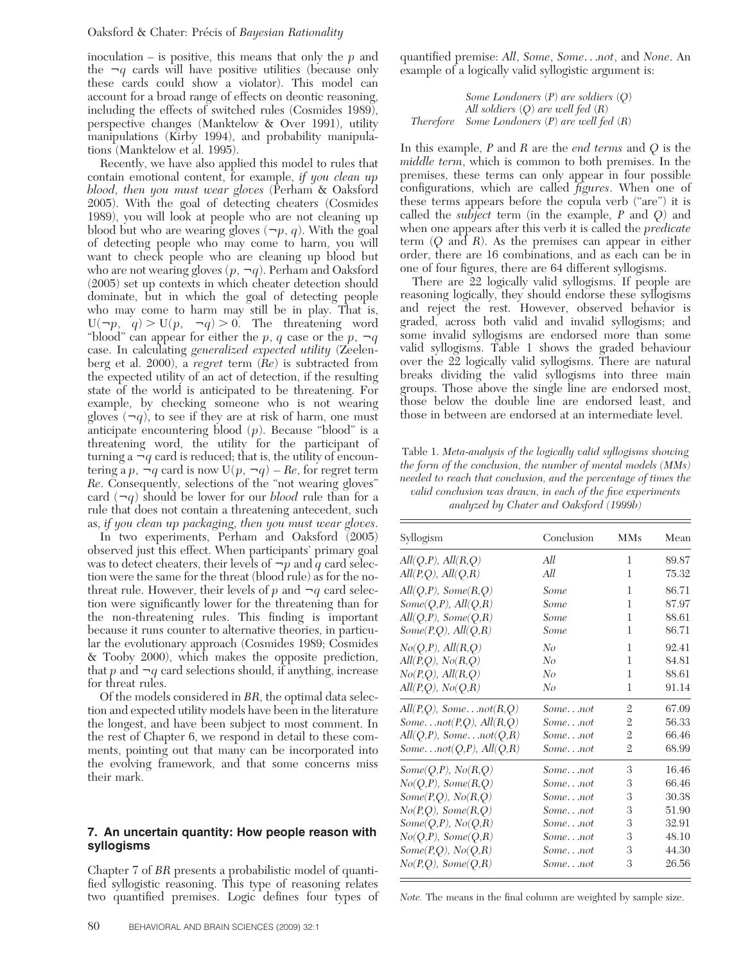inoculation – is positive, this means that only the  $p$  and the  $\neg q$  cards will have positive utilities (because only these cards could show a violator). This model can account for a broad range of effects on deontic reasoning, including the effects of switched rules (Cosmides 1989), perspective changes (Manktelow & Over 1991), utility manipulations (Kirby 1994), and probability manipulations (Manktelow et al. 1995).

Recently, we have also applied this model to rules that contain emotional content, for example, if you clean up blood, then you must wear gloves (Perham & Oaksford 2005). With the goal of detecting cheaters (Cosmides 1989), you will look at people who are not cleaning up blood but who are wearing gloves  $(\neg p, q)$ . With the goal of detecting people who may come to harm, you will want to check people who are cleaning up blood but who are not wearing gloves  $(p, \neg q)$ . Perham and Oaksford (2005) set up contexts in which cheater detection should dominate, but in which the goal of detecting people who may come to harm may still be in play. That is,  $U(\neg p, q) > U(p, \neg q) > 0$ . The threatening word "blood" can appear for either the p, q case or the p,  $\neg q$ case. In calculating generalized expected utility (Zeelenberg et al. 2000), a regret term  $(Re)$  is subtracted from the expected utility of an act of detection, if the resulting state of the world is anticipated to be threatening. For example, by checking someone who is not wearing gloves  $(\neg q)$ , to see if they are at risk of harm, one must anticipate encountering blood  $(p)$ . Because "blood" is a threatening word, the utility for the participant of turning a  $\neg q$  card is reduced; that is, the utility of encountering a p,  $\neg q$  card is now  $U(p, \neg q)$  – Re, for regret term Re. Consequently, selections of the "not wearing gloves" card  $(\neg q)$  should be lower for our *blood* rule than for a rule that does not contain a threatening antecedent, such as, if you clean up packaging, then you must wear gloves.

In two experiments, Perham and Oaksford (2005) observed just this effect. When participants' primary goal was to detect cheaters, their levels of  $\neg p$  and q card selection were the same for the threat (blood rule) as for the nothreat rule. However, their levels of p and  $\neg q$  card selection were significantly lower for the threatening than for the non-threatening rules. This finding is important because it runs counter to alternative theories, in particular the evolutionary approach (Cosmides 1989; Cosmides & Tooby 2000), which makes the opposite prediction, that p and  $\neg q$  card selections should, if anything, increase for threat rules.

Of the models considered in BR, the optimal data selection and expected utility models have been in the literature the longest, and have been subject to most comment. In the rest of Chapter 6, we respond in detail to these comments, pointing out that many can be incorporated into the evolving framework, and that some concerns miss their mark.

#### 7. An uncertain quantity: How people reason with syllogisms

Chapter 7 of BR presents a probabilistic model of quantified syllogistic reasoning. This type of reasoning relates two quantified premises. Logic defines four types of

quantified premise: All, Some, Some...not, and None. An example of a logically valid syllogistic argument is:

Some Londoners  $(P)$  are soldiers  $(Q)$ All soldiers  $(Q)$  are well fed  $(R)$ Therefore Some Londoners  $(P)$  are well fed  $(R)$ 

In this example,  $P$  and  $R$  are the *end terms* and  $Q$  is the middle term, which is common to both premises. In the premises, these terms can only appear in four possible configurations, which are called figures. When one of these terms appears before the copula verb ("are") it is called the *subject* term (in the example,  $P$  and  $Q$ ) and when one appears after this verb it is called the *predicate* term  $(Q \text{ and } R)$ . As the premises can appear in either order, there are 16 combinations, and as each can be in one of four figures, there are 64 different syllogisms.

There are 22 logically valid syllogisms. If people are reasoning logically, they should endorse these syllogisms and reject the rest. However, observed behavior is graded, across both valid and invalid syllogisms; and some invalid syllogisms are endorsed more than some valid syllogisms. Table 1 shows the graded behaviour over the 22 logically valid syllogisms. There are natural breaks dividing the valid syllogisms into three main groups. Those above the single line are endorsed most, those below the double line are endorsed least, and those in between are endorsed at an intermediate level.

Table 1. Meta-analysis of the logically valid syllogisms showing the form of the conclusion, the number of mental models (MMs) needed to reach that conclusion, and the percentage of times the valid conclusion was drawn, in each of the five experiments analyzed by Chater and Oaksford (1999b)

| Syllogism                           | Conclusion | <b>MMs</b>     | Mean  |
|-------------------------------------|------------|----------------|-------|
| All(Q, P), All(R, Q)                | All        | 1              | 89.87 |
| All(P,Q), All(Q,R)                  | All        | 1              | 75.32 |
| $\text{All}(Q,P)$ , Some $(R,Q)$    | Some       | L              | 86.71 |
| Some(Q, P), All(Q, R)               | Some       | L              | 87.97 |
| $\text{All}(Q,P)$ , Some $(Q,R)$    | Some       | L              | 88.61 |
| Some(P,Q), All(Q,R)                 | Some       | L              | 86.71 |
| No(Q, P), All(R, Q)                 | No         | L              | 92.41 |
| All(P,Q), No(R,Q)                   | No         | L              | 84.81 |
| No(P,Q), All(R,Q)                   | No         | L              | 88.61 |
| All(P,Q), No(Q,R)                   | No         | L              | 91.14 |
| $All(P,Q)$ , Somenot(R,Q)           | Somenot    | 2              | 67.09 |
| Some $not(P,Q)$ , $All(R,Q)$        | Somenot    | $\overline{2}$ | 56.33 |
| $\text{All}(Q,P)$ , Somenot $(Q,R)$ | Somenot    | $\overline{2}$ | 66.46 |
| Some $not(Q, P)$ , $All(Q, R)$      | Somenot    | $\overline{2}$ | 68.99 |
| Some(Q, P), No(R, Q)                | Somenot    | 3              | 16.46 |
| $No(Q, P)$ , Some $(R, Q)$          | Somenot    | 3              | 66.46 |
| Some(P,Q), No(R,Q)                  | Somenot    | 3              | 30.38 |
| $No(P,Q)$ , Some $(R,Q)$            | Somenot    | 3              | 51.90 |
| Some(Q, P), No(Q, R)                | Somenot    | 3              | 32.91 |
| $No(Q, P)$ , Some $(Q, R)$          | Somenot    | 3              | 48.10 |
| Some(P,Q), No(Q,R)                  | Somenot    | 3              | 44.30 |
| $No(P,Q)$ , $Some(Q,R)$             | Somenot    | 3              | 26.56 |

Note. The means in the final column are weighted by sample size.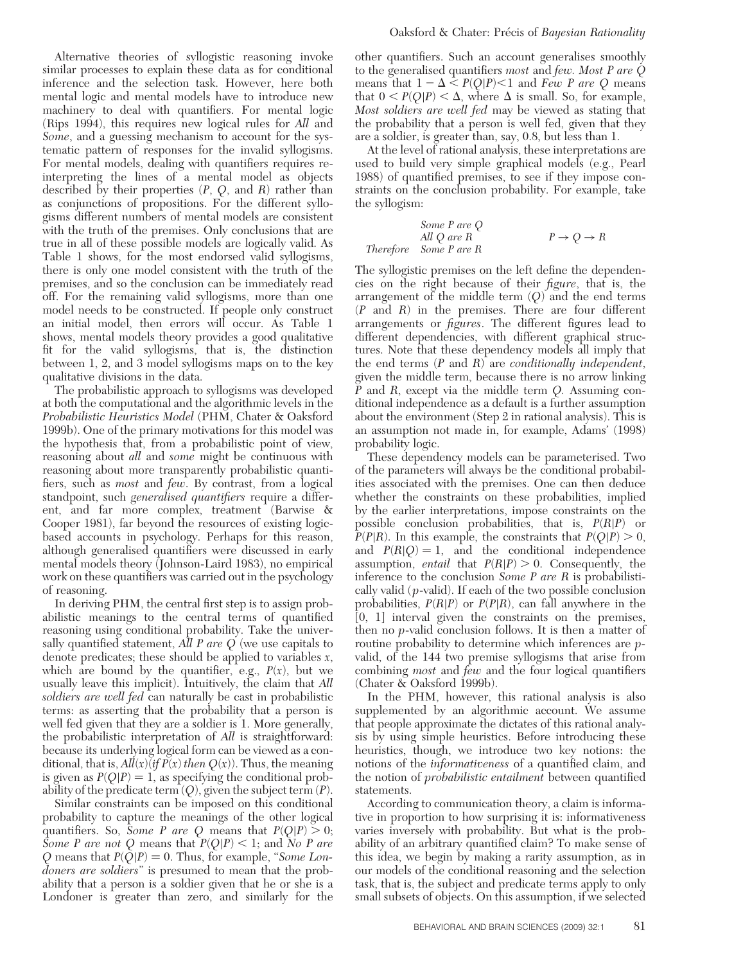Alternative theories of syllogistic reasoning invoke similar processes to explain these data as for conditional inference and the selection task. However, here both mental logic and mental models have to introduce new machinery to deal with quantifiers. For mental logic (Rips 1994), this requires new logical rules for All and Some, and a guessing mechanism to account for the systematic pattern of responses for the invalid syllogisms. For mental models, dealing with quantifiers requires reinterpreting the lines of a mental model as objects described by their properties  $(P, Q, \text{ and } R)$  rather than as conjunctions of propositions. For the different syllogisms different numbers of mental models are consistent with the truth of the premises. Only conclusions that are true in all of these possible models are logically valid. As Table 1 shows, for the most endorsed valid syllogisms, there is only one model consistent with the truth of the premises, and so the conclusion can be immediately read off. For the remaining valid syllogisms, more than one model needs to be constructed. If people only construct an initial model, then errors will occur. As Table 1 shows, mental models theory provides a good qualitative fit for the valid syllogisms, that is, the distinction between 1, 2, and 3 model syllogisms maps on to the key qualitative divisions in the data.

The probabilistic approach to syllogisms was developed at both the computational and the algorithmic levels in the Probabilistic Heuristics Model (PHM, Chater & Oaksford 1999b). One of the primary motivations for this model was the hypothesis that, from a probabilistic point of view, reasoning about all and some might be continuous with reasoning about more transparently probabilistic quantifiers, such as most and few. By contrast, from a logical standpoint, such generalised quantifiers require a different, and far more complex, treatment (Barwise & Cooper 1981), far beyond the resources of existing logicbased accounts in psychology. Perhaps for this reason, although generalised quantifiers were discussed in early mental models theory (Johnson-Laird 1983), no empirical work on these quantifiers was carried out in the psychology of reasoning.

In deriving PHM, the central first step is to assign probabilistic meanings to the central terms of quantified reasoning using conditional probability. Take the universally quantified statement,  $\overline{All}$  P are  $\overline{Q}$  (we use capitals to denote predicates; these should be applied to variables  $x$ , which are bound by the quantifier, e.g.,  $P(x)$ , but we usually leave this implicit). Intuitively, the claim that All soldiers are well fed can naturally be cast in probabilistic terms: as asserting that the probability that a person is well fed given that they are a soldier is 1. More generally, the probabilistic interpretation of All is straightforward: because its underlying logical form can be viewed as a conditional, that is,  $All(x)(if P(x) then Q(x))$ . Thus, the meaning is given as  $P(Q|P) = 1$ , as specifying the conditional probability of the predicate term  $(Q)$ , given the subject term  $(P)$ .

Similar constraints can be imposed on this conditional probability to capture the meanings of the other logical quantifiers. So, Some P are Q means that  $P(Q|P) > 0$ ; Some P are not Q means that  $P(Q|P) \leq 1$ ; and No P are Q means that  $P(\overline{Q}|P) = 0$ . Thus, for example, "Some Londoners are soldiers" is presumed to mean that the probability that a person is a soldier given that he or she is a Londoner is greater than zero, and similarly for the other quantifiers. Such an account generalises smoothly to the generalised quantifiers most and few. Most P are  $\dot{Q}$ means that  $1 - \Delta < P(Q|P) < 1$  and Few P are Q means that  $0 < P(Q|P) < \Delta$ , where  $\Delta$  is small. So, for example, Most soldiers are well fed may be viewed as stating that the probability that a person is well fed, given that they are a soldier, is greater than, say, 0.8, but less than 1.

At the level of rational analysis, these interpretations are used to build very simple graphical models (e.g., Pearl 1988) of quantified premises, to see if they impose constraints on the conclusion probability. For example, take the syllogism:

| Some P are Q |                                 |
|--------------|---------------------------------|
| All Q are R  | $P \rightarrow Q \rightarrow R$ |
| Therefore    | Some P are R                    |

The syllogistic premises on the left define the dependencies on the right because of their figure, that is, the arrangement of the middle term  $(Q)$  and the end terms  $(P \text{ and } R)$  in the premises. There are four different arrangements or figures. The different figures lead to different dependencies, with different graphical structures. Note that these dependency models all imply that the end terms  $(P \text{ and } R)$  are *conditionally independent*, given the middle term, because there is no arrow linking  $\overline{P}$  and  $R$ , except via the middle term  $Q$ . Assuming conditional independence as a default is a further assumption about the environment (Step 2 in rational analysis). This is an assumption not made in, for example, Adams' (1998) probability logic.

These dependency models can be parameterised. Two of the parameters will always be the conditional probabilities associated with the premises. One can then deduce whether the constraints on these probabilities, implied by the earlier interpretations, impose constraints on the possible conclusion probabilities, that is,  $P(R|P)$  or  $\tilde{P}(P|R)$ . In this example, the constraints that  $P(Q|P) > 0$ , and  $P(R|Q) = 1$ , and the conditional independence assumption, *entail* that  $P(R|P) > 0$ . Consequently, the inference to the conclusion Some P are R is probabilistically valid  $(p$ -valid). If each of the two possible conclusion probabilities,  $P(R|P)$  or  $P(P|R)$ , can fall anywhere in the [0, 1] interval given the constraints on the premises, then no p-valid conclusion follows. It is then a matter of routine probability to determine which inferences are pvalid, of the 144 two premise syllogisms that arise from combining most and few and the four logical quantifiers (Chater & Oaksford 1999b).

In the PHM, however, this rational analysis is also supplemented by an algorithmic account. We assume that people approximate the dictates of this rational analysis by using simple heuristics. Before introducing these heuristics, though, we introduce two key notions: the notions of the informativeness of a quantified claim, and the notion of probabilistic entailment between quantified statements.

According to communication theory, a claim is informative in proportion to how surprising it is: informativeness varies inversely with probability. But what is the probability of an arbitrary quantified claim? To make sense of this idea, we begin by making a rarity assumption, as in our models of the conditional reasoning and the selection task, that is, the subject and predicate terms apply to only small subsets of objects. On this assumption, if we selected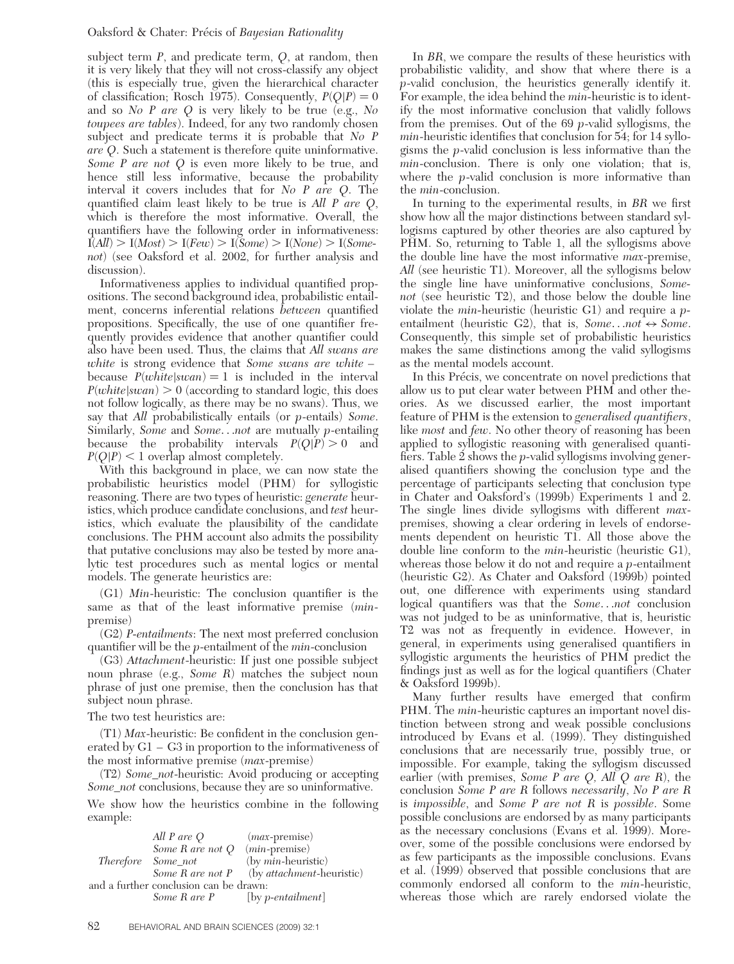subject term  $P$ , and predicate term,  $Q$ , at random, then it is very likely that they will not cross-classify any object (this is especially true, given the hierarchical character of classification; Rosch 1975). Consequently,  $P(Q|P) = 0$ and so No P are  $Q$  is very likely to be true (e.g., No toupees are tables). Indeed, for any two randomly chosen subject and predicate terms it is probable that No P are Q. Such a statement is therefore quite uninformative. Some P are not  $Q$  is even more likely to be true, and hence still less informative, because the probability interval it covers includes that for No P are Q. The quantified claim least likely to be true is All P are Q, which is therefore the most informative. Overall, the quantifiers have the following order in informativeness:  $I(All) > I(Most) > I(Few) > I(Some) > I(None) > I(Some$ not) (see Oaksford et al. 2002, for further analysis and discussion).

Informativeness applies to individual quantified propositions. The second background idea, probabilistic entailment, concerns inferential relations between quantified propositions. Specifically, the use of one quantifier frequently provides evidence that another quantifier could also have been used. Thus, the claims that All swans are white is strong evidence that Some swans are white – because  $P(\text{white}| \text{swan}) = 1$  is included in the interval  $P(\text{white}| \text{swan}) > 0$  (according to standard logic, this does not follow logically, as there may be no swans). Thus, we say that All probabilistically entails (or *p*-entails) Some. Similarly, Some and Some...not are mutually p-entailing because the probability intervals  $P(Q|P) > 0$  and  $P(Q|P)$  < 1 overlap almost completely.

With this background in place, we can now state the probabilistic heuristics model (PHM) for syllogistic reasoning. There are two types of heuristic: generate heuristics, which produce candidate conclusions, and test heuristics, which evaluate the plausibility of the candidate conclusions. The PHM account also admits the possibility that putative conclusions may also be tested by more analytic test procedures such as mental logics or mental models. The generate heuristics are:

(G1) Min-heuristic: The conclusion quantifier is the same as that of the least informative premise (minpremise)

(G2) P-entailments: The next most preferred conclusion quantifier will be the  $p$ -entailment of the *min*-conclusion

(G3) Attachment-heuristic: If just one possible subject noun phrase (e.g., *Some R*) matches the subject noun phrase of just one premise, then the conclusion has that subject noun phrase.

The two test heuristics are:

(T1) Max-heuristic: Be confident in the conclusion generated by G1 – G3 in proportion to the informativeness of the most informative premise (max-premise)

(T2) Some\_not-heuristic: Avoid producing or accepting Some\_not conclusions, because they are so uninformative.

We show how the heuristics combine in the following example:

|                                        | All $P$ are $Q$                    | $(max\text{-}premise)$                         |  |  |
|----------------------------------------|------------------------------------|------------------------------------------------|--|--|
|                                        | Some $R$ are not $Q$ (min-premise) |                                                |  |  |
| Therefore Some_not                     |                                    | (by $\overline{min}$ -heuristic)               |  |  |
|                                        |                                    | Some $R$ are not $P$ (by attachment-heuristic) |  |  |
| and a further conclusion can be drawn: |                                    |                                                |  |  |
|                                        | Some R are P                       | [by <i>p-entailment</i> ]                      |  |  |

In BR, we compare the results of these heuristics with probabilistic validity, and show that where there is a p-valid conclusion, the heuristics generally identify it. For example, the idea behind the *min*-heuristic is to identify the most informative conclusion that validly follows from the premises. Out of the  $69$  *p*-valid syllogisms, the min-heuristic identifies that conclusion for 54; for 14 syllogisms the p-valid conclusion is less informative than the min-conclusion. There is only one violation; that is, where the  $p$ -valid conclusion is more informative than the min-conclusion.

In turning to the experimental results, in BR we first show how all the major distinctions between standard syllogisms captured by other theories are also captured by PHM. So, returning to Table 1, all the syllogisms above the double line have the most informative max-premise, All (see heuristic T1). Moreover, all the syllogisms below the single line have uninformative conclusions, Somenot (see heuristic T2), and those below the double line violate the min-heuristic (heuristic G1) and require a pentailment (heuristic G2), that is,  $Some...not \leftrightarrow Some$ . Consequently, this simple set of probabilistic heuristics makes the same distinctions among the valid syllogisms as the mental models account.

In this Précis, we concentrate on novel predictions that allow us to put clear water between PHM and other theories. As we discussed earlier, the most important feature of PHM is the extension to *generalised quantifiers*, like *most* and *few*. No other theory of reasoning has been applied to syllogistic reasoning with generalised quantifiers. Table 2 shows the  $p$ -valid syllogisms involving generalised quantifiers showing the conclusion type and the percentage of participants selecting that conclusion type in Chater and Oaksford's (1999b) Experiments 1 and 2. The single lines divide syllogisms with different maxpremises, showing a clear ordering in levels of endorsements dependent on heuristic T1. All those above the double line conform to the min-heuristic (heuristic G1), whereas those below it do not and require a p-entailment (heuristic G2). As Chater and Oaksford (1999b) pointed out, one difference with experiments using standard logical quantifiers was that the *Some...not* conclusion was not judged to be as uninformative, that is, heuristic T2 was not as frequently in evidence. However, in general, in experiments using generalised quantifiers in syllogistic arguments the heuristics of PHM predict the findings just as well as for the logical quantifiers (Chater & Oaksford 1999b).

Many further results have emerged that confirm PHM. The *min*-heuristic captures an important novel distinction between strong and weak possible conclusions introduced by Evans et al. (1999). They distinguished conclusions that are necessarily true, possibly true, or impossible. For example, taking the syllogism discussed earlier (with premises, *Some P are Q, All Q are R*), the conclusion Some P are R follows necessarily, No P are R is impossible, and Some P are not R is possible. Some possible conclusions are endorsed by as many participants as the necessary conclusions (Evans et al. 1999). Moreover, some of the possible conclusions were endorsed by as few participants as the impossible conclusions. Evans et al. (1999) observed that possible conclusions that are commonly endorsed all conform to the min-heuristic, whereas those which are rarely endorsed violate the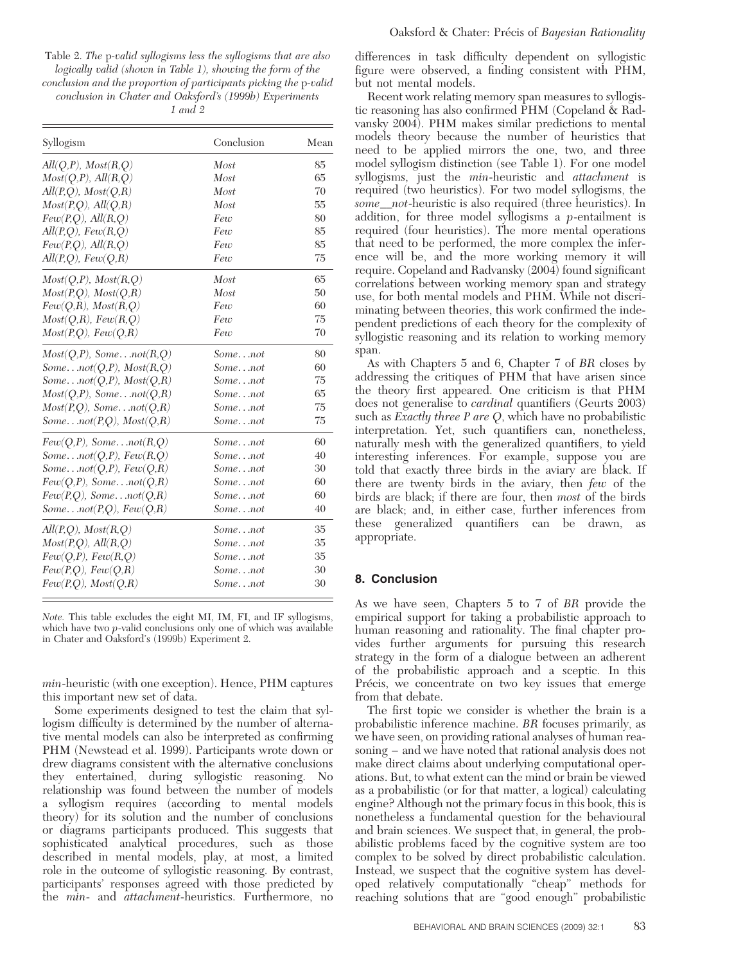| Table 2. The p-valid syllogisms less the syllogisms that are also |
|-------------------------------------------------------------------|
| logically valid (shown in Table 1), showing the form of the       |
| conclusion and the proportion of participants picking the p-valid |
| conclusion in Chater and Oaksford's (1999b) Experiments           |

1 and 2

| Syllogism                        | Conclusion | Mean |
|----------------------------------|------------|------|
| All(Q, P), Most(R, Q)            | Most       | 85   |
| Most(Q, P), All(R, Q)            | Most       | 65   |
| All(P,Q), Most(Q,R)              | Most       | 70   |
| Most(P,Q), All(Q,R)              | Most       | 55   |
| $Few(P,Q)$ , $All(R,Q)$          | Few        | 80   |
| $All(P,Q), \, Few(R,Q)$          | Few        | 85   |
| $Few(P,Q)$ , $All(R,Q)$          | Few        | 85   |
| $All(P,Q), \, Few(Q,R)$          | Few        | 75   |
| Most(Q, P), Most(R, Q)           | Most       | 65   |
| Most(P,Q), Most(Q,R)             | Most       | 50   |
| Few(Q,R), Most(R,Q)              | Few        | 60   |
| Most(Q,R), Few(R,Q)              | Few        | 75   |
| Most(P,Q), Few(Q,R)              | Few        | 70   |
| Most(Q, P), Somenot(R, Q)        | Somenot    | 80   |
| Some $not(Q, P)$ , $Most(R, Q)$  | Somenot    | 60   |
| Some $not(Q,P)$ , $Most(Q,R)$    | Somenot    | 75   |
| Most(Q, P), Somenot(Q, R)        | Somenot    | 65   |
| Most(P,Q), Somenot(Q,R)          | Somenot    | 75   |
| Some $not(P,Q)$ , $Most(Q,R)$    | Somenot    | 75   |
| $Few(Q, P)$ , Somenot(R,Q)       | Somenot    | 60   |
| Some $not(Q, P)$ , Few(R,Q)      | Somenot    | 40   |
| Some $not(Q, P)$ , Few( $Q, R$ ) | Somenot    | 30   |
| $Few(Q, P)$ , Somenot( $Q, R$ )  | Somenot    | 60   |
| $Few(P,Q)$ , Somenot( $Q, R$ )   | Somenot    | 60   |
| Some $not(P,Q)$ , Few $(Q,R)$    | Somenot    | 40   |
| All(P,Q), Most(R,Q)              | Somenot    | 35   |
| Most(P,Q), All(R,Q)              | Somenot    | 35   |
| $Few(Q, P)$ , $Few(R, Q)$        | Somenot    | 35   |
| Few(P,Q), Few(Q,R)               | Somenot    | 30   |
| Few(P,Q), Most(Q,R)              | Somenot    | 30   |

Note. This table excludes the eight MI, IM, FI, and IF syllogisms, which have two  $p$ -valid conclusions only one of which was available in Chater and Oaksford's (1999b) Experiment 2.

min-heuristic (with one exception). Hence, PHM captures this important new set of data.

Some experiments designed to test the claim that syllogism difficulty is determined by the number of alternative mental models can also be interpreted as confirming PHM (Newstead et al. 1999). Participants wrote down or drew diagrams consistent with the alternative conclusions they entertained, during syllogistic reasoning. No relationship was found between the number of models a syllogism requires (according to mental models theory) for its solution and the number of conclusions or diagrams participants produced. This suggests that sophisticated analytical procedures, such as those described in mental models, play, at most, a limited role in the outcome of syllogistic reasoning. By contrast, participants' responses agreed with those predicted by the min- and attachment-heuristics. Furthermore, no

differences in task difficulty dependent on syllogistic figure were observed, a finding consistent with PHM, but not mental models.

Recent work relating memory span measures to syllogistic reasoning has also confirmed PHM (Copeland & Radvansky 2004). PHM makes similar predictions to mental models theory because the number of heuristics that need to be applied mirrors the one, two, and three model syllogism distinction (see Table 1). For one model syllogisms, just the min-heuristic and attachment is required (two heuristics). For two model syllogisms, the some\_\_not-heuristic is also required (three heuristics). In addition, for three model syllogisms a  $p$ -entailment is required (four heuristics). The more mental operations that need to be performed, the more complex the inference will be, and the more working memory it will require. Copeland and Radvansky (2004) found significant correlations between working memory span and strategy use, for both mental models and PHM. While not discriminating between theories, this work confirmed the independent predictions of each theory for the complexity of syllogistic reasoning and its relation to working memory span.

As with Chapters 5 and 6, Chapter 7 of BR closes by addressing the critiques of PHM that have arisen since the theory first appeared. One criticism is that PHM does not generalise to cardinal quantifiers (Geurts 2003) such as  $\vec{Exactly}$  three P are Q, which have no probabilistic interpretation. Yet, such quantifiers can, nonetheless, naturally mesh with the generalized quantifiers, to yield interesting inferences. For example, suppose you are told that exactly three birds in the aviary are black. If there are twenty birds in the aviary, then few of the birds are black; if there are four, then most of the birds are black; and, in either case, further inferences from these generalized quantifiers can be drawn, as appropriate.

## 8. Conclusion

As we have seen, Chapters 5 to 7 of BR provide the empirical support for taking a probabilistic approach to human reasoning and rationality. The final chapter provides further arguments for pursuing this research strategy in the form of a dialogue between an adherent of the probabilistic approach and a sceptic. In this Précis, we concentrate on two key issues that emerge from that debate.

The first topic we consider is whether the brain is a probabilistic inference machine. BR focuses primarily, as we have seen, on providing rational analyses of human reasoning – and we have noted that rational analysis does not make direct claims about underlying computational operations. But, to what extent can the mind or brain be viewed as a probabilistic (or for that matter, a logical) calculating engine? Although not the primary focus in this book, this is nonetheless a fundamental question for the behavioural and brain sciences. We suspect that, in general, the probabilistic problems faced by the cognitive system are too complex to be solved by direct probabilistic calculation. Instead, we suspect that the cognitive system has developed relatively computationally "cheap" methods for reaching solutions that are "good enough" probabilistic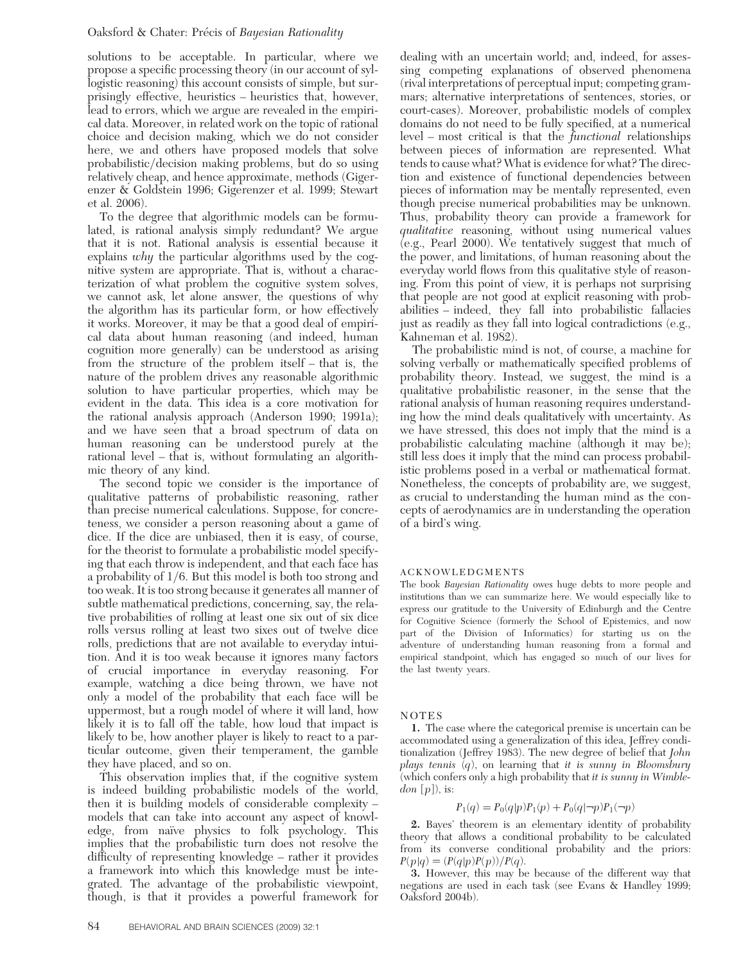### Oaksford & Chater: Précis of Bayesian Rationality

solutions to be acceptable. In particular, where we propose a specific processing theory (in our account of syllogistic reasoning) this account consists of simple, but surprisingly effective, heuristics – heuristics that, however, lead to errors, which we argue are revealed in the empirical data. Moreover, in related work on the topic of rational choice and decision making, which we do not consider here, we and others have proposed models that solve probabilistic/decision making problems, but do so using relatively cheap, and hence approximate, methods (Gigerenzer & Goldstein 1996; Gigerenzer et al. 1999; Stewart et al. 2006).

To the degree that algorithmic models can be formulated, is rational analysis simply redundant? We argue that it is not. Rational analysis is essential because it explains why the particular algorithms used by the cognitive system are appropriate. That is, without a characterization of what problem the cognitive system solves, we cannot ask, let alone answer, the questions of why the algorithm has its particular form, or how effectively it works. Moreover, it may be that a good deal of empirical data about human reasoning (and indeed, human cognition more generally) can be understood as arising from the structure of the problem itself – that is, the nature of the problem drives any reasonable algorithmic solution to have particular properties, which may be evident in the data. This idea is a core motivation for the rational analysis approach (Anderson 1990; 1991a); and we have seen that a broad spectrum of data on human reasoning can be understood purely at the rational level – that is, without formulating an algorithmic theory of any kind.

The second topic we consider is the importance of qualitative patterns of probabilistic reasoning, rather than precise numerical calculations. Suppose, for concreteness, we consider a person reasoning about a game of dice. If the dice are unbiased, then it is easy, of course, for the theorist to formulate a probabilistic model specifying that each throw is independent, and that each face has a probability of 1/6. But this model is both too strong and too weak. It is too strong because it generates all manner of subtle mathematical predictions, concerning, say, the relative probabilities of rolling at least one six out of six dice rolls versus rolling at least two sixes out of twelve dice rolls, predictions that are not available to everyday intuition. And it is too weak because it ignores many factors of crucial importance in everyday reasoning. For example, watching a dice being thrown, we have not only a model of the probability that each face will be uppermost, but a rough model of where it will land, how likely it is to fall off the table, how loud that impact is likely to be, how another player is likely to react to a particular outcome, given their temperament, the gamble they have placed, and so on.

This observation implies that, if the cognitive system is indeed building probabilistic models of the world, then it is building models of considerable complexity – models that can take into account any aspect of knowledge, from naïve physics to folk psychology. This implies that the probabilistic turn does not resolve the difficulty of representing knowledge – rather it provides a framework into which this knowledge must be integrated. The advantage of the probabilistic viewpoint, though, is that it provides a powerful framework for

dealing with an uncertain world; and, indeed, for assessing competing explanations of observed phenomena (rival interpretations of perceptual input; competing grammars; alternative interpretations of sentences, stories, or court-cases). Moreover, probabilistic models of complex domains do not need to be fully specified, at a numerical level – most critical is that the functional relationships between pieces of information are represented. What tends to cause what? What is evidence for what? The direction and existence of functional dependencies between pieces of information may be mentally represented, even though precise numerical probabilities may be unknown. Thus, probability theory can provide a framework for qualitative reasoning, without using numerical values (e.g., Pearl 2000). We tentatively suggest that much of the power, and limitations, of human reasoning about the everyday world flows from this qualitative style of reasoning. From this point of view, it is perhaps not surprising that people are not good at explicit reasoning with probabilities – indeed, they fall into probabilistic fallacies just as readily as they fall into logical contradictions (e.g., Kahneman et al. 1982).

The probabilistic mind is not, of course, a machine for solving verbally or mathematically specified problems of probability theory. Instead, we suggest, the mind is a qualitative probabilistic reasoner, in the sense that the rational analysis of human reasoning requires understanding how the mind deals qualitatively with uncertainty. As we have stressed, this does not imply that the mind is a probabilistic calculating machine (although it may be); still less does it imply that the mind can process probabilistic problems posed in a verbal or mathematical format. Nonetheless, the concepts of probability are, we suggest, as crucial to understanding the human mind as the concepts of aerodynamics are in understanding the operation of a bird's wing.

#### **A C KNOWL EDGMENTS**

The book Bayesian Rationality owes huge debts to more people and institutions than we can summarize here. We would especially like to express our gratitude to the University of Edinburgh and the Centre for Cognitive Science (formerly the School of Epistemics, and now part of the Division of Informatics) for starting us on the adventure of understanding human reasoning from a formal and empirical standpoint, which has engaged so much of our lives for the last twenty years.

#### NOTES

1. The case where the categorical premise is uncertain can be accommodated using a generalization of this idea, Jeffrey conditionalization (Jeffrey 1983). The new degree of belief that John plays tennis  $(q)$ , on learning that it is sunny in Bloomsbury (which confers only a high probability that it is sunny in Wimbledon  $[p]$ ), is:

$$
P_1(q) = P_0(q|p)P_1(p) + P_0(q|\neg p)P_1(\neg p)
$$

2. Bayes' theorem is an elementary identity of probability theory that allows a conditional probability to be calculated from its converse conditional probability and the priors:  $P(p|q) = (P(q|p)P(p))/P(q).$ 

3. However, this may be because of the different way that negations are used in each task (see Evans & Handley 1999; Oaksford 2004b).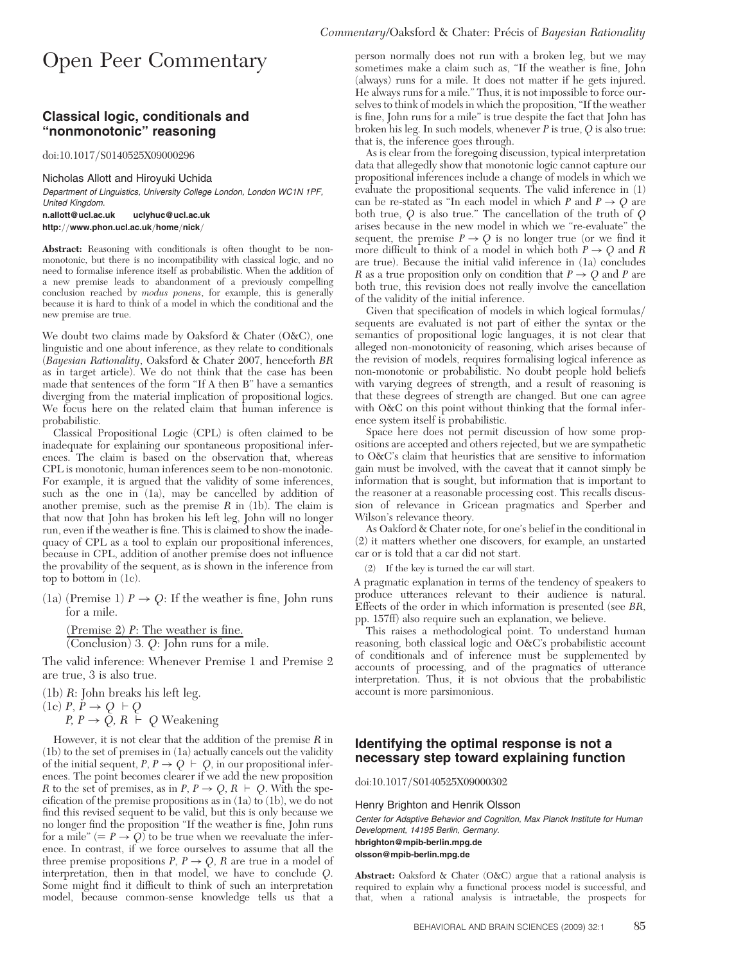## Open Peer Commentary

## Classical logic, conditionals and "nonmonotonic" reasoning

doi:10.1017/S0140525X09000296

#### Nicholas Allott and Hiroyuki Uchida

Department of Linguistics, University College London, London WC1N 1PF, United Kingdom.

n.allott@ucl.ac.uk uclyhuc@ucl.ac.uk

http://www.phon.ucl.ac.uk/home/nick/

Abstract: Reasoning with conditionals is often thought to be nonmonotonic, but there is no incompatibility with classical logic, and no need to formalise inference itself as probabilistic. When the addition of a new premise leads to abandonment of a previously compelling conclusion reached by modus ponens, for example, this is generally because it is hard to think of a model in which the conditional and the new premise are true.

We doubt two claims made by Oaksford & Chater (O&C), one linguistic and one about inference, as they relate to conditionals (Bayesian Rationality, Oaksford & Chater 2007, henceforth BR as in target article). We do not think that the case has been made that sentences of the form "If A then B" have a semantics diverging from the material implication of propositional logics. We focus here on the related claim that human inference is probabilistic.

Classical Propositional Logic (CPL) is often claimed to be inadequate for explaining our spontaneous propositional inferences. The claim is based on the observation that, whereas CPL is monotonic, human inferences seem to be non-monotonic. For example, it is argued that the validity of some inferences, such as the one in (1a), may be cancelled by addition of another premise, such as the premise  $R$  in  $(1b)$ . The claim is that now that John has broken his left leg, John will no longer run, even if the weather is fine. This is claimed to show the inadequacy of CPL as a tool to explain our propositional inferences, because in CPL, addition of another premise does not influence the provability of the sequent, as is shown in the inference from top to bottom in (1c).

(1a) (Premise 1)  $P \rightarrow Q$ : If the weather is fine, John runs for a mile.

(Premise  $2$ )  $P$ : The weather is fine. (Conclusion) 3. Q: John runs for a mile.

The valid inference: Whenever Premise 1 and Premise 2 are true, 3 is also true.

(1b) R: John breaks his left leg.

(1c)  $\overline{P}$ ,  $\overline{P}$   $\rightarrow$   $\overline{Q}$   $\vdash$   $\overline{Q}$ 

 $P, P \rightarrow Q, R \vdash Q$  Weakening

However, it is not clear that the addition of the premise  $R$  in (1b) to the set of premises in (1a) actually cancels out the validity of the initial sequent,  $P, P \rightarrow Q \vdash Q$ , in our propositional inferences. The point becomes clearer if we add the new proposition R to the set of premises, as in P,  $P \rightarrow Q$ ,  $R \vdash Q$ . With the specification of the premise propositions as in (1a) to (1b), we do not find this revised sequent to be valid, but this is only because we no longer find the proposition "If the weather is fine, John runs for a mile" (=  $P \rightarrow Q$ ) to be true when we reevaluate the inference. In contrast, if we force ourselves to assume that all the three premise propositions  $P, P \rightarrow Q, R$  are true in a model of interpretation, then in that model, we have to conclude  $Q$ . Some might find it difficult to think of such an interpretation model, because common-sense knowledge tells us that a person normally does not run with a broken leg, but we may sometimes make a claim such as, "If the weather is fine, John (always) runs for a mile. It does not matter if he gets injured. He always runs for a mile." Thus, it is not impossible to force ourselves to think of models in which the proposition, "If the weather is fine, John runs for a mile" is true despite the fact that John has broken his leg. In such models, whenever P is true, Q is also true: that is, the inference goes through.

As is clear from the foregoing discussion, typical interpretation data that allegedly show that monotonic logic cannot capture our propositional inferences include a change of models in which we evaluate the propositional sequents. The valid inference in (1) can be re-stated as "In each model in which P and  $P \rightarrow Q$  are both true,  $Q$  is also true." The cancellation of the truth of  $Q$ arises because in the new model in which we "re-evaluate" the sequent, the premise  $P \rightarrow Q$  is no longer true (or we find it more difficult to think of a model in which both  $P \to Q$  and R are true). Because the initial valid inference in (1a) concludes R as a true proposition only on condition that  $P \to Q$  and P are both true, this revision does not really involve the cancellation of the validity of the initial inference.

Given that specification of models in which logical formulas/ sequents are evaluated is not part of either the syntax or the semantics of propositional logic languages, it is not clear that alleged non-monotonicity of reasoning, which arises because of the revision of models, requires formalising logical inference as non-monotonic or probabilistic. No doubt people hold beliefs with varying degrees of strength, and a result of reasoning is that these degrees of strength are changed. But one can agree with O&C on this point without thinking that the formal inference system itself is probabilistic.

Space here does not permit discussion of how some propositions are accepted and others rejected, but we are sympathetic to O&C's claim that heuristics that are sensitive to information gain must be involved, with the caveat that it cannot simply be information that is sought, but information that is important to the reasoner at a reasonable processing cost. This recalls discussion of relevance in Gricean pragmatics and Sperber and Wilson's relevance theory.

As Oakford & Chater note, for one's belief in the conditional in (2) it matters whether one discovers, for example, an unstarted car or is told that a car did not start.

(2) If the key is turned the car will start.

A pragmatic explanation in terms of the tendency of speakers to produce utterances relevant to their audience is natural. Effects of the order in which information is presented (see BR, pp. 157ff) also require such an explanation, we believe.

This raises a methodological point. To understand human reasoning, both classical logic and O&C's probabilistic account of conditionals and of inference must be supplemented by accounts of processing, and of the pragmatics of utterance interpretation. Thus, it is not obvious that the probabilistic account is more parsimonious.

## Identifying the optimal response is not a necessary step toward explaining function

doi:10.1017/S0140525X09000302

Henry Brighton and Henrik Olsson Center for Adaptive Behavior and Cognition, Max Planck Institute for Human Development, 14195 Berlin, Germany. hbrighton@mpib-berlin.mpg.de

olsson@mpib-berlin.mpg.de

Abstract: Oaksford & Chater (O&C) argue that a rational analysis is required to explain why a functional process model is successful, and that, when a rational analysis is intractable, the prospects for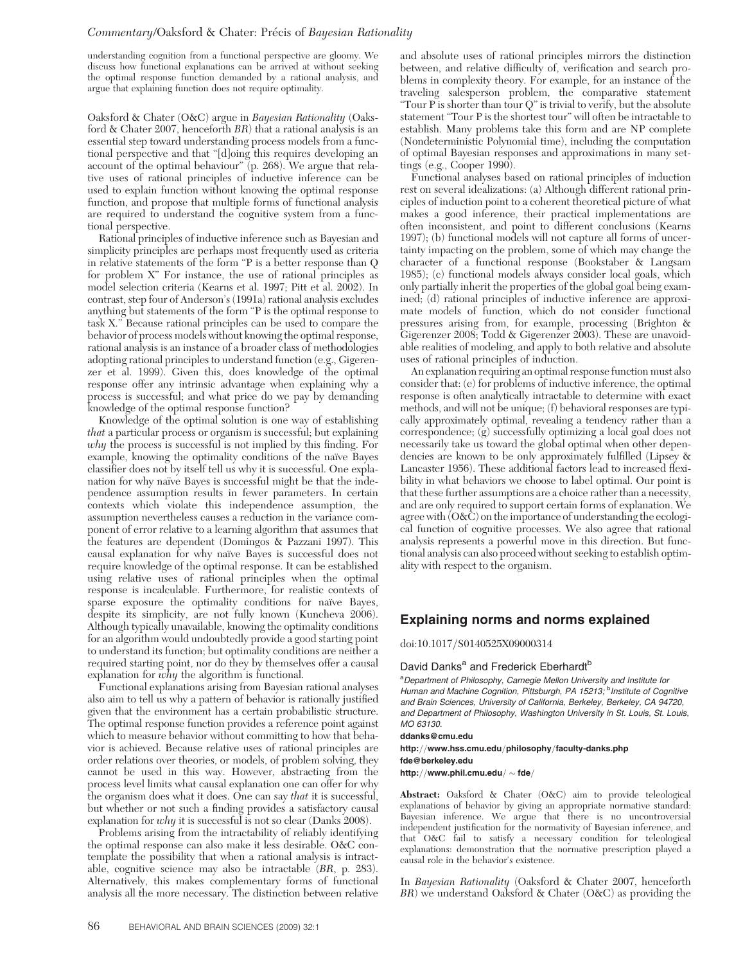understanding cognition from a functional perspective are gloomy. We discuss how functional explanations can be arrived at without seeking the optimal response function demanded by a rational analysis, and argue that explaining function does not require optimality.

Oaksford & Chater (O&C) argue in Bayesian Rationality (Oaksford & Chater 2007, henceforth BR) that a rational analysis is an essential step toward understanding process models from a functional perspective and that "[d]oing this requires developing an account of the optimal behaviour" (p. 268). We argue that relative uses of rational principles of inductive inference can be used to explain function without knowing the optimal response function, and propose that multiple forms of functional analysis are required to understand the cognitive system from a functional perspective.

Rational principles of inductive inference such as Bayesian and simplicity principles are perhaps most frequently used as criteria in relative statements of the form "P is a better response than Q for problem X" For instance, the use of rational principles as model selection criteria (Kearns et al. 1997; Pitt et al. 2002). In contrast, step four of Anderson's (1991a) rational analysis excludes anything but statements of the form "P is the optimal response to task X." Because rational principles can be used to compare the behavior of process models without knowing the optimal response, rational analysis is an instance of a broader class of methodologies adopting rational principles to understand function (e.g., Gigerenzer et al. 1999). Given this, does knowledge of the optimal response offer any intrinsic advantage when explaining why a process is successful; and what price do we pay by demanding knowledge of the optimal response function?

Knowledge of the optimal solution is one way of establishing that a particular process or organism is successful; but explaining why the process is successful is not implied by this finding. For example, knowing the optimality conditions of the naïve Bayes classifier does not by itself tell us why it is successful. One explanation for why naïve Bayes is successful might be that the independence assumption results in fewer parameters. In certain contexts which violate this independence assumption, the assumption nevertheless causes a reduction in the variance component of error relative to a learning algorithm that assumes that the features are dependent (Domingos & Pazzani 1997). This causal explanation for why naïve Bayes is successful does not require knowledge of the optimal response. It can be established using relative uses of rational principles when the optimal response is incalculable. Furthermore, for realistic contexts of sparse exposure the optimality conditions for naïve Bayes, despite its simplicity, are not fully known (Kuncheva 2006). Although typically unavailable, knowing the optimality conditions for an algorithm would undoubtedly provide a good starting point to understand its function; but optimality conditions are neither a required starting point, nor do they by themselves offer a causal explanation for  $why$  the algorithm is functional.

Functional explanations arising from Bayesian rational analyses also aim to tell us why a pattern of behavior is rationally justified given that the environment has a certain probabilistic structure. The optimal response function provides a reference point against which to measure behavior without committing to how that behavior is achieved. Because relative uses of rational principles are order relations over theories, or models, of problem solving, they cannot be used in this way. However, abstracting from the process level limits what causal explanation one can offer for why the organism does what it does. One can say that it is successful, but whether or not such a finding provides a satisfactory causal explanation for *why* it is successful is not so clear (Danks 2008).

Problems arising from the intractability of reliably identifying the optimal response can also make it less desirable. O&C contemplate the possibility that when a rational analysis is intractable, cognitive science may also be intractable (BR, p. 283). Alternatively, this makes complementary forms of functional analysis all the more necessary. The distinction between relative

and absolute uses of rational principles mirrors the distinction between, and relative difficulty of, verification and search problems in complexity theory. For example, for an instance of the traveling salesperson problem, the comparative statement "Tour P is shorter than tour Q" is trivial to verify, but the absolute statement "Tour P is the shortest tour" will often be intractable to establish. Many problems take this form and are NP complete (Nondeterministic Polynomial time), including the computation of optimal Bayesian responses and approximations in many settings (e.g., Cooper 1990).

Functional analyses based on rational principles of induction rest on several idealizations: (a) Although different rational principles of induction point to a coherent theoretical picture of what makes a good inference, their practical implementations are often inconsistent, and point to different conclusions (Kearns 1997); (b) functional models will not capture all forms of uncertainty impacting on the problem, some of which may change the character of a functional response (Bookstaber & Langsam 1985); (c) functional models always consider local goals, which only partially inherit the properties of the global goal being examined; (d) rational principles of inductive inference are approximate models of function, which do not consider functional pressures arising from, for example, processing (Brighton & Gigerenzer 2008; Todd & Gigerenzer 2003). These are unavoidable realities of modeling, and apply to both relative and absolute uses of rational principles of induction.

An explanation requiring an optimal response function must also consider that: (e) for problems of inductive inference, the optimal response is often analytically intractable to determine with exact methods, and will not be unique; (f) behavioral responses are typically approximately optimal, revealing a tendency rather than a correspondence; (g) successfully optimizing a local goal does not necessarily take us toward the global optimal when other dependencies are known to be only approximately fulfilled (Lipsey & Lancaster 1956). These additional factors lead to increased flexibility in what behaviors we choose to label optimal. Our point is that these further assumptions are a choice rather than a necessity, and are only required to support certain forms of explanation. We agree with  $(O&C)$  on the importance of understanding the ecological function of cognitive processes. We also agree that rational analysis represents a powerful move in this direction. But functional analysis can also proceed without seeking to establish optimality with respect to the organism.

## Explaining norms and norms explained

doi:10.1017/S0140525X09000314

#### David Danks<sup>a</sup> and Frederick Eberhardt<sup>b</sup>

<sup>a</sup> Department of Philosophy, Carnegie Mellon University and Institute for Human and Machine Cognition, Pittsburgh, PA 15213; <sup>b</sup>Institute of Cognitive and Brain Sciences, University of California, Berkeley, Berkeley, CA 94720, and Department of Philosophy, Washington University in St. Louis, St. Louis, MO 63130.

#### ddanks@cmu.edu

http://www.hss.cmu.edu/philosophy/faculty-danks.php fde@berkeley.edu http://www.phil.cmu.edu/  $\sim$  fde/

Abstract: Oaksford & Chater (O&C) aim to provide teleological explanations of behavior by giving an appropriate normative standard: Bayesian inference. We argue that there is no uncontroversial independent justification for the normativity of Bayesian inference, and that O&C fail to satisfy a necessary condition for teleological explanations: demonstration that the normative prescription played a causal role in the behavior's existence.

In Bayesian Rationality (Oaksford & Chater 2007, henceforth BR) we understand Oaksford & Chater (O&C) as providing the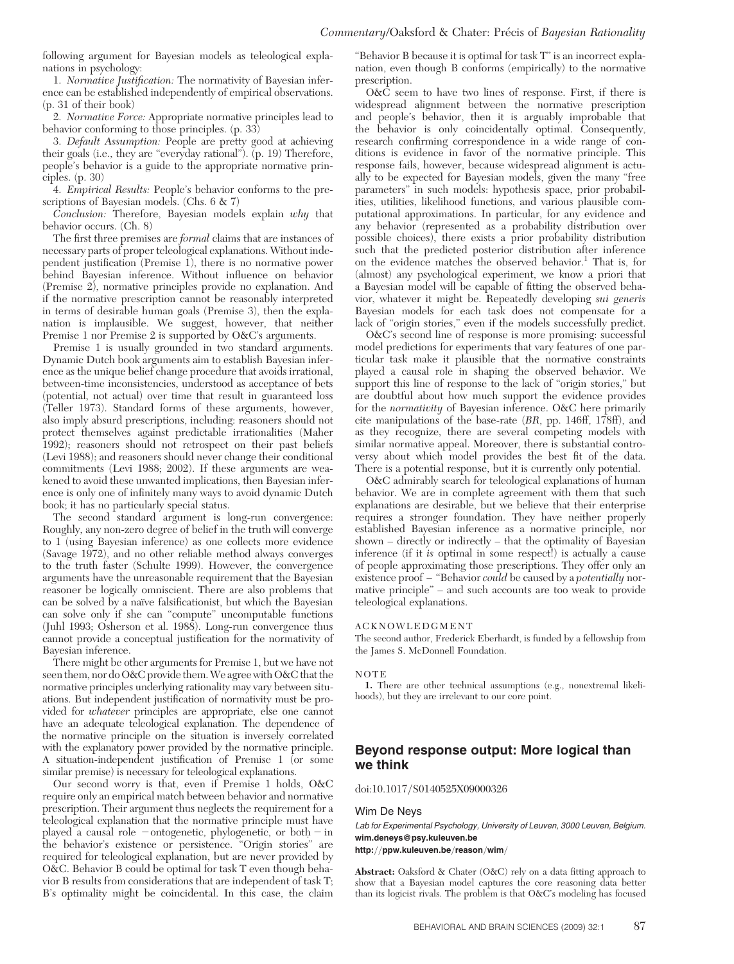following argument for Bayesian models as teleological explanations in psychology:

1. Normative Justification: The normativity of Bayesian inference can be established independently of empirical observations. (p. 31 of their book)

2. Normative Force: Appropriate normative principles lead to behavior conforming to those principles. (p. 33)

3. Default Assumption: People are pretty good at achieving their goals (i.e., they are "everyday rational"). (p. 19) Therefore, people's behavior is a guide to the appropriate normative principles. (p. 30)

4. Empirical Results: People's behavior conforms to the prescriptions of Bayesian models. (Chs. 6 & 7)

Conclusion: Therefore, Bayesian models explain why that behavior occurs. (Ch. 8)

The first three premises are *formal* claims that are instances of necessary parts of proper teleological explanations. Without independent justification (Premise  $\overline{1}$ ), there is no normative power behind Bayesian inference. Without influence on behavior (Premise 2), normative principles provide no explanation. And if the normative prescription cannot be reasonably interpreted in terms of desirable human goals (Premise 3), then the explanation is implausible. We suggest, however, that neither Premise 1 nor Premise 2 is supported by O&C's arguments.

Premise 1 is usually grounded in two standard arguments. Dynamic Dutch book arguments aim to establish Bayesian inference as the unique belief change procedure that avoids irrational, between-time inconsistencies, understood as acceptance of bets (potential, not actual) over time that result in guaranteed loss (Teller 1973). Standard forms of these arguments, however, also imply absurd prescriptions, including: reasoners should not protect themselves against predictable irrationalities (Maher 1992); reasoners should not retrospect on their past beliefs (Levi 1988); and reasoners should never change their conditional commitments (Levi 1988; 2002). If these arguments are weakened to avoid these unwanted implications, then Bayesian inference is only one of infinitely many ways to avoid dynamic Dutch book; it has no particularly special status.

The second standard argument is long-run convergence: Roughly, any non-zero degree of belief in the truth will converge to 1 (using Bayesian inference) as one collects more evidence (Savage 1972), and no other reliable method always converges to the truth faster (Schulte 1999). However, the convergence arguments have the unreasonable requirement that the Bayesian reasoner be logically omniscient. There are also problems that can be solved by a naïve falsificationist, but which the Bayesian can solve only if she can "compute" uncomputable functions (Juhl 1993; Osherson et al. 1988). Long-run convergence thus cannot provide a conceptual justification for the normativity of Bayesian inference.

There might be other arguments for Premise 1, but we have not seen them, nor do O&C provide them.We agree with O&C that the normative principles underlying rationality may vary between situations. But independent justification of normativity must be provided for whatever principles are appropriate, else one cannot have an adequate teleological explanation. The dependence of the normative principle on the situation is inversely correlated with the explanatory power provided by the normative principle. A situation-independent justification of Premise 1 (or some similar premise) is necessary for teleological explanations.

Our second worry is that, even if Premise 1 holds, O&C require only an empirical match between behavior and normative prescription. Their argument thus neglects the requirement for a teleological explanation that the normative principle must have played a causal role —ontogenetic, phylogenetic, or both — in<br>the behavior's existence or persistence "Origin stories" are the behavior's existence or persistence. "Origin stories" are required for teleological explanation, but are never provided by O&C. Behavior B could be optimal for task T even though behavior B results from considerations that are independent of task T; B's optimality might be coincidental. In this case, the claim "Behavior B because it is optimal for task T" is an incorrect explanation, even though B conforms (empirically) to the normative prescription.

O&C seem to have two lines of response. First, if there is widespread alignment between the normative prescription and people's behavior, then it is arguably improbable that the behavior is only coincidentally optimal. Consequently, research confirming correspondence in a wide range of conditions is evidence in favor of the normative principle. This response fails, however, because widespread alignment is actually to be expected for Bayesian models, given the many "free parameters" in such models: hypothesis space, prior probabilities, utilities, likelihood functions, and various plausible computational approximations. In particular, for any evidence and any behavior (represented as a probability distribution over possible choices), there exists a prior probability distribution such that the predicted posterior distribution after inference on the evidence matches the observed behavior.<sup>1</sup> That is, for (almost) any psychological experiment, we know a priori that a Bayesian model will be capable of fitting the observed behavior, whatever it might be. Repeatedly developing sui generis Bayesian models for each task does not compensate for a lack of "origin stories," even if the models successfully predict.

O&C's second line of response is more promising: successful model predictions for experiments that vary features of one particular task make it plausible that the normative constraints played a causal role in shaping the observed behavior. We support this line of response to the lack of "origin stories," but are doubtful about how much support the evidence provides for the normativity of Bayesian inference. O&C here primarily cite manipulations of the base-rate (BR, pp. 146ff, 178ff), and as they recognize, there are several competing models with similar normative appeal. Moreover, there is substantial controversy about which model provides the best fit of the data. There is a potential response, but it is currently only potential.

O&C admirably search for teleological explanations of human behavior. We are in complete agreement with them that such explanations are desirable, but we believe that their enterprise requires a stronger foundation. They have neither properly established Bayesian inference as a normative principle, nor shown – directly or indirectly – that the optimality of Bayesian inference (if it is optimal in some respect!) is actually a cause of people approximating those prescriptions. They offer only an existence proof – "Behavior could be caused by a potentially normative principle" – and such accounts are too weak to provide teleological explanations.

#### **ACKNOWLEDGMENT**

The second author, Frederick Eberhardt, is funded by a fellowship from the James S. McDonnell Foundation.

#### NOTE

1. There are other technical assumptions (e.g., nonextremal likelihoods), but they are irrelevant to our core point.

## Beyond response output: More logical than we think

doi:10.1017/S0140525X09000326

#### Wim De Neys

Lab for Experimental Psychology, University of Leuven, 3000 Leuven, Belgium. wim.deneys@psy.kuleuven.be

http://ppw.kuleuven.be/reason/wim/

Abstract: Oaksford & Chater (O&C) rely on a data fitting approach to show that a Bayesian model captures the core reasoning data better than its logicist rivals. The problem is that O&C's modeling has focused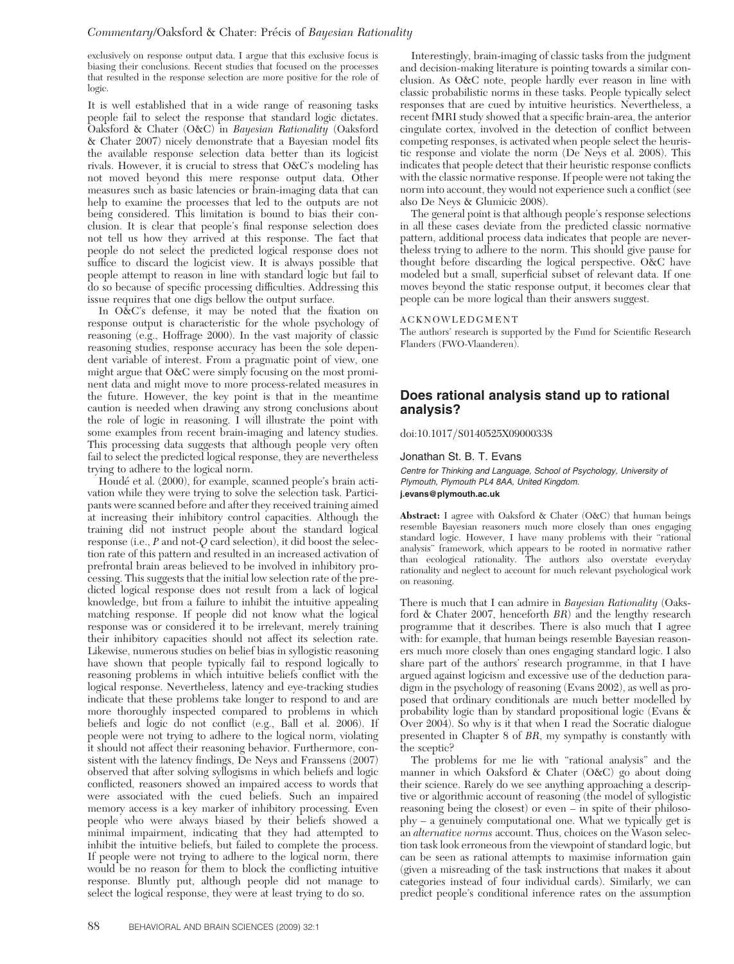exclusively on response output data. I argue that this exclusive focus is biasing their conclusions. Recent studies that focused on the processes that resulted in the response selection are more positive for the role of logic.

It is well established that in a wide range of reasoning tasks people fail to select the response that standard logic dictates. Oaksford & Chater (O&C) in Bayesian Rationality (Oaksford & Chater 2007) nicely demonstrate that a Bayesian model fits the available response selection data better than its logicist rivals. However, it is crucial to stress that O&C's modeling has not moved beyond this mere response output data. Other measures such as basic latencies or brain-imaging data that can help to examine the processes that led to the outputs are not being considered. This limitation is bound to bias their conclusion. It is clear that people's final response selection does not tell us how they arrived at this response. The fact that people do not select the predicted logical response does not suffice to discard the logicist view. It is always possible that people attempt to reason in line with standard logic but fail to do so because of specific processing difficulties. Addressing this issue requires that one digs bellow the output surface.

In O&C's defense, it may be noted that the fixation on response output is characteristic for the whole psychology of reasoning (e.g., Hoffrage 2000). In the vast majority of classic reasoning studies, response accuracy has been the sole dependent variable of interest. From a pragmatic point of view, one might argue that O&C were simply focusing on the most prominent data and might move to more process-related measures in the future. However, the key point is that in the meantime caution is needed when drawing any strong conclusions about the role of logic in reasoning. I will illustrate the point with some examples from recent brain-imaging and latency studies. This processing data suggests that although people very often fail to select the predicted logical response, they are nevertheless trying to adhere to the logical norm.

Houdé et al. (2000), for example, scanned people's brain activation while they were trying to solve the selection task. Participants were scanned before and after they received training aimed at increasing their inhibitory control capacities. Although the training did not instruct people about the standard logical response (i.e., P and not-Q card selection), it did boost the selection rate of this pattern and resulted in an increased activation of prefrontal brain areas believed to be involved in inhibitory processing. This suggests that the initial low selection rate of the predicted logical response does not result from a lack of logical knowledge, but from a failure to inhibit the intuitive appealing matching response. If people did not know what the logical response was or considered it to be irrelevant, merely training their inhibitory capacities should not affect its selection rate. Likewise, numerous studies on belief bias in syllogistic reasoning have shown that people typically fail to respond logically to reasoning problems in which intuitive beliefs conflict with the logical response. Nevertheless, latency and eye-tracking studies indicate that these problems take longer to respond to and are more thoroughly inspected compared to problems in which beliefs and logic do not conflict (e.g., Ball et al. 2006). If people were not trying to adhere to the logical norm, violating it should not affect their reasoning behavior. Furthermore, consistent with the latency findings, De Neys and Franssens (2007) observed that after solving syllogisms in which beliefs and logic conflicted, reasoners showed an impaired access to words that were associated with the cued beliefs. Such an impaired memory access is a key marker of inhibitory processing. Even people who were always biased by their beliefs showed a minimal impairment, indicating that they had attempted to inhibit the intuitive beliefs, but failed to complete the process. If people were not trying to adhere to the logical norm, there would be no reason for them to block the conflicting intuitive response. Bluntly put, although people did not manage to select the logical response, they were at least trying to do so.

Interestingly, brain-imaging of classic tasks from the judgment and decision-making literature is pointing towards a similar conclusion. As O&C note, people hardly ever reason in line with classic probabilistic norms in these tasks. People typically select responses that are cued by intuitive heuristics. Nevertheless, a recent fMRI study showed that a specific brain-area, the anterior cingulate cortex, involved in the detection of conflict between competing responses, is activated when people select the heuristic response and violate the norm (De Neys et al. 2008). This indicates that people detect that their heuristic response conflicts with the classic normative response. If people were not taking the norm into account, they would not experience such a conflict (see also De Neys & Glumicic 2008).

The general point is that although people's response selections in all these cases deviate from the predicted classic normative pattern, additional process data indicates that people are nevertheless trying to adhere to the norm. This should give pause for thought before discarding the logical perspective. O&C have modeled but a small, superficial subset of relevant data. If one moves beyond the static response output, it becomes clear that people can be more logical than their answers suggest.

#### **ACKNOWLEDGMENT**

The authors' research is supported by the Fund for Scientific Research Flanders (FWO-Vlaanderen).

## Does rational analysis stand up to rational analysis?

doi:10.1017/S0140525X09000338

#### Jonathan St. B. T. Evans

Centre for Thinking and Language, School of Psychology, University of Plymouth, Plymouth PL4 8AA, United Kingdom.

#### j.evans@plymouth.ac.uk

Abstract: I agree with Oaksford & Chater (O&C) that human beings resemble Bayesian reasoners much more closely than ones engaging standard logic. However, I have many problems with their "rational analysis" framework, which appears to be rooted in normative rather than ecological rationality. The authors also overstate everyday rationality and neglect to account for much relevant psychological work on reasoning.

There is much that I can admire in Bayesian Rationality (Oaksford & Chater 2007, henceforth BR) and the lengthy research programme that it describes. There is also much that I agree with: for example, that human beings resemble Bayesian reasoners much more closely than ones engaging standard logic. I also share part of the authors' research programme, in that I have argued against logicism and excessive use of the deduction paradigm in the psychology of reasoning (Evans 2002), as well as proposed that ordinary conditionals are much better modelled by probability logic than by standard propositional logic (Evans & Over 2004). So why is it that when I read the Socratic dialogue presented in Chapter 8 of BR, my sympathy is constantly with the sceptic?

The problems for me lie with "rational analysis" and the manner in which Oaksford & Chater (O&C) go about doing their science. Rarely do we see anything approaching a descriptive or algorithmic account of reasoning (the model of syllogistic reasoning being the closest) or even – in spite of their philosophy – a genuinely computational one. What we typically get is an alternative norms account. Thus, choices on the Wason selection task look erroneous from the viewpoint of standard logic, but can be seen as rational attempts to maximise information gain (given a misreading of the task instructions that makes it about categories instead of four individual cards). Similarly, we can predict people's conditional inference rates on the assumption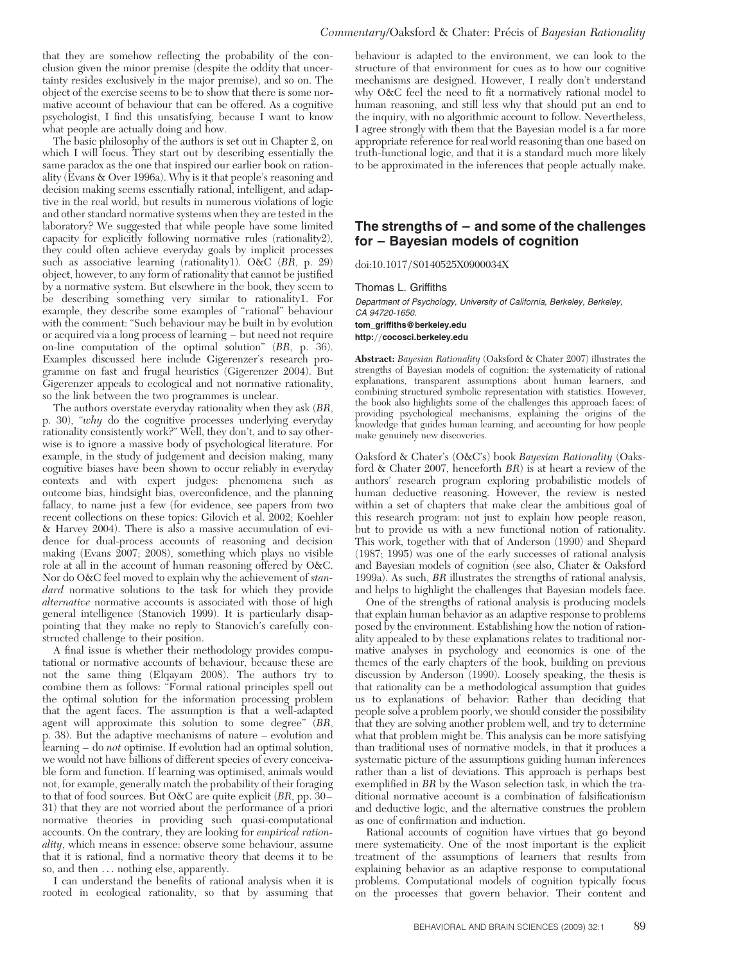that they are somehow reflecting the probability of the conclusion given the minor premise (despite the oddity that uncertainty resides exclusively in the major premise), and so on. The object of the exercise seems to be to show that there is some normative account of behaviour that can be offered. As a cognitive psychologist, I find this unsatisfying, because I want to know what people are actually doing and how.

The basic philosophy of the authors is set out in Chapter 2, on which I will focus. They start out by describing essentially the same paradox as the one that inspired our earlier book on rationality (Evans & Over 1996a). Why is it that people's reasoning and decision making seems essentially rational, intelligent, and adaptive in the real world, but results in numerous violations of logic and other standard normative systems when they are tested in the laboratory? We suggested that while people have some limited capacity for explicitly following normative rules (rationality2), they could often achieve everyday goals by implicit processes such as associative learning (rationality1). O&C (BR, p. 29) object, however, to any form of rationality that cannot be justified by a normative system. But elsewhere in the book, they seem to be describing something very similar to rationality1. For example, they describe some examples of "rational" behaviour with the comment: "Such behaviour may be built in by evolution or acquired via a long process of learning – but need not require on-line computation of the optimal solution" (BR, p. 36). Examples discussed here include Gigerenzer's research programme on fast and frugal heuristics (Gigerenzer 2004). But Gigerenzer appeals to ecological and not normative rationality, so the link between the two programmes is unclear.

The authors overstate everyday rationality when they ask (BR, p. 30), "why do the cognitive processes underlying everyday rationality consistently work?" Well, they don't, and to say otherwise is to ignore a massive body of psychological literature. For example, in the study of judgement and decision making, many cognitive biases have been shown to occur reliably in everyday contexts and with expert judges: phenomena such as outcome bias, hindsight bias, overconfidence, and the planning fallacy, to name just a few (for evidence, see papers from two recent collections on these topics: Gilovich et al. 2002; Koehler & Harvey 2004). There is also a massive accumulation of evidence for dual-process accounts of reasoning and decision making (Evans 2007; 2008), something which plays no visible role at all in the account of human reasoning offered by O&C. Nor do O&C feel moved to explain why the achievement of *stan*dard normative solutions to the task for which they provide alternative normative accounts is associated with those of high general intelligence (Stanovich 1999). It is particularly disappointing that they make no reply to Stanovich's carefully constructed challenge to their position.

A final issue is whether their methodology provides computational or normative accounts of behaviour, because these are not the same thing (Elqayam 2008). The authors try to combine them as follows: "Formal rational principles spell out the optimal solution for the information processing problem that the agent faces. The assumption is that a well-adapted agent will approximate this solution to some degree" (BR, p. 38). But the adaptive mechanisms of nature – evolution and learning – do not optimise. If evolution had an optimal solution, we would not have billions of different species of every conceivable form and function. If learning was optimised, animals would not, for example, generally match the probability of their foraging to that of food sources. But O&C are quite explicit (BR, pp. 30 – 31) that they are not worried about the performance of a priori normative theories in providing such quasi-computational accounts. On the contrary, they are looking for empirical rationality, which means in essence: observe some behaviour, assume that it is rational, find a normative theory that deems it to be so, and then ... nothing else, apparently.

I can understand the benefits of rational analysis when it is rooted in ecological rationality, so that by assuming that behaviour is adapted to the environment, we can look to the structure of that environment for cues as to how our cognitive mechanisms are designed. However, I really don't understand why O&C feel the need to fit a normatively rational model to human reasoning, and still less why that should put an end to the inquiry, with no algorithmic account to follow. Nevertheless, I agree strongly with them that the Bayesian model is a far more appropriate reference for real world reasoning than one based on truth-functional logic, and that it is a standard much more likely to be approximated in the inferences that people actually make.

## The strengths of – and some of the challenges for – Bayesian models of cognition

doi:10.1017/S0140525X0900034X

Thomas L. Griffiths Department of Psychology, University of California, Berkeley, Berkeley, CA 94720-1650. tom\_griffiths@berkeley.edu http://cocosci.berkeley.edu

Abstract: Bayesian Rationality (Oaksford & Chater 2007) illustrates the strengths of Bayesian models of cognition: the systematicity of rational explanations, transparent assumptions about human learners, and combining structured symbolic representation with statistics. However, the book also highlights some of the challenges this approach faces: of providing psychological mechanisms, explaining the origins of the knowledge that guides human learning, and accounting for how people make genuinely new discoveries.

Oaksford & Chater's (O&C's) book Bayesian Rationality (Oaksford & Chater 2007, henceforth BR) is at heart a review of the authors' research program exploring probabilistic models of human deductive reasoning. However, the review is nested within a set of chapters that make clear the ambitious goal of this research program: not just to explain how people reason, but to provide us with a new functional notion of rationality. This work, together with that of Anderson (1990) and Shepard (1987; 1995) was one of the early successes of rational analysis and Bayesian models of cognition (see also, Chater & Oaksford 1999a). As such, BR illustrates the strengths of rational analysis, and helps to highlight the challenges that Bayesian models face.

One of the strengths of rational analysis is producing models that explain human behavior as an adaptive response to problems posed by the environment. Establishing how the notion of rationality appealed to by these explanations relates to traditional normative analyses in psychology and economics is one of the themes of the early chapters of the book, building on previous discussion by Anderson (1990). Loosely speaking, the thesis is that rationality can be a methodological assumption that guides us to explanations of behavior: Rather than deciding that people solve a problem poorly, we should consider the possibility that they are solving another problem well, and try to determine what that problem might be. This analysis can be more satisfying than traditional uses of normative models, in that it produces a systematic picture of the assumptions guiding human inferences rather than a list of deviations. This approach is perhaps best exemplified in BR by the Wason selection task, in which the traditional normative account is a combination of falsificationism and deductive logic, and the alternative construes the problem as one of confirmation and induction.

Rational accounts of cognition have virtues that go beyond mere systematicity. One of the most important is the explicit treatment of the assumptions of learners that results from explaining behavior as an adaptive response to computational problems. Computational models of cognition typically focus on the processes that govern behavior. Their content and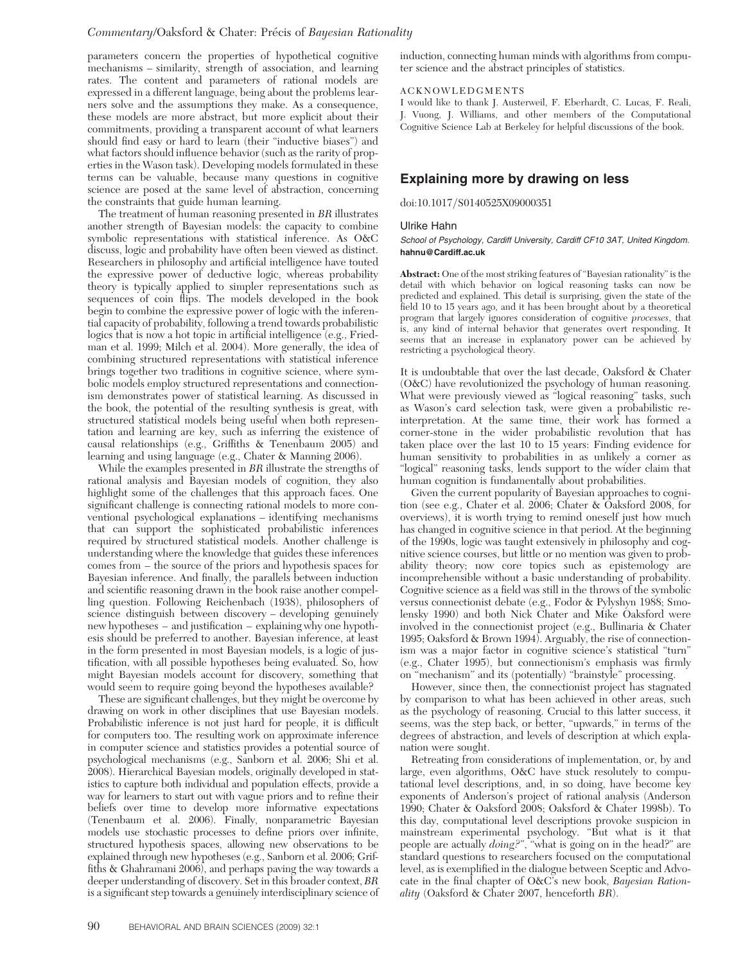parameters concern the properties of hypothetical cognitive mechanisms – similarity, strength of association, and learning rates. The content and parameters of rational models are expressed in a different language, being about the problems learners solve and the assumptions they make. As a consequence, these models are more abstract, but more explicit about their commitments, providing a transparent account of what learners should find easy or hard to learn (their "inductive biases") and what factors should influence behavior (such as the rarity of properties in the Wason task). Developing models formulated in these terms can be valuable, because many questions in cognitive science are posed at the same level of abstraction, concerning the constraints that guide human learning.

The treatment of human reasoning presented in BR illustrates another strength of Bayesian models: the capacity to combine symbolic representations with statistical inference. As O&C discuss, logic and probability have often been viewed as distinct. Researchers in philosophy and artificial intelligence have touted the expressive power of deductive logic, whereas probability theory is typically applied to simpler representations such as sequences of coin flips. The models developed in the book begin to combine the expressive power of logic with the inferential capacity of probability, following a trend towards probabilistic logics that is now a hot topic in artificial intelligence (e.g., Friedman et al. 1999; Milch et al. 2004). More generally, the idea of combining structured representations with statistical inference brings together two traditions in cognitive science, where symbolic models employ structured representations and connectionism demonstrates power of statistical learning. As discussed in the book, the potential of the resulting synthesis is great, with structured statistical models being useful when both representation and learning are key, such as inferring the existence of causal relationships (e.g., Griffiths & Tenenbaum 2005) and learning and using language (e.g., Chater & Manning 2006).

While the examples presented in BR illustrate the strengths of rational analysis and Bayesian models of cognition, they also highlight some of the challenges that this approach faces. One significant challenge is connecting rational models to more conventional psychological explanations – identifying mechanisms that can support the sophisticated probabilistic inferences required by structured statistical models. Another challenge is understanding where the knowledge that guides these inferences comes from – the source of the priors and hypothesis spaces for Bayesian inference. And finally, the parallels between induction and scientific reasoning drawn in the book raise another compelling question. Following Reichenbach (1938), philosophers of science distinguish between discovery – developing genuinely new hypotheses – and justification – explaining why one hypothesis should be preferred to another. Bayesian inference, at least in the form presented in most Bayesian models, is a logic of justification, with all possible hypotheses being evaluated. So, how might Bayesian models account for discovery, something that would seem to require going beyond the hypotheses available?

These are significant challenges, but they might be overcome by drawing on work in other disciplines that use Bayesian models. Probabilistic inference is not just hard for people, it is difficult for computers too. The resulting work on approximate inference in computer science and statistics provides a potential source of psychological mechanisms (e.g., Sanborn et al. 2006; Shi et al. 2008). Hierarchical Bayesian models, originally developed in statistics to capture both individual and population effects, provide a way for learners to start out with vague priors and to refine their beliefs over time to develop more informative expectations (Tenenbaum et al. 2006). Finally, nonparametric Bayesian models use stochastic processes to define priors over infinite, structured hypothesis spaces, allowing new observations to be explained through new hypotheses (e.g., Sanborn et al. 2006; Griffiths & Ghahramani 2006), and perhaps paving the way towards a deeper understanding of discovery. Set in this broader context, BR is a significant step towards a genuinely interdisciplinary science of induction, connecting human minds with algorithms from computer science and the abstract principles of statistics.

#### **ACKNOWLEDGMENTS**

I would like to thank J. Austerweil, F. Eberhardt, C. Lucas, F. Reali, J. Vuong, J. Williams, and other members of the Computational Cognitive Science Lab at Berkeley for helpful discussions of the book.

### Explaining more by drawing on less

doi:10.1017/S0140525X09000351

#### Ulrike Hahn

#### School of Psychology, Cardiff University, Cardiff CF10 3AT, United Kingdom. hahnu@Cardiff.ac.uk

Abstract: One of the most striking features of "Bayesian rationality" is the detail with which behavior on logical reasoning tasks can now be predicted and explained. This detail is surprising, given the state of the field 10 to 15 years ago, and it has been brought about by a theoretical program that largely ignores consideration of cognitive processes, that is, any kind of internal behavior that generates overt responding. It seems that an increase in explanatory power can be achieved by restricting a psychological theory.

It is undoubtable that over the last decade, Oaksford & Chater (O&C) have revolutionized the psychology of human reasoning. What were previously viewed as "logical reasoning" tasks, such as Wason's card selection task, were given a probabilistic reinterpretation. At the same time, their work has formed a corner-stone in the wider probabilistic revolution that has taken place over the last 10 to 15 years: Finding evidence for human sensitivity to probabilities in as unlikely a corner as "logical" reasoning tasks, lends support to the wider claim that human cognition is fundamentally about probabilities.

Given the current popularity of Bayesian approaches to cognition (see e.g., Chater et al. 2006; Chater & Oaksford 2008, for overviews), it is worth trying to remind oneself just how much has changed in cognitive science in that period. At the beginning of the 1990s, logic was taught extensively in philosophy and cognitive science courses, but little or no mention was given to probability theory; now core topics such as epistemology are incomprehensible without a basic understanding of probability. Cognitive science as a field was still in the throws of the symbolic versus connectionist debate (e.g., Fodor & Pylyshyn 1988; Smolensky 1990) and both Nick Chater and Mike Oaksford were involved in the connectionist project (e.g., Bullinaria & Chater 1995; Oaksford & Brown 1994). Arguably, the rise of connectionism was a major factor in cognitive science's statistical "turn" (e.g., Chater 1995), but connectionism's emphasis was firmly on "mechanism" and its (potentially) "brainstyle" processing.

However, since then, the connectionist project has stagnated by comparison to what has been achieved in other areas, such as the psychology of reasoning. Crucial to this latter success, it seems, was the step back, or better, "upwards," in terms of the degrees of abstraction, and levels of description at which explanation were sought.

Retreating from considerations of implementation, or, by and large, even algorithms, O&C have stuck resolutely to computational level descriptions, and, in so doing, have become key exponents of Anderson's project of rational analysis (Anderson 1990; Chater & Oaksford 2008; Oaksford & Chater 1998b). To this day, computational level descriptions provoke suspicion in mainstream experimental psychology. "But what is it that people are actually *doing?*", "what is going on in the head?" are standard questions to researchers focused on the computational level, as is exemplified in the dialogue between Sceptic and Advocate in the final chapter of O&C's new book, Bayesian Rationality (Oaksford & Chater 2007, henceforth  $BR$ ).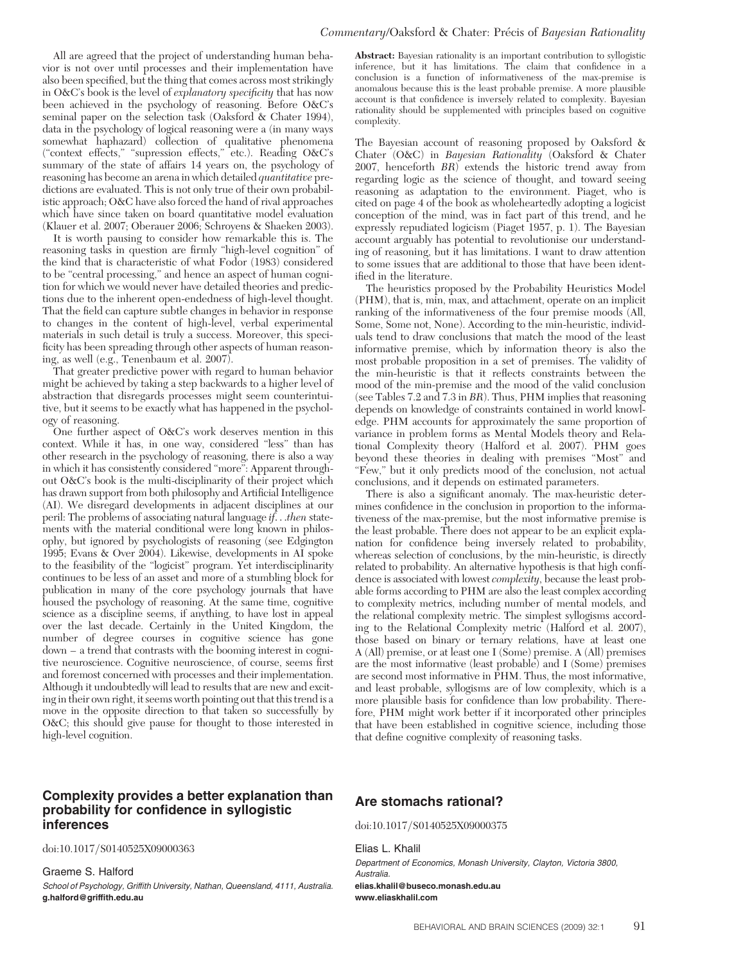All are agreed that the project of understanding human behavior is not over until processes and their implementation have also been specified, but the thing that comes across most strikingly in O&C's book is the level of explanatory specificity that has now been achieved in the psychology of reasoning. Before O&C's seminal paper on the selection task (Oaksford & Chater 1994), data in the psychology of logical reasoning were a (in many ways somewhat haphazard) collection of qualitative phenomena ("context effects," "supression effects," etc.). Reading O&C's summary of the state of affairs 14 years on, the psychology of reasoning has become an arena in which detailed quantitative predictions are evaluated. This is not only true of their own probabilistic approach; O&C have also forced the hand of rival approaches which have since taken on board quantitative model evaluation (Klauer et al. 2007; Oberauer 2006; Schroyens & Shaeken 2003).

It is worth pausing to consider how remarkable this is. The reasoning tasks in question are firmly "high-level cognition" of the kind that is characteristic of what Fodor (1983) considered to be "central processing," and hence an aspect of human cognition for which we would never have detailed theories and predictions due to the inherent open-endedness of high-level thought. That the field can capture subtle changes in behavior in response to changes in the content of high-level, verbal experimental materials in such detail is truly a success. Moreover, this specificity has been spreading through other aspects of human reasoning, as well (e.g., Tenenbaum et al. 2007).

That greater predictive power with regard to human behavior might be achieved by taking a step backwards to a higher level of abstraction that disregards processes might seem counterintuitive, but it seems to be exactly what has happened in the psychology of reasoning.

One further aspect of O&C's work deserves mention in this context. While it has, in one way, considered "less" than has other research in the psychology of reasoning, there is also a way in which it has consistently considered "more": Apparent throughout O&C's book is the multi-disciplinarity of their project which has drawn support from both philosophy and Artificial Intelligence (AI). We disregard developments in adjacent disciplines at our peril: The problems of associating natural language if. . .then statements with the material conditional were long known in philosophy, but ignored by psychologists of reasoning (see Edgington 1995; Evans & Over 2004). Likewise, developments in AI spoke to the feasibility of the "logicist" program. Yet interdisciplinarity continues to be less of an asset and more of a stumbling block for publication in many of the core psychology journals that have housed the psychology of reasoning. At the same time, cognitive science as a discipline seems, if anything, to have lost in appeal over the last decade. Certainly in the United Kingdom, the number of degree courses in cognitive science has gone down – a trend that contrasts with the booming interest in cognitive neuroscience. Cognitive neuroscience, of course, seems first and foremost concerned with processes and their implementation. Although it undoubtedly will lead to results that are new and exciting in their own right, it seems worth pointing out that this trend is a move in the opposite direction to that taken so successfully by O&C; this should give pause for thought to those interested in high-level cognition.

## Complexity provides a better explanation than probability for confidence in syllogistic inferences

doi:10.1017/S0140525X09000363

Graeme S. Halford

School of Psychology, Griffith University, Nathan, Queensland, 4111, Australia. g.halford@griffith.edu.au

Abstract: Bayesian rationality is an important contribution to syllogistic inference, but it has limitations. The claim that confidence in a conclusion is a function of informativeness of the max-premise is anomalous because this is the least probable premise. A more plausible account is that confidence is inversely related to complexity. Bayesian rationality should be supplemented with principles based on cognitive complexity.

The Bayesian account of reasoning proposed by Oaksford & Chater (O&C) in Bayesian Rationality (Oaksford & Chater 2007, henceforth BR) extends the historic trend away from regarding logic as the science of thought, and toward seeing reasoning as adaptation to the environment. Piaget, who is cited on page 4 of the book as wholeheartedly adopting a logicist conception of the mind, was in fact part of this trend, and he expressly repudiated logicism (Piaget 1957, p. 1). The Bayesian account arguably has potential to revolutionise our understanding of reasoning, but it has limitations. I want to draw attention to some issues that are additional to those that have been identified in the literature.

The heuristics proposed by the Probability Heuristics Model (PHM), that is, min, max, and attachment, operate on an implicit ranking of the informativeness of the four premise moods (All, Some, Some not, None). According to the min-heuristic, individuals tend to draw conclusions that match the mood of the least informative premise, which by information theory is also the most probable proposition in a set of premises. The validity of the min-heuristic is that it reflects constraints between the mood of the min-premise and the mood of the valid conclusion (see Tables 7.2 and 7.3 in BR). Thus, PHM implies that reasoning depends on knowledge of constraints contained in world knowledge. PHM accounts for approximately the same proportion of variance in problem forms as Mental Models theory and Relational Complexity theory (Halford et al. 2007). PHM goes beyond these theories in dealing with premises "Most" and "Few," but it only predicts mood of the conclusion, not actual conclusions, and it depends on estimated parameters.

There is also a significant anomaly. The max-heuristic determines confidence in the conclusion in proportion to the informativeness of the max-premise, but the most informative premise is the least probable. There does not appear to be an explicit explanation for confidence being inversely related to probability, whereas selection of conclusions, by the min-heuristic, is directly related to probability. An alternative hypothesis is that high confidence is associated with lowest complexity, because the least probable forms according to PHM are also the least complex according to complexity metrics, including number of mental models, and the relational complexity metric. The simplest syllogisms according to the Relational Complexity metric (Halford et al. 2007), those based on binary or ternary relations, have at least one A (All) premise, or at least one I (Some) premise. A (All) premises are the most informative (least probable) and I (Some) premises are second most informative in PHM. Thus, the most informative, and least probable, syllogisms are of low complexity, which is a more plausible basis for confidence than low probability. Therefore, PHM might work better if it incorporated other principles that have been established in cognitive science, including those that define cognitive complexity of reasoning tasks.

## Are stomachs rational?

doi:10.1017/S0140525X09000375

Elias L. Khalil Department of Economics, Monash University, Clayton, Victoria 3800, **Australia** elias.khalil@buseco.monash.edu.au www.eliaskhalil.com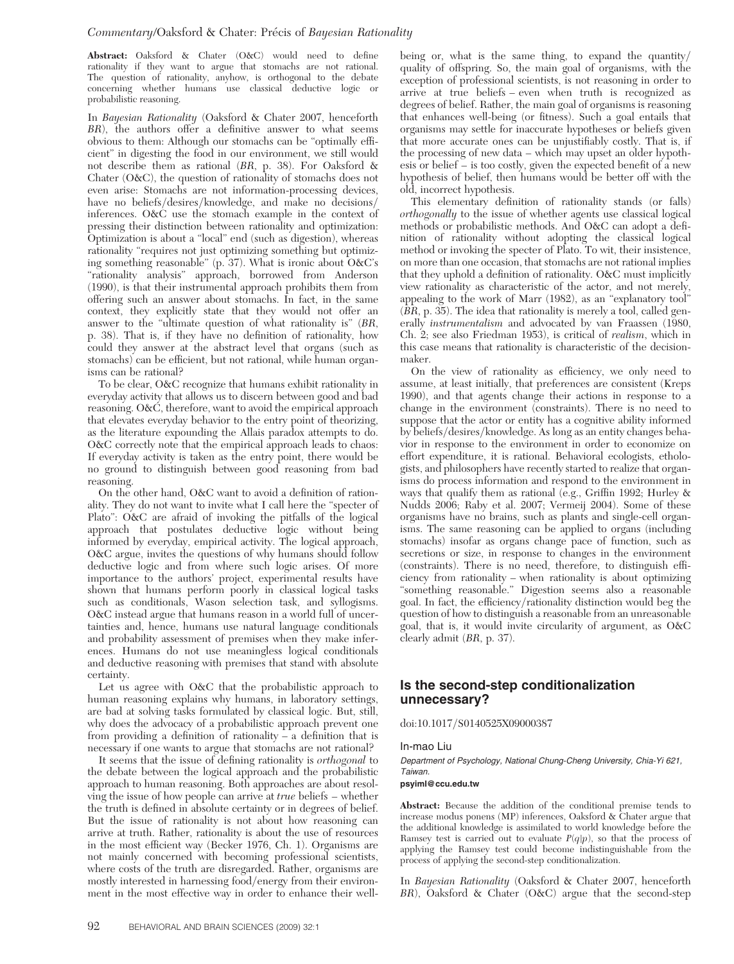Abstract: Oaksford & Chater (O&C) would need to define rationality if they want to argue that stomachs are not rational. The question of rationality, anyhow, is orthogonal to the debate concerning whether humans use classical deductive logic or probabilistic reasoning.

In Bayesian Rationality (Oaksford & Chater 2007, henceforth BR), the authors offer a definitive answer to what seems obvious to them: Although our stomachs can be "optimally efficient" in digesting the food in our environment, we still would not describe them as rational (BR, p. 38). For Oaksford & Chater (O&C), the question of rationality of stomachs does not even arise: Stomachs are not information-processing devices, have no beliefs/desires/knowledge, and make no decisions/ inferences. O&C use the stomach example in the context of pressing their distinction between rationality and optimization: Optimization is about a "local" end (such as digestion), whereas rationality "requires not just optimizing something but optimizing something reasonable" (p. 37). What is ironic about O&C's "rationality analysis" approach, borrowed from Anderson (1990), is that their instrumental approach prohibits them from offering such an answer about stomachs. In fact, in the same context, they explicitly state that they would not offer an answer to the "ultimate question of what rationality is" (BR, p. 38). That is, if they have no definition of rationality, how could they answer at the abstract level that organs (such as stomachs) can be efficient, but not rational, while human organisms can be rational?

To be clear, O&C recognize that humans exhibit rationality in everyday activity that allows us to discern between good and bad reasoning. O&C, therefore, want to avoid the empirical approach that elevates everyday behavior to the entry point of theorizing, as the literature expounding the Allais paradox attempts to do. O&C correctly note that the empirical approach leads to chaos: If everyday activity is taken as the entry point, there would be no ground to distinguish between good reasoning from bad reasoning.

On the other hand, O&C want to avoid a definition of rationality. They do not want to invite what I call here the "specter of Plato": O&C are afraid of invoking the pitfalls of the logical approach that postulates deductive logic without being informed by everyday, empirical activity. The logical approach, O&C argue, invites the questions of why humans should follow deductive logic and from where such logic arises. Of more importance to the authors' project, experimental results have shown that humans perform poorly in classical logical tasks such as conditionals, Wason selection task, and syllogisms. O&C instead argue that humans reason in a world full of uncertainties and, hence, humans use natural language conditionals and probability assessment of premises when they make inferences. Humans do not use meaningless logical conditionals and deductive reasoning with premises that stand with absolute certainty.

Let us agree with O&C that the probabilistic approach to human reasoning explains why humans, in laboratory settings, are bad at solving tasks formulated by classical logic. But, still, why does the advocacy of a probabilistic approach prevent one from providing a definition of rationality – a definition that is necessary if one wants to argue that stomachs are not rational?

It seems that the issue of defining rationality is orthogonal to the debate between the logical approach and the probabilistic approach to human reasoning. Both approaches are about resolving the issue of how people can arrive at true beliefs – whether the truth is defined in absolute certainty or in degrees of belief. But the issue of rationality is not about how reasoning can arrive at truth. Rather, rationality is about the use of resources in the most efficient way (Becker 1976, Ch. 1). Organisms are not mainly concerned with becoming professional scientists, where costs of the truth are disregarded. Rather, organisms are mostly interested in harnessing food/energy from their environment in the most effective way in order to enhance their well-

being or, what is the same thing, to expand the quantity/ quality of offspring. So, the main goal of organisms, with the exception of professional scientists, is not reasoning in order to arrive at true beliefs – even when truth is recognized as degrees of belief. Rather, the main goal of organisms is reasoning that enhances well-being (or fitness). Such a goal entails that organisms may settle for inaccurate hypotheses or beliefs given that more accurate ones can be unjustifiably costly. That is, if the processing of new data – which may upset an older hypothesis or belief – is too costly, given the expected benefit of a new hypothesis of belief, then humans would be better off with the old, incorrect hypothesis.

This elementary definition of rationality stands (or falls) orthogonally to the issue of whether agents use classical logical methods or probabilistic methods. And O&C can adopt a definition of rationality without adopting the classical logical method or invoking the specter of Plato. To wit, their insistence, on more than one occasion, that stomachs are not rational implies that they uphold a definition of rationality. O&C must implicitly view rationality as characteristic of the actor, and not merely, appealing to the work of Marr (1982), as an "explanatory tool" (BR, p. 35). The idea that rationality is merely a tool, called generally instrumentalism and advocated by van Fraassen (1980, Ch. 2; see also Friedman 1953), is critical of realism, which in this case means that rationality is characteristic of the decisionmaker.

On the view of rationality as efficiency, we only need to assume, at least initially, that preferences are consistent (Kreps 1990), and that agents change their actions in response to a change in the environment (constraints). There is no need to suppose that the actor or entity has a cognitive ability informed by beliefs/desires/knowledge. As long as an entity changes behavior in response to the environment in order to economize on effort expenditure, it is rational. Behavioral ecologists, ethologists, and philosophers have recently started to realize that organisms do process information and respond to the environment in ways that qualify them as rational (e.g., Griffin 1992; Hurley & Nudds 2006; Raby et al. 2007; Vermeij 2004). Some of these organisms have no brains, such as plants and single-cell organisms. The same reasoning can be applied to organs (including stomachs) insofar as organs change pace of function, such as secretions or size, in response to changes in the environment (constraints). There is no need, therefore, to distinguish efficiency from rationality – when rationality is about optimizing "something reasonable." Digestion seems also a reasonable goal. In fact, the efficiency/rationality distinction would beg the question of how to distinguish a reasonable from an unreasonable goal, that is, it would invite circularity of argument, as O&C clearly admit (BR, p. 37).

## Is the second-step conditionalization unnecessary?

doi:10.1017/S0140525X09000387

#### In-mao Liu

Department of Psychology, National Chung-Cheng University, Chia-Yi 621, Taiwan.

#### psyiml@ccu.edu.tw

Abstract: Because the addition of the conditional premise tends to increase modus ponens (MP) inferences, Oaksford & Chater argue that the additional knowledge is assimilated to world knowledge before the Ramsey test is carried out to evaluate  $P(q|p)$ , so that the process of applying the Ramsey test could become indistinguishable from the process of applying the second-step conditionalization.

In Bayesian Rationality (Oaksford & Chater 2007, henceforth BR), Oaksford & Chater (O&C) argue that the second-step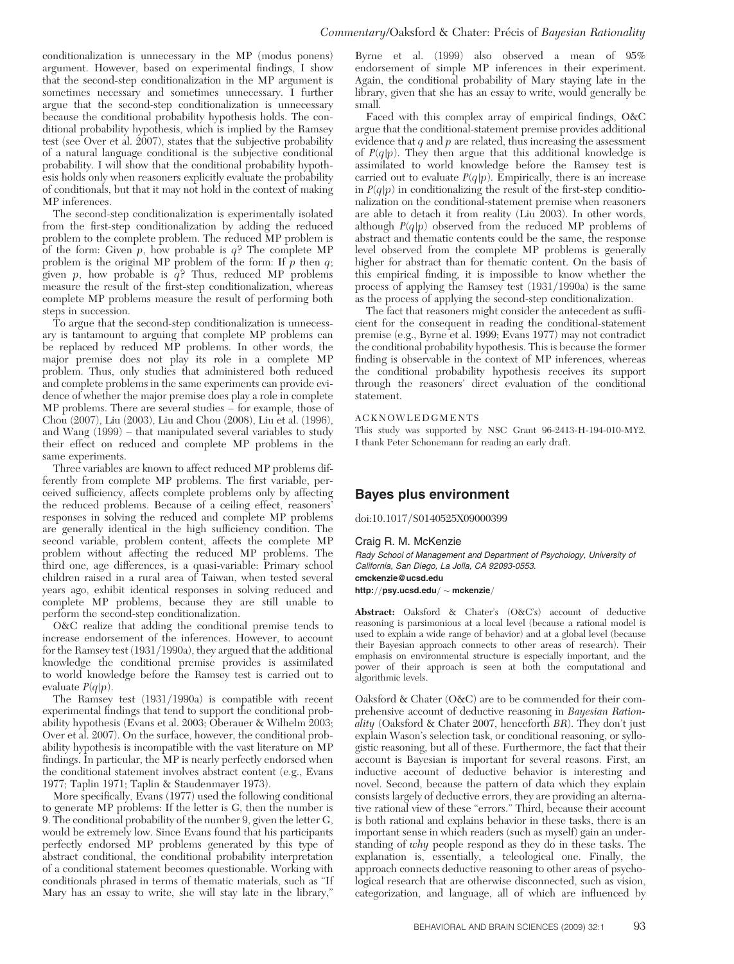conditionalization is unnecessary in the MP (modus ponens) argument. However, based on experimental findings, I show that the second-step conditionalization in the MP argument is sometimes necessary and sometimes unnecessary. I further argue that the second-step conditionalization is unnecessary because the conditional probability hypothesis holds. The conditional probability hypothesis, which is implied by the Ramsey test (see Over et al. 2007), states that the subjective probability of a natural language conditional is the subjective conditional probability. I will show that the conditional probability hypothesis holds only when reasoners explicitly evaluate the probability of conditionals, but that it may not hold in the context of making MP inferences.

The second-step conditionalization is experimentally isolated from the first-step conditionalization by adding the reduced problem to the complete problem. The reduced MP problem is of the form: Given  $p$ , how probable is  $q$ ? The complete MP problem is the original MP problem of the form: If  $p$  then  $q$ ; given p, how probable is  $q^2$ . Thus, reduced MP problems measure the result of the first-step conditionalization, whereas complete MP problems measure the result of performing both steps in succession.

To argue that the second-step conditionalization is unnecessary is tantamount to arguing that complete MP problems can be replaced by reduced MP problems. In other words, the major premise does not play its role in a complete MP problem. Thus, only studies that administered both reduced and complete problems in the same experiments can provide evidence of whether the major premise does play a role in complete MP problems. There are several studies – for example, those of Chou (2007), Liu (2003), Liu and Chou (2008), Liu et al. (1996), and Wang (1999) – that manipulated several variables to study their effect on reduced and complete MP problems in the same experiments.

Three variables are known to affect reduced MP problems differently from complete MP problems. The first variable, perceived sufficiency, affects complete problems only by affecting the reduced problems. Because of a ceiling effect, reasoners' responses in solving the reduced and complete MP problems are generally identical in the high sufficiency condition. The second variable, problem content, affects the complete MP problem without affecting the reduced MP problems. The third one, age differences, is a quasi-variable: Primary school children raised in a rural area of Taiwan, when tested several years ago, exhibit identical responses in solving reduced and complete MP problems, because they are still unable to perform the second-step conditionalization.

O&C realize that adding the conditional premise tends to increase endorsement of the inferences. However, to account for the Ramsey test (1931/1990a), they argued that the additional knowledge the conditional premise provides is assimilated to world knowledge before the Ramsey test is carried out to evaluate  $P(q|p)$ .

The Ramsey test (1931/1990a) is compatible with recent experimental findings that tend to support the conditional probability hypothesis (Evans et al. 2003; Oberauer & Wilhelm 2003; Over et al. 2007). On the surface, however, the conditional probability hypothesis is incompatible with the vast literature on MP findings. In particular, the MP is nearly perfectly endorsed when the conditional statement involves abstract content (e.g., Evans 1977; Taplin 1971; Taplin & Staudenmayer 1973).

More specifically, Evans (1977) used the following conditional to generate MP problems: If the letter is G, then the number is 9. The conditional probability of the number 9, given the letter G, would be extremely low. Since Evans found that his participants perfectly endorsed MP problems generated by this type of abstract conditional, the conditional probability interpretation of a conditional statement becomes questionable. Working with conditionals phrased in terms of thematic materials, such as "If Mary has an essay to write, she will stay late in the library,"

Byrne et al. (1999) also observed a mean of 95% endorsement of simple MP inferences in their experiment. Again, the conditional probability of Mary staying late in the library, given that she has an essay to write, would generally be small.

Faced with this complex array of empirical findings, O&C argue that the conditional-statement premise provides additional evidence that  $q$  and  $p$  are related, thus increasing the assessment of  $P(q|p)$ . They then argue that this additional knowledge is assimilated to world knowledge before the Ramsey test is carried out to evaluate  $P(q|p)$ . Empirically, there is an increase in  $P(q|p)$  in conditionalizing the result of the first-step conditionalization on the conditional-statement premise when reasoners are able to detach it from reality (Liu 2003). In other words, although  $P(q|p)$  observed from the reduced MP problems of abstract and thematic contents could be the same, the response level observed from the complete MP problems is generally higher for abstract than for thematic content. On the basis of this empirical finding, it is impossible to know whether the process of applying the Ramsey test (1931/1990a) is the same as the process of applying the second-step conditionalization.

The fact that reasoners might consider the antecedent as sufficient for the consequent in reading the conditional-statement premise (e.g., Byrne et al. 1999; Evans 1977) may not contradict the conditional probability hypothesis. This is because the former finding is observable in the context of MP inferences, whereas the conditional probability hypothesis receives its support through the reasoners' direct evaluation of the conditional statement.

#### **ACKNOWLEDGMENTS**

This study was supported by NSC Grant 96-2413-H-194-010-MY2. I thank Peter Schonemann for reading an early draft.

## Bayes plus environment

#### doi:10.1017/S0140525X09000399

#### Craig R. M. McKenzie

Rady School of Management and Department of Psychology, University of California, San Diego, La Jolla, CA 92093-0553. cmckenzie@ucsd.edu http://psy.ucsd.edu/  $\sim$  mckenzie/

Abstract: Oaksford & Chater's (O&C's) account of deductive reasoning is parsimonious at a local level (because a rational model is used to explain a wide range of behavior) and at a global level (because their Bayesian approach connects to other areas of research). Their emphasis on environmental structure is especially important, and the power of their approach is seen at both the computational and algorithmic levels.

Oaksford & Chater (O&C) are to be commended for their comprehensive account of deductive reasoning in Bayesian Ration $ality$  (Oaksford & Chater 2007, henceforth  $BR$ ). They don't just explain Wason's selection task, or conditional reasoning, or syllogistic reasoning, but all of these. Furthermore, the fact that their account is Bayesian is important for several reasons. First, an inductive account of deductive behavior is interesting and novel. Second, because the pattern of data which they explain consists largely of deductive errors, they are providing an alternative rational view of these "errors." Third, because their account is both rational and explains behavior in these tasks, there is an important sense in which readers (such as myself) gain an understanding of why people respond as they do in these tasks. The explanation is, essentially, a teleological one. Finally, the approach connects deductive reasoning to other areas of psychological research that are otherwise disconnected, such as vision, categorization, and language, all of which are influenced by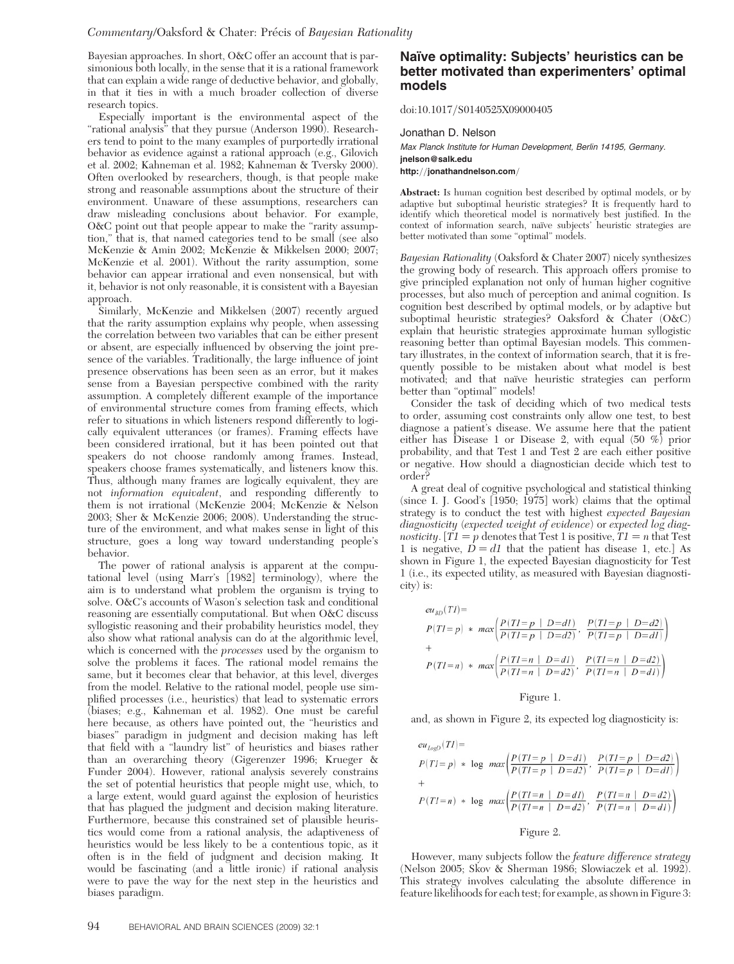Bayesian approaches. In short, O&C offer an account that is parsimonious both locally, in the sense that it is a rational framework that can explain a wide range of deductive behavior, and globally, in that it ties in with a much broader collection of diverse research topics.

Especially important is the environmental aspect of the "rational analysis" that they pursue (Anderson 1990). Researchers tend to point to the many examples of purportedly irrational behavior as evidence against a rational approach (e.g., Gilovich et al. 2002; Kahneman et al. 1982; Kahneman & Tversky 2000). Often overlooked by researchers, though, is that people make strong and reasonable assumptions about the structure of their environment. Unaware of these assumptions, researchers can draw misleading conclusions about behavior. For example, O&C point out that people appear to make the "rarity assumption," that is, that named categories tend to be small (see also McKenzie & Amin 2002; McKenzie & Mikkelsen 2000; 2007; McKenzie et al. 2001). Without the rarity assumption, some behavior can appear irrational and even nonsensical, but with it, behavior is not only reasonable, it is consistent with a Bayesian approach.

Similarly, McKenzie and Mikkelsen (2007) recently argued that the rarity assumption explains why people, when assessing the correlation between two variables that can be either present or absent, are especially influenced by observing the joint presence of the variables. Traditionally, the large influence of joint presence observations has been seen as an error, but it makes sense from a Bayesian perspective combined with the rarity assumption. A completely different example of the importance of environmental structure comes from framing effects, which refer to situations in which listeners respond differently to logically equivalent utterances (or frames). Framing effects have been considered irrational, but it has been pointed out that speakers do not choose randomly among frames. Instead, speakers choose frames systematically, and listeners know this. Thus, although many frames are logically equivalent, they are not information equivalent, and responding differently to them is not irrational (McKenzie 2004; McKenzie & Nelson 2003; Sher & McKenzie 2006; 2008). Understanding the structure of the environment, and what makes sense in light of this structure, goes a long way toward understanding people's behavior.

The power of rational analysis is apparent at the computational level (using Marr's [1982] terminology), where the aim is to understand what problem the organism is trying to solve. O&C's accounts of Wason's selection task and conditional reasoning are essentially computational. But when O&C discuss syllogistic reasoning and their probability heuristics model, they also show what rational analysis can do at the algorithmic level, which is concerned with the *processes* used by the organism to solve the problems it faces. The rational model remains the same, but it becomes clear that behavior, at this level, diverges from the model. Relative to the rational model, people use simplified processes (i.e., heuristics) that lead to systematic errors (biases; e.g., Kahneman et al. 1982). One must be careful here because, as others have pointed out, the "heuristics and biases" paradigm in judgment and decision making has left that field with a "laundry list" of heuristics and biases rather than an overarching theory (Gigerenzer 1996; Krueger & Funder 2004). However, rational analysis severely constrains the set of potential heuristics that people might use, which, to a large extent, would guard against the explosion of heuristics that has plagued the judgment and decision making literature. Furthermore, because this constrained set of plausible heuristics would come from a rational analysis, the adaptiveness of heuristics would be less likely to be a contentious topic, as it often is in the field of judgment and decision making. It would be fascinating (and a little ironic) if rational analysis were to pave the way for the next step in the heuristics and biases paradigm.

## Naïve optimality: Subjects' heuristics can be better motivated than experimenters' optimal models

doi:10.1017/S0140525X09000405

Jonathan D. Nelson

Max Planck Institute for Human Development, Berlin 14195, Germany. jnelson@salk.edu

http://jonathandnelson.com/

Abstract: Is human cognition best described by optimal models, or by adaptive but suboptimal heuristic strategies? It is frequently hard to identify which theoretical model is normatively best justified. In the context of information search, naïve subjects' heuristic strategies are better motivated than some "optimal" models.

Bayesian Rationality (Oaksford & Chater 2007) nicely synthesizes the growing body of research. This approach offers promise to give principled explanation not only of human higher cognitive processes, but also much of perception and animal cognition. Is cognition best described by optimal models, or by adaptive but suboptimal heuristic strategies? Oaksford & Chater (O&C) explain that heuristic strategies approximate human syllogistic reasoning better than optimal Bayesian models. This commentary illustrates, in the context of information search, that it is frequently possible to be mistaken about what model is best motivated; and that naïve heuristic strategies can perform better than "optimal" models!

Consider the task of deciding which of two medical tests to order, assuming cost constraints only allow one test, to best diagnose a patient's disease. We assume here that the patient either has Disease 1 or Disease 2, with equal  $(50 \%)$  prior probability, and that Test 1 and Test 2 are each either positive or negative. How should a diagnostician decide which test to order?

A great deal of cognitive psychological and statistical thinking (since I. J. Good's [1950; 1975] work) claims that the optimal strategy is to conduct the test with highest expected Bayesian diagnosticity (expected weight of evidence) or expected log diagnosticity.  $[T1 = p$  denotes that Test 1 is positive,  $T1 = n$  that Test 1 is negative,  $D = dI$  that the patient has disease 1, etc.] As shown in Figure 1, the expected Bayesian diagnosticity for Test 1 (i.e., its expected utility, as measured with Bayesian diagnosticity) is:

$$
eu_{BD}(TI) =
$$
\n
$$
P(TI = p) * max \left( \frac{P(TI = p \mid D = dI)}{P(TI = p \mid D = d2)}, \frac{P(TI = p \mid D = d2)}{P(TI = p \mid D = dI)} \right)
$$
\n+  
\n
$$
P(TI = n) * max \left( \frac{P(TI = n \mid D = dI)}{P(TI = n \mid D = d2)}, \frac{P(TI = n \mid D = d2)}{P(TI = n \mid D = dI)} \right)
$$

#### Figure 1.

and, as shown in Figure 2, its expected log diagnosticity is:

$$
eu_{LogD}(TI) =
$$
  
\n $P(TI = p) * log max \left( \frac{P(TI = p | D = dI)}{P(TI = p | D = d2)}, \frac{P(TI = p | D = d2)}{P(TI = p | D = dI)} \right)$   
\n+  
\n $P(TI = n) * log max \left( \frac{P(TI = n | D = dI)}{P(TI = n | D = d2)}, \frac{P(TI = n | D = d2)}{P(TI = n | D = dI)} \right)$ 

#### Figure 2.

However, many subjects follow the feature difference strategy (Nelson 2005; Skov & Sherman 1986; Slowiaczek et al. 1992). This strategy involves calculating the absolute difference in feature likelihoods for each test; for example, as shown in Figure 3: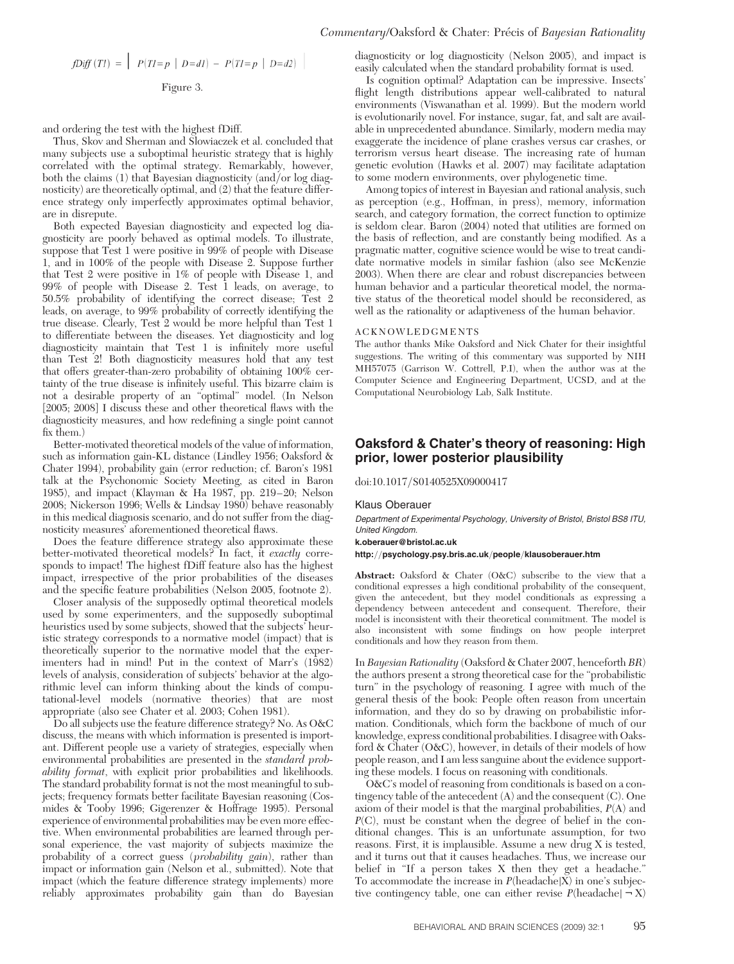$$
fDiff(TI) = | P(TI = p | D = dI) - P(TI = p | D = d2)
$$
  
Figure 3.

and ordering the test with the highest fDiff.

Thus, Skov and Sherman and Slowiaczek et al. concluded that many subjects use a suboptimal heuristic strategy that is highly correlated with the optimal strategy. Remarkably, however, both the claims (1) that Bayesian diagnosticity (and/or log diagnosticity) are theoretically optimal, and (2) that the feature difference strategy only imperfectly approximates optimal behavior, are in disrepute.

Both expected Bayesian diagnosticity and expected log diagnosticity are poorly behaved as optimal models. To illustrate, suppose that Test 1 were positive in 99% of people with Disease 1, and in 100% of the people with Disease 2. Suppose further that Test 2 were positive in 1% of people with Disease 1, and 99% of people with Disease 2. Test 1 leads, on average, to 50.5% probability of identifying the correct disease; Test 2 leads, on average, to 99% probability of correctly identifying the true disease. Clearly, Test 2 would be more helpful than Test 1 to differentiate between the diseases. Yet diagnosticity and log diagnosticity maintain that Test 1 is infinitely more useful than Test 2! Both diagnosticity measures hold that any test that offers greater-than-zero probability of obtaining 100% certainty of the true disease is infinitely useful. This bizarre claim is not a desirable property of an "optimal" model. (In Nelson [2005; 2008] I discuss these and other theoretical flaws with the diagnosticity measures, and how redefining a single point cannot fix them.)

Better-motivated theoretical models of the value of information, such as information gain-KL distance (Lindley 1956; Oaksford & Chater 1994), probability gain (error reduction; cf. Baron's 1981 talk at the Psychonomic Society Meeting, as cited in Baron 1985), and impact (Klayman & Ha 1987, pp. 219–20; Nelson 2008; Nickerson 1996; Wells & Lindsay 1980) behave reasonably in this medical diagnosis scenario, and do not suffer from the diagnosticity measures' aforementioned theoretical flaws.

Does the feature difference strategy also approximate these better-motivated theoretical models? In fact, it exactly corresponds to impact! The highest fDiff feature also has the highest impact, irrespective of the prior probabilities of the diseases and the specific feature probabilities (Nelson 2005, footnote 2).

Closer analysis of the supposedly optimal theoretical models used by some experimenters, and the supposedly suboptimal heuristics used by some subjects, showed that the subjects' heuristic strategy corresponds to a normative model (impact) that is theoretically superior to the normative model that the experimenters had in mind! Put in the context of Marr's (1982) levels of analysis, consideration of subjects' behavior at the algorithmic level can inform thinking about the kinds of computational-level models (normative theories) that are most appropriate (also see Chater et al. 2003; Cohen 1981).

Do all subjects use the feature difference strategy? No. As O&C discuss, the means with which information is presented is important. Different people use a variety of strategies, especially when environmental probabilities are presented in the standard probability format, with explicit prior probabilities and likelihoods. The standard probability format is not the most meaningful to subjects; frequency formats better facilitate Bayesian reasoning (Cosmides & Tooby 1996; Gigerenzer & Hoffrage 1995). Personal experience of environmental probabilities may be even more effective. When environmental probabilities are learned through personal experience, the vast majority of subjects maximize the probability of a correct guess (probability gain), rather than impact or information gain (Nelson et al., submitted). Note that impact (which the feature difference strategy implements) more reliably approximates probability gain than do Bayesian diagnosticity or log diagnosticity (Nelson 2005), and impact is easily calculated when the standard probability format is used.

Is cognition optimal? Adaptation can be impressive. Insects' flight length distributions appear well-calibrated to natural environments (Viswanathan et al. 1999). But the modern world is evolutionarily novel. For instance, sugar, fat, and salt are available in unprecedented abundance. Similarly, modern media may exaggerate the incidence of plane crashes versus car crashes, or terrorism versus heart disease. The increasing rate of human genetic evolution (Hawks et al. 2007) may facilitate adaptation to some modern environments, over phylogenetic time.

Among topics of interest in Bayesian and rational analysis, such as perception (e.g., Hoffman, in press), memory, information search, and category formation, the correct function to optimize is seldom clear. Baron (2004) noted that utilities are formed on the basis of reflection, and are constantly being modified. As a pragmatic matter, cognitive science would be wise to treat candidate normative models in similar fashion (also see McKenzie 2003). When there are clear and robust discrepancies between human behavior and a particular theoretical model, the normative status of the theoretical model should be reconsidered, as well as the rationality or adaptiveness of the human behavior.

#### **ACKNOWLEDGMENTS**

The author thanks Mike Oaksford and Nick Chater for their insightful suggestions. The writing of this commentary was supported by NIH MH57075 (Garrison W. Cottrell, P.I), when the author was at the Computer Science and Engineering Department, UCSD, and at the Computational Neurobiology Lab, Salk Institute.

## Oaksford & Chater's theory of reasoning: High prior, lower posterior plausibility

doi:10.1017/S0140525X09000417

#### Klaus Oberauer

Department of Experimental Psychology, University of Bristol, Bristol BS8 ITU, United Kingdom.

k.oberauer@bristol.ac.uk

http://psychology.psy.bris.ac.uk/people/klausoberauer.htm

Abstract: Oaksford & Chater (O&C) subscribe to the view that a conditional expresses a high conditional probability of the consequent, given the antecedent, but they model conditionals as expressing a dependency between antecedent and consequent. Therefore, their model is inconsistent with their theoretical commitment. The model is also inconsistent with some findings on how people interpret conditionals and how they reason from them.

In Bayesian Rationality (Oaksford & Chater 2007, henceforth BR) the authors present a strong theoretical case for the "probabilistic turn" in the psychology of reasoning. I agree with much of the general thesis of the book: People often reason from uncertain information, and they do so by drawing on probabilistic information. Conditionals, which form the backbone of much of our knowledge, express conditional probabilities. I disagree with Oaksford & Chater (O&C), however, in details of their models of how people reason, and I am less sanguine about the evidence supporting these models. I focus on reasoning with conditionals.

O&C's model of reasoning from conditionals is based on a contingency table of the antecedent (A) and the consequent (C). One axiom of their model is that the marginal probabilities, P(A) and  $P(C)$ , must be constant when the degree of belief in the conditional changes. This is an unfortunate assumption, for two reasons. First, it is implausible. Assume a new drug X is tested, and it turns out that it causes headaches. Thus, we increase our belief in "If a person takes X then they get a headache." To accommodate the increase in  $P(\text{headache}|\overline{X})$  in one's subjective contingency table, one can either revise  $P(\text{headache} \mid \neg X)$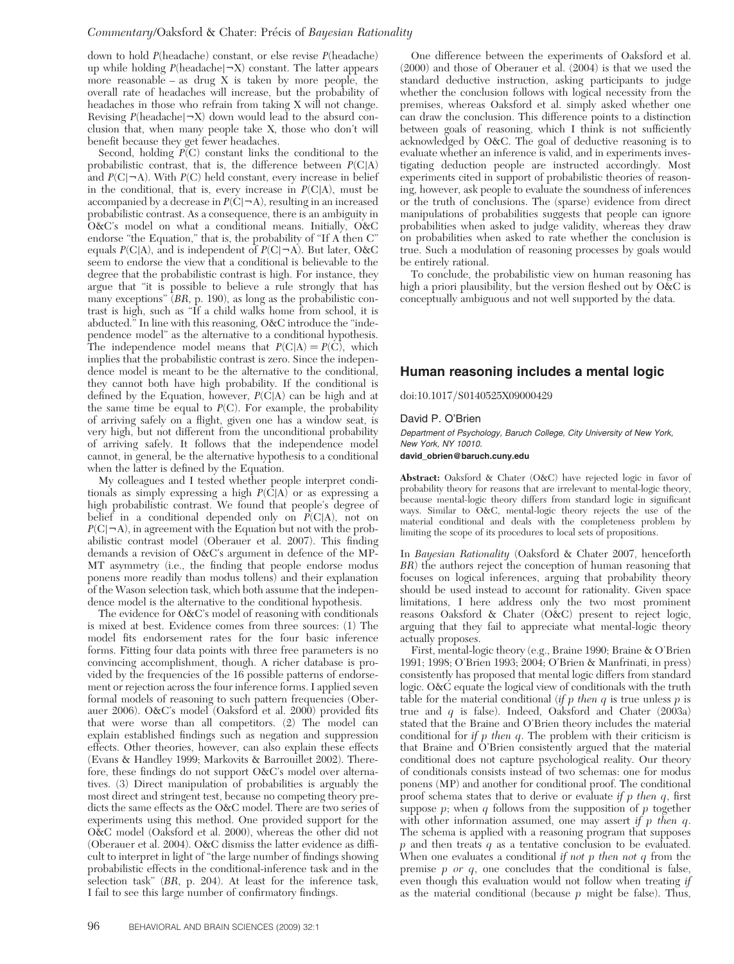down to hold P(headache) constant, or else revise P(headache) up while holding  $P(\text{headache}|\neg X)$  constant. The latter appears more reasonable – as drug  $X$  is taken by more people, the overall rate of headaches will increase, but the probability of headaches in those who refrain from taking X will not change. Revising  $P(\text{headache}|\neg X)$  down would lead to the absurd conclusion that, when many people take X, those who don't will benefit because they get fewer headaches.

Second, holding  $P(C)$  constant links the conditional to the probabilistic contrast, that is, the difference between  $P(C|A)$ and  $P(C|\neg A)$ . With  $P(C)$  held constant, every increase in belief in the conditional, that is, every increase in  $P(C|A)$ , must be accompanied by a decrease in  $P(C|\neg A)$ , resulting in an increased probabilistic contrast. As a consequence, there is an ambiguity in O&C's model on what a conditional means. Initially, O&C endorse "the Equation," that is, the probability of "If A then C" equals  $P(C|A)$ , and is independent of  $P(C|\neg A)$ . But later, O&C seem to endorse the view that a conditional is believable to the degree that the probabilistic contrast is high. For instance, they argue that "it is possible to believe a rule strongly that has many exceptions"  $(BR, p. 190)$ , as long as the probabilistic contrast is high, such as "If a child walks home from school, it is abducted." In line with this reasoning, O&C introduce the "independence model" as the alternative to a conditional hypothesis. The independence model means that  $P(C|A) = P(C)$ , which implies that the probabilistic contrast is zero. Since the independence model is meant to be the alternative to the conditional, they cannot both have high probability. If the conditional is defined by the Equation, however,  $P(C|A)$  can be high and at the same time be equal to  $P(C)$ . For example, the probability of arriving safely on a flight, given one has a window seat, is very high, but not different from the unconditional probability of arriving safely. It follows that the independence model cannot, in general, be the alternative hypothesis to a conditional when the latter is defined by the Equation.

My colleagues and I tested whether people interpret conditionals as simply expressing a high  $P(\bar{C}|A)$  or as expressing a high probabilistic contrast. We found that people's degree of belief in a conditional depended only on  $\overline{P}(C|A)$ , not on  $P(C|\neg A)$ , in agreement with the Equation but not with the probabilistic contrast model (Oberauer et al. 2007). This finding demands a revision of O&C's argument in defence of the MP-MT asymmetry (i.e., the finding that people endorse modus ponens more readily than modus tollens) and their explanation of the Wason selection task, which both assume that the independence model is the alternative to the conditional hypothesis.

The evidence for O&C's model of reasoning with conditionals is mixed at best. Evidence comes from three sources: (1) The model fits endorsement rates for the four basic inference forms. Fitting four data points with three free parameters is no convincing accomplishment, though. A richer database is provided by the frequencies of the 16 possible patterns of endorsement or rejection across the four inference forms. I applied seven formal models of reasoning to such pattern frequencies (Oberauer 2006). O&C's model (Oaksford et al. 2000) provided fits that were worse than all competitors. (2) The model can explain established findings such as negation and suppression effects. Other theories, however, can also explain these effects (Evans & Handley 1999; Markovits & Barrouillet 2002). Therefore, these findings do not support O&C's model over alternatives. (3) Direct manipulation of probabilities is arguably the most direct and stringent test, because no competing theory predicts the same effects as the O&C model. There are two series of experiments using this method. One provided support for the O&C model (Oaksford et al. 2000), whereas the other did not (Oberauer et al. 2004). O&C dismiss the latter evidence as difficult to interpret in light of "the large number of findings showing probabilistic effects in the conditional-inference task and in the selection task" (BR, p. 204). At least for the inference task, I fail to see this large number of confirmatory findings.

One difference between the experiments of Oaksford et al. (2000) and those of Oberauer et al. (2004) is that we used the standard deductive instruction, asking participants to judge whether the conclusion follows with logical necessity from the premises, whereas Oaksford et al. simply asked whether one can draw the conclusion. This difference points to a distinction between goals of reasoning, which I think is not sufficiently acknowledged by O&C. The goal of deductive reasoning is to evaluate whether an inference is valid, and in experiments investigating deduction people are instructed accordingly. Most experiments cited in support of probabilistic theories of reasoning, however, ask people to evaluate the soundness of inferences or the truth of conclusions. The (sparse) evidence from direct manipulations of probabilities suggests that people can ignore probabilities when asked to judge validity, whereas they draw on probabilities when asked to rate whether the conclusion is true. Such a modulation of reasoning processes by goals would be entirely rational.

To conclude, the probabilistic view on human reasoning has high a priori plausibility, but the version fleshed out by O&C is conceptually ambiguous and not well supported by the data.

## Human reasoning includes a mental logic

doi:10.1017/S0140525X09000429

#### David P. O'Brien

Department of Psychology, Baruch College, City University of New York, New York, NY 10010.

david\_obrien@baruch.cuny.edu

Abstract: Oaksford & Chater (O&C) have rejected logic in favor of probability theory for reasons that are irrelevant to mental-logic theory, because mental-logic theory differs from standard logic in significant ways. Similar to O&C, mental-logic theory rejects the use of the material conditional and deals with the completeness problem by limiting the scope of its procedures to local sets of propositions.

In Bayesian Rationality (Oaksford & Chater 2007, henceforth BR) the authors reject the conception of human reasoning that focuses on logical inferences, arguing that probability theory should be used instead to account for rationality. Given space limitations, I here address only the two most prominent reasons Oaksford & Chater (O&C) present to reject logic, arguing that they fail to appreciate what mental-logic theory actually proposes.

First, mental-logic theory (e.g., Braine 1990; Braine & O'Brien 1991; 1998; O'Brien 1993; 2004; O'Brien & Manfrinati, in press) consistently has proposed that mental logic differs from standard logic. O&C equate the logical view of conditionals with the truth table for the material conditional (if p then q is true unless  $p$  is true and  $q$  is false). Indeed, Oaksford and Chater (2003a) stated that the Braine and O'Brien theory includes the material conditional for if  $p$  then  $q$ . The problem with their criticism is that Braine and O'Brien consistently argued that the material conditional does not capture psychological reality. Our theory of conditionals consists instead of two schemas: one for modus ponens (MP) and another for conditional proof. The conditional proof schema states that to derive or evaluate if  $p$  then  $q$ , first suppose  $p$ ; when  $q$  follows from the supposition of  $p$  together with other information assumed, one may assert if  $p$  then  $q$ . The schema is applied with a reasoning program that supposes  $p$  and then treats  $q$  as a tentative conclusion to be evaluated. When one evaluates a conditional if not p then not  $q$  from the premise  $p$  or  $q$ , one concludes that the conditional is false, even though this evaluation would not follow when treating if as the material conditional (because  $p$  might be false). Thus,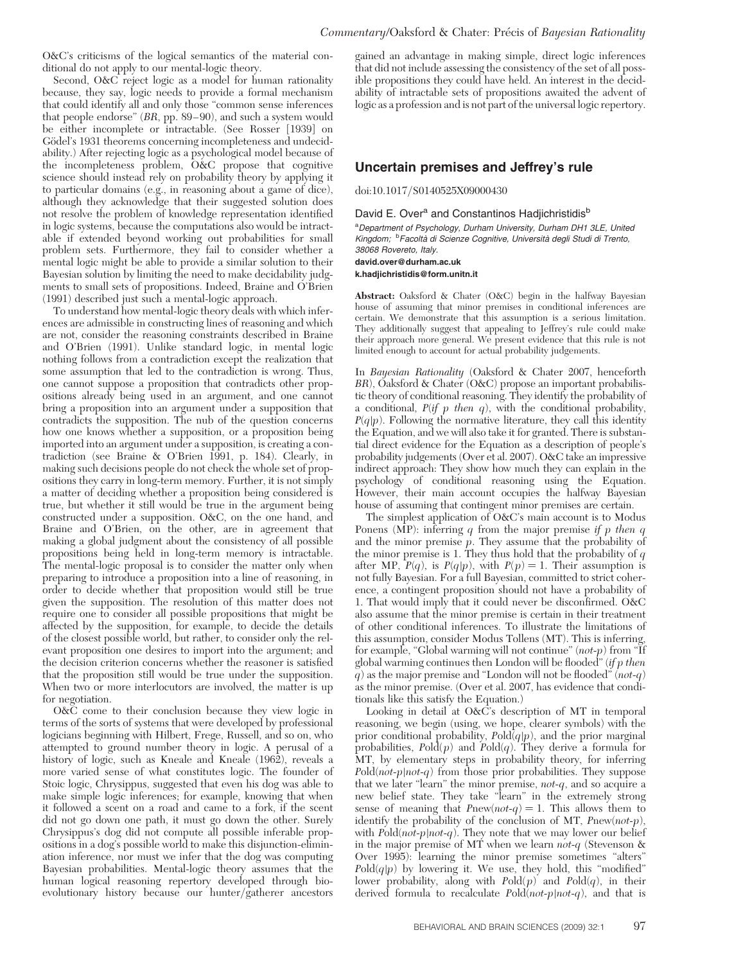O&C's criticisms of the logical semantics of the material conditional do not apply to our mental-logic theory.

Second, O&C reject logic as a model for human rationality because, they say, logic needs to provide a formal mechanism that could identify all and only those "common sense inferences that people endorse" (BR, pp. 89-90), and such a system would be either incomplete or intractable. (See Rosser [1939] on Gödel's 1931 theorems concerning incompleteness and undecidability.) After rejecting logic as a psychological model because of the incompleteness problem, O&C propose that cognitive science should instead rely on probability theory by applying it to particular domains (e.g., in reasoning about a game of dice), although they acknowledge that their suggested solution does not resolve the problem of knowledge representation identified in logic systems, because the computations also would be intractable if extended beyond working out probabilities for small problem sets. Furthermore, they fail to consider whether a mental logic might be able to provide a similar solution to their Bayesian solution by limiting the need to make decidability judgments to small sets of propositions. Indeed, Braine and O'Brien (1991) described just such a mental-logic approach.

To understand how mental-logic theory deals with which inferences are admissible in constructing lines of reasoning and which are not, consider the reasoning constraints described in Braine and O'Brien (1991). Unlike standard logic, in mental logic nothing follows from a contradiction except the realization that some assumption that led to the contradiction is wrong. Thus, one cannot suppose a proposition that contradicts other propositions already being used in an argument, and one cannot bring a proposition into an argument under a supposition that contradicts the supposition. The nub of the question concerns how one knows whether a supposition, or a proposition being imported into an argument under a supposition, is creating a contradiction (see Braine & O'Brien 1991, p. 184). Clearly, in making such decisions people do not check the whole set of propositions they carry in long-term memory. Further, it is not simply a matter of deciding whether a proposition being considered is true, but whether it still would be true in the argument being constructed under a supposition. O&C, on the one hand, and Braine and O'Brien, on the other, are in agreement that making a global judgment about the consistency of all possible propositions being held in long-term memory is intractable. The mental-logic proposal is to consider the matter only when preparing to introduce a proposition into a line of reasoning, in order to decide whether that proposition would still be true given the supposition. The resolution of this matter does not require one to consider all possible propositions that might be affected by the supposition, for example, to decide the details of the closest possible world, but rather, to consider only the relevant proposition one desires to import into the argument; and the decision criterion concerns whether the reasoner is satisfied that the proposition still would be true under the supposition. When two or more interlocutors are involved, the matter is up for negotiation.

O&C come to their conclusion because they view logic in terms of the sorts of systems that were developed by professional logicians beginning with Hilbert, Frege, Russell, and so on, who attempted to ground number theory in logic. A perusal of a history of logic, such as Kneale and Kneale (1962), reveals a more varied sense of what constitutes logic. The founder of Stoic logic, Chrysippus, suggested that even his dog was able to make simple logic inferences; for example, knowing that when it followed a scent on a road and came to a fork, if the scent did not go down one path, it must go down the other. Surely Chrysippus's dog did not compute all possible inferable propositions in a dog's possible world to make this disjunction-elimination inference, nor must we infer that the dog was computing Bayesian probabilities. Mental-logic theory assumes that the human logical reasoning repertory developed through bioevolutionary history because our hunter/gatherer ancestors gained an advantage in making simple, direct logic inferences that did not include assessing the consistency of the set of all possible propositions they could have held. An interest in the decidability of intractable sets of propositions awaited the advent of logic as a profession and is not part of the universal logic repertory.

## Uncertain premises and Jeffrey's rule

doi:10.1017/S0140525X09000430

David E. Over<sup>a</sup> and Constantinos Hadjichristidis<sup>b</sup>

<sup>a</sup>Department of Psychology, Durham University, Durham DH1 3LE, United Kingdom; <sup>b</sup>Facoltà di Scienze Cognitive, Università degli Studi di Trento, 38068 Rovereto, Italy. david.over@durham.ac.uk

k.hadjichristidis@form.unitn.it

Abstract: Oaksford & Chater (O&C) begin in the halfway Bayesian house of assuming that minor premises in conditional inferences are certain. We demonstrate that this assumption is a serious limitation. They additionally suggest that appealing to Jeffrey's rule could make their approach more general. We present evidence that this rule is not limited enough to account for actual probability judgements.

In Bayesian Rationality (Oaksford & Chater 2007, henceforth BR), Oaksford & Chater (O&C) propose an important probabilistic theory of conditional reasoning. They identify the probability of a conditional,  $P(\text{if } p \text{ then } q)$ , with the conditional probability,  $P(q|p)$ . Following the normative literature, they call this identity the Equation, and we will also take it for granted. There is substantial direct evidence for the Equation as a description of people's probability judgements (Over et al. 2007). O&C take an impressive indirect approach: They show how much they can explain in the psychology of conditional reasoning using the Equation. However, their main account occupies the halfway Bayesian house of assuming that contingent minor premises are certain.

The simplest application of O&C's main account is to Modus Ponens (MP): inferring q from the major premise if p then q and the minor premise  $p$ . They assume that the probability of the minor premise is 1. They thus hold that the probability of  $q$ after MP,  $P(q)$ , is  $P(q|p)$ , with  $P(p) = 1$ . Their assumption is not fully Bayesian. For a full Bayesian, committed to strict coherence, a contingent proposition should not have a probability of 1. That would imply that it could never be disconfirmed. O&C also assume that the minor premise is certain in their treatment of other conditional inferences. To illustrate the limitations of this assumption, consider Modus Tollens (MT). This is inferring, for example, "Global warming will not continue"  $(not-p)$  from "If global warming continues then London will be flooded" (if  $p$  then  $\tilde{q}$ ) as the major premise and "London will not be flooded" (not-q) as the minor premise. (Over et al. 2007, has evidence that conditionals like this satisfy the Equation.)

Looking in detail at O&C's description of MT in temporal reasoning, we begin (using, we hope, clearer symbols) with the prior conditional probability,  $Pold(q|p)$ , and the prior marginal probabilities,  $Pold(p)$  and  $Pold(q)$ . They derive a formula for MT, by elementary steps in probability theory, for inferring  $Pold(not-p|not-q)$  from those prior probabilities. They suppose that we later "learn" the minor premise, not-q, and so acquire a new belief state. They take "learn" in the extremely strong sense of meaning that  $Pnew(not-q) = 1$ . This allows them to identify the probability of the conclusion of MT,  $Pnew(not-p)$ , with  $Pold(not-p|not-q)$ . They note that we may lower our belief in the major premise of MT when we learn *not-q* (Stevenson  $\&$ Over 1995): learning the minor premise sometimes "alters"  $Pold(q|p)$  by lowering it. We use, they hold, this "modified" lower probability, along with  $Pold(p)$  and  $Pold(q)$ , in their derived formula to recalculate  $Pold(not-p|not-q)$ , and that is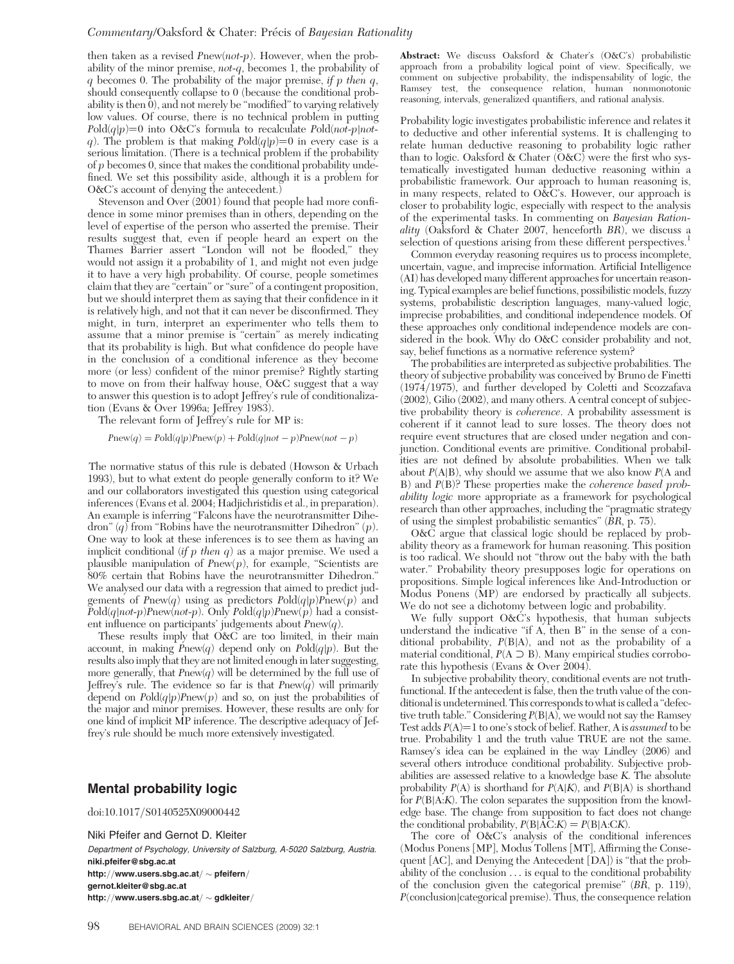then taken as a revised  $Pnew(not-p)$ . However, when the probability of the minor premise, not-q, becomes 1, the probability of q becomes 0. The probability of the major premise, if p then  $q$ , should consequently collapse to 0 (because the conditional probability is then 0), and not merely be "modified" to varying relatively low values. Of course, there is no technical problem in putting  $Pold(q|p)=0$  into O&C's formula to recalculate  $Pold(not-p|not$ q). The problem is that making  $Pold(q|p)=0$  in every case is a serious limitation. (There is a technical problem if the probability of  $p$  becomes 0, since that makes the conditional probability undefined. We set this possibility aside, although it is a problem for O&C's account of denying the antecedent.)

Stevenson and Over (2001) found that people had more confidence in some minor premises than in others, depending on the level of expertise of the person who asserted the premise. Their results suggest that, even if people heard an expert on the Thames Barrier assert "London will not be flooded," they would not assign it a probability of 1, and might not even judge it to have a very high probability. Of course, people sometimes claim that they are "certain" or "sure" of a contingent proposition, but we should interpret them as saying that their confidence in it is relatively high, and not that it can never be disconfirmed. They might, in turn, interpret an experimenter who tells them to assume that a minor premise is "certain" as merely indicating that its probability is high. But what confidence do people have in the conclusion of a conditional inference as they become more (or less) confident of the minor premise? Rightly starting to move on from their halfway house, O&C suggest that a way to answer this question is to adopt Jeffrey's rule of conditionalization (Evans & Over 1996a; Jeffrey 1983).

The relevant form of Jeffrey's rule for MP is:

 $Pnew(q) = Pold(q|p)Pnew(p) + Pold(q|not - p)Pnew(not - p)$ 

The normative status of this rule is debated (Howson & Urbach 1993), but to what extent do people generally conform to it? We and our collaborators investigated this question using categorical inferences (Evans et al. 2004; Hadjichristidis et al., in preparation). An example is inferring "Falcons have the neurotransmitter Dihedron"  $(q)$  from "Robins have the neurotransmitter Dihedron"  $(p)$ . One way to look at these inferences is to see them as having an implicit conditional (if p then q) as a major premise. We used a plausible manipulation of  $Pnew(p)$ , for example, "Scientists are 80% certain that Robins have the neurotransmitter Dihedron." We analysed our data with a regression that aimed to predict judgements of  $Pnew(q)$  using as predictors  $Pold(q|p)Pnew(p)$  and  $Pold(q|not-p)Pnew(not-p)$ . Only  $Pold(q|p)Pnew(p)$  had a consistent influence on participants' judgements about  $Pnew(q)$ .

These results imply that O&C are too limited, in their main account, in making  $Pnew(q)$  depend only on  $Pold(q|p)$ . But the results also imply that they are not limited enough in later suggesting, more generally, that  $Pnew(q)$  will be determined by the full use of Jeffrey's rule. The evidence so far is that  $Pnew(q)$  will primarily depend on  $Pold(q|p)Pnew(p)$  and so, on just the probabilities of the major and minor premises. However, these results are only for one kind of implicit MP inference. The descriptive adequacy of Jeffrey's rule should be much more extensively investigated.

## Mental probability logic

doi:10.1017/S0140525X09000442

Niki Pfeifer and Gernot D. Kleiter

Department of Psychology, University of Salzburg, A-5020 Salzburg, Austria. niki.pfeifer@sbg.ac.at http://www.users.sbq.ac.at/  $\sim$  pfeifern/ gernot.kleiter@sbg.ac.at http://www.users.sbg.ac.at/  $\sim$  gdkleiter/

Abstract: We discuss Oaksford & Chater's (O&C's) probabilistic approach from a probability logical point of view. Specifically, we comment on subjective probability, the indispensability of logic, the Ramsey test, the consequence relation, human nonmonotonic reasoning, intervals, generalized quantifiers, and rational analysis.

Probability logic investigates probabilistic inference and relates it to deductive and other inferential systems. It is challenging to relate human deductive reasoning to probability logic rather than to logic. Oaksford & Chater  $\overline{O\&O}$  were the first who systematically investigated human deductive reasoning within a probabilistic framework. Our approach to human reasoning is, in many respects, related to O&C's. However, our approach is closer to probability logic, especially with respect to the analysis of the experimental tasks. In commenting on Bayesian Rationality (Oaksford & Chater 2007, henceforth BR), we discuss a selection of questions arising from these different perspectives.<sup>1</sup>

Common everyday reasoning requires us to process incomplete, uncertain, vague, and imprecise information. Artificial Intelligence (AI) has developed many different approaches for uncertain reasoning. Typical examples are belief functions, possibilistic models, fuzzy systems, probabilistic description languages, many-valued logic, imprecise probabilities, and conditional independence models. Of these approaches only conditional independence models are considered in the book. Why do O&C consider probability and not, say, belief functions as a normative reference system?

The probabilities are interpreted as subjective probabilities. The theory of subjective probability was conceived by Bruno de Finetti (1974/1975), and further developed by Coletti and Scozzafava (2002), Gilio (2002), and many others. A central concept of subjective probability theory is coherence. A probability assessment is coherent if it cannot lead to sure losses. The theory does not require event structures that are closed under negation and conjunction. Conditional events are primitive. Conditional probabilities are not defined by absolute probabilities. When we talk about  $P(A|B)$ , why should we assume that we also know  $P(A \text{ and } B)$ B) and P(B)? These properties make the coherence based probability logic more appropriate as a framework for psychological research than other approaches, including the "pragmatic strategy of using the simplest probabilistic semantics"  $(\tilde{B}R, p. 75)$ .

O&C argue that classical logic should be replaced by probability theory as a framework for human reasoning. This position is too radical. We should not "throw out the baby with the bath water." Probability theory presupposes logic for operations on propositions. Simple logical inferences like And-Introduction or Modus Ponens (MP) are endorsed by practically all subjects. We do not see a dichotomy between logic and probability.

We fully support O&C's hypothesis, that human subjects understand the indicative "if A, then B" in the sense of a conditional probability, P(BjA), and not as the probability of a material conditional,  $P(A \supset B)$ . Many empirical studies corroborate this hypothesis (Evans & Over 2004).

In subjective probability theory, conditional events are not truthfunctional. If the antecedent is false, then the truth value of the conditional is undetermined. This corresponds to what is called a "defective truth table." Considering  $P(B|A)$ , we would not say the Ramsey Test adds  $P(A)=1$  to one's stock of belief. Rather, A is *assumed* to be true. Probability 1 and the truth value TRUE are not the same. Ramsey's idea can be explained in the way Lindley (2006) and several others introduce conditional probability. Subjective probabilities are assessed relative to a knowledge base K. The absolute probability  $P(A)$  is shorthand for  $P(A|K)$ , and  $P(B|A)$  is shorthand for  $P(B|A:K)$ . The colon separates the supposition from the knowledge base. The change from supposition to fact does not change the conditional probability,  $P(B|AC:K) = P(B|A:CK)$ .

The core of O&C's analysis of the conditional inferences (Modus Ponens [MP], Modus Tollens [MT], Affirming the Consequent [AC], and Denying the Antecedent [DA]) is "that the probability of the conclusion . . . is equal to the conditional probability of the conclusion given the categorical premise"  $(B\overline{R}, p. 119)$ , P(conclusionjcategorical premise). Thus, the consequence relation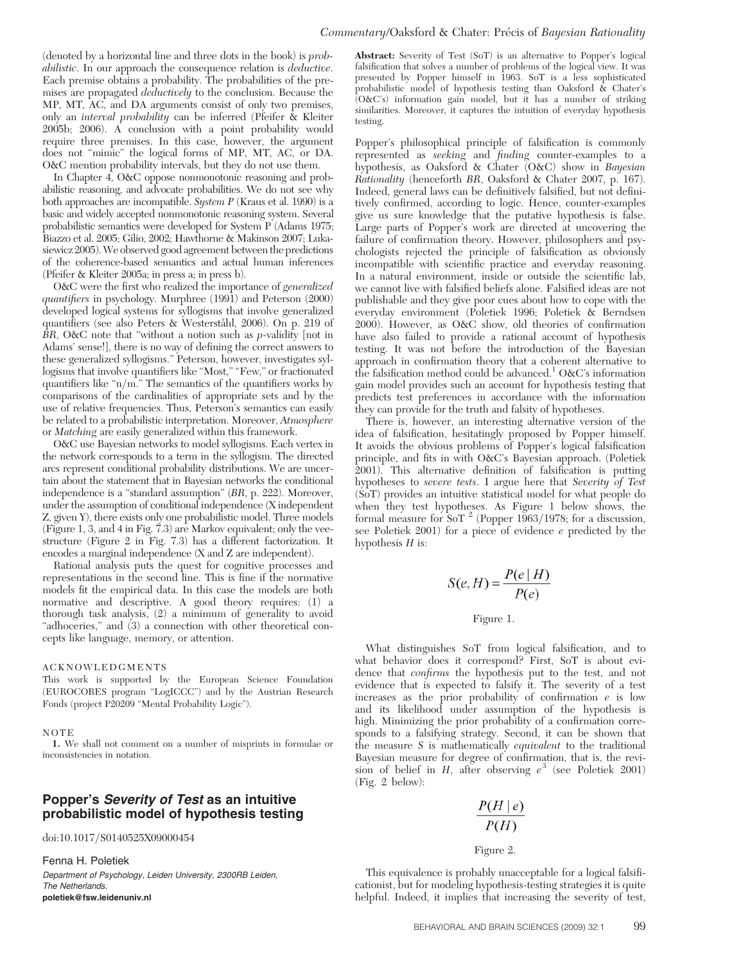(denoted by a horizontal line and three dots in the book) is probabilistic. In our approach the consequence relation is deductive. Each premise obtains a probability. The probabilities of the premises are propagated deductively to the conclusion. Because the MP, MT, AC, and DA arguments consist of only two premises, only an interval probability can be inferred (Pfeifer & Kleiter 2005b; 2006). A conclusion with a point probability would require three premises. In this case, however, the argument does not "mimic" the logical forms of MP, MT, AC, or DA. O&C mention probability intervals, but they do not use them.

In Chapter 4, O&C oppose nonmonotonic reasoning and probabilistic reasoning, and advocate probabilities. We do not see why both approaches are incompatible. System P (Kraus et al. 1990) is a basic and widely accepted nonmonotonic reasoning system. Several probabilistic semantics were developed for System P (Adams 1975; Biazzo et al. 2005; Gilio, 2002; Hawthorne & Makinson 2007; Lukasiewicz 2005).We observed good agreement between the predictions of the coherence-based semantics and actual human inferences (Pfeifer & Kleiter 2005a; in press a; in press b).

O&C were the first who realized the importance of generalized quantifiers in psychology. Murphree (1991) and Peterson (2000) developed logical systems for syllogisms that involve generalized quantifiers (see also Peters & Westerståhl, 2006). On p. 219 of  $BR$ , O&C note that "without a notion such as  $p$ -validity [not in Adams' sense!], there is no way of defining the correct answers to these generalized syllogisms." Peterson, however, investigates syllogisms that involve quantifiers like "Most," "Few," or fractionated quantifiers like "n/m." The semantics of the quantifiers works by comparisons of the cardinalities of appropriate sets and by the use of relative frequencies. Thus, Peterson's semantics can easily be related to a probabilistic interpretation. Moreover, Atmosphere or Matching are easily generalized within this framework.

O&C use Bayesian networks to model syllogisms. Each vertex in the network corresponds to a term in the syllogism. The directed arcs represent conditional probability distributions. We are uncertain about the statement that in Bayesian networks the conditional independence is a "standard assumption" (BR, p. 222). Moreover, under the assumption of conditional independence (X independent Z, given Y), there exists only one probabilistic model. Three models (Figure 1, 3, and 4 in Fig. 7.3) are Markov equivalent; only the veestructure (Figure 2 in Fig. 7.3) has a different factorization. It encodes a marginal independence (X and Z are independent).

Rational analysis puts the quest for cognitive processes and representations in the second line. This is fine if the normative models fit the empirical data. In this case the models are both normative and descriptive. A good theory requires: (1) a thorough task analysis, (2) a minimum of generality to avoid "adhoceries," and (3) a connection with other theoretical concepts like language, memory, or attention.

#### **ACKNOWLEDGMENTS**

This work is supported by the European Science Foundation (EUROCORES program "LogICCC") and by the Austrian Research Fonds (project P20209 "Mental Probability Logic").

#### **NOTE**

1. We shall not comment on a number of misprints in formulae or inconsistencies in notation.

## Popper's Severity of Test as an intuitive probabilistic model of hypothesis testing

doi:10.1017/S0140525X09000454

#### Fenna H. Poletiek

Department of Psychology, Leiden University, 2300RB Leiden, The Netherlands. poletiek@fsw.leidenuniv.nl

Abstract: Severity of Test (SoT) is an alternative to Popper's logical falsification that solves a number of problems of the logical view. It was presented by Popper himself in 1963. SoT is a less sophisticated probabilistic model of hypothesis testing than Oaksford & Chater's (O&C's) information gain model, but it has a number of striking similarities. Moreover, it captures the intuition of everyday hypothesis testing.

Popper's philosophical principle of falsification is commonly represented as seeking and finding counter-examples to a hypothesis, as Oaksford & Chater (O&C) show in Bayesian Rationality (henceforth BR, Oaksford & Chater 2007, p. 167). Indeed, general laws can be definitively falsified, but not definitively confirmed, according to logic. Hence, counter-examples give us sure knowledge that the putative hypothesis is false. Large parts of Popper's work are directed at uncovering the failure of confirmation theory. However, philosophers and psychologists rejected the principle of falsification as obviously incompatible with scientific practice and everyday reasoning. In a natural environment, inside or outside the scientific lab, we cannot live with falsified beliefs alone. Falsified ideas are not publishable and they give poor cues about how to cope with the everyday environment (Poletiek 1996; Poletiek & Berndsen 2000). However, as O&C show, old theories of confirmation have also failed to provide a rational account of hypothesis testing. It was not before the introduction of the Bayesian approach in confirmation theory that a coherent alternative to the falsification method could be advanced.<sup>1</sup> O&C's information gain model provides such an account for hypothesis testing that predicts test preferences in accordance with the information they can provide for the truth and falsity of hypotheses.

There is, however, an interesting alternative version of the idea of falsification, hesitatingly proposed by Popper himself. It avoids the obvious problems of Popper's logical falsification principle, and fits in with O&C's Bayesian approach. (Poletiek 2001). This alternative definition of falsification is putting hypotheses to severe tests. I argue here that Severity of Test (SoT) provides an intuitive statistical model for what people do when they test hypotheses. As Figure 1 below shows, the formal measure for SoT  $^2$  (Popper 1963/1978; for a discussion, see Poletiek 2001) for a piece of evidence  $e$  predicted by the hypothesis  $H$  is:

$$
S(e, H) = \frac{P(e \mid H)}{P(e)}
$$

#### Figure 1.

What distinguishes SoT from logical falsification, and to what behavior does it correspond? First, SoT is about evidence that confirms the hypothesis put to the test, and not evidence that is expected to falsify it. The severity of a test increases as the prior probability of confirmation  $e$  is low and its likelihood under assumption of the hypothesis is high. Minimizing the prior probability of a confirmation corresponds to a falsifying strategy. Second, it can be shown that the measure S is mathematically equivalent to the traditional Bayesian measure for degree of confirmation, that is, the revision of belief in  $H$ , after observing  $e^3$  (see Poletiek 2001) (Fig. 2 below):

$$
\frac{P(H | e)}{P(H)}
$$

#### Figure 2.

This equivalence is probably unacceptable for a logical falsificationist, but for modeling hypothesis-testing strategies it is quite helpful. Indeed, it implies that increasing the severity of test,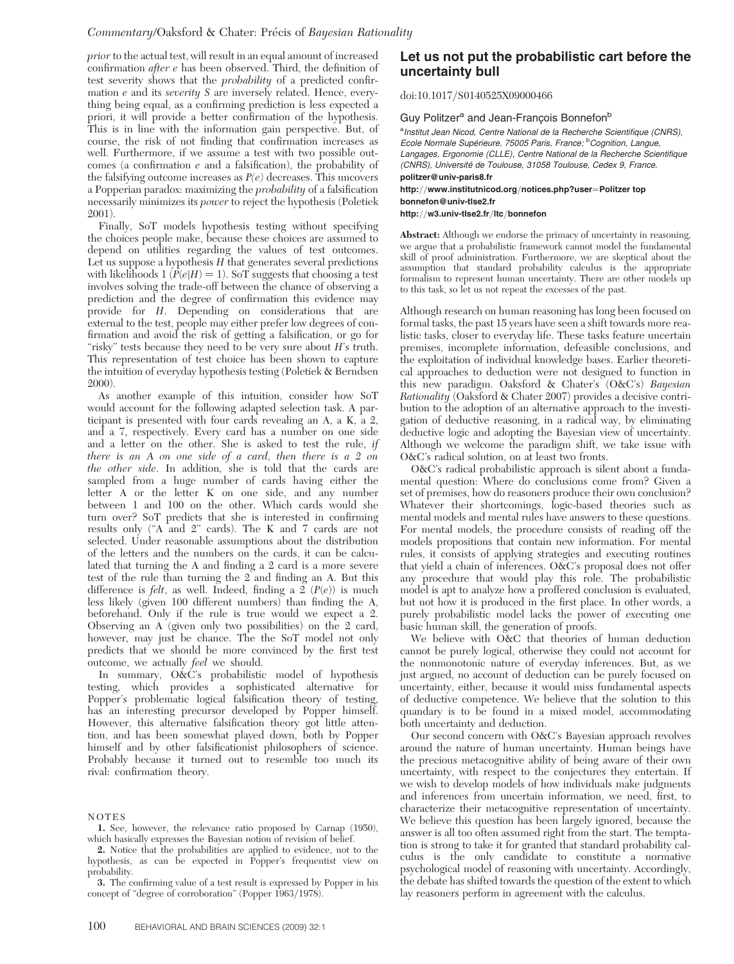## Commentary/Oaksford & Chater: Précis of Bayesian Rationality

prior to the actual test, will result in an equal amount of increased confirmation  $after$   $e$  has been observed. Third, the definition of test severity shows that the *probability* of a predicted confirmation  $e$  and its severity  $S$  are inversely related. Hence, everything being equal, as a confirming prediction is less expected a priori, it will provide a better confirmation of the hypothesis. This is in line with the information gain perspective. But, of course, the risk of not finding that confirmation increases as well. Furthermore, if we assume a test with two possible outcomes (a confirmation  $e$  and a falsification), the probability of the falsifying outcome increases as  $P(e)$  decreases. This uncovers a Popperian paradox: maximizing the probability of a falsification necessarily minimizes its power to reject the hypothesis (Poletiek 2001).

Finally, SoT models hypothesis testing without specifying the choices people make, because these choices are assumed to depend on utilities regarding the values of test outcomes. Let us suppose a hypothesis  $H$  that generates several predictions with likelihoods 1 ( $P(e|H) = 1$ ). SoT suggests that choosing a test involves solving the trade-off between the chance of observing a prediction and the degree of confirmation this evidence may provide for H. Depending on considerations that are external to the test, people may either prefer low degrees of confirmation and avoid the risk of getting a falsification, or go for "risky" tests because they need to be very sure about  $H$ 's truth. This representation of test choice has been shown to capture the intuition of everyday hypothesis testing (Poletiek & Berndsen 2000).

As another example of this intuition, consider how SoT would account for the following adapted selection task. A participant is presented with four cards revealing an A, a K, a 2, and a 7, respectively. Every card has a number on one side and a letter on the other. She is asked to test the rule, if there is an A on one side of a card, then there is a 2 on the other side. In addition, she is told that the cards are sampled from a huge number of cards having either the letter A or the letter K on one side, and any number between 1 and 100 on the other. Which cards would she turn over? SoT predicts that she is interested in confirming results only ("A and 2" cards). The K and 7 cards are not selected. Under reasonable assumptions about the distribution of the letters and the numbers on the cards, it can be calculated that turning the A and finding a 2 card is a more severe test of the rule than turning the 2 and finding an A. But this difference is felt, as well. Indeed, finding a  $2(p(e))$  is much less likely (given 100 different numbers) than finding the A, beforehand. Only if the rule is true would we expect a 2. Observing an A (given only two possibilities) on the 2 card, however, may just be chance. The the SoT model not only predicts that we should be more convinced by the first test outcome, we actually feel we should.

In summary, O&C's probabilistic model of hypothesis testing, which provides a sophisticated alternative for Popper's problematic logical falsification theory of testing, has an interesting precursor developed by Popper himself. However, this alternative falsification theory got little attention, and has been somewhat played down, both by Popper himself and by other falsificationist philosophers of science. Probably because it turned out to resemble too much its rival: confirmation theory.

#### **NOTES**

## Let us not put the probabilistic cart before the uncertainty bull

doi:10.1017/S0140525X09000466

Guy Politzer<sup>a</sup> and Jean-François Bonnefon<sup>b</sup>

alnstitut Jean Nicod, Centre National de la Recherche Scientifique (CNRS), Ecole Normale Supérieure, 75005 Paris, France; <sup>b</sup>Cognition, Langue, Langages, Ergonomie (CLLE), Centre National de la Recherche Scientifique (CNRS), Université de Toulouse, 31058 Toulouse, Cedex 9, France. politzer@univ-paris8.fr

#### http://www.institutnicod.org/notices.php?user=Politzer top bonnefon@univ-tlse2.fr http://w3.univ-tlse2.fr/ltc/bonnefon

Abstract: Although we endorse the primacy of uncertainty in reasoning, we argue that a probabilistic framework cannot model the fundamental skill of proof administration. Furthermore, we are skeptical about the assumption that standard probability calculus is the appropriate formalism to represent human uncertainty. There are other models up to this task, so let us not repeat the excesses of the past.

Although research on human reasoning has long been focused on formal tasks, the past 15 years have seen a shift towards more realistic tasks, closer to everyday life. These tasks feature uncertain premises, incomplete information, defeasible conclusions, and the exploitation of individual knowledge bases. Earlier theoretical approaches to deduction were not designed to function in this new paradigm. Oaksford & Chater's (O&C's) Bayesian Rationality (Oaksford & Chater 2007) provides a decisive contribution to the adoption of an alternative approach to the investigation of deductive reasoning, in a radical way, by eliminating deductive logic and adopting the Bayesian view of uncertainty. Although we welcome the paradigm shift, we take issue with O&C's radical solution, on at least two fronts.

O&C's radical probabilistic approach is silent about a fundamental question: Where do conclusions come from? Given a set of premises, how do reasoners produce their own conclusion? Whatever their shortcomings, logic-based theories such as mental models and mental rules have answers to these questions. For mental models, the procedure consists of reading off the models propositions that contain new information. For mental rules, it consists of applying strategies and executing routines that yield a chain of inferences. O&C's proposal does not offer any procedure that would play this role. The probabilistic model is apt to analyze how a proffered conclusion is evaluated, but not how it is produced in the first place. In other words, a purely probabilistic model lacks the power of executing one basic human skill, the generation of proofs.

We believe with O&C that theories of human deduction cannot be purely logical, otherwise they could not account for the nonmonotonic nature of everyday inferences. But, as we just argued, no account of deduction can be purely focused on uncertainty, either, because it would miss fundamental aspects of deductive competence. We believe that the solution to this quandary is to be found in a mixed model, accommodating both uncertainty and deduction.

Our second concern with O&C's Bayesian approach revolves around the nature of human uncertainty. Human beings have the precious metacognitive ability of being aware of their own uncertainty, with respect to the conjectures they entertain. If we wish to develop models of how individuals make judgments and inferences from uncertain information, we need, first, to characterize their metacognitive representation of uncertainty. We believe this question has been largely ignored, because the answer is all too often assumed right from the start. The temptation is strong to take it for granted that standard probability calculus is the only candidate to constitute a normative psychological model of reasoning with uncertainty. Accordingly, the debate has shifted towards the question of the extent to which lay reasoners perform in agreement with the calculus.

<sup>1.</sup> See, however, the relevance ratio proposed by Carnap (1950), which basically expresses the Bayesian notion of revision of belief.

<sup>2.</sup> Notice that the probabilities are applied to evidence, not to the hypothesis, as can be expected in Popper's frequentist view on probability.

<sup>3.</sup> The confirming value of a test result is expressed by Popper in his concept of "degree of corroboration" (Popper 1963/1978).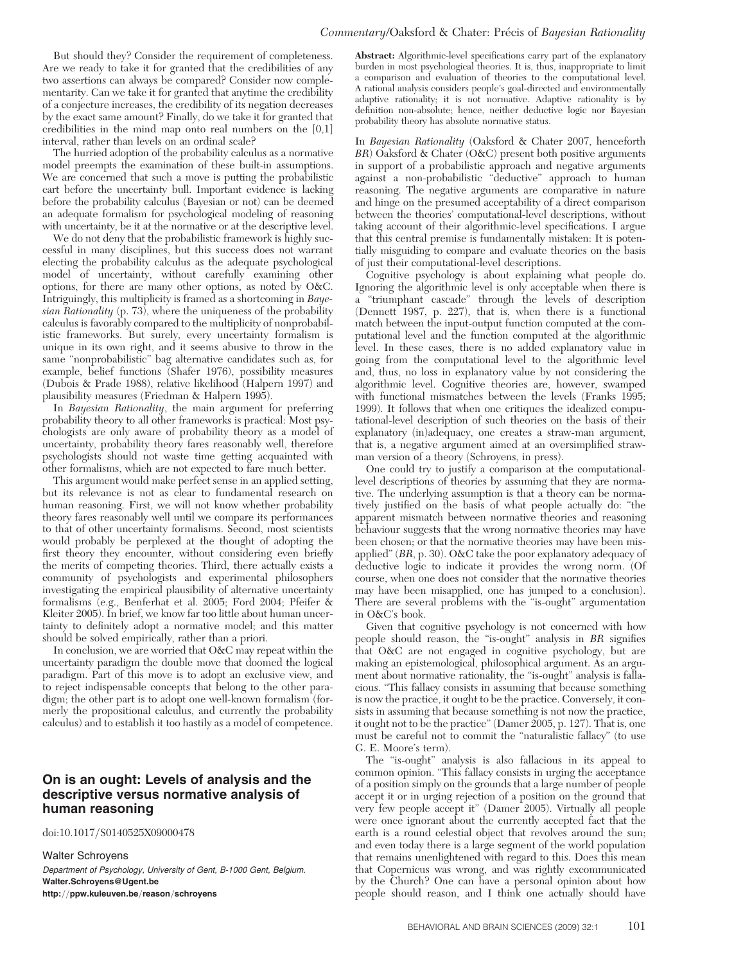But should they? Consider the requirement of completeness. Are we ready to take it for granted that the credibilities of any two assertions can always be compared? Consider now complementarity. Can we take it for granted that anytime the credibility of a conjecture increases, the credibility of its negation decreases by the exact same amount? Finally, do we take it for granted that credibilities in the mind map onto real numbers on the [0,1] interval, rather than levels on an ordinal scale?

The hurried adoption of the probability calculus as a normative model preempts the examination of these built-in assumptions. We are concerned that such a move is putting the probabilistic cart before the uncertainty bull. Important evidence is lacking before the probability calculus (Bayesian or not) can be deemed an adequate formalism for psychological modeling of reasoning with uncertainty, be it at the normative or at the descriptive level.

We do not deny that the probabilistic framework is highly successful in many disciplines, but this success does not warrant electing the probability calculus as the adequate psychological model of uncertainty, without carefully examining other options, for there are many other options, as noted by O&C. Intriguingly, this multiplicity is framed as a shortcoming in Bayesian Rationality (p. 73), where the uniqueness of the probability calculus is favorably compared to the multiplicity of nonprobabilistic frameworks. But surely, every uncertainty formalism is unique in its own right, and it seems abusive to throw in the same "nonprobabilistic" bag alternative candidates such as, for example, belief functions (Shafer 1976), possibility measures (Dubois & Prade 1988), relative likelihood (Halpern 1997) and plausibility measures (Friedman & Halpern 1995).

In Bayesian Rationality, the main argument for preferring probability theory to all other frameworks is practical: Most psychologists are only aware of probability theory as a model of uncertainty, probability theory fares reasonably well, therefore psychologists should not waste time getting acquainted with other formalisms, which are not expected to fare much better.

This argument would make perfect sense in an applied setting, but its relevance is not as clear to fundamental research on human reasoning. First, we will not know whether probability theory fares reasonably well until we compare its performances to that of other uncertainty formalisms. Second, most scientists would probably be perplexed at the thought of adopting the first theory they encounter, without considering even briefly the merits of competing theories. Third, there actually exists a community of psychologists and experimental philosophers investigating the empirical plausibility of alternative uncertainty formalisms (e.g., Benferhat et al. 2005; Ford 2004; Pfeifer & Kleiter 2005). In brief, we know far too little about human uncertainty to definitely adopt a normative model; and this matter should be solved empirically, rather than a priori.

In conclusion, we are worried that O&C may repeat within the uncertainty paradigm the double move that doomed the logical paradigm. Part of this move is to adopt an exclusive view, and to reject indispensable concepts that belong to the other paradigm; the other part is to adopt one well-known formalism (formerly the propositional calculus, and currently the probability calculus) and to establish it too hastily as a model of competence.

## On is an ought: Levels of analysis and the descriptive versus normative analysis of human reasoning

doi:10.1017/S0140525X09000478

Walter Schroyens Department of Psychology, University of Gent, B-1000 Gent, Belgium. Walter.Schroyens@Ugent.be http://ppw.kuleuven.be/reason/schroyens

Abstract: Algorithmic-level specifications carry part of the explanatory burden in most psychological theories. It is, thus, inappropriate to limit a comparison and evaluation of theories to the computational level. A rational analysis considers people's goal-directed and environmentally adaptive rationality; it is not normative. Adaptive rationality is by definition non-absolute; hence, neither deductive logic nor Bayesian probability theory has absolute normative status.

In Bayesian Rationality (Oaksford & Chater 2007, henceforth BR) Oaksford & Chater (O&C) present both positive arguments in support of a probabilistic approach and negative arguments against a non-probabilistic "deductive" approach to human reasoning. The negative arguments are comparative in nature and hinge on the presumed acceptability of a direct comparison between the theories' computational-level descriptions, without taking account of their algorithmic-level specifications. I argue that this central premise is fundamentally mistaken: It is potentially misguiding to compare and evaluate theories on the basis of just their computational-level descriptions.

Cognitive psychology is about explaining what people do. Ignoring the algorithmic level is only acceptable when there is a "triumphant cascade" through the levels of description (Dennett 1987, p. 227), that is, when there is a functional match between the input-output function computed at the computational level and the function computed at the algorithmic level. In these cases, there is no added explanatory value in going from the computational level to the algorithmic level and, thus, no loss in explanatory value by not considering the algorithmic level. Cognitive theories are, however, swamped with functional mismatches between the levels (Franks 1995; 1999). It follows that when one critiques the idealized computational-level description of such theories on the basis of their explanatory (in)adequacy, one creates a straw-man argument, that is, a negative argument aimed at an oversimplified strawman version of a theory (Schroyens, in press).

One could try to justify a comparison at the computationallevel descriptions of theories by assuming that they are normative. The underlying assumption is that a theory can be normatively justified on the basis of what people actually do: "the apparent mismatch between normative theories and reasoning behaviour suggests that the wrong normative theories may have been chosen; or that the normative theories may have been misapplied" (BR, p. 30). O&C take the poor explanatory adequacy of deductive logic to indicate it provides the wrong norm. (Of course, when one does not consider that the normative theories may have been misapplied, one has jumped to a conclusion). There are several problems with the "is-ought" argumentation in O&C's book.

Given that cognitive psychology is not concerned with how people should reason, the "is-ought" analysis in BR signifies that O&C are not engaged in cognitive psychology, but are making an epistemological, philosophical argument. As an argument about normative rationality, the "is-ought" analysis is fallacious. "This fallacy consists in assuming that because something is now the practice, it ought to be the practice. Conversely, it consists in assuming that because something is not now the practice, it ought not to be the practice" (Damer 2005, p. 127). That is, one must be careful not to commit the "naturalistic fallacy" (to use G. E. Moore's term).

The "is-ought" analysis is also fallacious in its appeal to common opinion. "This fallacy consists in urging the acceptance of a position simply on the grounds that a large number of people accept it or in urging rejection of a position on the ground that very few people accept it" (Damer 2005). Virtually all people were once ignorant about the currently accepted fact that the earth is a round celestial object that revolves around the sun; and even today there is a large segment of the world population that remains unenlightened with regard to this. Does this mean that Copernicus was wrong, and was rightly excommunicated by the Church? One can have a personal opinion about how people should reason, and I think one actually should have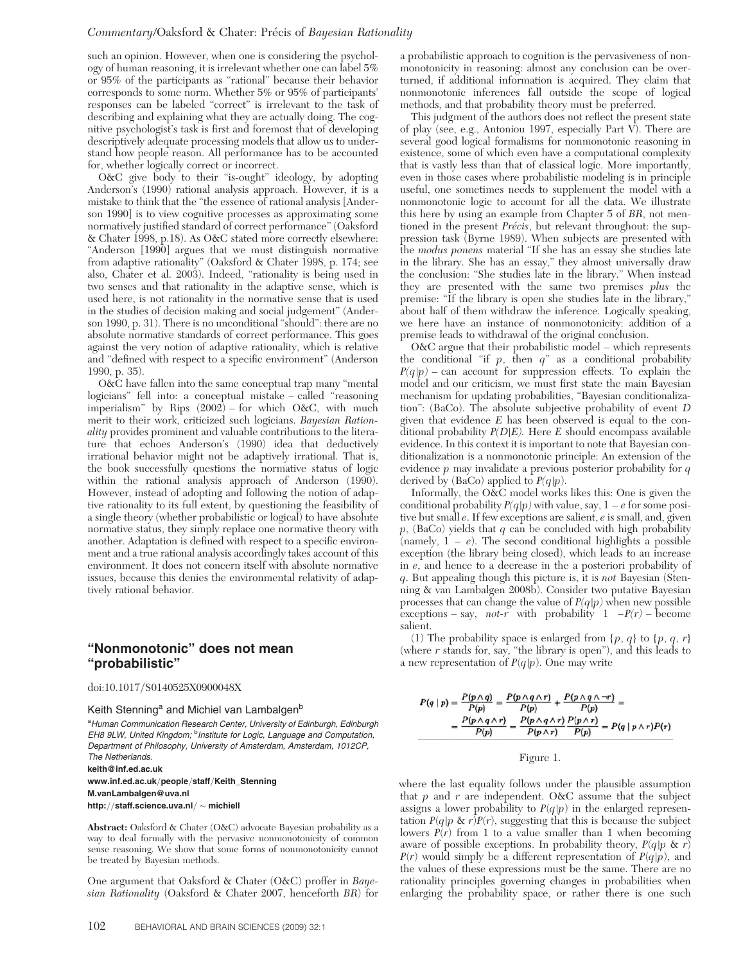such an opinion. However, when one is considering the psychology of human reasoning, it is irrelevant whether one can label 5% or 95% of the participants as "rational" because their behavior corresponds to some norm. Whether 5% or 95% of participants' responses can be labeled "correct" is irrelevant to the task of describing and explaining what they are actually doing. The cognitive psychologist's task is first and foremost that of developing descriptively adequate processing models that allow us to understand how people reason. All performance has to be accounted for, whether logically correct or incorrect.

O&C give body to their "is-ought" ideology, by adopting Anderson's (1990) rational analysis approach. However, it is a mistake to think that the "the essence of rational analysis [Anderson 1990] is to view cognitive processes as approximating some normatively justified standard of correct performance" (Oaksford & Chater 1998, p.18). As O&C stated more correctly elsewhere: "Anderson [1990] argues that we must distinguish normative from adaptive rationality" (Oaksford & Chater 1998, p. 174; see also, Chater et al. 2003). Indeed, "rationality is being used in two senses and that rationality in the adaptive sense, which is used here, is not rationality in the normative sense that is used in the studies of decision making and social judgement" (Anderson 1990, p. 31). There is no unconditional "should": there are no absolute normative standards of correct performance. This goes against the very notion of adaptive rationality, which is relative and "defined with respect to a specific environment" (Anderson 1990, p. 35).

O&C have fallen into the same conceptual trap many "mental logicians" fell into: a conceptual mistake – called "reasoning imperialism" by Rips (2002) – for which O&C, with much merit to their work, criticized such logicians. Bayesian Rationality provides prominent and valuable contributions to the literature that echoes Anderson's (1990) idea that deductively irrational behavior might not be adaptively irrational. That is, the book successfully questions the normative status of logic within the rational analysis approach of Anderson (1990). However, instead of adopting and following the notion of adaptive rationality to its full extent, by questioning the feasibility of a single theory (whether probabilistic or logical) to have absolute normative status, they simply replace one normative theory with another. Adaptation is defined with respect to a specific environment and a true rational analysis accordingly takes account of this environment. It does not concern itself with absolute normative issues, because this denies the environmental relativity of adaptively rational behavior.

## "Nonmonotonic" does not mean "probabilistic"

doi:10.1017/S0140525X0900048X

Keith Stenning<sup>a</sup> and Michiel van Lambalgen<sup>b</sup>

aHuman Communication Research Center, University of Edinburgh, Edinburgh EH8 9LW, United Kingdom; <sup>b</sup>Institute for Logic, Language and Computation, Department of Philosophy, University of Amsterdam, Amsterdam, 1012CP, The Netherlands. keith@inf.ed.ac.uk www.inf.ed.ac.uk/people/staff/Keith\_Stenning

M.vanLambalgen@uva.nl http://staff.science.uva.nl/  $\sim$  michiell

Abstract: Oaksford & Chater (O&C) advocate Bayesian probability as a way to deal formally with the pervasive nonmonotonicity of common sense reasoning. We show that some forms of nonmonotonicity cannot be treated by Bayesian methods.

One argument that Oaksford & Chater (O&C) proffer in Bayesian Rationality (Oaksford & Chater 2007, henceforth BR) for

a probabilistic approach to cognition is the pervasiveness of nonmonotonicity in reasoning: almost any conclusion can be overturned, if additional information is acquired. They claim that nonmonotonic inferences fall outside the scope of logical methods, and that probability theory must be preferred.

This judgment of the authors does not reflect the present state of play (see, e.g., Antoniou 1997, especially Part V). There are several good logical formalisms for nonmonotonic reasoning in existence, some of which even have a computational complexity that is vastly less than that of classical logic. More importantly, even in those cases where probabilistic modeling is in principle useful, one sometimes needs to supplement the model with a nonmonotonic logic to account for all the data. We illustrate this here by using an example from Chapter 5 of BR, not mentioned in the present *Précis*, but relevant throughout: the suppression task (Byrne 1989). When subjects are presented with the modus ponens material "If she has an essay she studies late in the library. She has an essay," they almost universally draw the conclusion: "She studies late in the library." When instead they are presented with the same two premises plus the premise: "If the library is open she studies late in the library," about half of them withdraw the inference. Logically speaking, we here have an instance of nonmonotonicity: addition of a premise leads to withdrawal of the original conclusion.

O&C argue that their probabilistic model – which represents the conditional "if  $p$ , then  $q$ " as a conditional probability  $P(q|p)$  – can account for suppression effects. To explain the model and our criticism, we must first state the main Bayesian mechanism for updating probabilities, "Bayesian conditionalization": (BaCo). The absolute subjective probability of event D given that evidence E has been observed is equal to the conditional probability  $P(D|E)$ . Here E should encompass available evidence. In this context it is important to note that Bayesian conditionalization is a nonmonotonic principle: An extension of the evidence  $p$  may invalidate a previous posterior probability for  $q$ derived by (BaCo) applied to  $P(q|p)$ .

Informally, the O&C model works likes this: One is given the conditional probability  $P(q|p)$  with value, say,  $1 - e$  for some positive but small e. If few exceptions are salient, e is small, and, given  $p$ , (BaCo) yields that  $q$  can be concluded with high probability (namely,  $1 - e$ ). The second conditional highlights a possible exception (the library being closed), which leads to an increase in e, and hence to a decrease in the a posteriori probability of q. But appealing though this picture is, it is not Bayesian (Stenning & van Lambalgen 2008b). Consider two putative Bayesian processes that can change the value of  $P(q|p)$  when new possible exceptions – say, not-r with probability  $1 - P(r)$  – become salient.

(1) The probability space is enlarged from  $\{p, q\}$  to  $\{p, q, r\}$ (where  $r$  stands for, say, "the library is open"), and this leads to a new representation of  $P(q|p)$ . One may write

$$
P(q | p) = \frac{P(p \land q)}{P(p)} = \frac{P(p \land q \land r)}{P(p)} + \frac{P(p \land q \land \neg r)}{P(p)} =
$$
  
= 
$$
\frac{P(p \land q \land r)}{P(p)} = \frac{P(p \land q \land r)}{P(p \land r)} \frac{P(p \land r)}{P(p)} = P(q | p \land r)P(r)
$$

#### Figure 1.

where the last equality follows under the plausible assumption that  $p$  and  $r$  are independent. O&C assume that the subject assigns a lower probability to  $P(q|p)$  in the enlarged representation  $P(q|p \& r)P(r)$ , suggesting that this is because the subject lowers  $P(r)$  from 1 to a value smaller than 1 when becoming aware of possible exceptions. In probability theory,  $P(q|p \& r)$  $P(r)$  would simply be a different representation of  $P(q|p)$ , and the values of these expressions must be the same. There are no rationality principles governing changes in probabilities when enlarging the probability space, or rather there is one such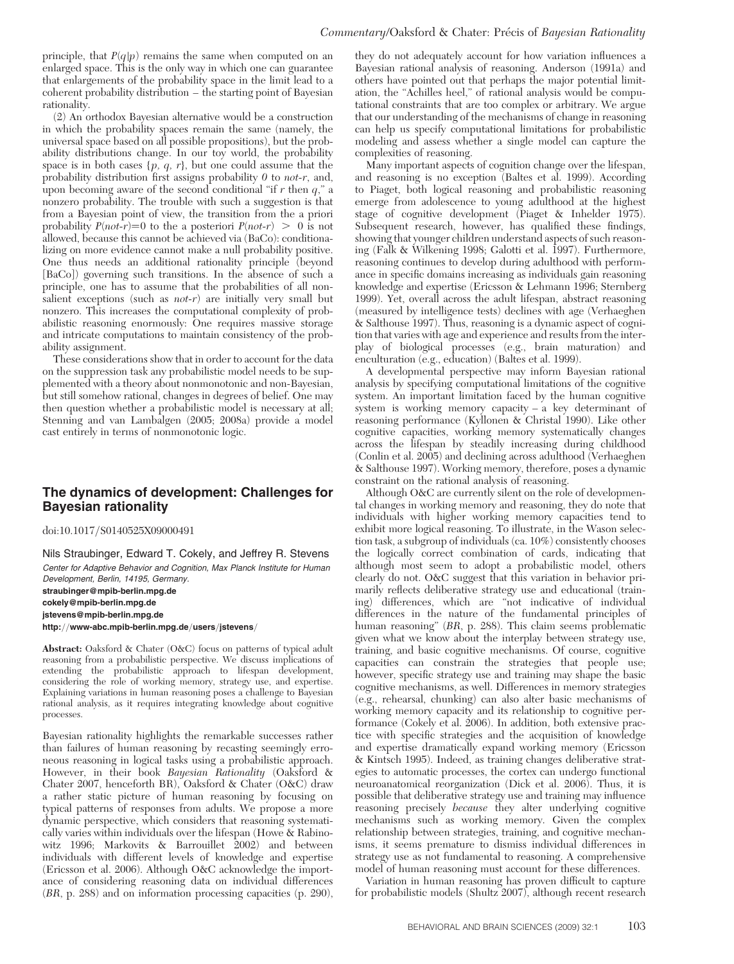principle, that  $P(q|p)$  remains the same when computed on an enlarged space. This is the only way in which one can guarantee that enlargements of the probability space in the limit lead to a coherent probability distribution – the starting point of Bayesian rationality.

(2) An orthodox Bayesian alternative would be a construction in which the probability spaces remain the same (namely, the universal space based on all possible propositions), but the probability distributions change. In our toy world, the probability space is in both cases  $\{p, q, r\}$ , but one could assume that the probability distribution first assigns probability 0 to not-r, and, upon becoming aware of the second conditional "if  $r$  then  $q$ ," a nonzero probability. The trouble with such a suggestion is that from a Bayesian point of view, the transition from the a priori probability  $P(not-r)=0$  to the a posteriori  $P(not-r) > 0$  is not allowed, because this cannot be achieved via (BaCo): conditionalizing on more evidence cannot make a null probability positive. One thus needs an additional rationality principle (beyond [BaCo]) governing such transitions. In the absence of such a principle, one has to assume that the probabilities of all nonsalient exceptions (such as  $not-r$ ) are initially very small but nonzero. This increases the computational complexity of probabilistic reasoning enormously: One requires massive storage and intricate computations to maintain consistency of the probability assignment.

These considerations show that in order to account for the data on the suppression task any probabilistic model needs to be supplemented with a theory about nonmonotonic and non-Bayesian, but still somehow rational, changes in degrees of belief. One may then question whether a probabilistic model is necessary at all; Stenning and van Lambalgen (2005; 2008a) provide a model cast entirely in terms of nonmonotonic logic.

## The dynamics of development: Challenges for Bayesian rationality

doi:10.1017/S0140525X09000491

Nils Straubinger, Edward T. Cokely, and Jeffrey R. Stevens Center for Adaptive Behavior and Cognition, Max Planck Institute for Human Development, Berlin, 14195, Germany.

straubinger@mpib-berlin.mpg.de cokely@mpib-berlin.mpg.de jstevens@mpib-berlin.mpg.de http://www-abc.mpib-berlin.mpg.de/users/jstevens/

Abstract: Oaksford & Chater (O&C) focus on patterns of typical adult reasoning from a probabilistic perspective. We discuss implications of extending the probabilistic approach to lifespan development, considering the role of working memory, strategy use, and expertise. Explaining variations in human reasoning poses a challenge to Bayesian rational analysis, as it requires integrating knowledge about cognitive processes.

Bayesian rationality highlights the remarkable successes rather than failures of human reasoning by recasting seemingly erroneous reasoning in logical tasks using a probabilistic approach. However, in their book Bayesian Rationality (Oaksford & Chater 2007, henceforth BR), Oaksford & Chater (O&C) draw a rather static picture of human reasoning by focusing on typical patterns of responses from adults. We propose a more dynamic perspective, which considers that reasoning systematically varies within individuals over the lifespan (Howe & Rabinowitz 1996; Markovits & Barrouillet 2002) and between individuals with different levels of knowledge and expertise (Ericsson et al. 2006). Although O&C acknowledge the importance of considering reasoning data on individual differences (BR, p. 288) and on information processing capacities (p. 290), they do not adequately account for how variation influences a Bayesian rational analysis of reasoning. Anderson (1991a) and others have pointed out that perhaps the major potential limitation, the "Achilles heel," of rational analysis would be computational constraints that are too complex or arbitrary. We argue that our understanding of the mechanisms of change in reasoning can help us specify computational limitations for probabilistic modeling and assess whether a single model can capture the complexities of reasoning.

Many important aspects of cognition change over the lifespan, and reasoning is no exception (Baltes et al. 1999). According to Piaget, both logical reasoning and probabilistic reasoning emerge from adolescence to young adulthood at the highest stage of cognitive development (Piaget & Inhelder 1975). Subsequent research, however, has qualified these findings, showing that younger children understand aspects of such reasoning (Falk & Wilkening 1998; Galotti et al. 1997). Furthermore, reasoning continues to develop during adulthood with performance in specific domains increasing as individuals gain reasoning knowledge and expertise (Ericsson & Lehmann 1996; Sternberg 1999). Yet, overall across the adult lifespan, abstract reasoning (measured by intelligence tests) declines with age (Verhaeghen & Salthouse 1997). Thus, reasoning is a dynamic aspect of cognition that varies with age and experience and results from the interplay of biological processes (e.g., brain maturation) and enculturation (e.g., education) (Baltes et al. 1999).

A developmental perspective may inform Bayesian rational analysis by specifying computational limitations of the cognitive system. An important limitation faced by the human cognitive system is working memory capacity – a key determinant of reasoning performance (Kyllonen & Christal 1990). Like other cognitive capacities, working memory systematically changes across the lifespan by steadily increasing during childhood (Conlin et al. 2005) and declining across adulthood (Verhaeghen & Salthouse 1997). Working memory, therefore, poses a dynamic constraint on the rational analysis of reasoning.

Although O&C are currently silent on the role of developmental changes in working memory and reasoning, they do note that individuals with higher working memory capacities tend to exhibit more logical reasoning. To illustrate, in the Wason selection task, a subgroup of individuals (ca. 10%) consistently chooses the logically correct combination of cards, indicating that although most seem to adopt a probabilistic model, others clearly do not. O&C suggest that this variation in behavior primarily reflects deliberative strategy use and educational (training) differences, which are "not indicative of individual differences in the nature of the fundamental principles of human reasoning" (BR, p. 288). This claim seems problematic given what we know about the interplay between strategy use, training, and basic cognitive mechanisms. Of course, cognitive capacities can constrain the strategies that people use; however, specific strategy use and training may shape the basic cognitive mechanisms, as well. Differences in memory strategies (e.g., rehearsal, chunking) can also alter basic mechanisms of working memory capacity and its relationship to cognitive performance (Cokely et al. 2006). In addition, both extensive practice with specific strategies and the acquisition of knowledge and expertise dramatically expand working memory (Ericsson & Kintsch 1995). Indeed, as training changes deliberative strategies to automatic processes, the cortex can undergo functional neuroanatomical reorganization (Dick et al. 2006). Thus, it is possible that deliberative strategy use and training may influence reasoning precisely because they alter underlying cognitive mechanisms such as working memory. Given the complex relationship between strategies, training, and cognitive mechanisms, it seems premature to dismiss individual differences in strategy use as not fundamental to reasoning. A comprehensive model of human reasoning must account for these differences.

Variation in human reasoning has proven difficult to capture for probabilistic models (Shultz 2007), although recent research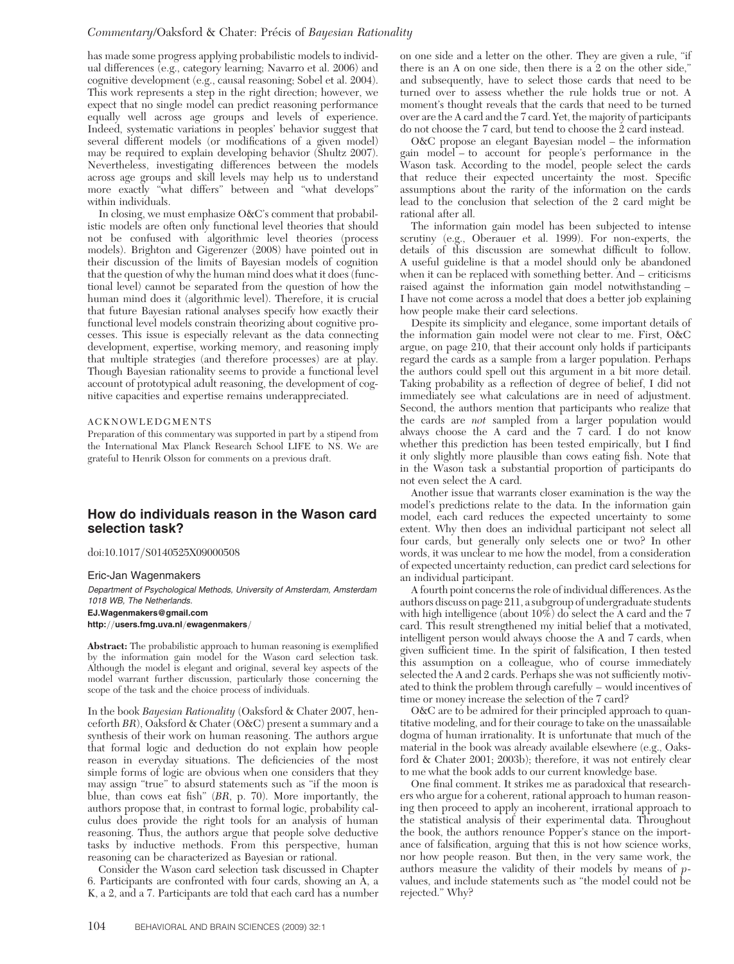## Commentary/Oaksford & Chater: Précis of Bayesian Rationality

has made some progress applying probabilistic models to individual differences (e.g., category learning; Navarro et al. 2006) and cognitive development (e.g., causal reasoning; Sobel et al. 2004). This work represents a step in the right direction; however, we expect that no single model can predict reasoning performance equally well across age groups and levels of experience. Indeed, systematic variations in peoples' behavior suggest that several different models (or modifications of a given model) may be required to explain developing behavior (Shultz 2007). Nevertheless, investigating differences between the models across age groups and skill levels may help us to understand more exactly "what differs" between and "what develops" within individuals.

In closing, we must emphasize O&C's comment that probabilistic models are often only functional level theories that should not be confused with algorithmic level theories (process models). Brighton and Gigerenzer (2008) have pointed out in their discussion of the limits of Bayesian models of cognition that the question of why the human mind does what it does (functional level) cannot be separated from the question of how the human mind does it (algorithmic level). Therefore, it is crucial that future Bayesian rational analyses specify how exactly their functional level models constrain theorizing about cognitive processes. This issue is especially relevant as the data connecting development, expertise, working memory, and reasoning imply that multiple strategies (and therefore processes) are at play. Though Bayesian rationality seems to provide a functional level account of prototypical adult reasoning, the development of cognitive capacities and expertise remains underappreciated.

#### ACKNOWLEDGMENTS

Preparation of this commentary was supported in part by a stipend from the International Max Planck Research School LIFE to NS. We are grateful to Henrik Olsson for comments on a previous draft.

## How do individuals reason in the Wason card selection task?

doi:10.1017/S0140525X09000508

Eric-Jan Wagenmakers

Department of Psychological Methods, University of Amsterdam, Amsterdam 1018 WB, The Netherlands. EJ.Wagenmakers@gmail.com

http://users.fmg.uva.nl/ewagenmakers/

Abstract: The probabilistic approach to human reasoning is exemplified by the information gain model for the Wason card selection task. Although the model is elegant and original, several key aspects of the model warrant further discussion, particularly those concerning the scope of the task and the choice process of individuals.

In the book Bayesian Rationality (Oaksford & Chater 2007, henceforth BR), Oaksford & Chater (O&C) present a summary and a synthesis of their work on human reasoning. The authors argue that formal logic and deduction do not explain how people reason in everyday situations. The deficiencies of the most simple forms of logic are obvious when one considers that they may assign "true" to absurd statements such as "if the moon is blue, than cows eat fish" (BR, p. 70). More importantly, the authors propose that, in contrast to formal logic, probability calculus does provide the right tools for an analysis of human reasoning. Thus, the authors argue that people solve deductive tasks by inductive methods. From this perspective, human reasoning can be characterized as Bayesian or rational.

Consider the Wason card selection task discussed in Chapter 6. Participants are confronted with four cards, showing an A, a K, a 2, and a 7. Participants are told that each card has a number

on one side and a letter on the other. They are given a rule, "if there is an A on one side, then there is a 2 on the other side," and subsequently, have to select those cards that need to be turned over to assess whether the rule holds true or not. A moment's thought reveals that the cards that need to be turned over are the A card and the 7 card. Yet, the majority of participants do not choose the 7 card, but tend to choose the 2 card instead.

O&C propose an elegant Bayesian model – the information gain model – to account for people's performance in the Wason task. According to the model, people select the cards that reduce their expected uncertainty the most. Specific assumptions about the rarity of the information on the cards lead to the conclusion that selection of the 2 card might be rational after all.

The information gain model has been subjected to intense scrutiny (e.g., Oberauer et al. 1999). For non-experts, the details of this discussion are somewhat difficult to follow. A useful guideline is that a model should only be abandoned when it can be replaced with something better. And – criticisms raised against the information gain model notwithstanding – I have not come across a model that does a better job explaining how people make their card selections.

Despite its simplicity and elegance, some important details of the information gain model were not clear to me. First, O&C argue, on page 210, that their account only holds if participants regard the cards as a sample from a larger population. Perhaps the authors could spell out this argument in a bit more detail. Taking probability as a reflection of degree of belief, I did not immediately see what calculations are in need of adjustment. Second, the authors mention that participants who realize that the cards are *not* sampled from a larger population would always choose the A card and the 7 card. I do not know whether this prediction has been tested empirically, but I find it only slightly more plausible than cows eating fish. Note that in the Wason task a substantial proportion of participants do not even select the A card.

Another issue that warrants closer examination is the way the model's predictions relate to the data. In the information gain model, each card reduces the expected uncertainty to some extent. Why then does an individual participant not select all four cards, but generally only selects one or two? In other words, it was unclear to me how the model, from a consideration of expected uncertainty reduction, can predict card selections for an individual participant.

A fourth point concerns the role of individual differences. As the authors discuss on page 211, a subgroup of undergraduate students with high intelligence (about 10%) do select the A card and the 7 card. This result strengthened my initial belief that a motivated, intelligent person would always choose the A and 7 cards, when given sufficient time. In the spirit of falsification, I then tested this assumption on a colleague, who of course immediately selected the A and 2 cards. Perhaps she was not sufficiently motivated to think the problem through carefully – would incentives of time or money increase the selection of the 7 card?

O&C are to be admired for their principled approach to quantitative modeling, and for their courage to take on the unassailable dogma of human irrationality. It is unfortunate that much of the material in the book was already available elsewhere (e.g., Oaksford & Chater 2001; 2003b); therefore, it was not entirely clear to me what the book adds to our current knowledge base.

One final comment. It strikes me as paradoxical that researchers who argue for a coherent, rational approach to human reasoning then proceed to apply an incoherent, irrational approach to the statistical analysis of their experimental data. Throughout the book, the authors renounce Popper's stance on the importance of falsification, arguing that this is not how science works, nor how people reason. But then, in the very same work, the authors measure the validity of their models by means of  $p$ values, and include statements such as "the model could not be rejected." Why?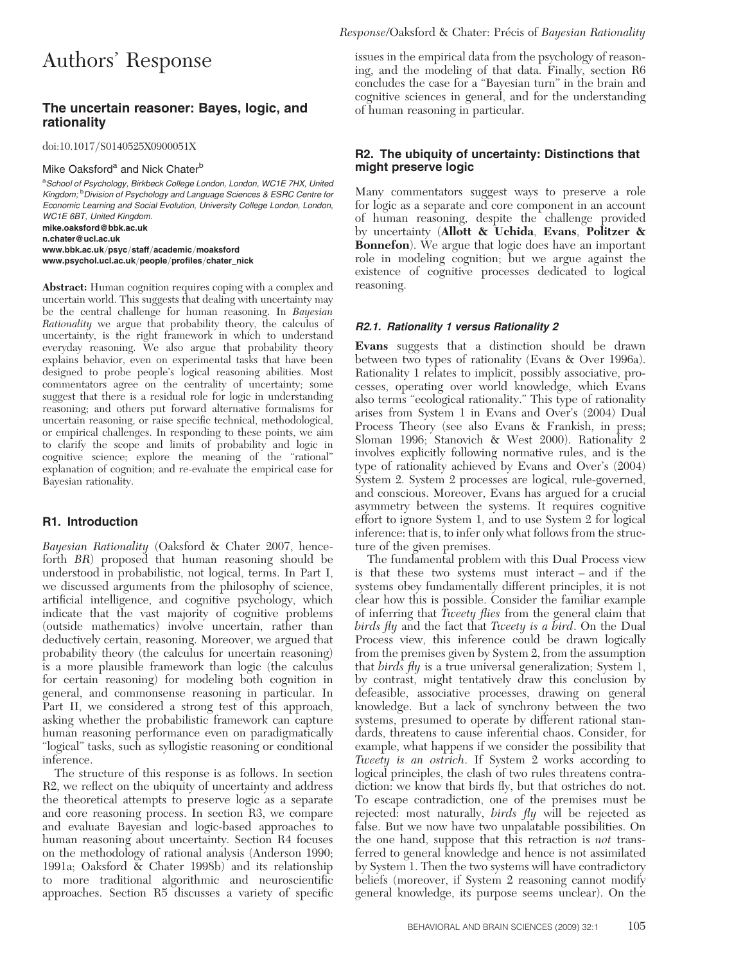## Authors' Response

## The uncertain reasoner: Bayes, logic, and rationality

doi:10.1017/S0140525X0900051X

Mike Oaksford<sup>a</sup> and Nick Chater<sup>b</sup>

a School of Psychology, Birkbeck College London, London, WC1E 7HX, United Kingdom; <sup>b</sup> Division of Psychology and Language Sciences & ESRC Centre for Economic Learning and Social Evolution, University College London, London, WC1E 6BT, United Kingdom.

mike.oaksford@bbk.ac.uk n.chater@ucl.ac.uk

www.bbk.ac.uk/psyc/staff/academic/moaksford www.psychol.ucl.ac.uk/people/profiles/chater\_nick

Abstract: Human cognition requires coping with a complex and uncertain world. This suggests that dealing with uncertainty may be the central challenge for human reasoning. In Bayesian Rationality we argue that probability theory, the calculus of uncertainty, is the right framework in which to understand everyday reasoning. We also argue that probability theory explains behavior, even on experimental tasks that have been designed to probe people's logical reasoning abilities. Most commentators agree on the centrality of uncertainty; some suggest that there is a residual role for logic in understanding reasoning; and others put forward alternative formalisms for uncertain reasoning, or raise specific technical, methodological, or empirical challenges. In responding to these points, we aim to clarify the scope and limits of probability and logic in cognitive science; explore the meaning of the "rational" explanation of cognition; and re-evaluate the empirical case for Bayesian rationality.

## R1. Introduction

Bayesian Rationality (Oaksford & Chater 2007, henceforth BR) proposed that human reasoning should be understood in probabilistic, not logical, terms. In Part I, we discussed arguments from the philosophy of science, artificial intelligence, and cognitive psychology, which indicate that the vast majority of cognitive problems (outside mathematics) involve uncertain, rather than deductively certain, reasoning. Moreover, we argued that probability theory (the calculus for uncertain reasoning) is a more plausible framework than logic (the calculus for certain reasoning) for modeling both cognition in general, and commonsense reasoning in particular. In Part II, we considered a strong test of this approach, asking whether the probabilistic framework can capture human reasoning performance even on paradigmatically "logical" tasks, such as syllogistic reasoning or conditional inference.

The structure of this response is as follows. In section R2, we reflect on the ubiquity of uncertainty and address the theoretical attempts to preserve logic as a separate and core reasoning process. In section R3, we compare and evaluate Bayesian and logic-based approaches to human reasoning about uncertainty. Section R4 focuses on the methodology of rational analysis (Anderson 1990; 1991a; Oaksford & Chater 1998b) and its relationship to more traditional algorithmic and neuroscientific approaches. Section R5 discusses a variety of specific

issues in the empirical data from the psychology of reasoning, and the modeling of that data. Finally, section R6 concludes the case for a "Bayesian turn" in the brain and cognitive sciences in general, and for the understanding of human reasoning in particular.

## R2. The ubiquity of uncertainty: Distinctions that might preserve logic

Many commentators suggest ways to preserve a role for logic as a separate and core component in an account of human reasoning, despite the challenge provided by uncertainty (Allott & Uchida, Evans, Politzer & Bonnefon). We argue that logic does have an important role in modeling cognition; but we argue against the existence of cognitive processes dedicated to logical reasoning.

## R2.1. Rationality 1 versus Rationality 2

Evans suggests that a distinction should be drawn between two types of rationality (Evans & Over 1996a). Rationality 1 relates to implicit, possibly associative, processes, operating over world knowledge, which Evans also terms "ecological rationality." This type of rationality arises from System 1 in Evans and Over's (2004) Dual Process Theory (see also Evans & Frankish, in press; Sloman 1996; Stanovich & West 2000). Rationality 2 involves explicitly following normative rules, and is the type of rationality achieved by Evans and Over's (2004) System 2. System 2 processes are logical, rule-governed, and conscious. Moreover, Evans has argued for a crucial asymmetry between the systems. It requires cognitive effort to ignore System 1, and to use System 2 for logical inference: that is, to infer only what follows from the structure of the given premises.

The fundamental problem with this Dual Process view is that these two systems must interact – and if the systems obey fundamentally different principles, it is not clear how this is possible. Consider the familiar example of inferring that Tweety flies from the general claim that birds fly and the fact that Tweety is a bird. On the Dual Process view, this inference could be drawn logically from the premises given by System 2, from the assumption that *birds*  $fly$  is a true universal generalization; System 1, by contrast, might tentatively draw this conclusion by defeasible, associative processes, drawing on general knowledge. But a lack of synchrony between the two systems, presumed to operate by different rational standards, threatens to cause inferential chaos. Consider, for example, what happens if we consider the possibility that Tweety is an ostrich. If System 2 works according to logical principles, the clash of two rules threatens contradiction: we know that birds fly, but that ostriches do not. To escape contradiction, one of the premises must be rejected: most naturally, birds fly will be rejected as false. But we now have two unpalatable possibilities. On the one hand, suppose that this retraction is not transferred to general knowledge and hence is not assimilated by System 1. Then the two systems will have contradictory beliefs (moreover, if System 2 reasoning cannot modify general knowledge, its purpose seems unclear). On the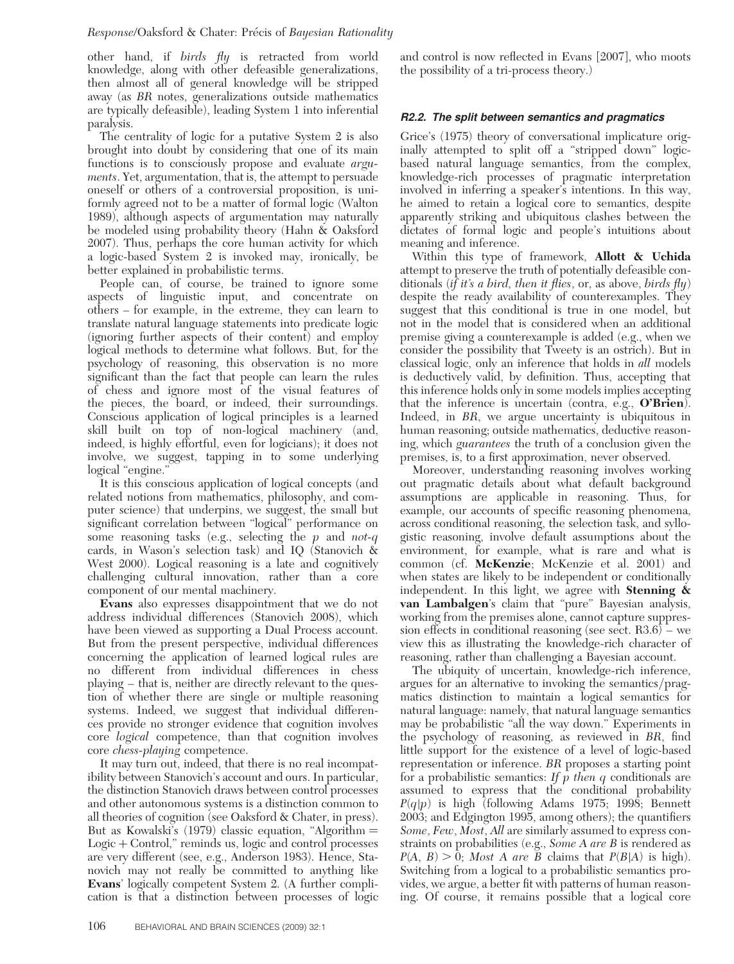other hand, if birds fly is retracted from world knowledge, along with other defeasible generalizations, then almost all of general knowledge will be stripped away (as BR notes, generalizations outside mathematics are typically defeasible), leading System 1 into inferential paralysis.

The centrality of logic for a putative System 2 is also brought into doubt by considering that one of its main functions is to consciously propose and evaluate *argu*ments. Yet, argumentation, that is, the attempt to persuade oneself or others of a controversial proposition, is uniformly agreed not to be a matter of formal logic (Walton 1989), although aspects of argumentation may naturally be modeled using probability theory (Hahn & Oaksford 2007). Thus, perhaps the core human activity for which a logic-based System 2 is invoked may, ironically, be better explained in probabilistic terms.

People can, of course, be trained to ignore some aspects of linguistic input, and concentrate on others – for example, in the extreme, they can learn to translate natural language statements into predicate logic (ignoring further aspects of their content) and employ logical methods to determine what follows. But, for the psychology of reasoning, this observation is no more significant than the fact that people can learn the rules of chess and ignore most of the visual features of the pieces, the board, or indeed, their surroundings. Conscious application of logical principles is a learned skill built on top of non-logical machinery (and, indeed, is highly effortful, even for logicians); it does not involve, we suggest, tapping in to some underlying logical "engine."

It is this conscious application of logical concepts (and related notions from mathematics, philosophy, and computer science) that underpins, we suggest, the small but significant correlation between "logical" performance on some reasoning tasks (e.g., selecting the  $p$  and not- $q$ cards, in Wason's selection task) and IQ (Stanovich & West 2000). Logical reasoning is a late and cognitively challenging cultural innovation, rather than a core component of our mental machinery.

Evans also expresses disappointment that we do not address individual differences (Stanovich 2008), which have been viewed as supporting a Dual Process account. But from the present perspective, individual differences concerning the application of learned logical rules are no different from individual differences in chess playing – that is, neither are directly relevant to the question of whether there are single or multiple reasoning systems. Indeed, we suggest that individual differences provide no stronger evidence that cognition involves core logical competence, than that cognition involves core chess-playing competence.

It may turn out, indeed, that there is no real incompatibility between Stanovich's account and ours. In particular, the distinction Stanovich draws between control processes and other autonomous systems is a distinction common to all theories of cognition (see Oaksford & Chater, in press). But as Kowalski's  $(1979)$  classic equation, "Algorithm =  $Logic + Control$ ," reminds us, logic and control processes are very different (see, e.g., Anderson 1983). Hence, Stanovich may not really be committed to anything like Evans' logically competent System 2. (A further complication is that a distinction between processes of logic

and control is now reflected in Evans [2007], who moots the possibility of a tri-process theory.)

## R2.2. The split between semantics and pragmatics

Grice's (1975) theory of conversational implicature originally attempted to split off a "stripped down" logicbased natural language semantics, from the complex, knowledge-rich processes of pragmatic interpretation involved in inferring a speaker's intentions. In this way, he aimed to retain a logical core to semantics, despite apparently striking and ubiquitous clashes between the dictates of formal logic and people's intuitions about meaning and inference.

Within this type of framework, **Allott & Uchida** attempt to preserve the truth of potentially defeasible conditionals (if it's a bird, then it flies, or, as above, birds  $f(y)$ ) despite the ready availability of counterexamples. They suggest that this conditional is true in one model, but not in the model that is considered when an additional premise giving a counterexample is added (e.g., when we consider the possibility that Tweety is an ostrich). But in classical logic, only an inference that holds in all models is deductively valid, by definition. Thus, accepting that this inference holds only in some models implies accepting that the inference is uncertain (contra, e.g.,  $O'$ Brien). Indeed, in BR, we argue uncertainty is ubiquitous in human reasoning; outside mathematics, deductive reasoning, which guarantees the truth of a conclusion given the premises, is, to a first approximation, never observed.

Moreover, understanding reasoning involves working out pragmatic details about what default background assumptions are applicable in reasoning. Thus, for example, our accounts of specific reasoning phenomena, across conditional reasoning, the selection task, and syllogistic reasoning, involve default assumptions about the environment, for example, what is rare and what is common (cf. McKenzie; McKenzie et al. 2001) and when states are likely to be independent or conditionally independent. In this light, we agree with **Stenning**  $\&$ van Lambalgen's claim that "pure" Bayesian analysis, working from the premises alone, cannot capture suppression effects in conditional reasoning (see sect. R3.6) – we view this as illustrating the knowledge-rich character of reasoning, rather than challenging a Bayesian account.

The ubiquity of uncertain, knowledge-rich inference, argues for an alternative to invoking the semantics/pragmatics distinction to maintain a logical semantics for natural language: namely, that natural language semantics may be probabilistic "all the way down." Experiments in the psychology of reasoning, as reviewed in BR, find little support for the existence of a level of logic-based representation or inference. BR proposes a starting point for a probabilistic semantics: If  $\tilde{p}$  then q conditionals are assumed to express that the conditional probability  $P(q|p)$  is high (following Adams 1975; 1998; Bennett 2003; and Edgington 1995, among others); the quantifiers Some, Few, Most, All are similarly assumed to express constraints on probabilities (e.g., Some A are B is rendered as  $P(A, B) > 0$ ; Most A are B claims that  $P(B|A)$  is high). Switching from a logical to a probabilistic semantics provides, we argue, a better fit with patterns of human reasoning. Of course, it remains possible that a logical core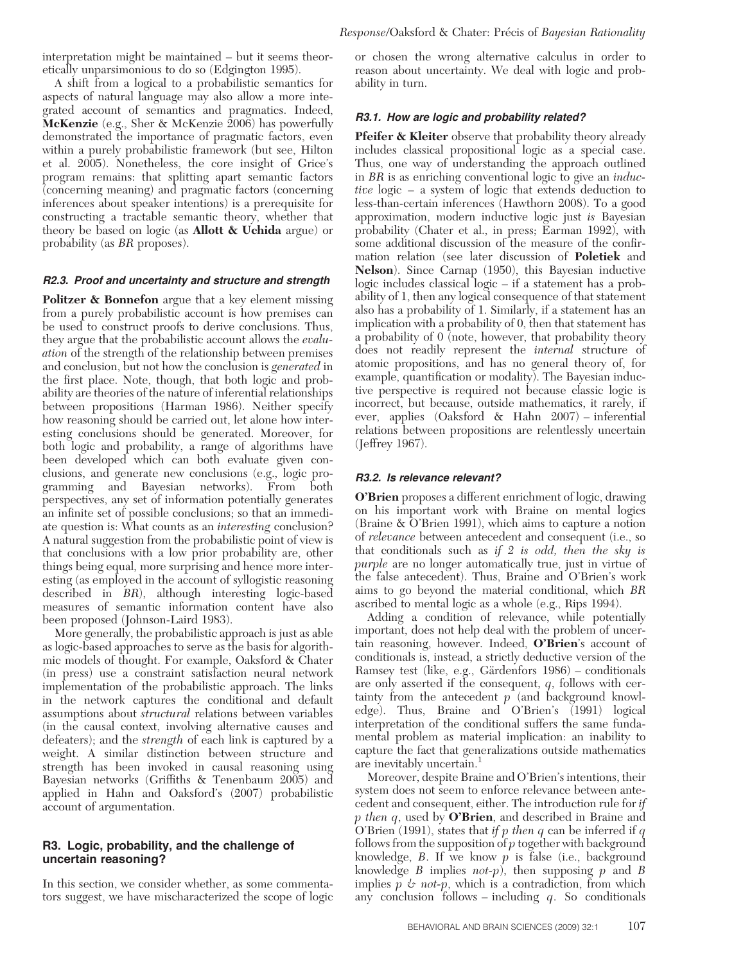A shift from a logical to a probabilistic semantics for aspects of natural language may also allow a more integrated account of semantics and pragmatics. Indeed, McKenzie (e.g., Sher & McKenzie 2006) has powerfully demonstrated the importance of pragmatic factors, even within a purely probabilistic framework (but see, Hilton et al. 2005). Nonetheless, the core insight of Grice's program remains: that splitting apart semantic factors (concerning meaning) and pragmatic factors (concerning inferences about speaker intentions) is a prerequisite for constructing a tractable semantic theory, whether that theory be based on logic (as Allott & Uchida argue) or probability (as BR proposes).

## R2.3. Proof and uncertainty and structure and strength

Politzer & Bonnefon argue that a key element missing from a purely probabilistic account is how premises can be used to construct proofs to derive conclusions. Thus, they argue that the probabilistic account allows the *evalu*ation of the strength of the relationship between premises and conclusion, but not how the conclusion is generated in the first place. Note, though, that both logic and probability are theories of the nature of inferential relationships between propositions (Harman 1986). Neither specify how reasoning should be carried out, let alone how interesting conclusions should be generated. Moreover, for both logic and probability, a range of algorithms have been developed which can both evaluate given conclusions, and generate new conclusions (e.g., logic programming and Bayesian networks). From both perspectives, any set of information potentially generates an infinite set of possible conclusions; so that an immediate question is: What counts as an interesting conclusion? A natural suggestion from the probabilistic point of view is that conclusions with a low prior probability are, other things being equal, more surprising and hence more interesting (as employed in the account of syllogistic reasoning described in BR), although interesting logic-based measures of semantic information content have also been proposed (Johnson-Laird 1983).

More generally, the probabilistic approach is just as able as logic-based approaches to serve as the basis for algorithmic models of thought. For example, Oaksford & Chater (in press) use a constraint satisfaction neural network implementation of the probabilistic approach. The links in the network captures the conditional and default assumptions about structural relations between variables (in the causal context, involving alternative causes and defeaters); and the strength of each link is captured by a weight. A similar distinction between structure and strength has been invoked in causal reasoning using Bayesian networks (Griffiths & Tenenbaum 2005) and applied in Hahn and Oaksford's (2007) probabilistic account of argumentation.

## R3. Logic, probability, and the challenge of uncertain reasoning?

In this section, we consider whether, as some commentators suggest, we have mischaracterized the scope of logic or chosen the wrong alternative calculus in order to reason about uncertainty. We deal with logic and probability in turn.

## R3.1. How are logic and probability related?

Pfeifer & Kleiter observe that probability theory already includes classical propositional logic as a special case. Thus, one way of understanding the approach outlined in BR is as enriching conventional logic to give an inductive logic – a system of logic that extends deduction to less-than-certain inferences (Hawthorn 2008). To a good approximation, modern inductive logic just is Bayesian probability (Chater et al., in press; Earman 1992), with some additional discussion of the measure of the confirmation relation (see later discussion of Poletiek and Nelson). Since Carnap (1950), this Bayesian inductive logic includes classical logic – if a statement has a probability of 1, then any logical consequence of that statement also has a probability of 1. Similarly, if a statement has an implication with a probability of 0, then that statement has a probability of 0 (note, however, that probability theory does not readily represent the internal structure of atomic propositions, and has no general theory of, for example, quantification or modality). The Bayesian inductive perspective is required not because classic logic is incorrect, but because, outside mathematics, it rarely, if ever, applies (Oaksford & Hahn 2007) – inferential relations between propositions are relentlessly uncertain (Jeffrey 1967).

## R3.2. Is relevance relevant?

O'Brien proposes a different enrichment of logic, drawing on his important work with Braine on mental logics (Braine & O'Brien 1991), which aims to capture a notion of relevance between antecedent and consequent (i.e., so that conditionals such as if 2 is odd, then the sky is purple are no longer automatically true, just in virtue of the false antecedent). Thus, Braine and O'Brien's work aims to go beyond the material conditional, which BR ascribed to mental logic as a whole (e.g., Rips 1994).

Adding a condition of relevance, while potentially important, does not help deal with the problem of uncertain reasoning, however. Indeed, O'Brien's account of conditionals is, instead, a strictly deductive version of the Ramsey test (like, e.g., Gärdenfors  $1986$ ) – conditionals are only asserted if the consequent, q, follows with certainty from the antecedent  $p$  (and background knowledge). Thus, Braine and O'Brien's (1991) logical interpretation of the conditional suffers the same fundamental problem as material implication: an inability to capture the fact that generalizations outside mathematics are inevitably uncertain.<sup>1</sup>

Moreover, despite Braine and O'Brien's intentions, their system does not seem to enforce relevance between antecedent and consequent, either. The introduction rule for if p then q, used by O'Brien, and described in Braine and O'Brien (1991), states that if p then q can be inferred if q follows from the supposition of  $p$  together with background knowledge,  $B$ . If we know  $p$  is false (i.e., background knowledge *B* implies *not-p*), then supposing  $p$  and *B* implies  $p \leftrightarrow not-p$ , which is a contradiction, from which any conclusion follows – including  $q$ . So conditionals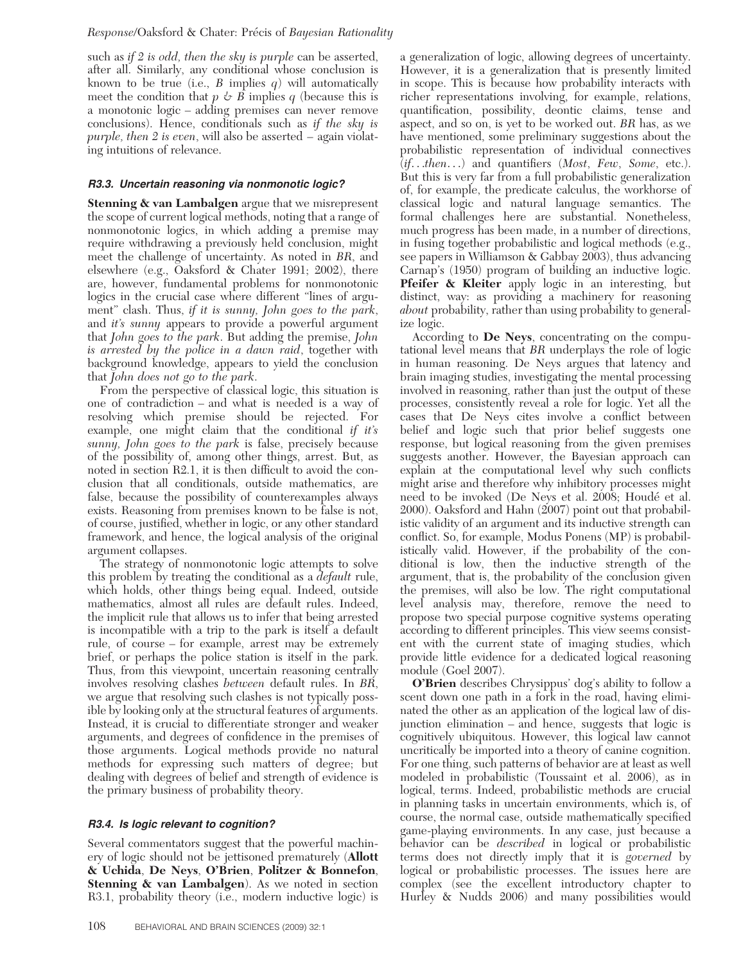such as if 2 is odd, then the sky is purple can be asserted, after all. Similarly, any conditional whose conclusion is known to be true (i.e.,  $B$  implies  $q$ ) will automatically meet the condition that  $p \leftrightarrow \overline{B}$  implies q (because this is a monotonic logic – adding premises can never remove conclusions). Hence, conditionals such as if the sky is purple, then 2 is even, will also be asserted – again violating intuitions of relevance.

## R3.3. Uncertain reasoning via nonmonotic logic?

**Stenning & van Lambalgen** argue that we misrepresent the scope of current logical methods, noting that a range of nonmonotonic logics, in which adding a premise may require withdrawing a previously held conclusion, might meet the challenge of uncertainty. As noted in BR, and elsewhere (e.g., Oaksford & Chater 1991; 2002), there are, however, fundamental problems for nonmonotonic logics in the crucial case where different "lines of argument" clash. Thus, if it is sunny, John goes to the park, and it's sunny appears to provide a powerful argument that John goes to the park. But adding the premise, John is arrested by the police in a dawn raid, together with background knowledge, appears to yield the conclusion that John does not go to the park.

From the perspective of classical logic, this situation is one of contradiction – and what is needed is a way of resolving which premise should be rejected. For example, one might claim that the conditional if it's sunny, John goes to the park is false, precisely because of the possibility of, among other things, arrest. But, as noted in section R2.1, it is then difficult to avoid the conclusion that all conditionals, outside mathematics, are false, because the possibility of counterexamples always exists. Reasoning from premises known to be false is not, of course, justified, whether in logic, or any other standard framework, and hence, the logical analysis of the original argument collapses.

The strategy of nonmonotonic logic attempts to solve this problem by treating the conditional as a *default* rule, which holds, other things being equal. Indeed, outside mathematics, almost all rules are default rules. Indeed, the implicit rule that allows us to infer that being arrested is incompatible with a trip to the park is itself a default rule, of course – for example, arrest may be extremely brief, or perhaps the police station is itself in the park. Thus, from this viewpoint, uncertain reasoning centrally involves resolving clashes between default rules. In BR, we argue that resolving such clashes is not typically possible by looking only at the structural features of arguments. Instead, it is crucial to differentiate stronger and weaker arguments, and degrees of confidence in the premises of those arguments. Logical methods provide no natural methods for expressing such matters of degree; but dealing with degrees of belief and strength of evidence is the primary business of probability theory.

## R3.4. Is logic relevant to cognition?

Several commentators suggest that the powerful machinery of logic should not be jettisoned prematurely (**Allott**) & Uchida, De Neys, O'Brien, Politzer & Bonnefon, Stenning & van Lambalgen). As we noted in section R3.1, probability theory (i.e., modern inductive logic) is

a generalization of logic, allowing degrees of uncertainty. However, it is a generalization that is presently limited in scope. This is because how probability interacts with richer representations involving, for example, relations, quantification, possibility, deontic claims, tense and aspect, and so on, is yet to be worked out. BR has, as we have mentioned, some preliminary suggestions about the probabilistic representation of individual connectives  $(if...then...)$  and quantifiers (*Most*, Few, Some, etc.). But this is very far from a full probabilistic generalization of, for example, the predicate calculus, the workhorse of classical logic and natural language semantics. The formal challenges here are substantial. Nonetheless, much progress has been made, in a number of directions, in fusing together probabilistic and logical methods (e.g., see papers in Williamson & Gabbay 2003), thus advancing Carnap's (1950) program of building an inductive logic. Pfeifer & Kleiter apply logic in an interesting, but distinct, way: as providing a machinery for reasoning about probability, rather than using probability to generalize logic.

According to **De Neys**, concentrating on the computational level means that BR underplays the role of logic in human reasoning. De Neys argues that latency and brain imaging studies, investigating the mental processing involved in reasoning, rather than just the output of these processes, consistently reveal a role for logic. Yet all the cases that De Neys cites involve a conflict between belief and logic such that prior belief suggests one response, but logical reasoning from the given premises suggests another. However, the Bayesian approach can explain at the computational level why such conflicts might arise and therefore why inhibitory processes might need to be invoked (De Neys et al. 2008; Houdé et al. 2000). Oaksford and Hahn (2007) point out that probabilistic validity of an argument and its inductive strength can conflict. So, for example, Modus Ponens (MP) is probabilistically valid. However, if the probability of the conditional is low, then the inductive strength of the argument, that is, the probability of the conclusion given the premises, will also be low. The right computational level analysis may, therefore, remove the need to propose two special purpose cognitive systems operating according to different principles. This view seems consistent with the current state of imaging studies, which provide little evidence for a dedicated logical reasoning module (Goel 2007).

O'Brien describes Chrysippus' dog's ability to follow a scent down one path in a fork in the road, having eliminated the other as an application of the logical law of disjunction elimination – and hence, suggests that logic is cognitively ubiquitous. However, this logical law cannot uncritically be imported into a theory of canine cognition. For one thing, such patterns of behavior are at least as well modeled in probabilistic (Toussaint et al. 2006), as in logical, terms. Indeed, probabilistic methods are crucial in planning tasks in uncertain environments, which is, of course, the normal case, outside mathematically specified game-playing environments. In any case, just because a behavior can be described in logical or probabilistic terms does not directly imply that it is governed by logical or probabilistic processes. The issues here are complex (see the excellent introductory chapter to Hurley & Nudds 2006) and many possibilities would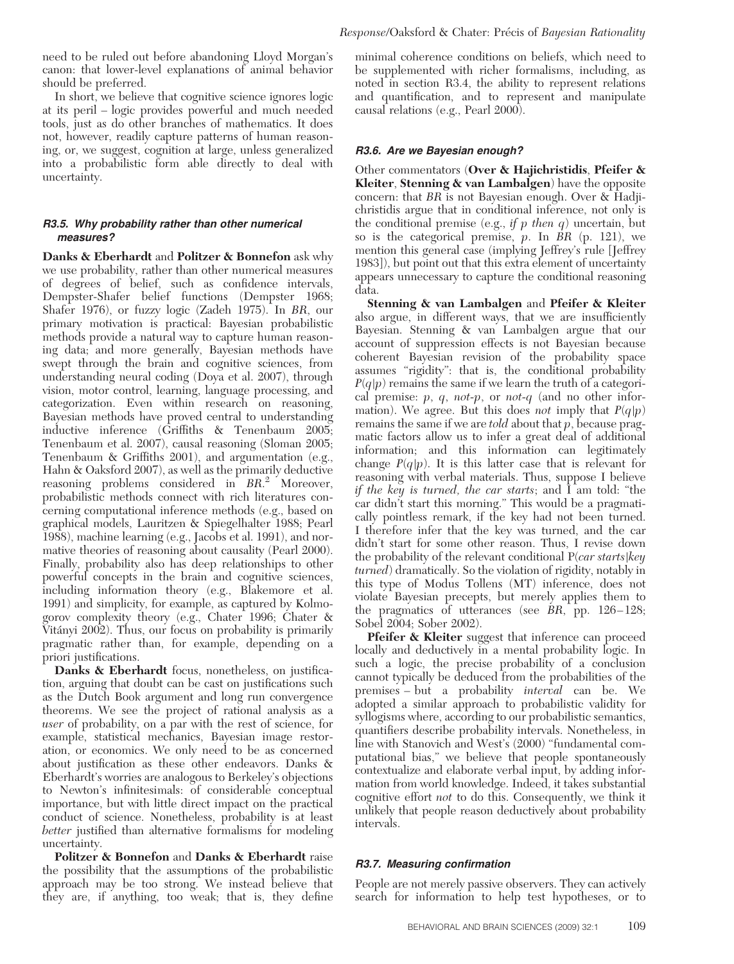need to be ruled out before abandoning Lloyd Morgan's canon: that lower-level explanations of animal behavior should be preferred.

In short, we believe that cognitive science ignores logic at its peril – logic provides powerful and much needed tools, just as do other branches of mathematics. It does not, however, readily capture patterns of human reasoning, or, we suggest, cognition at large, unless generalized into a probabilistic form able directly to deal with uncertainty.

### R3.5. Why probability rather than other numerical measures?

Danks & Eberhardt and Politzer & Bonnefon ask why we use probability, rather than other numerical measures of degrees of belief, such as confidence intervals, Dempster-Shafer belief functions (Dempster 1968; Shafer 1976), or fuzzy logic (Zadeh 1975). In BR, our primary motivation is practical: Bayesian probabilistic methods provide a natural way to capture human reasoning data; and more generally, Bayesian methods have swept through the brain and cognitive sciences, from understanding neural coding (Doya et al. 2007), through vision, motor control, learning, language processing, and categorization. Even within research on reasoning, Bayesian methods have proved central to understanding inductive inference (Griffiths & Tenenbaum 2005; Tenenbaum et al. 2007), causal reasoning (Sloman 2005; Tenenbaum & Griffiths 2001), and argumentation (e.g., Hahn & Oaksford 2007), as well as the primarily deductive reasoning problems considered in BR.<sup>2</sup> Moreover, probabilistic methods connect with rich literatures concerning computational inference methods (e.g., based on graphical models, Lauritzen & Spiegelhalter 1988; Pearl 1988), machine learning (e.g., Jacobs et al. 1991), and normative theories of reasoning about causality (Pearl 2000). Finally, probability also has deep relationships to other powerful concepts in the brain and cognitive sciences, including information theory (e.g., Blakemore et al. 1991) and simplicity, for example, as captured by Kolmogorov complexity theory (e.g., Chater 1996; Chater & Vitányi 2002). Thus, our focus on probability is primarily pragmatic rather than, for example, depending on a priori justifications.

Danks & Eberhardt focus, nonetheless, on justification, arguing that doubt can be cast on justifications such as the Dutch Book argument and long run convergence theorems. We see the project of rational analysis as a user of probability, on a par with the rest of science, for example, statistical mechanics, Bayesian image restoration, or economics. We only need to be as concerned about justification as these other endeavors. Danks & Eberhardt's worries are analogous to Berkeley's objections to Newton's infinitesimals: of considerable conceptual importance, but with little direct impact on the practical conduct of science. Nonetheless, probability is at least better justified than alternative formalisms for modeling uncertainty.

Politzer & Bonnefon and Danks & Eberhardt raise the possibility that the assumptions of the probabilistic approach may be too strong. We instead believe that they are, if anything, too weak; that is, they define minimal coherence conditions on beliefs, which need to be supplemented with richer formalisms, including, as noted in section R3.4, the ability to represent relations and quantification, and to represent and manipulate causal relations (e.g., Pearl 2000).

## R3.6. Are we Bayesian enough?

Other commentators (Over & Hajichristidis, Pfeifer & Kleiter, Stenning & van Lambalgen) have the opposite concern: that BR is not Bayesian enough. Over & Hadjichristidis argue that in conditional inference, not only is the conditional premise (e.g., if  $p$  then  $q$ ) uncertain, but so is the categorical premise,  $p$ . In BR (p. 121), we mention this general case (implying Jeffrey's rule [Jeffrey 1983]), but point out that this extra element of uncertainty appears unnecessary to capture the conditional reasoning data.

Stenning & van Lambalgen and Pfeifer & Kleiter also argue, in different ways, that we are insufficiently Bayesian. Stenning & van Lambalgen argue that our account of suppression effects is not Bayesian because coherent Bayesian revision of the probability space assumes "rigidity": that is, the conditional probability  $P(q|p)$  remains the same if we learn the truth of a categorical premise:  $p, q, not-p$ , or  $not-q$  (and no other information). We agree. But this does not imply that  $P(q|p)$ remains the same if we are *told* about that  $p$ , because pragmatic factors allow us to infer a great deal of additional information; and this information can legitimately change  $P(q|p)$ . It is this latter case that is relevant for reasoning with verbal materials. Thus, suppose I believe if the key is turned, the car starts; and  $\overline{I}$  am told: "the car didn't start this morning." This would be a pragmatically pointless remark, if the key had not been turned. I therefore infer that the key was turned, and the car didn't start for some other reason. Thus, I revise down the probability of the relevant conditional  $P(car starts|key)$ turned) dramatically. So the violation of rigidity, notably in this type of Modus Tollens (MT) inference, does not violate Bayesian precepts, but merely applies them to the pragmatics of utterances (see  $BR$ , pp. 126–128; Sobel 2004; Sober 2002).

Pfeifer & Kleiter suggest that inference can proceed locally and deductively in a mental probability logic. In such a logic, the precise probability of a conclusion cannot typically be deduced from the probabilities of the premises – but a probability interval can be. We adopted a similar approach to probabilistic validity for syllogisms where, according to our probabilistic semantics, quantifiers describe probability intervals. Nonetheless, in line with Stanovich and West's (2000) "fundamental computational bias," we believe that people spontaneously contextualize and elaborate verbal input, by adding information from world knowledge. Indeed, it takes substantial cognitive effort not to do this. Consequently, we think it unlikely that people reason deductively about probability intervals.

## R3.7. Measuring confirmation

People are not merely passive observers. They can actively search for information to help test hypotheses, or to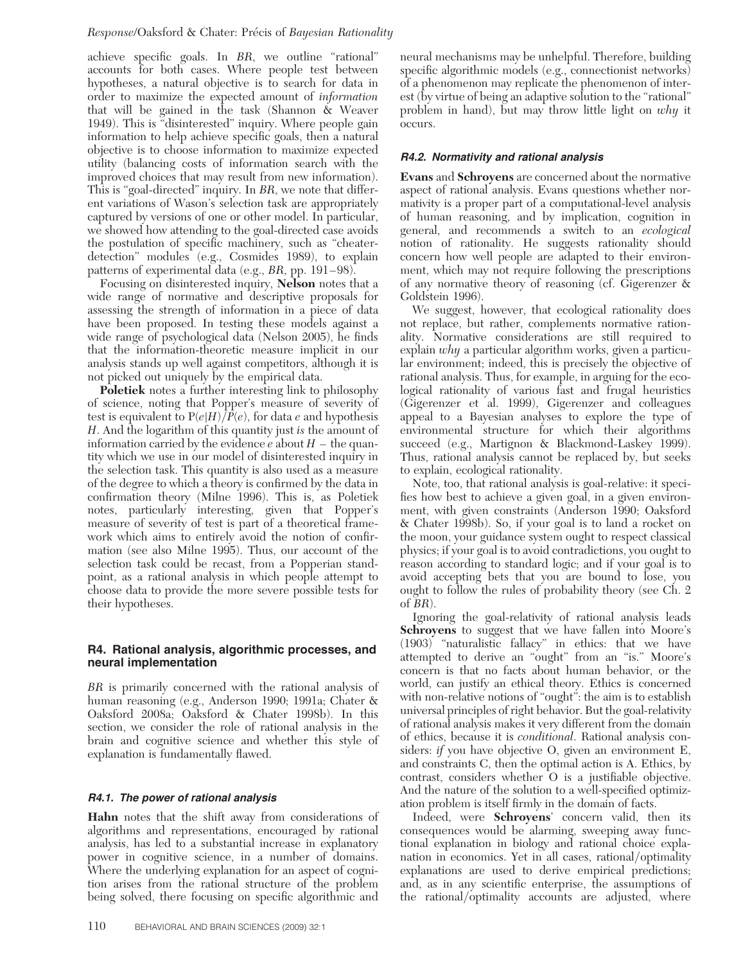achieve specific goals. In BR, we outline "rational" accounts for both cases. Where people test between hypotheses, a natural objective is to search for data in order to maximize the expected amount of information that will be gained in the task (Shannon & Weaver 1949). This is "disinterested" inquiry. Where people gain information to help achieve specific goals, then a natural objective is to choose information to maximize expected utility (balancing costs of information search with the improved choices that may result from new information). This is "goal-directed" inquiry. In BR, we note that different variations of Wason's selection task are appropriately captured by versions of one or other model. In particular, we showed how attending to the goal-directed case avoids the postulation of specific machinery, such as "cheaterdetection" modules (e.g., Cosmides 1989), to explain patterns of experimental data (e.g., BR, pp. 191–98).

Focusing on disinterested inquiry, Nelson notes that a wide range of normative and descriptive proposals for assessing the strength of information in a piece of data have been proposed. In testing these models against a wide range of psychological data (Nelson 2005), he finds that the information-theoretic measure implicit in our analysis stands up well against competitors, although it is not picked out uniquely by the empirical data.

Poletiek notes a further interesting link to philosophy of science, noting that Popper's measure of severity of test is equivalent to  $P(e|H)/\overline{P}(e)$ , for data e and hypothesis H. And the logarithm of this quantity just is the amount of information carried by the evidence  $e$  about  $H$  – the quantity which we use in our model of disinterested inquiry in the selection task. This quantity is also used as a measure of the degree to which a theory is confirmed by the data in confirmation theory (Milne 1996). This is, as Poletiek notes, particularly interesting, given that Popper's measure of severity of test is part of a theoretical framework which aims to entirely avoid the notion of confirmation (see also Milne 1995). Thus, our account of the selection task could be recast, from a Popperian standpoint, as a rational analysis in which people attempt to choose data to provide the more severe possible tests for their hypotheses.

## R4. Rational analysis, algorithmic processes, and neural implementation

BR is primarily concerned with the rational analysis of human reasoning (e.g., Anderson 1990; 1991a; Chater & Oaksford 2008a; Oaksford & Chater 1998b). In this section, we consider the role of rational analysis in the brain and cognitive science and whether this style of explanation is fundamentally flawed.

## R4.1. The power of rational analysis

Hahn notes that the shift away from considerations of algorithms and representations, encouraged by rational analysis, has led to a substantial increase in explanatory power in cognitive science, in a number of domains. Where the underlying explanation for an aspect of cognition arises from the rational structure of the problem being solved, there focusing on specific algorithmic and

### R4.2. Normativity and rational analysis

**Evans** and **Schroyens** are concerned about the normative aspect of rational analysis. Evans questions whether normativity is a proper part of a computational-level analysis of human reasoning, and by implication, cognition in general, and recommends a switch to an ecological notion of rationality. He suggests rationality should concern how well people are adapted to their environment, which may not require following the prescriptions of any normative theory of reasoning (cf. Gigerenzer & Goldstein 1996).

We suggest, however, that ecological rationality does not replace, but rather, complements normative rationality. Normative considerations are still required to explain why a particular algorithm works, given a particular environment; indeed, this is precisely the objective of rational analysis. Thus, for example, in arguing for the ecological rationality of various fast and frugal heuristics (Gigerenzer et al. 1999), Gigerenzer and colleagues appeal to a Bayesian analyses to explore the type of environmental structure for which their algorithms succeed (e.g., Martignon & Blackmond-Laskey 1999). Thus, rational analysis cannot be replaced by, but seeks to explain, ecological rationality.

Note, too, that rational analysis is goal-relative: it specifies how best to achieve a given goal, in a given environment, with given constraints (Anderson 1990; Oaksford & Chater 1998b). So, if your goal is to land a rocket on the moon, your guidance system ought to respect classical physics; if your goal is to avoid contradictions, you ought to reason according to standard logic; and if your goal is to avoid accepting bets that you are bound to lose, you ought to follow the rules of probability theory (see Ch. 2 of  $BR$ ).

Ignoring the goal-relativity of rational analysis leads Schroyens to suggest that we have fallen into Moore's (1903) "naturalistic fallacy" in ethics: that we have attempted to derive an "ought" from an "is." Moore's concern is that no facts about human behavior, or the world, can justify an ethical theory. Ethics is concerned with non-relative notions of "ought": the aim is to establish universal principles of right behavior. But the goal-relativity of rational analysis makes it very different from the domain of ethics, because it is conditional. Rational analysis considers: if you have objective O, given an environment E, and constraints C, then the optimal action is A. Ethics, by contrast, considers whether O is a justifiable objective. And the nature of the solution to a well-specified optimization problem is itself firmly in the domain of facts.

Indeed, were Schroyens' concern valid, then its consequences would be alarming, sweeping away functional explanation in biology and rational choice explanation in economics. Yet in all cases, rational/optimality explanations are used to derive empirical predictions; and, as in any scientific enterprise, the assumptions of the rational/optimality accounts are adjusted, where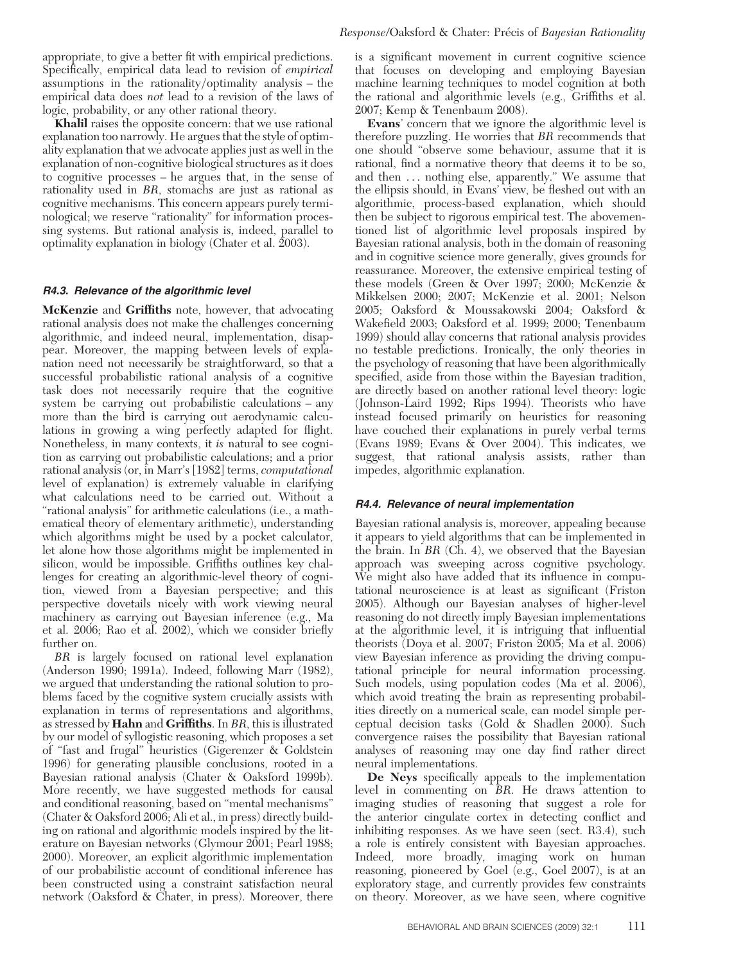appropriate, to give a better fit with empirical predictions. Specifically, empirical data lead to revision of empirical assumptions in the rationality/optimality analysis – the empirical data does not lead to a revision of the laws of logic, probability, or any other rational theory.

Khalil raises the opposite concern: that we use rational explanation too narrowly. He argues that the style of optimality explanation that we advocate applies just as well in the explanation of non-cognitive biological structures as it does to cognitive processes – he argues that, in the sense of rationality used in BR, stomachs are just as rational as cognitive mechanisms. This concern appears purely terminological; we reserve "rationality" for information processing systems. But rational analysis is, indeed, parallel to optimality explanation in biology (Chater et al. 2003).

#### R4.3. Relevance of the algorithmic level

McKenzie and Griffiths note, however, that advocating rational analysis does not make the challenges concerning algorithmic, and indeed neural, implementation, disappear. Moreover, the mapping between levels of explanation need not necessarily be straightforward, so that a successful probabilistic rational analysis of a cognitive task does not necessarily require that the cognitive system be carrying out probabilistic calculations – any more than the bird is carrying out aerodynamic calculations in growing a wing perfectly adapted for flight. Nonetheless, in many contexts, it is natural to see cognition as carrying out probabilistic calculations; and a prior rational analysis (or, in Marr's [1982] terms, computational level of explanation) is extremely valuable in clarifying what calculations need to be carried out. Without a "rational analysis" for arithmetic calculations (i.e., a mathematical theory of elementary arithmetic), understanding which algorithms might be used by a pocket calculator, let alone how those algorithms might be implemented in silicon, would be impossible. Griffiths outlines key challenges for creating an algorithmic-level theory of cognition, viewed from a Bayesian perspective; and this perspective dovetails nicely with work viewing neural machinery as carrying out Bayesian inference (e.g., Ma et al. 2006; Rao et al. 2002), which we consider briefly further on.

BR is largely focused on rational level explanation (Anderson 1990; 1991a). Indeed, following Marr (1982), we argued that understanding the rational solution to problems faced by the cognitive system crucially assists with explanation in terms of representations and algorithms, as stressed by Hahn and Griffiths. In BR, this is illustrated by our model of syllogistic reasoning, which proposes a set of "fast and frugal" heuristics (Gigerenzer & Goldstein 1996) for generating plausible conclusions, rooted in a Bayesian rational analysis (Chater & Oaksford 1999b). More recently, we have suggested methods for causal and conditional reasoning, based on "mental mechanisms" (Chater & Oaksford 2006; Ali et al., in press) directly building on rational and algorithmic models inspired by the literature on Bayesian networks (Glymour 2001; Pearl 1988; 2000). Moreover, an explicit algorithmic implementation of our probabilistic account of conditional inference has been constructed using a constraint satisfaction neural network (Oaksford & Chater, in press). Moreover, there

is a significant movement in current cognitive science that focuses on developing and employing Bayesian machine learning techniques to model cognition at both the rational and algorithmic levels (e.g., Griffiths et al. 2007; Kemp & Tenenbaum 2008).

Evans' concern that we ignore the algorithmic level is therefore puzzling. He worries that BR recommends that one should "observe some behaviour, assume that it is rational, find a normative theory that deems it to be so, and then ... nothing else, apparently." We assume that the ellipsis should, in Evans' view, be fleshed out with an algorithmic, process-based explanation, which should then be subject to rigorous empirical test. The abovementioned list of algorithmic level proposals inspired by Bayesian rational analysis, both in the domain of reasoning and in cognitive science more generally, gives grounds for reassurance. Moreover, the extensive empirical testing of these models (Green & Over 1997; 2000; McKenzie & Mikkelsen 2000; 2007; McKenzie et al. 2001; Nelson 2005; Oaksford & Moussakowski 2004; Oaksford & Wakefield 2003; Oaksford et al. 1999; 2000; Tenenbaum 1999) should allay concerns that rational analysis provides no testable predictions. Ironically, the only theories in the psychology of reasoning that have been algorithmically specified, aside from those within the Bayesian tradition, are directly based on another rational level theory: logic (Johnson-Laird 1992; Rips 1994). Theorists who have instead focused primarily on heuristics for reasoning have couched their explanations in purely verbal terms (Evans 1989; Evans & Over 2004). This indicates, we suggest, that rational analysis assists, rather than impedes, algorithmic explanation.

#### R4.4. Relevance of neural implementation

Bayesian rational analysis is, moreover, appealing because it appears to yield algorithms that can be implemented in the brain. In  $BR$  (Ch. 4), we observed that the Bayesian approach was sweeping across cognitive psychology. We might also have added that its influence in computational neuroscience is at least as significant (Friston 2005). Although our Bayesian analyses of higher-level reasoning do not directly imply Bayesian implementations at the algorithmic level, it is intriguing that influential theorists (Doya et al. 2007; Friston 2005; Ma et al. 2006) view Bayesian inference as providing the driving computational principle for neural information processing. Such models, using population codes (Ma et al. 2006), which avoid treating the brain as representing probabilities directly on a numerical scale, can model simple perceptual decision tasks (Gold & Shadlen 2000). Such convergence raises the possibility that Bayesian rational analyses of reasoning may one day find rather direct neural implementations.

De Neys specifically appeals to the implementation level in commenting on BR. He draws attention to imaging studies of reasoning that suggest a role for the anterior cingulate cortex in detecting conflict and inhibiting responses. As we have seen (sect. R3.4), such a role is entirely consistent with Bayesian approaches. Indeed, more broadly, imaging work on human reasoning, pioneered by Goel (e.g., Goel 2007), is at an exploratory stage, and currently provides few constraints on theory. Moreover, as we have seen, where cognitive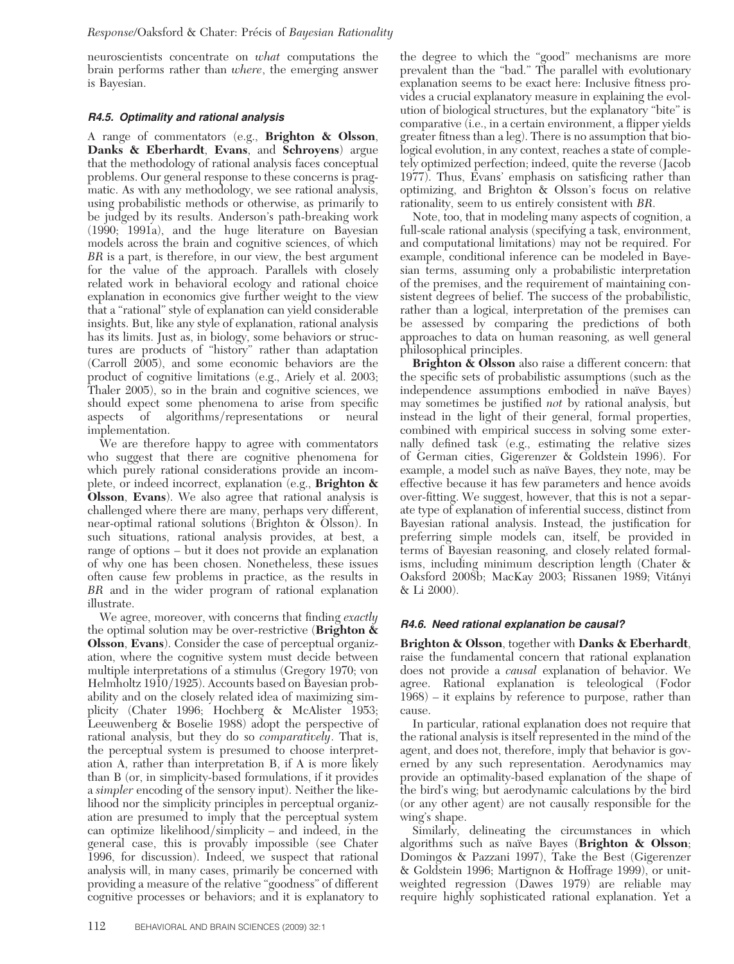neuroscientists concentrate on *what* computations the brain performs rather than where, the emerging answer is Bayesian.

## R4.5. Optimality and rational analysis

A range of commentators (e.g., **Brighton & Olsson**, Danks & Eberhardt, Evans, and Schroyens) argue that the methodology of rational analysis faces conceptual problems. Our general response to these concerns is pragmatic. As with any methodology, we see rational analysis, using probabilistic methods or otherwise, as primarily to be judged by its results. Anderson's path-breaking work (1990; 1991a), and the huge literature on Bayesian models across the brain and cognitive sciences, of which BR is a part, is therefore, in our view, the best argument for the value of the approach. Parallels with closely related work in behavioral ecology and rational choice explanation in economics give further weight to the view that a "rational" style of explanation can yield considerable insights. But, like any style of explanation, rational analysis has its limits. Just as, in biology, some behaviors or structures are products of "history" rather than adaptation (Carroll 2005), and some economic behaviors are the product of cognitive limitations (e.g., Ariely et al. 2003; Thaler 2005), so in the brain and cognitive sciences, we should expect some phenomena to arise from specific aspects of algorithms/representations or neural implementation.

We are therefore happy to agree with commentators who suggest that there are cognitive phenomena for which purely rational considerations provide an incomplete, or indeed incorrect, explanation (e.g., **Brighton & Olsson, Evans**). We also agree that rational analysis is challenged where there are many, perhaps very different, near-optimal rational solutions (Brighton & Olsson). In such situations, rational analysis provides, at best, a range of options – but it does not provide an explanation of why one has been chosen. Nonetheless, these issues often cause few problems in practice, as the results in BR and in the wider program of rational explanation illustrate.

We agree, moreover, with concerns that finding *exactly* the optimal solution may be over-restrictive (**Brighton &** Olsson, Evans). Consider the case of perceptual organization, where the cognitive system must decide between multiple interpretations of a stimulus (Gregory 1970; von Helmholtz 1910/1925). Accounts based on Bayesian probability and on the closely related idea of maximizing simplicity (Chater 1996; Hochberg & McAlister 1953; Leeuwenberg & Boselie 1988) adopt the perspective of rational analysis, but they do so *comparatively*. That is, the perceptual system is presumed to choose interpretation A, rather than interpretation B, if A is more likely than B (or, in simplicity-based formulations, if it provides a simpler encoding of the sensory input). Neither the likelihood nor the simplicity principles in perceptual organization are presumed to imply that the perceptual system can optimize likelihood/simplicity – and indeed, in the general case, this is provably impossible (see Chater 1996, for discussion). Indeed, we suspect that rational analysis will, in many cases, primarily be concerned with providing a measure of the relative "goodness" of different cognitive processes or behaviors; and it is explanatory to

the degree to which the "good" mechanisms are more prevalent than the "bad." The parallel with evolutionary explanation seems to be exact here: Inclusive fitness provides a crucial explanatory measure in explaining the evolution of biological structures, but the explanatory "bite" is comparative (i.e., in a certain environment, a flipper yields greater fitness than a leg). There is no assumption that biological evolution, in any context, reaches a state of completely optimized perfection; indeed, quite the reverse (Jacob 1977). Thus, Evans' emphasis on satisficing rather than optimizing, and Brighton & Olsson's focus on relative rationality, seem to us entirely consistent with BR.

Note, too, that in modeling many aspects of cognition, a full-scale rational analysis (specifying a task, environment, and computational limitations) may not be required. For example, conditional inference can be modeled in Bayesian terms, assuming only a probabilistic interpretation of the premises, and the requirement of maintaining consistent degrees of belief. The success of the probabilistic, rather than a logical, interpretation of the premises can be assessed by comparing the predictions of both approaches to data on human reasoning, as well general philosophical principles.

Brighton & Olsson also raise a different concern: that the specific sets of probabilistic assumptions (such as the independence assumptions embodied in naïve Bayes) may sometimes be justified not by rational analysis, but instead in the light of their general, formal properties, combined with empirical success in solving some externally defined task (e.g., estimating the relative sizes of German cities, Gigerenzer & Goldstein 1996). For example, a model such as naïve Bayes, they note, may be effective because it has few parameters and hence avoids over-fitting. We suggest, however, that this is not a separate type of explanation of inferential success, distinct from Bayesian rational analysis. Instead, the justification for preferring simple models can, itself, be provided in terms of Bayesian reasoning, and closely related formalisms, including minimum description length (Chater & Oaksford 2008b; MacKay 2003; Rissanen 1989; Vitányi & Li 2000).

## R4.6. Need rational explanation be causal?

Brighton & Olsson, together with Danks & Eberhardt, raise the fundamental concern that rational explanation does not provide a causal explanation of behavior. We agree. Rational explanation is teleological (Fodor 1968) – it explains by reference to purpose, rather than cause.

In particular, rational explanation does not require that the rational analysis is itself represented in the mind of the agent, and does not, therefore, imply that behavior is governed by any such representation. Aerodynamics may provide an optimality-based explanation of the shape of the bird's wing; but aerodynamic calculations by the bird (or any other agent) are not causally responsible for the wing's shape.

Similarly, delineating the circumstances in which algorithms such as naïve Bayes (**Brighton & Olsson**; Domingos & Pazzani 1997), Take the Best (Gigerenzer & Goldstein 1996; Martignon & Hoffrage 1999), or unitweighted regression (Dawes 1979) are reliable may require highly sophisticated rational explanation. Yet a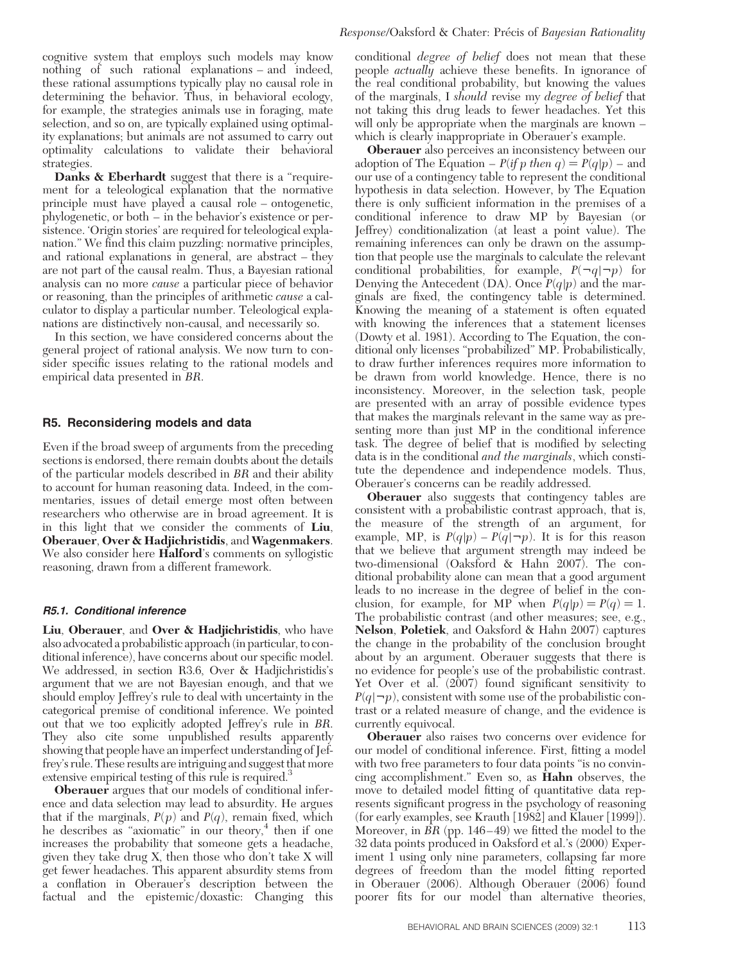cognitive system that employs such models may know nothing of such rational explanations – and indeed, these rational assumptions typically play no causal role in determining the behavior. Thus, in behavioral ecology, for example, the strategies animals use in foraging, mate selection, and so on, are typically explained using optimality explanations; but animals are not assumed to carry out optimality calculations to validate their behavioral strategies.

Danks & Eberhardt suggest that there is a "requirement for a teleological explanation that the normative principle must have played a causal role – ontogenetic, phylogenetic, or both – in the behavior's existence or persistence. 'Origin stories' are required for teleological explanation." We find this claim puzzling: normative principles, and rational explanations in general, are abstract – they are not part of the causal realm. Thus, a Bayesian rational analysis can no more cause a particular piece of behavior or reasoning, than the principles of arithmetic cause a calculator to display a particular number. Teleological explanations are distinctively non-causal, and necessarily so.

In this section, we have considered concerns about the general project of rational analysis. We now turn to consider specific issues relating to the rational models and empirical data presented in BR.

#### R5. Reconsidering models and data

Even if the broad sweep of arguments from the preceding sections is endorsed, there remain doubts about the details of the particular models described in BR and their ability to account for human reasoning data. Indeed, in the commentaries, issues of detail emerge most often between researchers who otherwise are in broad agreement. It is in this light that we consider the comments of Liu, Oberauer, Over & Hadjichristidis, and Wagenmakers. We also consider here **Halford**'s comments on syllogistic reasoning, drawn from a different framework.

#### R5.1. Conditional inference

Liu, Oberauer, and Over & Hadjichristidis, who have also advocated a probabilistic approach (in particular, to conditional inference), have concerns about our specific model. We addressed, in section R3.6, Over & Hadjichristidis's argument that we are not Bayesian enough, and that we should employ Jeffrey's rule to deal with uncertainty in the categorical premise of conditional inference. We pointed out that we too explicitly adopted Jeffrey's rule in BR. They also cite some unpublished results apparently showing that people have an imperfect understanding of Jeffrey's rule. These results are intriguing and suggest that more extensive empirical testing of this rule is required.<sup>3</sup>

Oberauer argues that our models of conditional inference and data selection may lead to absurdity. He argues that if the marginals,  $P(p)$  and  $P(q)$ , remain fixed, which he describes as "axiomatic" in our theory, $4$  then if one increases the probability that someone gets a headache, given they take drug X, then those who don't take X will get fewer headaches. This apparent absurdity stems from a conflation in Oberauer's description between the factual and the epistemic/doxastic: Changing this conditional degree of belief does not mean that these people actually achieve these benefits. In ignorance of the real conditional probability, but knowing the values of the marginals, I should revise my degree of belief that not taking this drug leads to fewer headaches. Yet this will only be appropriate when the marginals are known – which is clearly inappropriate in Oberauer's example.

**Oberauer** also perceives an inconsistency between our adoption of The Equation –  $P(i f p then q) = P(q | p)$  – and our use of a contingency table to represent the conditional hypothesis in data selection. However, by The Equation there is only sufficient information in the premises of a conditional inference to draw MP by Bayesian (or Jeffrey) conditionalization (at least a point value). The remaining inferences can only be drawn on the assumption that people use the marginals to calculate the relevant conditional probabilities, for example,  $P(\neg q | \neg p)$  for Denying the Antecedent (DA). Once  $P(q|p)$  and the marginals are fixed, the contingency table is determined. Knowing the meaning of a statement is often equated with knowing the inferences that a statement licenses (Dowty et al. 1981). According to The Equation, the conditional only licenses "probabilized" MP. Probabilistically, to draw further inferences requires more information to be drawn from world knowledge. Hence, there is no inconsistency. Moreover, in the selection task, people are presented with an array of possible evidence types that makes the marginals relevant in the same way as presenting more than just MP in the conditional inference task. The degree of belief that is modified by selecting data is in the conditional and the marginals, which constitute the dependence and independence models. Thus, Oberauer's concerns can be readily addressed.

**Oberauer** also suggests that contingency tables are consistent with a probabilistic contrast approach, that is, the measure of the strength of an argument, for example, MP, is  $P(q|p) - P(q|\neg p)$ . It is for this reason that we believe that argument strength may indeed be two-dimensional (Oaksford & Hahn 2007). The conditional probability alone can mean that a good argument leads to no increase in the degree of belief in the conclusion, for example, for MP when  $P(q|p) = P(q) = 1$ . The probabilistic contrast (and other measures; see, e.g., Nelson, Poletiek, and Oaksford & Hahn 2007) captures the change in the probability of the conclusion brought about by an argument. Oberauer suggests that there is no evidence for people's use of the probabilistic contrast. Yet Over et al. (2007) found significant sensitivity to  $P(q|\neg p)$ , consistent with some use of the probabilistic contrast or a related measure of change, and the evidence is currently equivocal.

Oberauer also raises two concerns over evidence for our model of conditional inference. First, fitting a model with two free parameters to four data points "is no convincing accomplishment." Even so, as Hahn observes, the move to detailed model fitting of quantitative data represents significant progress in the psychology of reasoning (for early examples, see Krauth [1982] and Klauer [1999]). Moreover, in  $BR$  (pp. 146–49) we fitted the model to the 32 data points produced in Oaksford et al.'s (2000) Experiment 1 using only nine parameters, collapsing far more degrees of freedom than the model fitting reported in Oberauer (2006). Although Oberauer (2006) found poorer fits for our model than alternative theories,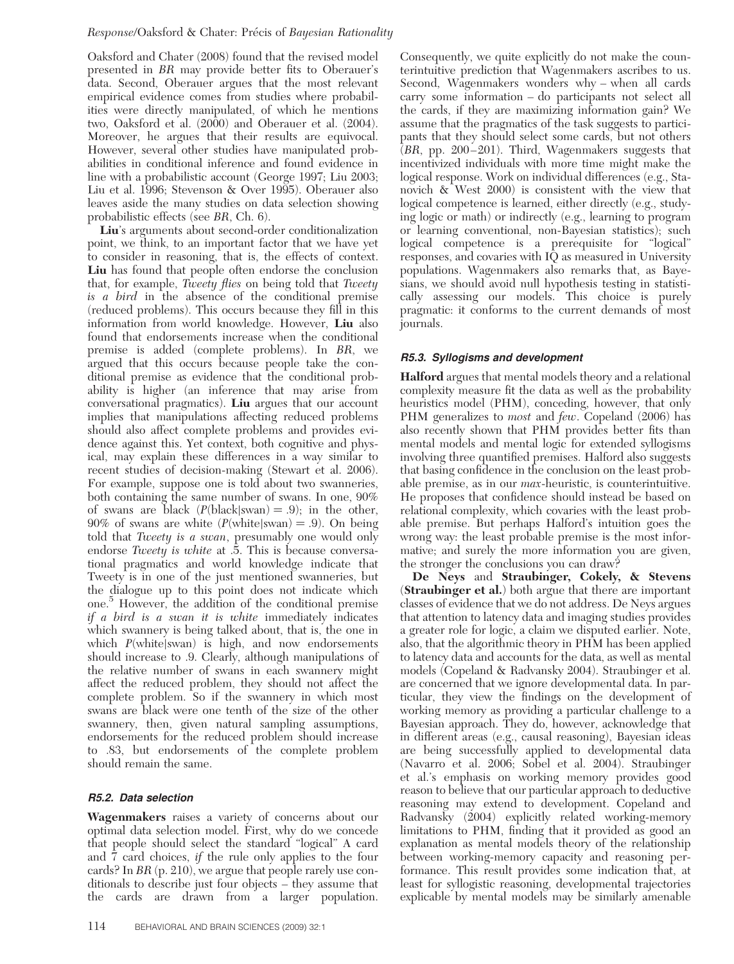Oaksford and Chater (2008) found that the revised model presented in BR may provide better fits to Oberauer's data. Second, Oberauer argues that the most relevant empirical evidence comes from studies where probabilities were directly manipulated, of which he mentions two, Oaksford et al. (2000) and Oberauer et al. (2004). Moreover, he argues that their results are equivocal. However, several other studies have manipulated probabilities in conditional inference and found evidence in line with a probabilistic account (George 1997; Liu 2003; Liu et al. 1996; Stevenson & Over 1995). Oberauer also leaves aside the many studies on data selection showing probabilistic effects (see BR, Ch. 6).

Liu's arguments about second-order conditionalization point, we think, to an important factor that we have yet to consider in reasoning, that is, the effects of context. Liu has found that people often endorse the conclusion that, for example, Tweety flies on being told that Tweety is a bird in the absence of the conditional premise (reduced problems). This occurs because they fill in this information from world knowledge. However, Liu also found that endorsements increase when the conditional premise is added (complete problems). In BR, we argued that this occurs because people take the conditional premise as evidence that the conditional probability is higher (an inference that may arise from conversational pragmatics). Liu argues that our account implies that manipulations affecting reduced problems should also affect complete problems and provides evidence against this. Yet context, both cognitive and physical, may explain these differences in a way similar to recent studies of decision-making (Stewart et al. 2006). For example, suppose one is told about two swanneries, both containing the same number of swans. In one, 90% of swans are black  $(P(\text{black}|swan) = .9)$ ; in the other, 90% of swans are white  $(P(\text{white}|swan) = .9)$ . On being told that Tweety is a swan, presumably one would only endorse Tweety is white at  $\overline{.5}$ . This is because conversational pragmatics and world knowledge indicate that Tweety is in one of the just mentioned swanneries, but the dialogue up to this point does not indicate which one. <sup>5</sup> However, the addition of the conditional premise if a bird is a swan it is white immediately indicates which swannery is being talked about, that is, the one in which  $P(\text{white}|swan)$  is high, and now endorsements should increase to .9. Clearly, although manipulations of the relative number of swans in each swannery might affect the reduced problem, they should not affect the complete problem. So if the swannery in which most swans are black were one tenth of the size of the other swannery, then, given natural sampling assumptions, endorsements for the reduced problem should increase to .83, but endorsements of the complete problem should remain the same.

### R5.2. Data selection

Wagenmakers raises a variety of concerns about our optimal data selection model. First, why do we concede that people should select the standard "logical" A card and 7 card choices, if the rule only applies to the four cards? In BR (p. 210), we argue that people rarely use conditionals to describe just four objects – they assume that the cards are drawn from a larger population.

Consequently, we quite explicitly do not make the counterintuitive prediction that Wagenmakers ascribes to us. Second, Wagenmakers wonders why – when all cards carry some information – do participants not select all the cards, if they are maximizing information gain? We assume that the pragmatics of the task suggests to participants that they should select some cards, but not others  $(BR, pp. 200-201)$ . Third, Wagenmakers suggests that incentivized individuals with more time might make the logical response. Work on individual differences (e.g., Stanovich & West 2000) is consistent with the view that logical competence is learned, either directly (e.g., studying logic or math) or indirectly (e.g., learning to program or learning conventional, non-Bayesian statistics); such logical competence is a prerequisite for "logical" responses, and covaries with IQ as measured in University populations. Wagenmakers also remarks that, as Bayesians, we should avoid null hypothesis testing in statistically assessing our models. This choice is purely pragmatic: it conforms to the current demands of most journals.

#### R5.3. Syllogisms and development

Halford argues that mental models theory and a relational complexity measure fit the data as well as the probability heuristics model (PHM), conceding, however, that only PHM generalizes to *most* and *few*. Copeland (2006) has also recently shown that PHM provides better fits than mental models and mental logic for extended syllogisms involving three quantified premises. Halford also suggests that basing confidence in the conclusion on the least probable premise, as in our max-heuristic, is counterintuitive. He proposes that confidence should instead be based on relational complexity, which covaries with the least probable premise. But perhaps Halford's intuition goes the wrong way: the least probable premise is the most informative; and surely the more information you are given, the stronger the conclusions you can draw?

De Neys and Straubinger, Cokely, & Stevens **(Straubinger et al.)** both argue that there are important classes of evidence that we do not address. De Neys argues that attention to latency data and imaging studies provides a greater role for logic, a claim we disputed earlier. Note, also, that the algorithmic theory in PHM has been applied to latency data and accounts for the data, as well as mental models (Copeland & Radvansky 2004). Straubinger et al. are concerned that we ignore developmental data. In particular, they view the findings on the development of working memory as providing a particular challenge to a Bayesian approach. They do, however, acknowledge that in different areas (e.g., causal reasoning), Bayesian ideas are being successfully applied to developmental data (Navarro et al. 2006; Sobel et al. 2004). Straubinger et al.'s emphasis on working memory provides good reason to believe that our particular approach to deductive reasoning may extend to development. Copeland and Radvansky (2004) explicitly related working-memory limitations to PHM, finding that it provided as good an explanation as mental models theory of the relationship between working-memory capacity and reasoning performance. This result provides some indication that, at least for syllogistic reasoning, developmental trajectories explicable by mental models may be similarly amenable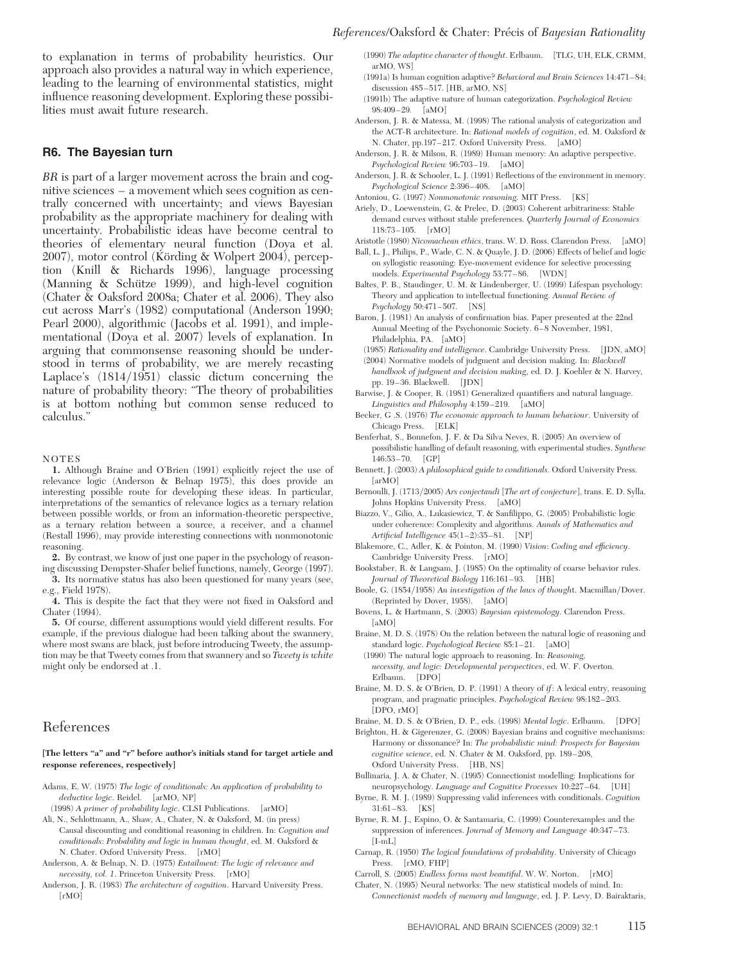to explanation in terms of probability heuristics. Our approach also provides a natural way in which experience, leading to the learning of environmental statistics, might influence reasoning development. Exploring these possibilities must await future research.

#### R6. The Bayesian turn

BR is part of a larger movement across the brain and cognitive sciences – a movement which sees cognition as centrally concerned with uncertainty; and views Bayesian probability as the appropriate machinery for dealing with uncertainty. Probabilistic ideas have become central to theories of elementary neural function (Doya et al. 2007), motor control (Körding & Wolpert 2004), perception (Knill & Richards 1996), language processing (Manning  $\&$  Schütze 1999), and high-level cognition (Chater & Oaksford 2008a; Chater et al. 2006). They also cut across Marr's (1982) computational (Anderson 1990; Pearl 2000), algorithmic (Jacobs et al. 1991), and implementational (Doya et al. 2007) levels of explanation. In arguing that commonsense reasoning should be understood in terms of probability, we are merely recasting Laplace's (1814/1951) classic dictum concerning the nature of probability theory: "The theory of probabilities is at bottom nothing but common sense reduced to calculus."

#### **NOTES**

1. Although Braine and O'Brien (1991) explicitly reject the use of relevance logic (Anderson & Belnap 1975), this does provide an interesting possible route for developing these ideas. In particular, interpretations of the semantics of relevance logics as a ternary relation between possible worlds, or from an information-theoretic perspective, as a ternary relation between a source, a receiver, and a channel (Restall 1996), may provide interesting connections with nonmonotonic reasoning.

2. By contrast, we know of just one paper in the psychology of reasoning discussing Dempster-Shafer belief functions, namely, George (1997).

- 3. Its normative status has also been questioned for many years (see, e.g., Field 1978).
- 4. This is despite the fact that they were not fixed in Oaksford and Chater (1994).

5. Of course, different assumptions would yield different results. For example, if the previous dialogue had been talking about the swannery, where most swans are black, just before introducing Tweety, the assumption may be that Tweety comes from that swannery and so Tweety is white might only be endorsed at .1.

## References

#### [The letters "a" and "r" before author's initials stand for target article and response references, respectively]

- Adams, E. W. (1975) The logic of conditionals: An application of probability to deductive logic. Reidel. [arMO, NP]
- (1998) A primer of probability logic. CLSI Publications. [arMO]
- Ali, N., Schlottmann, A., Shaw, A., Chater, N. & Oaksford, M. (in press) Causal discounting and conditional reasoning in children. In: Cognition and conditionals: Probability and logic in human thought, ed. M. Oaksford & N. Chater. Oxford University Press. [rMO]
- Anderson, A. & Belnap, N. D. (1975) Entailment: The logic of relevance and necessity, vol. 1. Princeton University Press. [rMO]
- Anderson, J. R. (1983) The architecture of cognition. Harvard University Press. [rMO]
- (1990) The adaptive character of thought. Erlbaum. [TLG, UH, ELK, CRMM, arMO, WS]
- (1991a) Is human cognition adaptive? Behavioral and Brain Sciences 14:471– 84; discussion 485 –517. [HB, arMO, NS]
- (1991b) The adaptive nature of human categorization. Psychological Review 98:409-29. [aMO]
- Anderson, J. R. & Matessa, M. (1998) The rational analysis of categorization and the ACT-R architecture. In: Rational models of cognition, ed. M. Oaksford & N. Chater, pp.197 – 217. Oxford University Press. [aMO]
- Anderson, J. R. & Milson, R. (1989) Human memory: An adaptive perspective. Psychological Review 96:703– 19. [aMO]
- Anderson, J. R. & Schooler, L. J. (1991) Reflections of the environment in memory. Psychological Science 2:396-408. [aMO]
- Antoniou, G. (1997) Nonmonotonic reasoning. MIT Press. [KS]
- Ariely, D., Loewenstein, G. & Prelec, D. (2003) Coherent arbitrariness: Stable demand curves without stable preferences. Quarterly Journal of Economics 118:73 – 105. [rMO]
- Aristotle (1980) Nicomachean ethics, trans. W. D. Ross. Clarendon Press. [aMO]
- Ball, L. J., Philips, P., Wade, C. N. & Quayle, J. D. (2006) Effects of belief and logic on syllogistic reasoning: Eye-movement evidence for selective processing models. Experimental Psychology 53:77 – 86. [WDN]
- Baltes, P. B., Staudinger, U. M. & Lindenberger, U. (1999) Lifespan psychology: Theory and application to intellectual functioning. Annual Review of Psychology 50:471-507. [NS]
- Baron, J. (1981) An analysis of confirmation bias. Paper presented at the 22nd Annual Meeting of the Psychonomic Society. 6 – 8 November, 1981, Philadelphia, PA. [aMO]
- (1985) Rationality and intelligence. Cambridge University Press. [JDN, aMO] (2004) Normative models of judgment and decision making. In: Blackwell
- handbook of judgment and decision making, ed. D. J. Koehler & N. Harvey, pp. 19-36. Blackwell. [JDN]
- Barwise, J. & Cooper, R. (1981) Generalized quantifiers and natural language. Linguistics and Philosophy 4:159-219. [aMO]
- Becker, G .S. (1976) The economic approach to human behaviour. University of Chicago Press. [ELK]
- Benferhat, S., Bonnefon, J. F. & Da Silva Neves, R. (2005) An overview of possibilistic handling of default reasoning, with experimental studies. Synthese 146:53-70. [GP]
- Bennett, J. (2003) A philosophical guide to conditionals. Oxford University Press. [arMO]
- Bernoulli, J. (1713/2005) Ars conjectandi [The art of conjecture], trans. E. D. Sylla. Johns Hopkins University Press. [aMO]
- Biazzo, V., Gilio, A., Lukasiewicz, T. & Sanfilippo, G. (2005) Probabilistic logic under coherence: Complexity and algorithms. Annals of Mathematics and Artificial Intelligence  $45(1-2):35-81.$  [NP]
- Blakemore, C., Adler, K. & Pointon, M. (1990) Vision: Coding and efficiency. Cambridge University Press. [rMO]
- Bookstaber, R. & Langsam, J. (1985) On the optimality of coarse behavior rules. Journal of Theoretical Biology 116:161-93. [HB]
- Boole, G. (1854/1958) An investigation of the laws of thought. Macmillan/Dover. (Reprinted by Dover, 1958). [aMO]
- Bovens, L. & Hartmann, S. (2003) Bayesian epistemology. Clarendon Press. [aMO]
- Braine, M. D. S. (1978) On the relation between the natural logic of reasoning and standard logic. Psychological Review 85:1-21. [aMO]
- (1990) The natural logic approach to reasoning. In: Reasoning, necessity, and logic: Developmental perspectives, ed. W. F. Overton. Erlbaum. [DPO]
- Braine, M. D. S. & O'Brien, D. P. (1991) A theory of if: A lexical entry, reasoning program, and pragmatic principles. Psychological Review 98:182 – 203. [DPO, rMO]

- Brighton, H. & Gigerenzer, G. (2008) Bayesian brains and cognitive mechanisms: Harmony or dissonance? In: The probabilistic mind: Prospects for Bayesian cognitive science, ed. N. Chater & M. Oaksford, pp. 189-208, Oxford University Press. [HB, NS]
- Bullinaria, J. A. & Chater, N. (1995) Connectionist modelling: Implications for neuropsychology. Language and Cognitive Processes 10:227-64. [UH]
- Byrne, R. M. J. (1989) Suppressing valid inferences with conditionals. Cognition 31:61-83. [KS]
- Byrne, R. M. J., Espino, O. & Santamaria, C. (1999) Counterexamples and the suppression of inferences. Journal of Memory and Language 40:347-73.  $[I-mL]$
- Carnap, R. (1950) The logical foundations of probability. University of Chicago Press. [rMO, FHP]
- Carroll, S. (2005) Endless forms most beautiful. W. W. Norton. [rMO]
- Chater, N. (1995) Neural networks: The new statistical models of mind. In: Connectionist models of memory and language, ed. J. P. Levy, D. Bairaktaris,

Braine, M. D. S. & O'Brien, D. P., eds. (1998) Mental logic. Erlbaum. [DPO]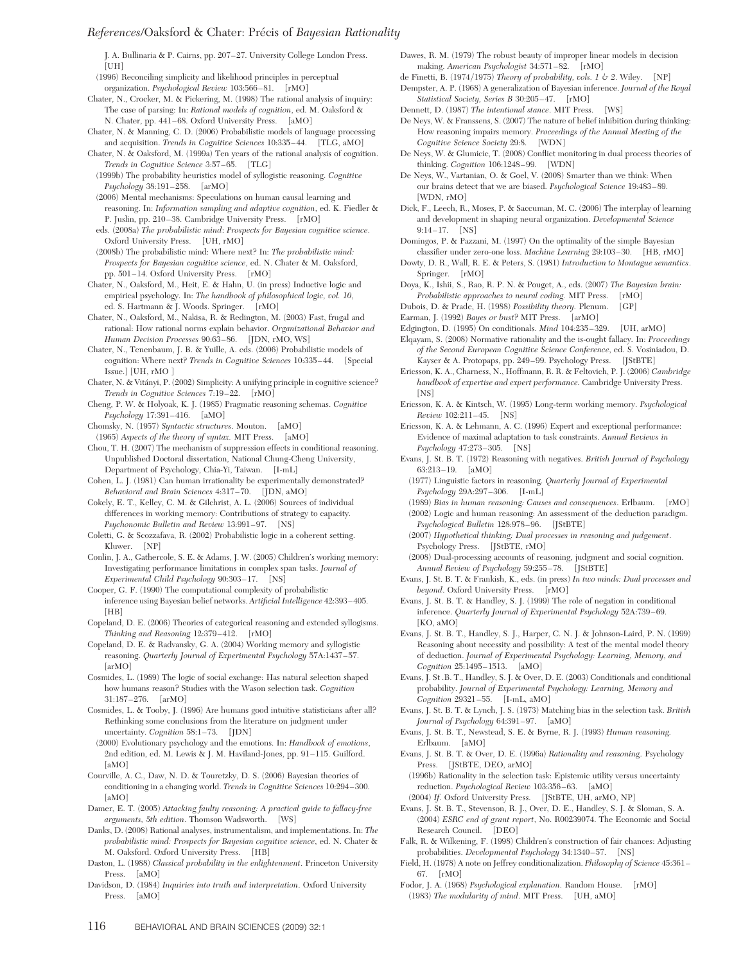J. A. Bullinaria & P. Cairns, pp. 207 – 27. University College London Press. [UH]

(1996) Reconciling simplicity and likelihood principles in perceptual organization. Psychological Review 103:566 –81. [rMO]

Chater, N., Crocker, M. & Pickering, M. (1998) The rational analysis of inquiry: The case of parsing: In: Rational models of cognition, ed. M. Oaksford & N. Chater, pp. 441-68. Oxford University Press. [aMO]

Chater, N. & Manning, C. D. (2006) Probabilistic models of language processing

- and acquisition. Trends in Cognitive Sciences 10:335-44. [TLG, aMO] Chater, N. & Oaksford, M. (1999a) Ten years of the rational analysis of cognition. Trends in Cognitive Science 3:57 –65. [TLG]
- (1999b) The probability heuristics model of syllogistic reasoning. Cognitive Psychology 38:191-258. [arMO]
- (2006) Mental mechanisms: Speculations on human causal learning and reasoning. In: Information sampling and adaptive cognition, ed. K. Fiedler & P. Juslin, pp. 210-38. Cambridge University Press. [rMO]
- eds. (2008a) The probabilistic mind: Prospects for Bayesian cognitive science. Oxford University Press. [UH, rMO]
- (2008b) The probabilistic mind: Where next? In: The probabilistic mind: Prospects for Bayesian cognitive science, ed. N. Chater & M. Oaksford, pp. 501-14. Oxford University Press. [rMO]
- Chater, N., Oaksford, M., Heit, E. & Hahn, U. (in press) Inductive logic and empirical psychology. In: The handbook of philosophical logic, vol. 10, ed. S. Hartmann & J. Woods. Springer. [rMO]
- Chater, N., Oaksford, M., Nakisa, R. & Redington, M. (2003) Fast, frugal and rational: How rational norms explain behavior. Organizational Behavior and Human Decision Processes 90:63-86. [JDN, rMO, WS]
- Chater, N., Tenenbaum, J. B. & Yuille, A. eds. (2006) Probabilistic models of cognition: Where next? Trends in Cognitive Sciences 10:335 – 44. [Special Issue.] [UH, rMO ]
- Chater, N. & Vitányi, P. (2002) Simplicity: A unifying principle in cognitive science? Trends in Cognitive Sciences 7:19-22. [rMO]
- Cheng, P. W. & Holyoak, K. J. (1985) Pragmatic reasoning schemas. Cognitive Psychology 17:391-416. [aMO]
- Chomsky, N. (1957) Syntactic structures. Mouton. [aMO]
- (1965) Aspects of the theory of syntax. MIT Press. [aMO]
- Chou, T. H. (2007) The mechanism of suppression effects in conditional reasoning. Unpublished Doctoral dissertation, National Chung-Cheng University, Department of Psychology, Chia-Yi, Taiwan. [I-mL]
- Cohen, L. J. (1981) Can human irrationality be experimentally demonstrated? Behavioral and Brain Sciences 4:317-70. [JDN, aMO]
- Cokely, E. T., Kelley, C. M. & Gilchrist, A. L. (2006) Sources of individual differences in working memory: Contributions of strategy to capacity. Psychonomic Bulletin and Review 13:991-97. [NS]
- Coletti, G. & Scozzafava, R. (2002) Probabilistic logic in a coherent setting. Kluwer. [NP]
- Conlin, J. A., Gathercole, S. E. & Adams, J. W. (2005) Children's working memory: Investigating performance limitations in complex span tasks. Journal of Experimental Child Psychology 90:303-17. [NS]
- Cooper, G. F. (1990) The computational complexity of probabilistic inference using Bayesian belief networks. Artificial Intelligence 42:393 – 405. [HB]
- Copeland, D. E. (2006) Theories of categorical reasoning and extended syllogisms. Thinking and Reasoning 12:379-412. [rMO]
- Copeland, D. E. & Radvansky, G. A. (2004) Working memory and syllogistic reasoning. Quarterly Journal of Experimental Psychology 57A:1437 – 57. [arMO]
- Cosmides, L. (1989) The logic of social exchange: Has natural selection shaped how humans reason? Studies with the Wason selection task. Cognition 31:187-276. [arMO]
- Cosmides, L. & Tooby, J. (1996) Are humans good intuitive statisticians after all? Rethinking some conclusions from the literature on judgment under uncertainty. Cognition 58:1-73. [JDN]
- (2000) Evolutionary psychology and the emotions. In: Handbook of emotions, 2nd edition, ed. M. Lewis & J. M. Haviland-Jones, pp. 91-115. Guilford. [aMO]
- Courville, A. C., Daw, N. D. & Touretzky, D. S. (2006) Bayesian theories of conditioning in a changing world. Trends in Cognitive Sciences 10:294 – 300. [aMO]
- Damer, E. T. (2005) Attacking faulty reasoning: A practical guide to fallacy-free arguments, 5th edition. Thomson Wadsworth. [WS]
- Danks, D. (2008) Rational analyses, instrumentalism, and implementations. In: The probabilistic mind: Prospects for Bayesian cognitive science, ed. N. Chater & M. Oaksford. Oxford University Press. [HB]
- Daston, L. (1988) Classical probability in the enlightenment. Princeton University Press. [aMO]
- Davidson, D. (1984) Inquiries into truth and interpretation. Oxford University Press. [aMO]
- Dawes, R. M. (1979) The robust beauty of improper linear models in decision making. American Psychologist 34:571 – 82. [rMO]
- de Finetti, B. (1974/1975) Theory of probability, vols.  $1 \div 2$ . Wiley. [NP] Dempster, A. P. (1968) A generalization of Bayesian inference. Journal of the Royal Statistical Society, Series B 30:205-47. [rMO]
- Dennett, D. (1987) The intentional stance. MIT Press. [WS]
- De Neys, W. & Franssens, S. (2007) The nature of belief inhibition during thinking: How reasoning impairs memory. Proceedings of the Annual Meeting of the Cognitive Science Society 29:8. [WDN]
- De Neys, W. & Glumicic, T. (2008) Conflict monitoring in dual process theories of thinking. Cognition 106:1248 – 99. [WDN]
- De Neys, W., Vartanian, O. & Goel, V. (2008) Smarter than we think: When our brains detect that we are biased. Psychological Science 19:483 – 89. [WDN, rMO]
- Dick, F., Leech, R., Moses, P. & Saccuman, M. C. (2006) The interplay of learning and development in shaping neural organization. Developmental Science  $9:14-17.$  [NS]
- Domingos, P. & Pazzani, M. (1997) On the optimality of the simple Bayesian classifier under zero-one loss. Machine Learning 29:103 –30. [HB, rMO]
- Dowty, D. R., Wall, R. E. & Peters, S. (1981) Introduction to Montague semantics. Springer. [rMO]
- Doya, K., Ishii, S., Rao, R. P. N. & Pouget, A., eds. (2007) The Bayesian brain: Probabilistic approaches to neural coding. MIT Press. [rMO]
- Dubois, D. & Prade, H. (1988) Possibility theory. Plenum. [GP]
- Earman, J. (1992) Bayes or bust? MIT Press. [arMO]
- Edgington, D. (1995) On conditionals. Mind 104:235 329. [UH, arMO]
- Elqayam, S. (2008) Normative rationality and the is-ought fallacy. In: Proceedings of the Second European Cognitive Science Conference, ed. S. Vosiniadou, D. Kayser & A. Protopaps, pp. 249–99. Psychology Press. [JStBTE]
- Ericsson, K. A., Charness, N., Hoffmann, R. R. & Feltovich, P. J. (2006) Cambridge handbook of expertise and expert performance. Cambridge University Press. [NS]
- Ericsson, K. A. & Kintsch, W. (1995) Long-term working memory. Psychological Review 102:211-45. [NS]
- Ericsson, K. A. & Lehmann, A. C. (1996) Expert and exceptional performance: Evidence of maximal adaptation to task constraints. Annual Reviews in Psychology 47:273 – 305. [NS]
- Evans, J. St. B. T. (1972) Reasoning with negatives. British Journal of Psychology 63:213-19. [aMO]
- (1977) Linguistic factors in reasoning. Quarterly Journal of Experimental Psychology 29A:297 – 306. [I-mL]
- (1989) Bias in human reasoning: Causes and consequences. Erlbaum. [rMO] (2002) Logic and human reasoning: An assessment of the deduction paradigm. Psychological Bulletin 128:978-96. [JStBTE]
- (2007) Hypothetical thinking: Dual processes in reasoning and judgement. Psychology Press. [JStBTE, rMO]
- (2008) Dual-processing accounts of reasoning, judgment and social cognition. Annual Review of Psychology 59:255– 78. [JStBTE]
- Evans, J. St. B. T. & Frankish, K., eds. (in press) In two minds: Dual processes and beyond. Oxford University Press. [rMO]
- Evans, J. St. B. T. & Handley, S. J. (1999) The role of negation in conditional inference. Quarterly Journal of Experimental Psychology 52A:739 – 69. [KO, aMO]
- Evans, J. St. B. T., Handley, S. J., Harper, C. N. J. & Johnson-Laird, P. N. (1999) Reasoning about necessity and possibility: A test of the mental model theory of deduction. Journal of Experimental Psychology: Learning, Memory, and Cognition 25:1495– 1513. [aMO]
- Evans, J. St .B. T., Handley, S. J. & Over, D. E. (2003) Conditionals and conditional probability. Journal of Experimental Psychology: Learning, Memory and Cognition 29321-55. [I-mL, aMO]
- Evans, J. St. B. T. & Lynch, J. S. (1973) Matching bias in the selection task. British Journal of Psychology 64:391-97. [aMO]
- Evans, J. St. B. T., Newstead, S. E. & Byrne, R. J. (1993) Human reasoning. Erlbaum. [aMO]
- Evans, J. St. B. T. & Over, D. E. (1996a) Rationality and reasoning. Psychology Press. [JStBTE, DEO, arMO]
- (1996b) Rationality in the selection task: Epistemic utility versus uncertainty reduction. Psychological Review 103:356-63. [aMO]
- (2004)  $\emph{If. Oxford University Press.}$  [JStBTE, UH, arMO, NP]
- Evans, J. St. B. T., Stevenson, R. J., Over, D. E., Handley, S. J. & Sloman, S. A. (2004) ESRC end of grant report, No. R00239074. The Economic and Social Research Council. [DEO]
- Falk, R. & Wilkening, F. (1998) Children's construction of fair chances: Adjusting probabilities. Developmental Psychology 34:1340-57. [NS]
- Field, H. (1978) A note on Jeffrey conditionalization. Philosophy of Science 45:361– 67. [rMO]
- Fodor, J. A. (1968) Psychological explanation. Random House. [rMO] (1983) The modularity of mind. MIT Press. [UH, aMO]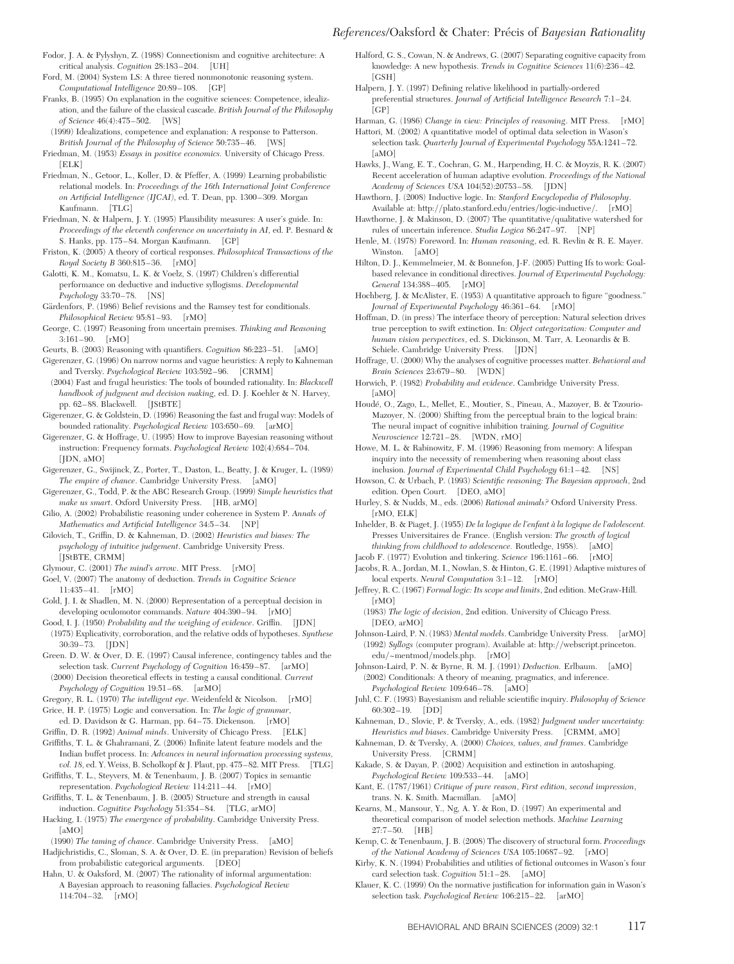- Fodor, J. A. & Pylyshyn, Z. (1988) Connectionism and cognitive architecture: A critical analysis. Cognition 28:183 –204. [UH]
- Ford, M. (2004) System LS: A three tiered nonmonotonic reasoning system. Computational Intelligence 20:89 – 108. [GP]
- Franks, B. (1995) On explanation in the cognitive sciences: Competence, idealization, and the failure of the classical cascade. British Journal of the Philosophy of Science 46(4):475– 502. [WS]
- (1999) Idealizations, competence and explanation: A response to Patterson. British Journal of the Philosophy of Science 50:735 – 46. [WS]

Friedman, M. (1953) Essays in positive economics. University of Chicago Press. [ELK]

- Friedman, N., Getoor, L., Koller, D. & Pfeffer, A. (1999) Learning probabilistic relational models. In: Proceedings of the 16th International Joint Conference on Artificial Intelligence (IJCAI), ed. T. Dean, pp. 1300 – 309. Morgan Kaufmann. [TLG]
- Friedman, N. & Halpern, J. Y. (1995) Plausibility measures: A user's guide. In: Proceedings of the eleventh conference on uncertainty in AI, ed. P. Besnard & S. Hanks, pp. 175 – 84. Morgan Kaufmann. [GP]
- Friston, K. (2005) A theory of cortical responses. Philosophical Transactions of the Royal Society B 360:815 – 36. [rMO]
- Galotti, K. M., Komatsu, L. K. & Voelz, S. (1997) Children's differential performance on deductive and inductive syllogisms. Developmental Psychology 33:70-78. [NS]
- Gärdenfors, P. (1986) Belief revisions and the Ramsey test for conditionals. Philosophical Review 95:81-93. [rMO]
- George, C. (1997) Reasoning from uncertain premises. Thinking and Reasoning 3:161-90. [rMO]
- Geurts, B. (2003) Reasoning with quantifiers. Cognition 86:223-51. [aMO]
- Gigerenzer, G. (1996) On narrow norms and vague heuristics: A reply to Kahneman and Tversky. Psychological Review 103:592– 96. [CRMM]
- (2004) Fast and frugal heuristics: The tools of bounded rationality. In: Blackwell handbook of judgment and decision making, ed. D. J. Koehler & N. Harvey, pp. 62-88. Blackwell. [JStBTE]
- Gigerenzer, G. & Goldstein, D. (1996) Reasoning the fast and frugal way: Models of bounded rationality. Psychological Review 103:650-69. [arMO]
- Gigerenzer, G. & Hoffrage, U. (1995) How to improve Bayesian reasoning without instruction: Frequency formats. Psychological Review 102(4):684 –704. [IDN, aMO]
- Gigerenzer, G., Swijinck, Z., Porter, T., Daston, L., Beatty, J. & Kruger, L. (1989) The empire of chance. Cambridge University Press. [aMO]
- Gigerenzer, G., Todd, P. & the ABC Research Group. (1999) Simple heuristics that make us smart. Oxford University Press. [HB, arMO]
- Gilio, A. (2002) Probabilistic reasoning under coherence in System P. Annals of Mathematics and Artificial Intelligence 34:5-34.  $[NP]$
- Gilovich, T., Griffin, D. & Kahneman, D. (2002) Heuristics and biases: The psychology of intuitive judgement. Cambridge University Press. [JStBTE, CRMM]
- Glymour, C. (2001) The mind's arrow. MIT Press. [rMO]
- Goel, V. (2007) The anatomy of deduction. Trends in Cognitive Science 11:435 – 41. [rMO]
- Gold, J. I. & Shadlen, M. N. (2000) Representation of a perceptual decision in developing oculomotor commands. Nature 404:390-94. [rMO]
- Good, I. J. (1950) Probability and the weighing of evidence. Griffin. [JDN] (1975) Explicativity, corroboration, and the relative odds of hypotheses. Synthese 30:39– 73. [JDN]
- Green. D. W. & Over, D. E. (1997) Causal inference, contingency tables and the selection task. Current Psychology of Cognition 16:459-87. [arMO] (2000) Decision theoretical effects in testing a causal conditional. Current Psychology of Cognition 19:51-68. [arMO]
- Gregory, R. L. (1970) The intelligent eye. Weidenfeld & Nicolson. [rMO] Grice, H. P. (1975) Logic and conversation. In: The logic of grammar,
- ed. D. Davidson & G. Harman, pp. 64 75. Dickenson. [rMO]
- Griffin, D. R. (1992) Animal minds. University of Chicago Press. [ELK]
- Griffiths, T. L. & Ghahramani, Z. (2006) Infinite latent feature models and the Indian buffet process. In: Advances in neural information processing systems, vol. 18, ed. Y. Weiss, B. Scholkopf & J. Plaut, pp. 475-82. MIT Press. [TLG]
- Griffiths, T. L., Steyvers, M. & Tenenbaum, J. B. (2007) Topics in semantic representation. Psychological Review 114:211 – 44. [rMO]
- Griffiths, T. L. & Tenenbaum, J. B. (2005) Structure and strength in causal induction. Cognitive Psychology 51:354-84. [TLG, arMO]
- Hacking, I. (1975) The emergence of probability. Cambridge University Press. [aMO]
- (1990) The taming of chance. Cambridge University Press. [aMO] Hadjichristidis, C., Sloman, S. A. & Over, D. E. (in preparation) Revision of beliefs from probabilistic categorical arguments. [DEO]
- Hahn, U. & Oaksford, M. (2007) The rationality of informal argumentation: A Bayesian approach to reasoning fallacies. Psychological Review 114:704 – 32. [rMO]
- Halford, G. S., Cowan, N. & Andrews, G. (2007) Separating cognitive capacity from knowledge: A new hypothesis. Trends in Cognitive Sciences 11(6):236 – 42. [GSH]
- Halpern, J. Y. (1997) Defining relative likelihood in partially-ordered preferential structures. Journal of Artificial Intelligence Research 7:1– 24. [GP]
- Harman, G. (1986) Change in view: Principles of reasoning. MIT Press. [rMO]
- Hattori, M. (2002) A quantitative model of optimal data selection in Wason's selection task. Quarterly Journal of Experimental Psychology 55A:1241 – 72. [aMO]
- Hawks, J., Wang, E. T., Cochran, G. M., Harpending, H. C. & Moyzis, R. K. (2007) Recent acceleration of human adaptive evolution. Proceedings of the National Academy of Sciences USA 104(52):20753-58. [JDN]
- Hawthorn, J. (2008) Inductive logic. In: Stanford Encyclopedia of Philosophy. Available at: http://plato.stanford.edu/entries/logic-inductive/. [rMO]
- Hawthorne, J. & Makinson, D. (2007) The quantitative/qualitative watershed for rules of uncertain inference. Studia Logica 86:247-97. [NP]
- Henle, M. (1978) Foreword. In: Human reasoning, ed. R. Revlin & R. E. Mayer. Winston. [aMO]
- Hilton, D. J., Kemmelmeier, M. & Bonnefon, J-F. (2005) Putting Ifs to work: Goalbased relevance in conditional directives. Journal of Experimental Psychology: General 134:388-405. [rMO]
- Hochberg, J. & McAlister, E. (1953) A quantitative approach to figure "goodness." Journal of Experimental Psychology 46:361-64. [rMO]
- Hoffman, D. (in press) The interface theory of perception: Natural selection drives true perception to swift extinction. In: Object categorization: Computer and human vision perspectives, ed. S. Dickinson, M. Tarr, A. Leonardis & B. Schiele. Cambridge University Press. [JDN]
- Hoffrage, U. (2000) Why the analyses of cognitive processes matter. Behavioral and Brain Sciences 23:679 –80. [WDN]
- Horwich, P. (1982) Probability and evidence. Cambridge University Press. [aMO]
- Houdé, O., Zago, L., Mellet, E., Moutier, S., Pineau, A., Mazoyer, B. & Tzourio-Mazoyer, N. (2000) Shifting from the perceptual brain to the logical brain: The neural impact of cognitive inhibition training. Journal of Cognitive Neuroscience 12:721-28. [WDN, rMO]
- Howe, M. L. & Rabinowitz, F. M. (1996) Reasoning from memory: A lifespan inquiry into the necessity of remembering when reasoning about class inclusion. Journal of Experimental Child Psychology 61:1-42. [NS]
- Howson, C. & Urbach, P. (1993) Scientific reasoning: The Bayesian approach, 2nd edition. Open Court. [DEO, aMO]
- Hurley, S. & Nudds, M., eds. (2006) Rational animals? Oxford University Press. [rMO, ELK]
- Inhelder, B. & Piaget, J. (1955) De la logique de l'enfant a` la logique de l'adolescent. Presses Universitaires de France. (English version: The growth of logical thinking from childhood to adolescence. Routledge, 1958). [aMO]
- Jacob F. (1977) Evolution and tinkering. Science 196:1161-66. [rMO] Jacobs, R. A., Jordan, M. I., Nowlan, S. & Hinton, G. E. (1991) Adaptive mixtures of
- local experts. Neural Computation 3:1– 12. [rMO] Jeffrey, R. C. (1967) Formal logic: Its scope and limits, 2nd edition. McGraw-Hill.  $[rMO]$
- (1983) The logic of decision, 2nd edition. University of Chicago Press. [DEO, arMO]
- Johnson-Laird, P. N. (1983) Mental models. Cambridge University Press. [arMO] (1992) Syllogs (computer program). Available at: http://webscript.princeton. edu/~mentmod/models.php. [rMO]
- Johnson-Laird, P. N. & Byrne, R. M. J. (1991) Deduction. Erlbaum. [aMO] (2002) Conditionals: A theory of meaning, pragmatics, and inference. Psychological Review 109:646-78. [aMO]
- Juhl, C. F. (1993) Bayesianism and reliable scientific inquiry. Philosophy of Science 60:302 – 19. [DD]
- Kahneman, D., Slovic, P. & Tversky, A., eds. (1982) Judgment under uncertainty: Heuristics and biases. Cambridge University Press. [CRMM, aMO]
- Kahneman, D. & Tversky, A. (2000) Choices, values, and frames. Cambridge University Press. [CRMM]
- Kakade, S. & Dayan, P. (2002) Acquisition and extinction in autoshaping. Psychological Review 109:533-44. [aMO]
- Kant, E. (1787/1961) Critique of pure reason, First edition, second impression, trans. N. K. Smith. Macmillan. [aMO]
- Kearns, M., Mansour, Y., Ng, A. Y. & Ron, D. (1997) An experimental and theoretical comparison of model selection methods. Machine Learning 27:7-50. [HB]
- Kemp, C. & Tenenbaum, J. B. (2008) The discovery of structural form. Proceedings of the National Academy of Sciences USA 105:10687-92. [rMO]
- Kirby, K. N. (1994) Probabilities and utilities of fictional outcomes in Wason's four card selection task. Cognition 51:1-28. [aMO]
- Klauer, K. C. (1999) On the normative justification for information gain in Wason's selection task. Psychological Review 106:215-22. [arMO]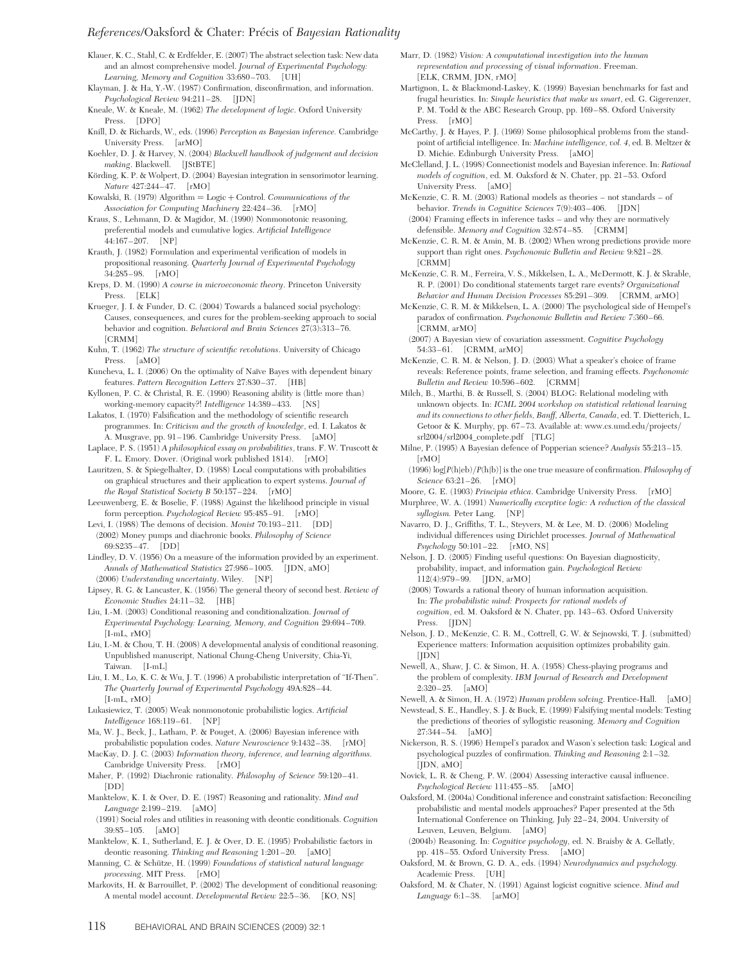- Klauer, K. C., Stahl, C. & Erdfelder, E. (2007) The abstract selection task: New data and an almost comprehensive model. Journal of Experimental Psychology: Learning, Memory and Cognition 33:680-703. [UH]
- Klayman, J. & Ha, Y.-W. (1987) Confirmation, disconfirmation, and information. Psychological Review 94:211-28. [JDN]
- Kneale, W. & Kneale, M. (1962) The development of logic. Oxford University Press. [DPO]
- Knill, D. & Richards, W., eds. (1996) Perception as Bayesian inference. Cambridge University Press. [arMO]
- Koehler, D. J. & Harvey, N. (2004) Blackwell handbook of judgement and decision making. Blackwell. [JStBTE]
- Körding, K. P. & Wolpert, D. (2004) Bayesian integration in sensorimotor learning. Nature 427:244-47. [rMO]
- Kowalski, R. (1979) Algorithm =  $Logic + Control$ . Communications of the Association for Computing Machinery 22:424 – 36. [rMO]

Kraus, S., Lehmann, D. & Magidor, M. (1990) Nonmonotonic reasoning, preferential models and cumulative logics. Artificial Intelligence 44:167 – 207. [NP]

- Krauth, J. (1982) Formulation and experimental verification of models in propositional reasoning. Quarterly Journal of Experimental Psychology  $34:285 - 98.$  [rMO]
- Kreps, D. M. (1990) A course in microeconomic theory. Princeton University Press. [ELK]
- Krueger, J. I. & Funder, D. C. (2004) Towards a balanced social psychology: Causes, consequences, and cures for the problem-seeking approach to social behavior and cognition. Behavioral and Brain Sciences 27(3):313– 76. [CRMM]
- Kuhn, T. (1962) The structure of scientific revolutions. University of Chicago Press. [aMO]
- Kuncheva, L. I. (2006) On the optimality of Naïve Bayes with dependent binary features. Pattern Recognition Letters 27:830-37. [HB]
- Kyllonen, P. C. & Christal, R. E. (1990) Reasoning ability is (little more than) working-memory capacity?! Intelligence 14:389 – 433. [NS]

Lakatos, I. (1970) Falsification and the methodology of scientific research programmes. In: Criticism and the growth of knowledge, ed. I. Lakatos & A. Musgrave, pp. 91– 196. Cambridge University Press. [aMO]

Laplace, P. S. (1951) A philosophical essay on probabilities, trans. F. W. Truscott & F. L. Emory. Dover. (Original work published 1814). [rMO]

- Lauritzen, S. & Spiegelhalter, D. (1988) Local computations with probabilities on graphical structures and their application to expert systems. Journal of the Royal Statistical Society B  $50:157-224$ .  $\lceil rMO \rceil$
- Leeuwenberg, E. & Boselie, F. (1988) Against the likelihood principle in visual form perception. Psychological Review 95:485 –91. [rMO]
- Levi, I. (1988) The demons of decision. Monist 70:193-211. [DD] (2002) Money pumps and diachronic books. Philosophy of Science 69:S235 – 47. [DD]
- Lindley, D. V. (1956) On a measure of the information provided by an experiment. Annals of Mathematical Statistics 27:986– 1005. [JDN, aMO] (2006) Understanding uncertainty. Wiley. [NP]
- Lipsey, R. G. & Lancaster, K. (1956) The general theory of second best. Review of Economic Studies 24:11-32. [HB]
- Liu, I.-M. (2003) Conditional reasoning and conditionalization. Journal of Experimental Psychology: Learning, Memory, and Cognition 29:694 – 709. [I-mL, rMO]
- Liu, I.-M. & Chou, T. H. (2008) A developmental analysis of conditional reasoning. Unpublished manuscript, National Chung-Cheng University, Chia-Yi, Taiwan. [I-mL]
- Liu, I. M., Lo, K. C. & Wu, J. T. (1996) A probabilistic interpretation of "If-Then". The Quarterly Journal of Experimental Psychology 49A:828 – 44. [I-mL, rMO]
- Lukasiewicz, T. (2005) Weak nonmonotonic probabilistic logics. Artificial Intelligence 168:119-61. [NP]
- Ma, W. J., Beck, J., Latham, P. & Pouget, A. (2006) Bayesian inference with probabilistic population codes. Nature Neuroscience 9:1432-38. [rMO]
- MacKay, D. J. C. (2003) Information theory, inference, and learning algorithms. Cambridge University Press. [rMO]
- Maher, P. (1992) Diachronic rationality. Philosophy of Science 59:120-41. [DD]
- Manktelow, K. I. & Over, D. E. (1987) Reasoning and rationality. Mind and Language 2:199-219. [aMO]
- (1991) Social roles and utilities in reasoning with deontic conditionals. Cognition 39:85 –105. [aMO]
- Manktelow, K. I., Sutherland, E. J. & Over, D. E. (1995) Probabilistic factors in deontic reasoning. Thinking and Reasoning 1:201-20. [aMO]
- Manning, C. & Schütze, H. (1999) Foundations of statistical natural language processing. MIT Press. [rMO]
- Markovits, H. & Barrouillet, P. (2002) The development of conditional reasoning: A mental model account. Developmental Review 22:5-36. [KO, NS]
- Marr, D. (1982) Vision: A computational investigation into the human representation and processing of visual information. Freeman. [ELK, CRMM, JDN, rMO]
- Martignon, L. & Blackmond-Laskey, K. (1999) Bayesian benchmarks for fast and frugal heuristics. In: Simple heuristics that make us smart, ed. G. Gigerenzer, P. M. Todd & the ABC Research Group, pp. 169 – 88. Oxford University Press. [rMO]
- McCarthy, J. & Hayes, P. J. (1969) Some philosophical problems from the standpoint of artificial intelligence. In: Machine intelligence, vol. 4, ed. B. Meltzer & D. Michie. Edinburgh University Press. [aMO]
- McClelland, J. L. (1998) Connectionist models and Bayesian inference. In: Rational models of cognition, ed. M. Oaksford & N. Chater, pp. 21-53. Oxford University Press. [aMO]

McKenzie, C. R. M. (2003) Rational models as theories – not standards – of behavior. Trends in Cognitive Sciences 7(9):403-406. [JDN] (2004) Framing effects in inference tasks – and why they are normatively defensible. Memory and Cognition 32:874-85. [CRMM]

- McKenzie, C. R. M. & Amin, M. B. (2002) When wrong predictions provide more support than right ones. Psychonomic Bulletin and Review  $9:821-28.$ [CRMM]
- McKenzie, C. R. M., Ferreira, V. S., Mikkelsen, L. A., McDermott, K. J. & Skrable, R. P. (2001) Do conditional statements target rare events? Organizational Behavior and Human Decision Processes 85:291 – 309. [CRMM, arMO]
- McKenzie, C. R. M. & Mikkelsen, L. A. (2000) The psychological side of Hempel's paradox of confirmation. Psychonomic Bulletin and Review 7:360 – 66. [CRMM, arMO]
	- (2007) A Bayesian view of covariation assessment. Cognitive Psychology 54:33-61. [CRMM, arMO]
- McKenzie, C. R. M. & Nelson, J. D. (2003) What a speaker's choice of frame reveals: Reference points, frame selection, and framing effects. Psychonomic Bulletin and Review 10:596-602. [CRMM]
- Milch, B., Marthi, B. & Russell, S. (2004) BLOG: Relational modeling with unknown objects. In: ICML 2004 workshop on statistical relational learning and its connections to other fields, Banff, Alberta, Canada, ed. T. Dietterich, L. Getoor & K. Murphy, pp. 67– 73. Available at: www.cs.umd.edu/projects/ srl2004/srl2004\_complete.pdf [TLG]
- Milne, P. (1995) A Bayesian defence of Popperian science? Analysis 55:213– 15. [rMO]
- (1996)  $\log[P(\mathrm{h}| \mathrm{eb})/P(\mathrm{h}| \mathrm{b})]$  is the one true measure of confirmation. Philosophy of Science 63:21-26. [rMO]
- Moore, G. E. (1903) Principia ethica. Cambridge University Press. [rMO]
- Murphree, W. A. (1991) Numerically exceptive logic: A reduction of the classical syllogism. Peter Lang. [NP]
- Navarro, D. J., Griffiths, T. L., Steyvers, M. & Lee, M. D. (2006) Modeling individual differences using Dirichlet processes. Journal of Mathematical Psychology 50:101-22. [rMO, NS]

Nelson, J. D. (2005) Finding useful questions: On Bayesian diagnosticity, probability, impact, and information gain. Psychological Review 112(4):979 – 99. [JDN, arMO]

(2008) Towards a rational theory of human information acquisition. In: The probabilistic mind: Prospects for rational models of cognition, ed. M. Oaksford & N. Chater, pp. 143 – 63. Oxford University Press. [JDN]

- Nelson, J. D., McKenzie, C. R. M., Cottrell, G. W. & Sejnowski, T. J. (submitted) Experience matters: Information acquisition optimizes probability gain. [JDN]
- Newell, A., Shaw, J. C. & Simon, H. A. (1958) Chess-playing programs and the problem of complexity. IBM Journal of Research and Development  $2:320-25.$  [aMO]
- Newell, A. & Simon, H. A. (1972) Human problem solving. Prentice-Hall. [aMO]
- Newstead, S. E., Handley, S. J. & Buck, E. (1999) Falsifying mental models: Testing the predictions of theories of syllogistic reasoning. Memory and Cognition 27:344-54. [aMO]
- Nickerson, R. S. (1996) Hempel's paradox and Wason's selection task: Logical and psychological puzzles of confirmation. Thinking and Reasoning 2:1-32. [JDN, aMO]
- Novick, L. R. & Cheng, P. W. (2004) Assessing interactive causal influence. Psychological Review 111:455– 85. [aMO]
- Oaksford, M. (2004a) Conditional inference and constraint satisfaction: Reconciling probabilistic and mental models approaches? Paper presented at the 5th International Conference on Thinking, July 22-24, 2004. University of Leuven, Leuven, Belgium. [aMO]
- (2004b) Reasoning. In: Cognitive psychology, ed. N. Braisby & A. Gellatly, pp. 418 – 55. Oxford University Press. [aMO]
- Oaksford, M. & Brown, G. D. A., eds. (1994) Neurodynamics and psychology. Academic Press. [UH]
- Oaksford, M. & Chater, N. (1991) Against logicist cognitive science. Mind and Language  $6:1-38$ .  $[\text{arMO}]$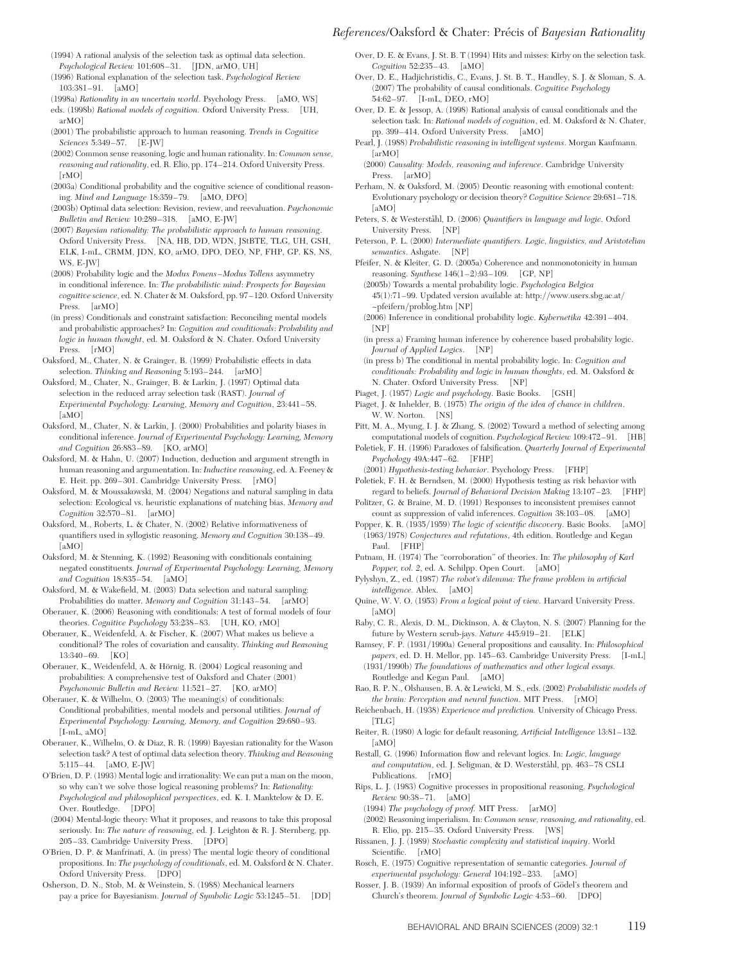- (1994) A rational analysis of the selection task as optimal data selection. Psychological Review 101:608-31. [JDN, arMO, UH]
- (1996) Rational explanation of the selection task. Psychological Review  $103:381-91.$  [aMO]
- (1998a) Rationality in an uncertain world. Psychology Press. [aMO, WS] eds. (1998b) Rational models of cognition. Oxford University Press. [UH, arMO]
- (2001) The probabilistic approach to human reasoning. Trends in Cognitive Sciences 5:349-57. [E-JW]
- (2002) Common sense reasoning, logic and human rationality. In: Common sense, reasoning and rationality, ed. R. Elio, pp. 174 –214. Oxford University Press. [rMO]
- (2003a) Conditional probability and the cognitive science of conditional reasoning. Mind and Language 18:359 – 79. [aMO, DPO]
- (2003b) Optimal data selection: Revision, review, and reevaluation. Psychonomic Bulletin and Review 10:289-318. [aMO, E-JW]
- (2007) Bayesian rationality: The probabilistic approach to human reasoning. Oxford University Press. [NA, HB, DD, WDN, JStBTE, TLG, UH, GSH, ELK, I-mL, CRMM, JDN, KO, arMO, DPO, DEO, NP, FHP, GP. KS, NS, WS, E-JW]
- (2008) Probability logic and the Modus Ponens –Modus Tollens asymmetry in conditional inference. In: The probabilistic mind: Prospects for Bayesian cognitive science, ed. N. Chater & M. Oaksford, pp. 97– 120. Oxford University Press. [arMO]
- (in press) Conditionals and constraint satisfaction: Reconciling mental models and probabilistic approaches? In: Cognition and conditionals: Probability and logic in human thought, ed. M. Oaksford & N. Chater. Oxford University Press. [rMO]
- Oaksford, M., Chater, N. & Grainger, B. (1999) Probabilistic effects in data selection. Thinking and Reasoning 5:193-244. [arMO]
- Oaksford, M., Chater, N., Grainger, B. & Larkin, J. (1997) Optimal data selection in the reduced array selection task (RAST). Journal of Experimental Psychology: Learning, Memory and Cognition, 23:441 – 58. [aMO]
- Oaksford, M., Chater, N. & Larkin, J. (2000) Probabilities and polarity biases in conditional inference. Journal of Experimental Psychology: Learning, Memory and Cognition 26:883 – 89. [KO, arMO]
- Oaksford, M. & Hahn, U. (2007) Induction, deduction and argument strength in human reasoning and argumentation. In: Inductive reasoning, ed. A. Feeney & E. Heit. pp. 269 – 301. Cambridge University Press. [rMO]
- Oaksford, M. & Moussakowski, M. (2004) Negations and natural sampling in data selection: Ecological vs. heuristic explanations of matching bias. Memory and Cognition 32:570 –81. [arMO]
- Oaksford, M., Roberts, L. & Chater, N. (2002) Relative informativeness of quantifiers used in syllogistic reasoning. Memory and Cognition 30:138 –49. [aMO]
- Oaksford, M. & Stenning, K. (1992) Reasoning with conditionals containing negated constituents. Journal of Experimental Psychology: Learning, Memory and Cognition 18:835-54. [aMO]
- Oaksford, M. & Wakefield, M. (2003) Data selection and natural sampling: Probabilities do matter. Memory and Cognition 31:143-54. [arMO]
- Oberauer, K. (2006) Reasoning with conditionals: A test of formal models of four theories. Cognitive Psychology 53:238-83. [UH, KO, rMO]
- Oberauer, K., Weidenfeld, A. & Fischer, K. (2007) What makes us believe a conditional? The roles of covariation and causality. Thinking and Reasoning 13:340-69. [KO]
- Oberauer, K., Weidenfeld, A. & Hörnig, R. (2004) Logical reasoning and probabilities: A comprehensive test of Oaksford and Chater (2001) Psychonomic Bulletin and Review 11:521-27. [KO, arMO]
- Oberauer, K. & Wilhelm, O. (2003) The meaning(s) of conditionals: Conditional probabilities, mental models and personal utilities. Journal of Experimental Psychology: Learning, Memory, and Cognition 29:680 – 93. [I-mL, aMO]
- Oberauer, K., Wilhelm, O. & Diaz, R. R. (1999) Bayesian rationality for the Wason selection task? A test of optimal data selection theory. Thinking and Reasoning 5:115– 44. [aMO, E-JW]
- O'Brien, D. P. (1993) Mental logic and irrationality: We can put a man on the moon, so why can't we solve those logical reasoning problems? In: Rationality: Psychological and philosophical perspectives, ed. K. I. Manktelow & D. E. Over. Routledge. [DPO]
- (2004) Mental-logic theory: What it proposes, and reasons to take this proposal seriously. In: *The nature of reasoning*, ed. J. Leighton & R. J. Sternberg, pp.<br>205–33. Cambridge University Press. [DPO] 205-33. Cambridge University Press.
- O'Brien, D. P. & Manfrinati, A. (in press) The mental logic theory of conditional propositions. In: The psychology of conditionals, ed. M. Oaksford & N. Chater. Oxford University Press. [DPO]
- Osherson, D. N., Stob, M. & Weinstein, S. (1988) Mechanical learners pay a price for Bayesianism. Journal of Symbolic Logic 53:1245-51. [DD]
- Over, D. E. & Evans, J. St. B. T (1994) Hits and misses: Kirby on the selection task. Cognition 52:235-43. [aMO]
- Over, D. E., Hadjichristidis, C., Evans, J. St. B. T., Handley, S. J. & Sloman, S. A. (2007) The probability of causal conditionals. Cognitive Psychology 54:62-97. [I-mL, DEO, rMO]
- Over, D. E. & Jessop, A. (1998) Rational analysis of causal conditionals and the selection task. In: Rational models of cognition, ed. M. Oaksford & N. Chater, pp. 399 – 414. Oxford University Press. [aMO]
- Pearl, J. (1988) Probabilistic reasoning in intelligent systems. Morgan Kaufmann. [arMO]
- (2000) Causality: Models, reasoning and inference. Cambridge University Press. [arMO]
- Perham, N. & Oaksford, M. (2005) Deontic reasoning with emotional content: Evolutionary psychology or decision theory? Cognitive Science 29:681 – 718. [aMO]
- Peters, S. & Westerståhl, D. (2006) Quantifiers in language and logic. Oxford University Press. [NP]
- Peterson, P. L. (2000) Intermediate quantifiers. Logic, linguistics, and Aristotelian semantics. Ashgate. [NP]
- Pfeifer, N. & Kleiter, G. D. (2005a) Coherence and nonmonotonicity in human reasoning. Synthese  $146(1-2):93-109$ . [GP, NP]
	- (2005b) Towards a mental probability logic. Psychologica Belgica 45(1):71 – 99. Updated version available at: http://www.users.sbg.ac.at/  $\sim$ pfeifern/problog.htm  $\left[\text{NP}\right]$
	- (2006) Inference in conditional probability logic. Kybernetika 42:391 404. [NP]
	- (in press a) Framing human inference by coherence based probability logic. Journal of Applied Logics. [NP]
- (in press b) The conditional in mental probability logic. In: Cognition and conditionals: Probability and logic in human thoughts, ed. M. Oaksford & N. Chater. Oxford University Press. [NP]
- Piaget, J. (1957) Logic and psychology. Basic Books. [GSH]
- Piaget, J. & Inhelder, B. (1975) The origin of the idea of chance in children. W. W. Norton. [NS]
- Pitt, M. A., Myung, I. J. & Zhang, S. (2002) Toward a method of selecting among computational models of cognition. Psychological Review 109:472-91. [HB]
- Poletiek, F. H. (1996) Paradoxes of falsification. Quarterly Journal of Experimental Psychology 49A:447-62. [FHP]

(2001) Hypothesis-testing behavior. Psychology Press. [FHP] Poletiek, F. H. & Berndsen, M. (2000) Hypothesis testing as risk behavior with

- regard to beliefs. Journal of Behavioral Decision Making 13:107-23. [FHP] Politzer, G. & Braine, M. D. (1991) Responses to inconsistent premises cannot
- count as suppression of valid inferences. Cognition 38:103-08. [aMO] Popper, K. R. (1935/1959) The logic of scientific discovery. Basic Books. [aMO]
- (1963/1978) Conjectures and refutations, 4th edition. Routledge and Kegan Paul. [FHP]
- Putnam, H. (1974) The "corroboration" of theories. In: The philosophy of Karl Popper, vol. 2, ed. A. Schilpp. Open Court. [aMO]
- Pylyshyn, Z., ed. (1987) The robot's dilemma: The frame problem in artificial intelligence. Ablex. [aMO]
- Quine, W. V. O. (1953) From a logical point of view. Harvard University Press. [aMO]
- Raby, C. R., Alexis, D. M., Dickinson, A. & Clayton, N. S. (2007) Planning for the future by Western scrub-jays. Nature 445:919-21. [ELK]
- Ramsey, F. P. (1931/1990a) General propositions and causality. In: Philosophical papers, ed. D. H. Mellor, pp. 145-63. Cambridge University Press. [I-mL]  $\left( 1931/1990b\right)$  The foundations of mathematics and other logical essays. Routledge and Kegan Paul. [aMO]
- Rao, R. P. N., Olshausen, B. A. & Lewicki, M. S., eds. (2002) Probabilistic models of the brain: Perception and neural function. MIT Press. [rMO]
- Reichenbach, H. (1938) Experience and prediction. University of Chicago Press. [TLG]
- Reiter, R. (1980) A logic for default reasoning, Artificial Intelligence 13:81 132. [aMO]
- Restall, G. (1996) Information flow and relevant logics. In: Logic, language and computation, ed. J. Seligman, & D. Westerståhl, pp. 463-78 CSLI Publications. [rMO]
- Rips, L. J. (1983) Cognitive processes in propositional reasoning. Psychological Review 90:38-71. [aMO]
	- (1994) The psychology of proof. MIT Press. [arMO]
- (2002) Reasoning imperialism. In: Common sense, reasoning, and rationality, ed. R. Elio, pp. 215–35. Oxford University Press. [WS]
- Rissanen, J. J. (1989) Stochastic complexity and statistical inquiry. World Scientific. [rMO]
- Rosch, E. (1975) Cognitive representation of semantic categories. Journal of experimental psychology: General 104:192 – 233. [aMO]
- Rosser, J. B. (1939) An informal exposition of proofs of Gödel's theorem and Church's theorem. Journal of Symbolic Logic 4:53– 60. [DPO]